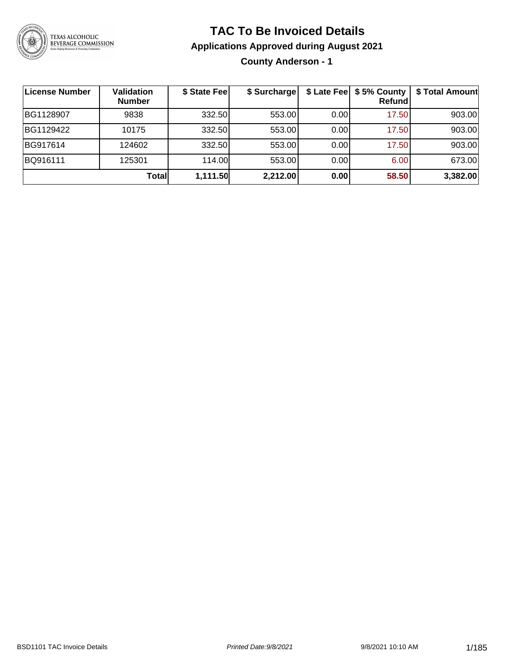

### **TAC To Be Invoiced Details**

#### **Applications Approved during August 2021**

**County Anderson - 1**

| License Number | Validation<br><b>Number</b> | \$ State Fee | \$ Surcharge |      | \$ Late Fee   \$5% County<br>Refund | \$ Total Amount |
|----------------|-----------------------------|--------------|--------------|------|-------------------------------------|-----------------|
| BG1128907      | 9838                        | 332.50       | 553.00       | 0.00 | 17.50                               | 903.00          |
| BG1129422      | 10175                       | 332.50       | 553.00       | 0.00 | 17.50                               | 903.00          |
| BG917614       | 124602                      | 332.50       | 553.00       | 0.00 | 17.50                               | 903.00          |
| BQ916111       | 125301                      | 114.00L      | 553.00       | 0.00 | 6.00                                | 673.00          |
|                | <b>Total</b>                | 1,111.50     | 2,212.00     | 0.00 | 58.50                               | 3,382.00        |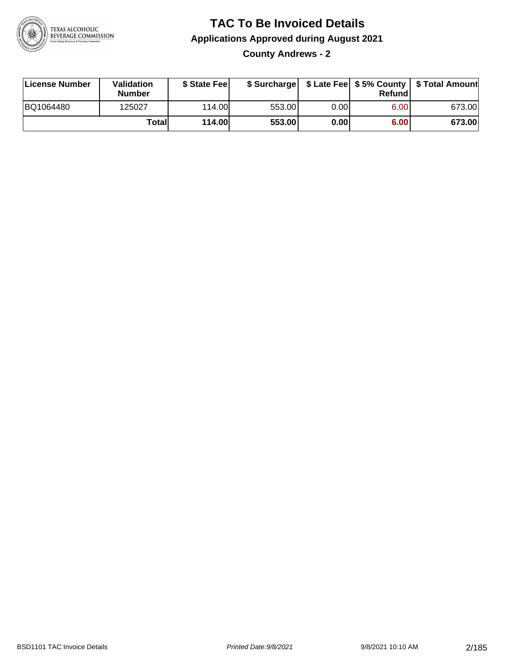

**County Andrews - 2**

| License Number | Validation<br><b>Number</b> | \$ State Feel | \$ Surcharge |      | Refundl | \$ Late Fee   \$5% County   \$ Total Amount |
|----------------|-----------------------------|---------------|--------------|------|---------|---------------------------------------------|
| BQ1064480      | 125027                      | 114.00        | 553.00       | 0.00 | 6.00    | 673.00                                      |
|                | Totall                      | <b>114.00</b> | 553.00       | 0.00 | 6.00    | 673.00                                      |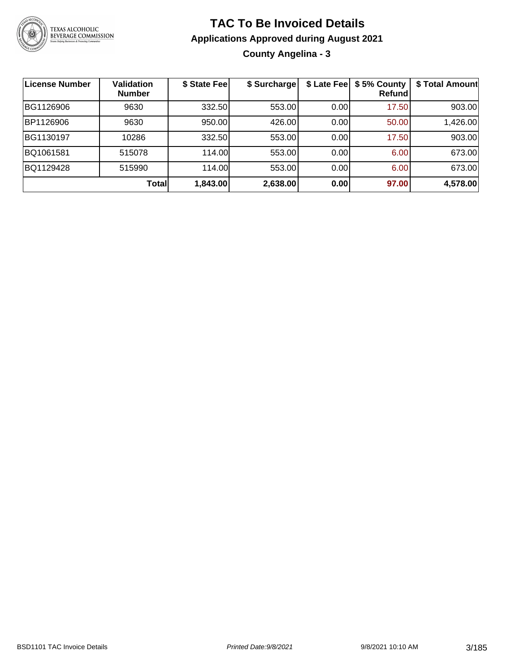

**County Angelina - 3**

| <b>License Number</b> | Validation<br><b>Number</b> | \$ State Fee | \$ Surcharge |      | \$ Late Fee   \$5% County<br>Refundl | \$ Total Amount |
|-----------------------|-----------------------------|--------------|--------------|------|--------------------------------------|-----------------|
| BG1126906             | 9630                        | 332.50       | 553.00       | 0.00 | 17.50                                | 903.00          |
| BP1126906             | 9630                        | 950.00       | 426.00       | 0.00 | 50.00                                | 1,426.00        |
| BG1130197             | 10286                       | 332.50       | 553.00       | 0.00 | 17.50                                | 903.00          |
| BQ1061581             | 515078                      | 114.00       | 553.00       | 0.00 | 6.00                                 | 673.00          |
| BQ1129428             | 515990                      | 114.00       | 553.00       | 0.00 | 6.00                                 | 673.00          |
|                       | <b>Total</b>                | 1,843.00     | 2,638.00     | 0.00 | 97.00                                | 4,578.00        |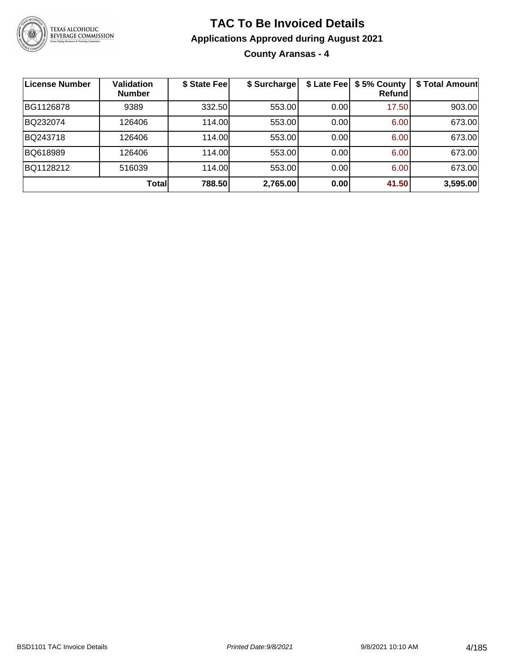

**County Aransas - 4**

| License Number | <b>Validation</b><br><b>Number</b> | \$ State Feel | \$ Surcharge | \$ Late Fee | \$5% County<br>Refundl | \$ Total Amount |
|----------------|------------------------------------|---------------|--------------|-------------|------------------------|-----------------|
| BG1126878      | 9389                               | 332.50        | 553.00       | 0.00        | 17.50                  | 903.00          |
| BQ232074       | 126406                             | 114.00        | 553.00       | 0.00        | 6.00                   | 673.00          |
| BQ243718       | 126406                             | 114.00        | 553.00       | 0.00        | 6.00                   | 673.00          |
| BQ618989       | 126406                             | 114.00        | 553.00       | 0.00        | 6.00                   | 673.00          |
| BQ1128212      | 516039                             | 114.00        | 553.00       | 0.00        | 6.00                   | 673.00          |
|                | Totall                             | 788.50        | 2,765.00     | 0.00        | 41.50                  | 3,595.00        |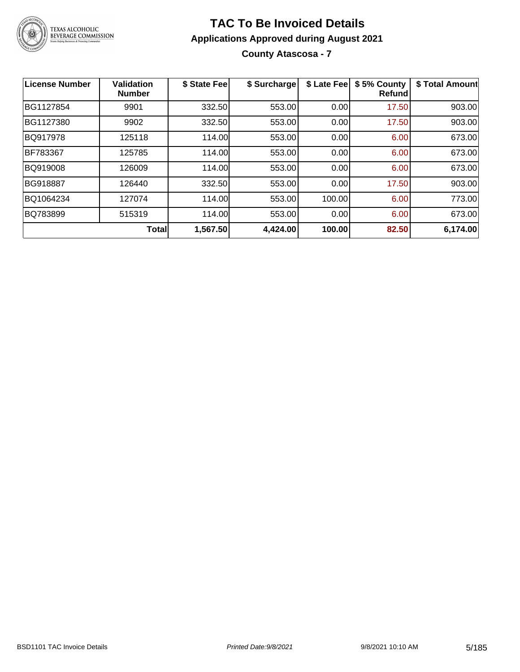

**County Atascosa - 7**

| <b>License Number</b> | <b>Validation</b><br><b>Number</b> | \$ State Fee | \$ Surcharge | \$ Late Fee | \$5% County<br>Refundl | \$ Total Amount |
|-----------------------|------------------------------------|--------------|--------------|-------------|------------------------|-----------------|
| BG1127854             | 9901                               | 332.50       | 553.00       | 0.00        | 17.50                  | 903.00          |
| BG1127380             | 9902                               | 332.50       | 553.00       | 0.00        | 17.50                  | 903.00          |
| BQ917978              | 125118                             | 114.00       | 553.00       | 0.00        | 6.00                   | 673.00          |
| <b>BF783367</b>       | 125785                             | 114.00       | 553.00       | 0.00        | 6.00                   | 673.00          |
| BQ919008              | 126009                             | 114.00       | 553.00       | 0.00        | 6.00                   | 673.00          |
| <b>BG918887</b>       | 126440                             | 332.50       | 553.00       | 0.00        | 17.50                  | 903.00          |
| BQ1064234             | 127074                             | 114.00       | 553.00       | 100.00      | 6.00                   | 773.00          |
| BQ783899              | 515319                             | 114.00       | 553.00       | 0.00        | 6.00                   | 673.00          |
|                       | Total                              | 1,567.50     | 4,424.00     | 100.00      | 82.50                  | 6,174.00        |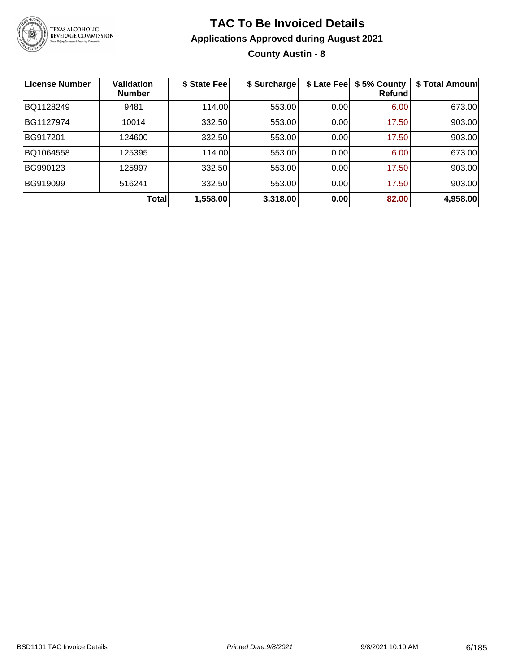

**County Austin - 8**

| License Number | <b>Validation</b><br><b>Number</b> | \$ State Fee | \$ Surcharge | \$ Late Fee | \$5% County<br>Refundl | \$ Total Amount |
|----------------|------------------------------------|--------------|--------------|-------------|------------------------|-----------------|
| BQ1128249      | 9481                               | 114.00       | 553.00       | 0.00        | 6.00                   | 673.00          |
| BG1127974      | 10014                              | 332.50       | 553.00       | 0.00        | 17.50                  | 903.00          |
| BG917201       | 124600                             | 332.50       | 553.00       | 0.00        | 17.50                  | 903.00          |
| BQ1064558      | 125395                             | 114.00L      | 553.00       | 0.00        | 6.00                   | 673.00          |
| BG990123       | 125997                             | 332.50       | 553.00       | 0.00        | 17.50                  | 903.00          |
| BG919099       | 516241                             | 332.50       | 553.00       | 0.00        | 17.50                  | 903.00          |
|                | <b>Total</b>                       | 1,558.00     | 3,318.00     | 0.00        | 82.00                  | 4,958.00        |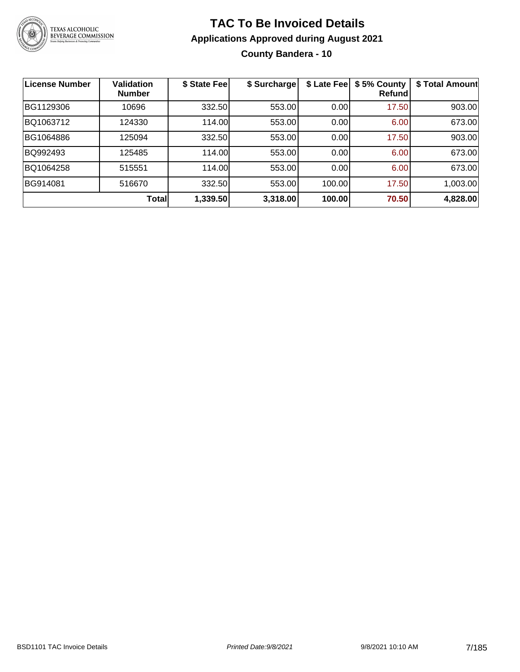

### **TAC To Be Invoiced Details Applications Approved during August 2021 County Bandera - 10**

| <b>License Number</b> | <b>Validation</b><br><b>Number</b> | \$ State Fee | \$ Surcharge | \$ Late Fee | \$5% County<br>Refund | \$ Total Amount |
|-----------------------|------------------------------------|--------------|--------------|-------------|-----------------------|-----------------|
| BG1129306             | 10696                              | 332.50       | 553.00       | 0.00        | 17.50                 | 903.00          |
| BQ1063712             | 124330                             | 114.00       | 553.00       | 0.00        | 6.00                  | 673.00          |
| BG1064886             | 125094                             | 332.50       | 553.00       | 0.00        | 17.50                 | 903.00          |
| BQ992493              | 125485                             | 114.00       | 553.00       | 0.00        | 6.00                  | 673.00          |
| BQ1064258             | 515551                             | 114.00       | 553.00       | 0.00        | 6.00                  | 673.00          |
| BG914081              | 516670                             | 332.50       | 553.00       | 100.00      | 17.50                 | 1,003.00        |
|                       | Total                              | 1,339.50     | 3,318.00     | 100.00      | 70.50                 | 4,828.00        |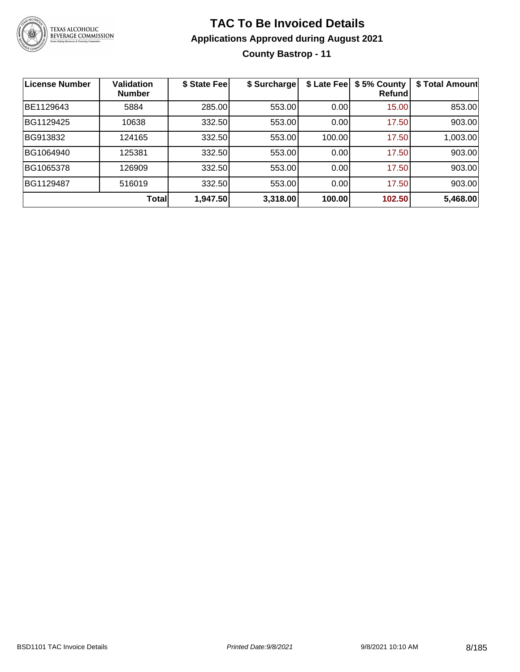

### **TAC To Be Invoiced Details Applications Approved during August 2021 County Bastrop - 11**

| <b>License Number</b> | <b>Validation</b><br><b>Number</b> | \$ State Fee | \$ Surcharge | \$ Late Fee | \$5% County<br>Refund | \$ Total Amount |
|-----------------------|------------------------------------|--------------|--------------|-------------|-----------------------|-----------------|
| BE1129643             | 5884                               | 285.00       | 553.00       | 0.00        | 15.00                 | 853.00          |
| BG1129425             | 10638                              | 332.50       | 553.00       | 0.00        | 17.50                 | 903.00          |
| BG913832              | 124165                             | 332.50       | 553.00       | 100.00      | 17.50                 | 1,003.00        |
| BG1064940             | 125381                             | 332.50       | 553.00       | 0.00        | 17.50                 | 903.00          |
| BG1065378             | 126909                             | 332.50       | 553.00       | 0.00        | 17.50                 | 903.00          |
| BG1129487             | 516019                             | 332.50       | 553.00       | 0.00        | 17.50                 | 903.00          |
|                       | Total                              | 1,947.50     | 3,318.00     | 100.00      | 102.50                | 5,468.00        |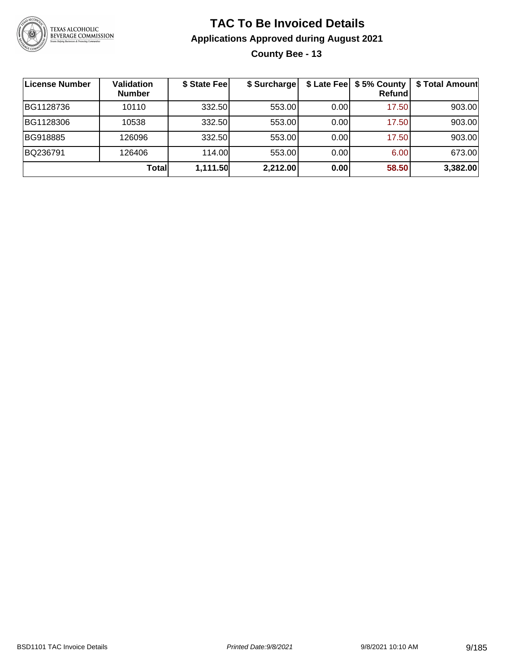

### **TAC To Be Invoiced Details Applications Approved during August 2021 County Bee - 13**

| License Number | Validation<br><b>Number</b> | \$ State Fee | \$ Surcharge |      | \$ Late Fee   \$5% County<br><b>Refund</b> | \$ Total Amount |
|----------------|-----------------------------|--------------|--------------|------|--------------------------------------------|-----------------|
| BG1128736      | 10110                       | 332.50       | 553.00       | 0.00 | 17.50                                      | 903.00          |
| BG1128306      | 10538                       | 332.50       | 553.00       | 0.00 | 17.50                                      | 903.00          |
| BG918885       | 126096                      | 332.50       | 553.00       | 0.00 | 17.50                                      | 903.00          |
| BQ236791       | 126406                      | 114.00       | 553.00       | 0.00 | 6.00                                       | 673.00          |
|                | Total                       | 1,111.50     | 2,212.00     | 0.00 | 58.50                                      | 3,382.00        |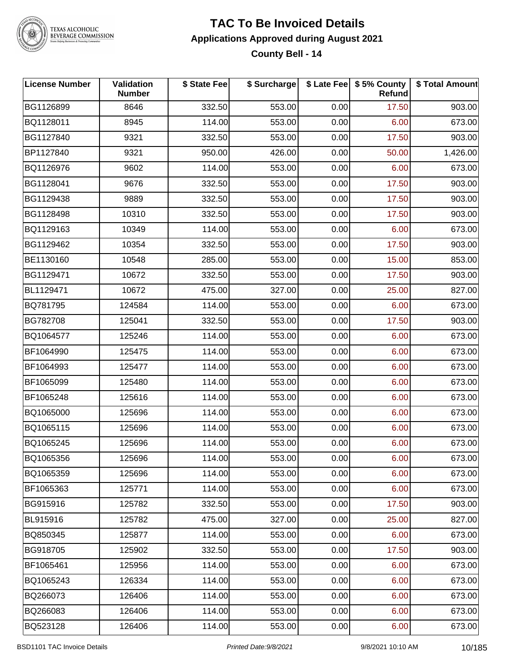

#### **TAC To Be Invoiced Details Applications Approved during August 2021 County Bell - 14**

| <b>License Number</b> | <b>Validation</b><br><b>Number</b> | \$ State Fee | \$ Surcharge |      | \$ Late Fee   \$5% County<br>Refund | \$ Total Amount |
|-----------------------|------------------------------------|--------------|--------------|------|-------------------------------------|-----------------|
| BG1126899             | 8646                               | 332.50       | 553.00       | 0.00 | 17.50                               | 903.00          |
| BQ1128011             | 8945                               | 114.00       | 553.00       | 0.00 | 6.00                                | 673.00          |
| BG1127840             | 9321                               | 332.50       | 553.00       | 0.00 | 17.50                               | 903.00          |
| BP1127840             | 9321                               | 950.00       | 426.00       | 0.00 | 50.00                               | 1,426.00        |
| BQ1126976             | 9602                               | 114.00       | 553.00       | 0.00 | 6.00                                | 673.00          |
| BG1128041             | 9676                               | 332.50       | 553.00       | 0.00 | 17.50                               | 903.00          |
| BG1129438             | 9889                               | 332.50       | 553.00       | 0.00 | 17.50                               | 903.00          |
| BG1128498             | 10310                              | 332.50       | 553.00       | 0.00 | 17.50                               | 903.00          |
| BQ1129163             | 10349                              | 114.00       | 553.00       | 0.00 | 6.00                                | 673.00          |
| BG1129462             | 10354                              | 332.50       | 553.00       | 0.00 | 17.50                               | 903.00          |
| BE1130160             | 10548                              | 285.00       | 553.00       | 0.00 | 15.00                               | 853.00          |
| BG1129471             | 10672                              | 332.50       | 553.00       | 0.00 | 17.50                               | 903.00          |
| BL1129471             | 10672                              | 475.00       | 327.00       | 0.00 | 25.00                               | 827.00          |
| BQ781795              | 124584                             | 114.00       | 553.00       | 0.00 | 6.00                                | 673.00          |
| BG782708              | 125041                             | 332.50       | 553.00       | 0.00 | 17.50                               | 903.00          |
| BQ1064577             | 125246                             | 114.00       | 553.00       | 0.00 | 6.00                                | 673.00          |
| BF1064990             | 125475                             | 114.00       | 553.00       | 0.00 | 6.00                                | 673.00          |
| BF1064993             | 125477                             | 114.00       | 553.00       | 0.00 | 6.00                                | 673.00          |
| BF1065099             | 125480                             | 114.00       | 553.00       | 0.00 | 6.00                                | 673.00          |
| BF1065248             | 125616                             | 114.00       | 553.00       | 0.00 | 6.00                                | 673.00          |
| BQ1065000             | 125696                             | 114.00       | 553.00       | 0.00 | 6.00                                | 673.00          |
| BQ1065115             | 125696                             | 114.00       | 553.00       | 0.00 | 6.00                                | 673.00          |
| BQ1065245             | 125696                             | 114.00       | 553.00       | 0.00 | 6.00                                | 673.00          |
| BQ1065356             | 125696                             | 114.00       | 553.00       | 0.00 | 6.00                                | 673.00          |
| BQ1065359             | 125696                             | 114.00       | 553.00       | 0.00 | 6.00                                | 673.00          |
| BF1065363             | 125771                             | 114.00       | 553.00       | 0.00 | 6.00                                | 673.00          |
| BG915916              | 125782                             | 332.50       | 553.00       | 0.00 | 17.50                               | 903.00          |
| BL915916              | 125782                             | 475.00       | 327.00       | 0.00 | 25.00                               | 827.00          |
| BQ850345              | 125877                             | 114.00       | 553.00       | 0.00 | 6.00                                | 673.00          |
| BG918705              | 125902                             | 332.50       | 553.00       | 0.00 | 17.50                               | 903.00          |
| BF1065461             | 125956                             | 114.00       | 553.00       | 0.00 | 6.00                                | 673.00          |
| BQ1065243             | 126334                             | 114.00       | 553.00       | 0.00 | 6.00                                | 673.00          |
| BQ266073              | 126406                             | 114.00       | 553.00       | 0.00 | 6.00                                | 673.00          |
| BQ266083              | 126406                             | 114.00       | 553.00       | 0.00 | 6.00                                | 673.00          |
| BQ523128              | 126406                             | 114.00       | 553.00       | 0.00 | 6.00                                | 673.00          |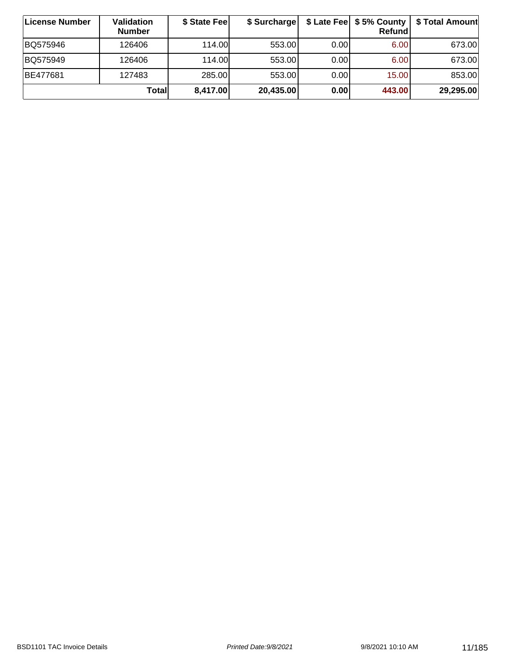| ∣License Number | Validation<br><b>Number</b> | \$ State Fee | \$ Surcharge |       | \$ Late Fee   \$5% County  <br>Refundl | \$ Total Amount |
|-----------------|-----------------------------|--------------|--------------|-------|----------------------------------------|-----------------|
| BQ575946        | 126406                      | 114.00       | 553.00       | 0.001 | 6.00                                   | 673.00          |
| BQ575949        | 126406                      | 114.00       | 553.00       | 0.00  | 6.00                                   | 673.00          |
| <b>BE477681</b> | 127483                      | 285.00       | 553.00       | 0.00  | 15.00                                  | 853.00          |
|                 | Total                       | 8,417.00     | 20,435.00    | 0.00  | 443.00                                 | 29,295.00       |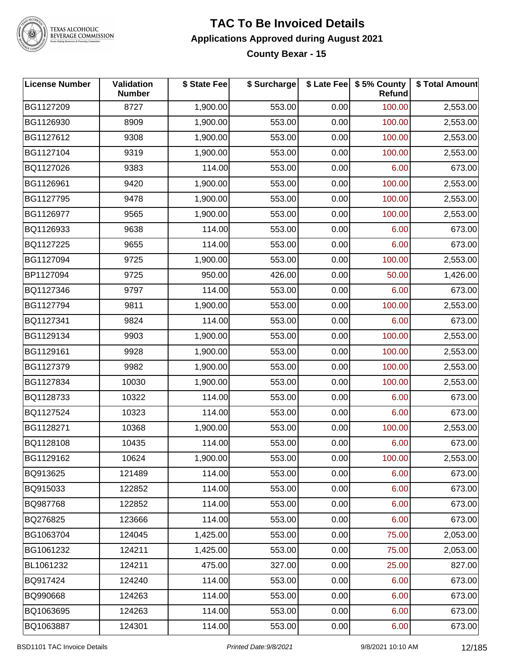

#### **TAC To Be Invoiced Details Applications Approved during August 2021 County Bexar - 15**

| <b>License Number</b> | Validation<br><b>Number</b> | \$ State Fee | \$ Surcharge |      | \$ Late Fee \$ 5% County<br>Refund | \$ Total Amount |
|-----------------------|-----------------------------|--------------|--------------|------|------------------------------------|-----------------|
| BG1127209             | 8727                        | 1,900.00     | 553.00       | 0.00 | 100.00                             | 2,553.00        |
| BG1126930             | 8909                        | 1,900.00     | 553.00       | 0.00 | 100.00                             | 2,553.00        |
| BG1127612             | 9308                        | 1,900.00     | 553.00       | 0.00 | 100.00                             | 2,553.00        |
| BG1127104             | 9319                        | 1,900.00     | 553.00       | 0.00 | 100.00                             | 2,553.00        |
| BQ1127026             | 9383                        | 114.00       | 553.00       | 0.00 | 6.00                               | 673.00          |
| BG1126961             | 9420                        | 1,900.00     | 553.00       | 0.00 | 100.00                             | 2,553.00        |
| BG1127795             | 9478                        | 1,900.00     | 553.00       | 0.00 | 100.00                             | 2,553.00        |
| BG1126977             | 9565                        | 1,900.00     | 553.00       | 0.00 | 100.00                             | 2,553.00        |
| BQ1126933             | 9638                        | 114.00       | 553.00       | 0.00 | 6.00                               | 673.00          |
| BQ1127225             | 9655                        | 114.00       | 553.00       | 0.00 | 6.00                               | 673.00          |
| BG1127094             | 9725                        | 1,900.00     | 553.00       | 0.00 | 100.00                             | 2,553.00        |
| BP1127094             | 9725                        | 950.00       | 426.00       | 0.00 | 50.00                              | 1,426.00        |
| BQ1127346             | 9797                        | 114.00       | 553.00       | 0.00 | 6.00                               | 673.00          |
| BG1127794             | 9811                        | 1,900.00     | 553.00       | 0.00 | 100.00                             | 2,553.00        |
| BQ1127341             | 9824                        | 114.00       | 553.00       | 0.00 | 6.00                               | 673.00          |
| BG1129134             | 9903                        | 1,900.00     | 553.00       | 0.00 | 100.00                             | 2,553.00        |
| BG1129161             | 9928                        | 1,900.00     | 553.00       | 0.00 | 100.00                             | 2,553.00        |
| BG1127379             | 9982                        | 1,900.00     | 553.00       | 0.00 | 100.00                             | 2,553.00        |
| BG1127834             | 10030                       | 1,900.00     | 553.00       | 0.00 | 100.00                             | 2,553.00        |
| BQ1128733             | 10322                       | 114.00       | 553.00       | 0.00 | 6.00                               | 673.00          |
| BQ1127524             | 10323                       | 114.00       | 553.00       | 0.00 | 6.00                               | 673.00          |
| BG1128271             | 10368                       | 1,900.00     | 553.00       | 0.00 | 100.00                             | 2,553.00        |
| BQ1128108             | 10435                       | 114.00       | 553.00       | 0.00 | 6.00                               | 673.00          |
| BG1129162             | 10624                       | 1,900.00     | 553.00       | 0.00 | 100.00                             | 2,553.00        |
| BQ913625              | 121489                      | 114.00       | 553.00       | 0.00 | 6.00                               | 673.00          |
| BQ915033              | 122852                      | 114.00       | 553.00       | 0.00 | 6.00                               | 673.00          |
| BQ987768              | 122852                      | 114.00       | 553.00       | 0.00 | 6.00                               | 673.00          |
| BQ276825              | 123666                      | 114.00       | 553.00       | 0.00 | 6.00                               | 673.00          |
| BG1063704             | 124045                      | 1,425.00     | 553.00       | 0.00 | 75.00                              | 2,053.00        |
| BG1061232             | 124211                      | 1,425.00     | 553.00       | 0.00 | 75.00                              | 2,053.00        |
| BL1061232             | 124211                      | 475.00       | 327.00       | 0.00 | 25.00                              | 827.00          |
| BQ917424              | 124240                      | 114.00       | 553.00       | 0.00 | 6.00                               | 673.00          |
| BQ990668              | 124263                      | 114.00       | 553.00       | 0.00 | 6.00                               | 673.00          |
| BQ1063695             | 124263                      | 114.00       | 553.00       | 0.00 | 6.00                               | 673.00          |
| BQ1063887             | 124301                      | 114.00       | 553.00       | 0.00 | 6.00                               | 673.00          |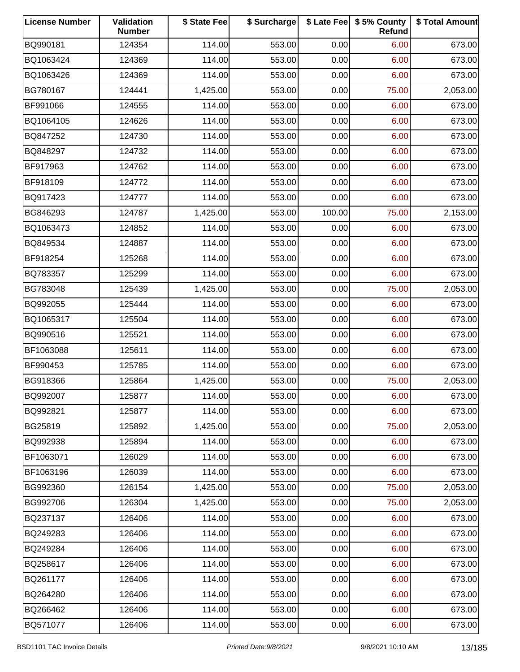| <b>License Number</b> | Validation<br><b>Number</b> | \$ State Fee | \$ Surcharge |        | \$ Late Fee   \$5% County<br>Refund | \$ Total Amount |
|-----------------------|-----------------------------|--------------|--------------|--------|-------------------------------------|-----------------|
| BQ990181              | 124354                      | 114.00       | 553.00       | 0.00   | 6.00                                | 673.00          |
| BQ1063424             | 124369                      | 114.00       | 553.00       | 0.00   | 6.00                                | 673.00          |
| BQ1063426             | 124369                      | 114.00       | 553.00       | 0.00   | 6.00                                | 673.00          |
| BG780167              | 124441                      | 1,425.00     | 553.00       | 0.00   | 75.00                               | 2,053.00        |
| BF991066              | 124555                      | 114.00       | 553.00       | 0.00   | 6.00                                | 673.00          |
| BQ1064105             | 124626                      | 114.00       | 553.00       | 0.00   | 6.00                                | 673.00          |
| BQ847252              | 124730                      | 114.00       | 553.00       | 0.00   | 6.00                                | 673.00          |
| BQ848297              | 124732                      | 114.00       | 553.00       | 0.00   | 6.00                                | 673.00          |
| BF917963              | 124762                      | 114.00       | 553.00       | 0.00   | 6.00                                | 673.00          |
| BF918109              | 124772                      | 114.00       | 553.00       | 0.00   | 6.00                                | 673.00          |
| BQ917423              | 124777                      | 114.00       | 553.00       | 0.00   | 6.00                                | 673.00          |
| BG846293              | 124787                      | 1,425.00     | 553.00       | 100.00 | 75.00                               | 2,153.00        |
| BQ1063473             | 124852                      | 114.00       | 553.00       | 0.00   | 6.00                                | 673.00          |
| BQ849534              | 124887                      | 114.00       | 553.00       | 0.00   | 6.00                                | 673.00          |
| BF918254              | 125268                      | 114.00       | 553.00       | 0.00   | 6.00                                | 673.00          |
| BQ783357              | 125299                      | 114.00       | 553.00       | 0.00   | 6.00                                | 673.00          |
| BG783048              | 125439                      | 1,425.00     | 553.00       | 0.00   | 75.00                               | 2,053.00        |
| BQ992055              | 125444                      | 114.00       | 553.00       | 0.00   | 6.00                                | 673.00          |
| BQ1065317             | 125504                      | 114.00       | 553.00       | 0.00   | 6.00                                | 673.00          |
| BQ990516              | 125521                      | 114.00       | 553.00       | 0.00   | 6.00                                | 673.00          |
| BF1063088             | 125611                      | 114.00       | 553.00       | 0.00   | 6.00                                | 673.00          |
| BF990453              | 125785                      | 114.00       | 553.00       | 0.00   | 6.00                                | 673.00          |
| BG918366              | 125864                      | 1,425.00     | 553.00       | 0.00   | 75.00                               | 2,053.00        |
| BQ992007              | 125877                      | 114.00       | 553.00       | 0.00   | 6.00                                | 673.00          |
| BQ992821              | 125877                      | 114.00       | 553.00       | 0.00   | 6.00                                | 673.00          |
| BG25819               | 125892                      | 1,425.00     | 553.00       | 0.00   | 75.00                               | 2,053.00        |
| BQ992938              | 125894                      | 114.00       | 553.00       | 0.00   | 6.00                                | 673.00          |
| BF1063071             | 126029                      | 114.00       | 553.00       | 0.00   | 6.00                                | 673.00          |
| BF1063196             | 126039                      | 114.00       | 553.00       | 0.00   | 6.00                                | 673.00          |
| BG992360              | 126154                      | 1,425.00     | 553.00       | 0.00   | 75.00                               | 2,053.00        |
| BG992706              | 126304                      | 1,425.00     | 553.00       | 0.00   | 75.00                               | 2,053.00        |
| BQ237137              | 126406                      | 114.00       | 553.00       | 0.00   | 6.00                                | 673.00          |
| BQ249283              | 126406                      | 114.00       | 553.00       | 0.00   | 6.00                                | 673.00          |
| BQ249284              | 126406                      | 114.00       | 553.00       | 0.00   | 6.00                                | 673.00          |
| BQ258617              | 126406                      | 114.00       | 553.00       | 0.00   | 6.00                                | 673.00          |
| BQ261177              | 126406                      | 114.00       | 553.00       | 0.00   | 6.00                                | 673.00          |
| BQ264280              | 126406                      | 114.00       | 553.00       | 0.00   | 6.00                                | 673.00          |
| BQ266462              | 126406                      | 114.00       | 553.00       | 0.00   | 6.00                                | 673.00          |
| BQ571077              | 126406                      | 114.00       | 553.00       | 0.00   | 6.00                                | 673.00          |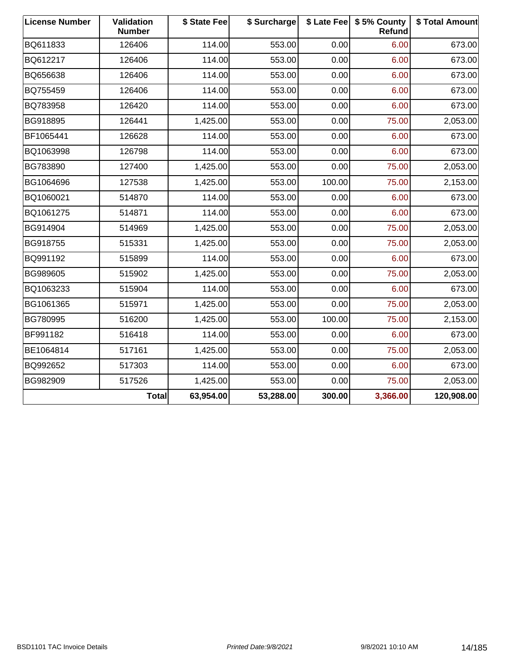| <b>License Number</b> | Validation<br><b>Number</b> | \$ State Fee | \$ Surcharge |        | \$ Late Fee   \$5% County<br>Refund | \$ Total Amount |
|-----------------------|-----------------------------|--------------|--------------|--------|-------------------------------------|-----------------|
| BQ611833              | 126406                      | 114.00       | 553.00       | 0.00   | 6.00                                | 673.00          |
| BQ612217              | 126406                      | 114.00       | 553.00       | 0.00   | 6.00                                | 673.00          |
| BQ656638              | 126406                      | 114.00       | 553.00       | 0.00   | 6.00                                | 673.00          |
| BQ755459              | 126406                      | 114.00       | 553.00       | 0.00   | 6.00                                | 673.00          |
| BQ783958              | 126420                      | 114.00       | 553.00       | 0.00   | 6.00                                | 673.00          |
| BG918895              | 126441                      | 1,425.00     | 553.00       | 0.00   | 75.00                               | 2,053.00        |
| BF1065441             | 126628                      | 114.00       | 553.00       | 0.00   | 6.00                                | 673.00          |
| BQ1063998             | 126798                      | 114.00       | 553.00       | 0.00   | 6.00                                | 673.00          |
| BG783890              | 127400                      | 1,425.00     | 553.00       | 0.00   | 75.00                               | 2,053.00        |
| BG1064696             | 127538                      | 1,425.00     | 553.00       | 100.00 | 75.00                               | 2,153.00        |
| BQ1060021             | 514870                      | 114.00       | 553.00       | 0.00   | 6.00                                | 673.00          |
| BQ1061275             | 514871                      | 114.00       | 553.00       | 0.00   | 6.00                                | 673.00          |
| BG914904              | 514969                      | 1,425.00     | 553.00       | 0.00   | 75.00                               | 2,053.00        |
| BG918755              | 515331                      | 1,425.00     | 553.00       | 0.00   | 75.00                               | 2,053.00        |
| BQ991192              | 515899                      | 114.00       | 553.00       | 0.00   | 6.00                                | 673.00          |
| BG989605              | 515902                      | 1,425.00     | 553.00       | 0.00   | 75.00                               | 2,053.00        |
| BQ1063233             | 515904                      | 114.00       | 553.00       | 0.00   | 6.00                                | 673.00          |
| BG1061365             | 515971                      | 1,425.00     | 553.00       | 0.00   | 75.00                               | 2,053.00        |
| BG780995              | 516200                      | 1,425.00     | 553.00       | 100.00 | 75.00                               | 2,153.00        |
| BF991182              | 516418                      | 114.00       | 553.00       | 0.00   | 6.00                                | 673.00          |
| BE1064814             | 517161                      | 1,425.00     | 553.00       | 0.00   | 75.00                               | 2,053.00        |
| BQ992652              | 517303                      | 114.00       | 553.00       | 0.00   | 6.00                                | 673.00          |
| BG982909              | 517526                      | 1,425.00     | 553.00       | 0.00   | 75.00                               | 2,053.00        |
|                       | <b>Total</b>                | 63,954.00    | 53,288.00    | 300.00 | 3,366.00                            | 120,908.00      |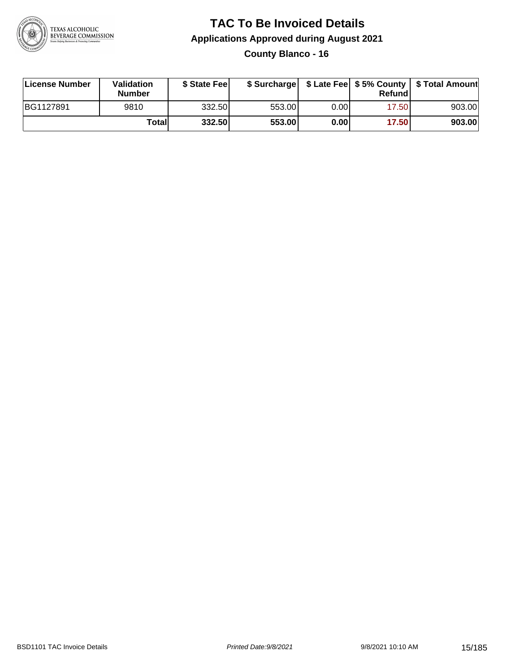

**County Blanco - 16**

| License Number | <b>Validation</b><br><b>Number</b> | \$ State Feel |        |       | Refundl | \$ Surcharge   \$ Late Fee   \$5% County   \$ Total Amount |
|----------------|------------------------------------|---------------|--------|-------|---------|------------------------------------------------------------|
| BG1127891      | 9810                               | 332.50        | 553.00 | 0.00  | 17.50   | 903.00                                                     |
|                | Totall                             | 332.50        | 553.00 | 0.001 | 17.50   | 903.00                                                     |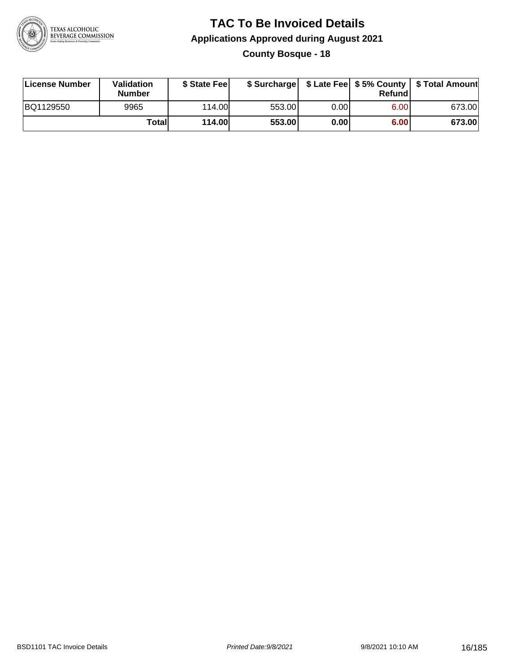

### **TAC To Be Invoiced Details Applications Approved during August 2021 County Bosque - 18**

| License Number | Validation<br><b>Number</b> | \$ State Feel |        |      | Refund | \$ Surcharge   \$ Late Fee   \$5% County   \$ Total Amount |
|----------------|-----------------------------|---------------|--------|------|--------|------------------------------------------------------------|
| BQ1129550      | 9965                        | 114.00L       | 553.00 | 0.00 | 6.00   | 673.00                                                     |
|                | Totall                      | <b>114.00</b> | 553.00 | 0.00 | 6.00   | 673.00                                                     |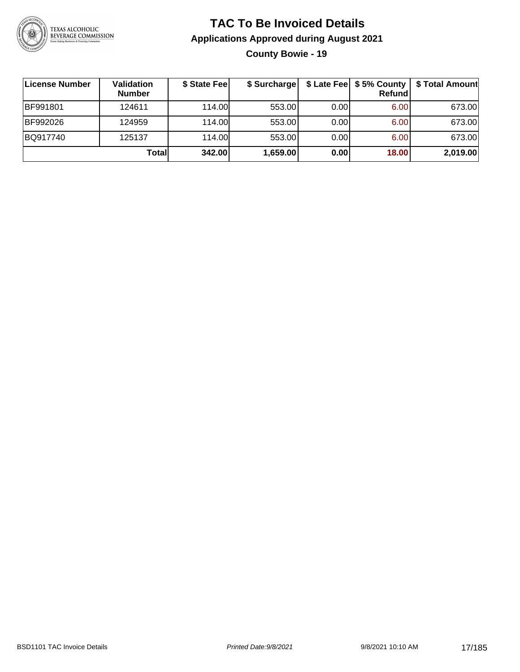

### **TAC To Be Invoiced Details Applications Approved during August 2021 County Bowie - 19**

| License Number  | Validation<br><b>Number</b> | \$ State Fee | \$ Surcharge |      | $$$ Late Fee $$5%$ County<br><b>Refund</b> | \$ Total Amount |
|-----------------|-----------------------------|--------------|--------------|------|--------------------------------------------|-----------------|
| <b>BF991801</b> | 124611                      | 114.00L      | 553.00       | 0.00 | 6.00                                       | 673.00          |
| BF992026        | 124959                      | 114.00L      | 553.00       | 0.00 | 6.00                                       | 673.00          |
| BQ917740        | 125137                      | 114.00L      | 553.00       | 0.00 | 6.00                                       | 673.00          |
|                 | Totall                      | 342.00       | 1,659.00     | 0.00 | 18.00                                      | 2,019.00        |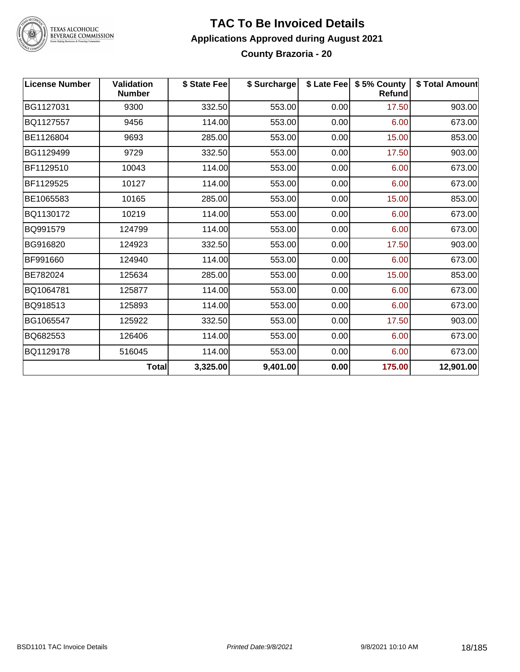

#### **TAC To Be Invoiced Details Applications Approved during August 2021 County Brazoria - 20**

| <b>License Number</b> | <b>Validation</b><br><b>Number</b> | \$ State Fee | \$ Surcharge |      | \$ Late Fee   \$5% County<br><b>Refund</b> | \$ Total Amount |
|-----------------------|------------------------------------|--------------|--------------|------|--------------------------------------------|-----------------|
| BG1127031             | 9300                               | 332.50       | 553.00       | 0.00 | 17.50                                      | 903.00          |
| BQ1127557             | 9456                               | 114.00       | 553.00       | 0.00 | 6.00                                       | 673.00          |
| BE1126804             | 9693                               | 285.00       | 553.00       | 0.00 | 15.00                                      | 853.00          |
| BG1129499             | 9729                               | 332.50       | 553.00       | 0.00 | 17.50                                      | 903.00          |
| BF1129510             | 10043                              | 114.00       | 553.00       | 0.00 | 6.00                                       | 673.00          |
| BF1129525             | 10127                              | 114.00       | 553.00       | 0.00 | 6.00                                       | 673.00          |
| BE1065583             | 10165                              | 285.00       | 553.00       | 0.00 | 15.00                                      | 853.00          |
| BQ1130172             | 10219                              | 114.00       | 553.00       | 0.00 | 6.00                                       | 673.00          |
| BQ991579              | 124799                             | 114.00       | 553.00       | 0.00 | 6.00                                       | 673.00          |
| BG916820              | 124923                             | 332.50       | 553.00       | 0.00 | 17.50                                      | 903.00          |
| BF991660              | 124940                             | 114.00       | 553.00       | 0.00 | 6.00                                       | 673.00          |
| BE782024              | 125634                             | 285.00       | 553.00       | 0.00 | 15.00                                      | 853.00          |
| BQ1064781             | 125877                             | 114.00       | 553.00       | 0.00 | 6.00                                       | 673.00          |
| BQ918513              | 125893                             | 114.00       | 553.00       | 0.00 | 6.00                                       | 673.00          |
| BG1065547             | 125922                             | 332.50       | 553.00       | 0.00 | 17.50                                      | 903.00          |
| BQ682553              | 126406                             | 114.00       | 553.00       | 0.00 | 6.00                                       | 673.00          |
| BQ1129178             | 516045                             | 114.00       | 553.00       | 0.00 | 6.00                                       | 673.00          |
|                       | <b>Total</b>                       | 3,325.00     | 9,401.00     | 0.00 | 175.00                                     | 12,901.00       |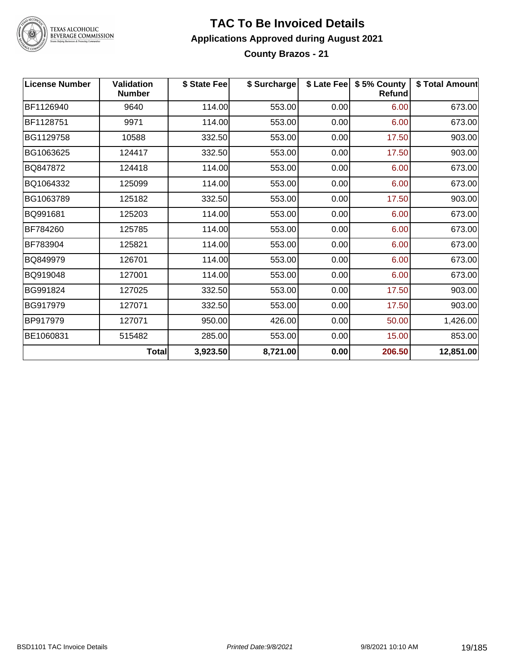

#### **TAC To Be Invoiced Details Applications Approved during August 2021 County Brazos - 21**

| <b>License Number</b> | <b>Validation</b><br><b>Number</b> | \$ State Fee | \$ Surcharge |      | \$ Late Fee   \$5% County<br>Refund | \$ Total Amount |
|-----------------------|------------------------------------|--------------|--------------|------|-------------------------------------|-----------------|
| BF1126940             | 9640                               | 114.00       | 553.00       | 0.00 | 6.00                                | 673.00          |
| BF1128751             | 9971                               | 114.00       | 553.00       | 0.00 | 6.00                                | 673.00          |
| BG1129758             | 10588                              | 332.50       | 553.00       | 0.00 | 17.50                               | 903.00          |
| BG1063625             | 124417                             | 332.50       | 553.00       | 0.00 | 17.50                               | 903.00          |
| BQ847872              | 124418                             | 114.00       | 553.00       | 0.00 | 6.00                                | 673.00          |
| BQ1064332             | 125099                             | 114.00       | 553.00       | 0.00 | 6.00                                | 673.00          |
| BG1063789             | 125182                             | 332.50       | 553.00       | 0.00 | 17.50                               | 903.00          |
| BQ991681              | 125203                             | 114.00       | 553.00       | 0.00 | 6.00                                | 673.00          |
| BF784260              | 125785                             | 114.00       | 553.00       | 0.00 | 6.00                                | 673.00          |
| BF783904              | 125821                             | 114.00       | 553.00       | 0.00 | 6.00                                | 673.00          |
| BQ849979              | 126701                             | 114.00       | 553.00       | 0.00 | 6.00                                | 673.00          |
| BQ919048              | 127001                             | 114.00       | 553.00       | 0.00 | 6.00                                | 673.00          |
| BG991824              | 127025                             | 332.50       | 553.00       | 0.00 | 17.50                               | 903.00          |
| BG917979              | 127071                             | 332.50       | 553.00       | 0.00 | 17.50                               | 903.00          |
| BP917979              | 127071                             | 950.00       | 426.00       | 0.00 | 50.00                               | 1,426.00        |
| BE1060831             | 515482                             | 285.00       | 553.00       | 0.00 | 15.00                               | 853.00          |
|                       | <b>Total</b>                       | 3,923.50     | 8,721.00     | 0.00 | 206.50                              | 12,851.00       |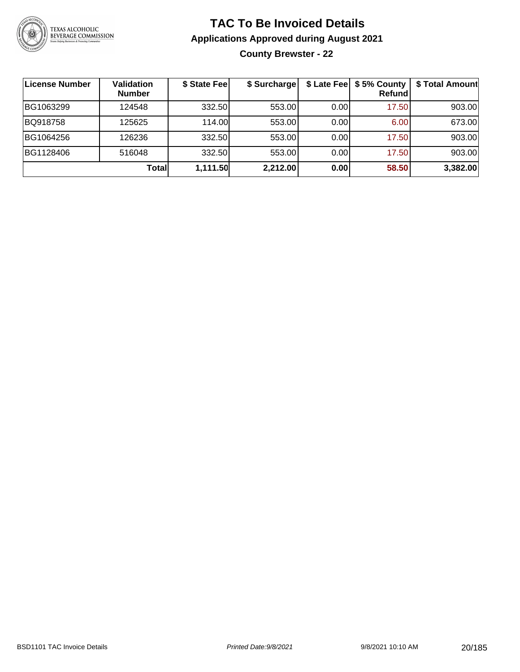

**County Brewster - 22**

| License Number | Validation<br><b>Number</b> | \$ State Fee | \$ Surcharge |      | \$ Late Fee   \$5% County<br><b>Refund</b> | \$ Total Amount |
|----------------|-----------------------------|--------------|--------------|------|--------------------------------------------|-----------------|
| BG1063299      | 124548                      | 332.50       | 553.00       | 0.00 | 17.50                                      | 903.00          |
| BQ918758       | 125625                      | 114.00       | 553.00       | 0.00 | 6.00                                       | 673.00          |
| BG1064256      | 126236                      | 332.50       | 553.00       | 0.00 | 17.50                                      | 903.00          |
| BG1128406      | 516048                      | 332.50       | 553.00       | 0.00 | 17.50                                      | 903.00          |
|                | Total                       | 1,111.50     | 2,212.00     | 0.00 | 58.50                                      | 3,382.00        |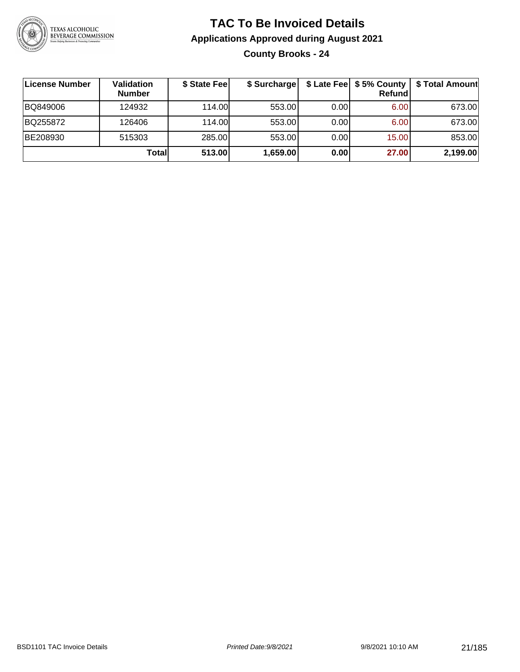

### **TAC To Be Invoiced Details Applications Approved during August 2021 County Brooks - 24**

| ∣License Number | <b>Validation</b><br><b>Number</b> | \$ State Fee | \$ Surcharge |       | $$$ Late Fee $$$ \$ 5% County  <br><b>Refund</b> | \$ Total Amount |
|-----------------|------------------------------------|--------------|--------------|-------|--------------------------------------------------|-----------------|
| BQ849006        | 124932                             | 114.00       | 553.00       | 0.001 | 6.00                                             | 673.00          |
| BQ255872        | 126406                             | 114.00       | 553.00       | 0.001 | 6.00                                             | 673.00          |
| BE208930        | 515303                             | 285.00       | 553.00       | 0.001 | 15.00                                            | 853.00          |
|                 | Totall                             | 513.00       | 1,659.00     | 0.00  | 27.00                                            | 2,199.00        |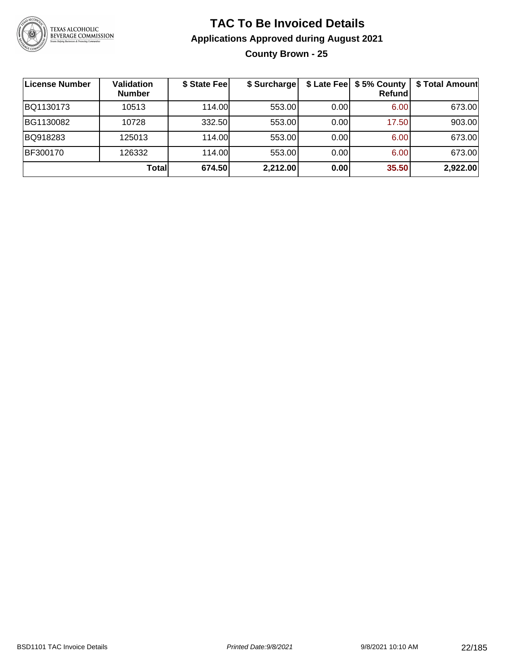

### **TAC To Be Invoiced Details Applications Approved during August 2021 County Brown - 25**

| <b>License Number</b> | <b>Validation</b><br><b>Number</b> | \$ State Fee | \$ Surcharge |      | \$ Late Fee   \$5% County<br><b>Refund</b> | \$ Total Amount |
|-----------------------|------------------------------------|--------------|--------------|------|--------------------------------------------|-----------------|
| BQ1130173             | 10513                              | 114.00       | 553.00       | 0.00 | 6.00                                       | 673.00          |
| BG1130082             | 10728                              | 332.50       | 553.00       | 0.00 | 17.50                                      | 903.00          |
| BQ918283              | 125013                             | 114.00       | 553.00       | 0.00 | 6.00                                       | 673.00          |
| BF300170              | 126332                             | 114.00L      | 553.00       | 0.00 | 6.00                                       | 673.00          |
|                       | Totall                             | 674.50       | 2,212.00     | 0.00 | 35.50                                      | 2,922.00        |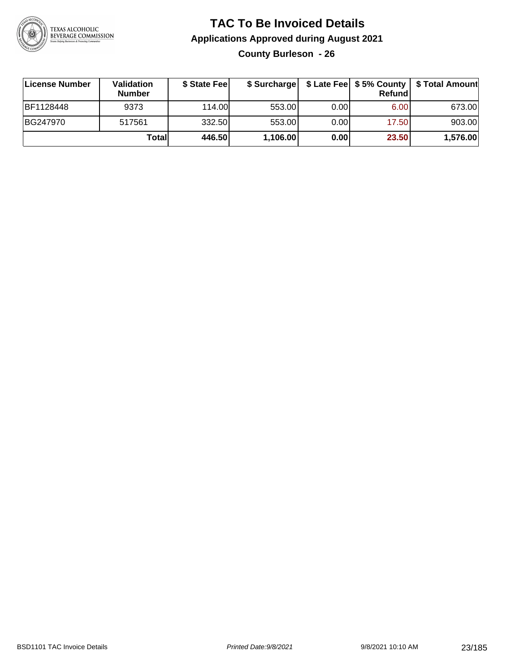

**County Burleson - 26**

| ∣License Number | <b>Validation</b><br><b>Number</b> | \$ State Fee | \$ Surcharge |       | <b>Refund</b> | \$ Late Fee   \$5% County   \$ Total Amount |
|-----------------|------------------------------------|--------------|--------------|-------|---------------|---------------------------------------------|
| BF1128448       | 9373                               | 114.00       | 553.00       | 0.001 | 6.00          | 673.00                                      |
| BG247970        | 517561                             | 332.50       | 553.00       | 0.001 | 17.50         | 903.00                                      |
|                 | Totall                             | 446.50       | 1,106.00     | 0.00  | 23.50         | 1,576.00                                    |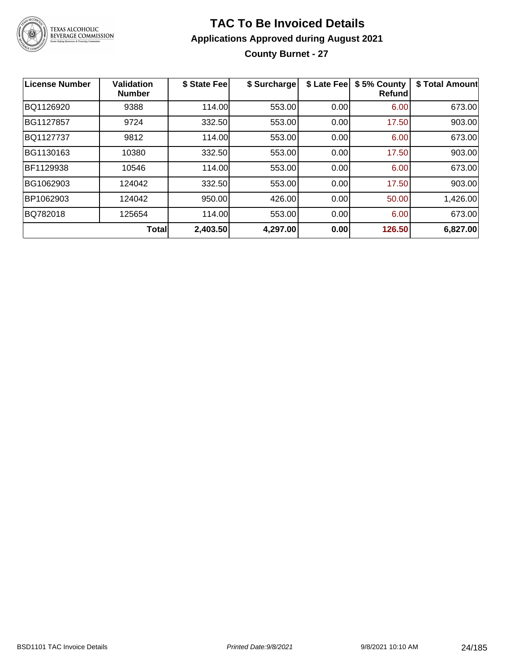

### **TAC To Be Invoiced Details Applications Approved during August 2021 County Burnet - 27**

| <b>License Number</b> | <b>Validation</b><br><b>Number</b> | \$ State Fee | \$ Surcharge | \$ Late Fee | \$5% County<br>Refundl | \$ Total Amount |
|-----------------------|------------------------------------|--------------|--------------|-------------|------------------------|-----------------|
| BQ1126920             | 9388                               | 114.00       | 553.00       | 0.00        | 6.00                   | 673.00          |
| BG1127857             | 9724                               | 332.50       | 553.00       | 0.00        | 17.50                  | 903.00          |
| BQ1127737             | 9812                               | 114.00       | 553.00       | 0.00        | 6.00                   | 673.00          |
| BG1130163             | 10380                              | 332.50       | 553.00       | 0.00        | 17.50                  | 903.00          |
| BF1129938             | 10546                              | 114.00       | 553.00       | 0.00        | 6.00                   | 673.00          |
| BG1062903             | 124042                             | 332.50       | 553.00       | 0.00        | 17.50                  | 903.00          |
| BP1062903             | 124042                             | 950.00       | 426.00       | 0.00        | 50.00                  | 1,426.00        |
| BQ782018              | 125654                             | 114.00       | 553.00       | 0.00        | 6.00                   | 673.00          |
|                       | <b>Total</b>                       | 2,403.50     | 4,297.00     | 0.00        | 126.50                 | 6,827.00        |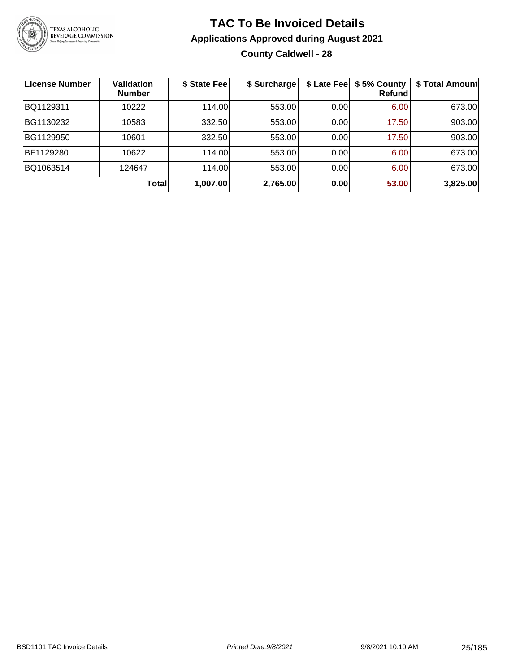

### **TAC To Be Invoiced Details Applications Approved during August 2021 County Caldwell - 28**

| <b>License Number</b> | <b>Validation</b><br><b>Number</b> | \$ State Fee | \$ Surcharge |      | \$ Late Fee   \$5% County<br>Refund | \$ Total Amount |
|-----------------------|------------------------------------|--------------|--------------|------|-------------------------------------|-----------------|
| BQ1129311             | 10222                              | 114.00       | 553.00       | 0.00 | 6.00                                | 673.00          |
| BG1130232             | 10583                              | 332.50       | 553.00       | 0.00 | 17.50                               | 903.00          |
| BG1129950             | 10601                              | 332.50       | 553.00       | 0.00 | 17.50                               | 903.00          |
| BF1129280             | 10622                              | 114.00       | 553.00       | 0.00 | 6.00                                | 673.00          |
| BQ1063514             | 124647                             | 114.00       | 553.00       | 0.00 | 6.00                                | 673.00          |
|                       | Total                              | 1,007.00     | 2,765.00     | 0.00 | 53.00                               | 3,825.00        |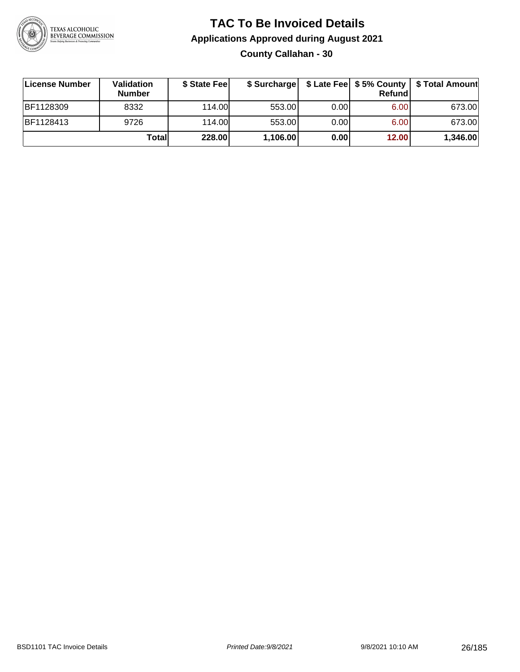

### **TAC To Be Invoiced Details Applications Approved during August 2021 County Callahan - 30**

| License Number | <b>Validation</b><br><b>Number</b> | \$ State Fee |          |      | Refund | \$ Surcharge   \$ Late Fee   \$5% County   \$ Total Amount |
|----------------|------------------------------------|--------------|----------|------|--------|------------------------------------------------------------|
| BF1128309      | 8332                               | 114.00       | 553.00   | 0.00 | 6.00   | 673.00                                                     |
| BF1128413      | 9726                               | 114.00       | 553.00   | 0.00 | 6.00   | 673.00                                                     |
|                | Totall                             | 228.00       | 1,106.00 | 0.00 | 12.00  | 1,346.00                                                   |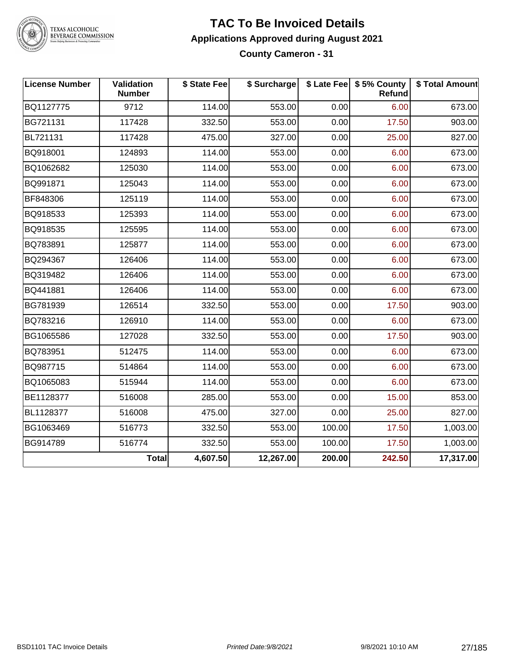

#### **TAC To Be Invoiced Details Applications Approved during August 2021 County Cameron - 31**

| <b>License Number</b> | Validation<br><b>Number</b> | \$ State Fee | \$ Surcharge |        | \$ Late Fee   \$5% County<br><b>Refund</b> | \$ Total Amount |
|-----------------------|-----------------------------|--------------|--------------|--------|--------------------------------------------|-----------------|
| BQ1127775             | 9712                        | 114.00       | 553.00       | 0.00   | 6.00                                       | 673.00          |
| BG721131              | 117428                      | 332.50       | 553.00       | 0.00   | 17.50                                      | 903.00          |
| BL721131              | 117428                      | 475.00       | 327.00       | 0.00   | 25.00                                      | 827.00          |
| BQ918001              | 124893                      | 114.00       | 553.00       | 0.00   | 6.00                                       | 673.00          |
| BQ1062682             | 125030                      | 114.00       | 553.00       | 0.00   | 6.00                                       | 673.00          |
| BQ991871              | 125043                      | 114.00       | 553.00       | 0.00   | 6.00                                       | 673.00          |
| BF848306              | 125119                      | 114.00       | 553.00       | 0.00   | 6.00                                       | 673.00          |
| BQ918533              | 125393                      | 114.00       | 553.00       | 0.00   | 6.00                                       | 673.00          |
| BQ918535              | 125595                      | 114.00       | 553.00       | 0.00   | 6.00                                       | 673.00          |
| BQ783891              | 125877                      | 114.00       | 553.00       | 0.00   | 6.00                                       | 673.00          |
| BQ294367              | 126406                      | 114.00       | 553.00       | 0.00   | 6.00                                       | 673.00          |
| BQ319482              | 126406                      | 114.00       | 553.00       | 0.00   | 6.00                                       | 673.00          |
| BQ441881              | 126406                      | 114.00       | 553.00       | 0.00   | 6.00                                       | 673.00          |
| BG781939              | 126514                      | 332.50       | 553.00       | 0.00   | 17.50                                      | 903.00          |
| BQ783216              | 126910                      | 114.00       | 553.00       | 0.00   | 6.00                                       | 673.00          |
| BG1065586             | 127028                      | 332.50       | 553.00       | 0.00   | 17.50                                      | 903.00          |
| BQ783951              | 512475                      | 114.00       | 553.00       | 0.00   | 6.00                                       | 673.00          |
| BQ987715              | 514864                      | 114.00       | 553.00       | 0.00   | 6.00                                       | 673.00          |
| BQ1065083             | 515944                      | 114.00       | 553.00       | 0.00   | 6.00                                       | 673.00          |
| BE1128377             | 516008                      | 285.00       | 553.00       | 0.00   | 15.00                                      | 853.00          |
| BL1128377             | 516008                      | 475.00       | 327.00       | 0.00   | 25.00                                      | 827.00          |
| BG1063469             | 516773                      | 332.50       | 553.00       | 100.00 | 17.50                                      | 1,003.00        |
| BG914789              | 516774                      | 332.50       | 553.00       | 100.00 | 17.50                                      | 1,003.00        |
|                       | <b>Total</b>                | 4,607.50     | 12,267.00    | 200.00 | 242.50                                     | 17,317.00       |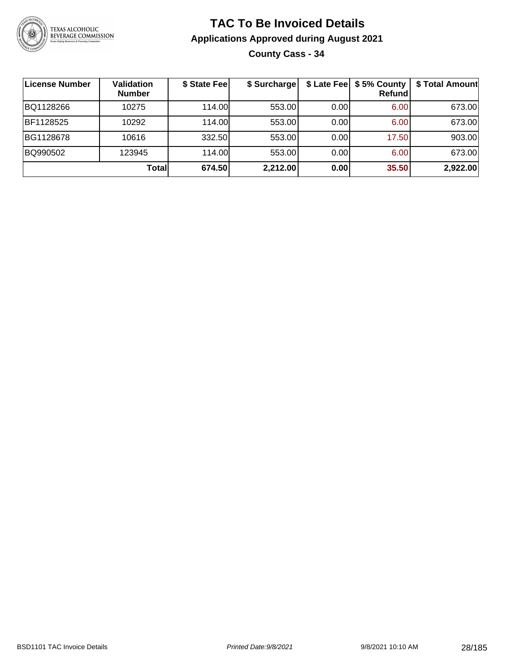

### **TAC To Be Invoiced Details Applications Approved during August 2021 County Cass - 34**

| ∣License Number | Validation<br><b>Number</b> | \$ State Fee | \$ Surcharge |      | \$ Late Fee   \$5% County<br><b>Refund</b> | \$ Total Amount |
|-----------------|-----------------------------|--------------|--------------|------|--------------------------------------------|-----------------|
| BQ1128266       | 10275                       | 114.00       | 553.00       | 0.00 | 6.00                                       | 673.00          |
| BF1128525       | 10292                       | 114.00       | 553.00       | 0.00 | 6.00                                       | 673.00          |
| BG1128678       | 10616                       | 332.50       | 553.00       | 0.00 | 17.50                                      | 903.00          |
| BQ990502        | 123945                      | 114.00       | 553.00       | 0.00 | 6.00                                       | 673.00          |
|                 | Total                       | 674.50       | 2,212.00     | 0.00 | 35.50                                      | 2,922.00        |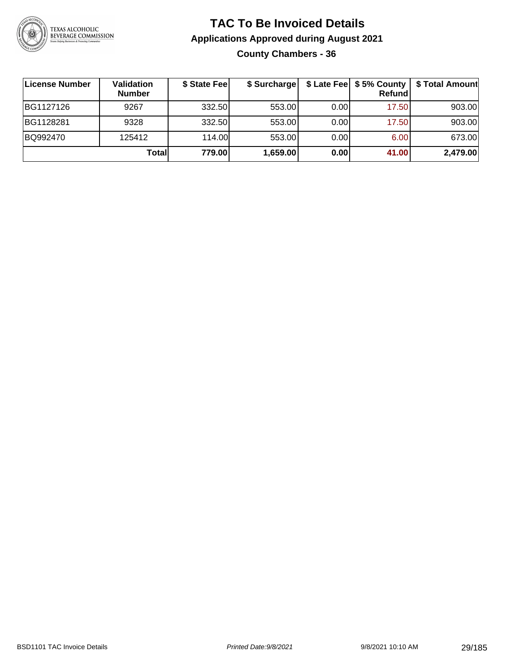

#### **TAC To Be Invoiced Details Applications Approved during August 2021 County Chambers - 36**

| License Number | Validation<br><b>Number</b> | \$ State Fee | \$ Surcharge |      | Refund | \$ Late Fee   \$5% County   \$ Total Amount |
|----------------|-----------------------------|--------------|--------------|------|--------|---------------------------------------------|
| BG1127126      | 9267                        | 332.50       | 553.00       | 0.00 | 17.50  | 903.00                                      |
| BG1128281      | 9328                        | 332.50       | 553.00       | 0.00 | 17.50  | 903.00                                      |
| BQ992470       | 125412                      | 114.00       | 553.00       | 0.00 | 6.00   | 673.00                                      |
|                | Total                       | 779.00       | 1,659.00     | 0.00 | 41.00  | 2,479.00                                    |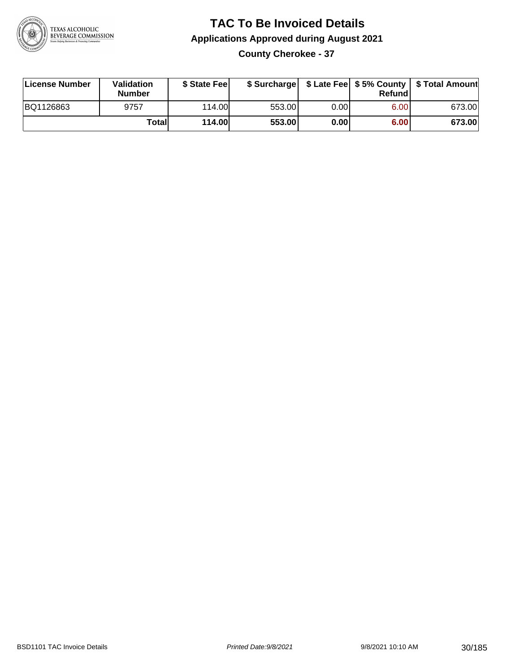

### **TAC To Be Invoiced Details Applications Approved during August 2021 County Cherokee - 37**

| License Number | <b>Validation</b><br><b>Number</b> | \$ State Feel |        |      | Refundl | \$ Surcharge   \$ Late Fee   \$5% County   \$ Total Amount |
|----------------|------------------------------------|---------------|--------|------|---------|------------------------------------------------------------|
| BQ1126863      | 9757                               | 114.00L       | 553.00 | 0.00 | 6.00    | 673.00                                                     |
|                | Totall                             | <b>114.00</b> | 553.00 | 0.00 | 6.00    | 673.00                                                     |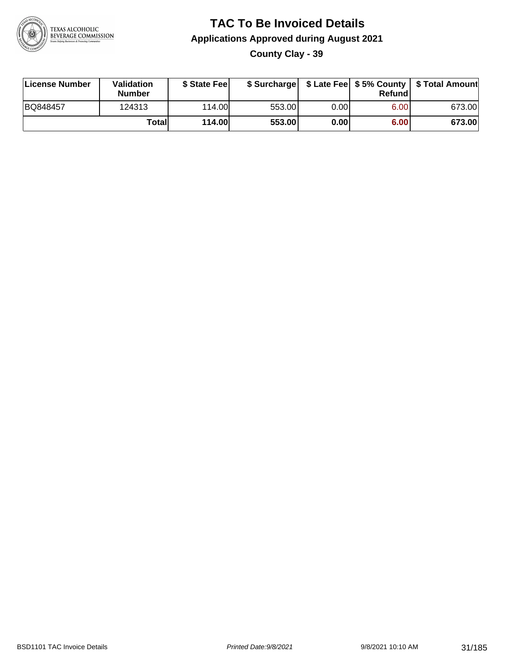

### **TAC To Be Invoiced Details Applications Approved during August 2021 County Clay - 39**

| License Number | Validation<br><b>Number</b> | \$ State Feel |        |      | Refund | \$ Surcharge   \$ Late Fee   \$5% County   \$ Total Amount |
|----------------|-----------------------------|---------------|--------|------|--------|------------------------------------------------------------|
| BQ848457       | 124313                      | 114.00L       | 553.00 | 0.00 | 6.00   | 673.00                                                     |
|                | Totall                      | <b>114.00</b> | 553.00 | 0.00 | 6.00   | 673.00                                                     |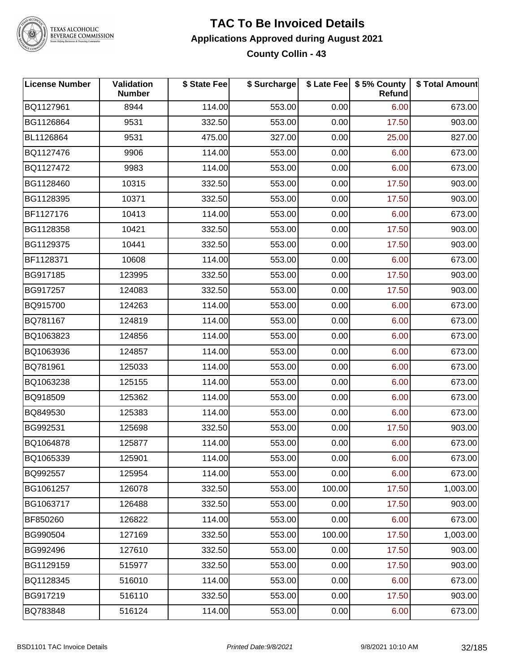

#### **TAC To Be Invoiced Details Applications Approved during August 2021 County Collin - 43**

| <b>License Number</b> | Validation<br><b>Number</b> | \$ State Fee | \$ Surcharge |        | \$ Late Fee   \$5% County<br>Refund | \$ Total Amount |
|-----------------------|-----------------------------|--------------|--------------|--------|-------------------------------------|-----------------|
| BQ1127961             | 8944                        | 114.00       | 553.00       | 0.00   | 6.00                                | 673.00          |
| BG1126864             | 9531                        | 332.50       | 553.00       | 0.00   | 17.50                               | 903.00          |
| BL1126864             | 9531                        | 475.00       | 327.00       | 0.00   | 25.00                               | 827.00          |
| BQ1127476             | 9906                        | 114.00       | 553.00       | 0.00   | 6.00                                | 673.00          |
| BQ1127472             | 9983                        | 114.00       | 553.00       | 0.00   | 6.00                                | 673.00          |
| BG1128460             | 10315                       | 332.50       | 553.00       | 0.00   | 17.50                               | 903.00          |
| BG1128395             | 10371                       | 332.50       | 553.00       | 0.00   | 17.50                               | 903.00          |
| BF1127176             | 10413                       | 114.00       | 553.00       | 0.00   | 6.00                                | 673.00          |
| BG1128358             | 10421                       | 332.50       | 553.00       | 0.00   | 17.50                               | 903.00          |
| BG1129375             | 10441                       | 332.50       | 553.00       | 0.00   | 17.50                               | 903.00          |
| BF1128371             | 10608                       | 114.00       | 553.00       | 0.00   | 6.00                                | 673.00          |
| BG917185              | 123995                      | 332.50       | 553.00       | 0.00   | 17.50                               | 903.00          |
| BG917257              | 124083                      | 332.50       | 553.00       | 0.00   | 17.50                               | 903.00          |
| BQ915700              | 124263                      | 114.00       | 553.00       | 0.00   | 6.00                                | 673.00          |
| BQ781167              | 124819                      | 114.00       | 553.00       | 0.00   | 6.00                                | 673.00          |
| BQ1063823             | 124856                      | 114.00       | 553.00       | 0.00   | 6.00                                | 673.00          |
| BQ1063936             | 124857                      | 114.00       | 553.00       | 0.00   | 6.00                                | 673.00          |
| BQ781961              | 125033                      | 114.00       | 553.00       | 0.00   | 6.00                                | 673.00          |
| BQ1063238             | 125155                      | 114.00       | 553.00       | 0.00   | 6.00                                | 673.00          |
| BQ918509              | 125362                      | 114.00       | 553.00       | 0.00   | 6.00                                | 673.00          |
| BQ849530              | 125383                      | 114.00       | 553.00       | 0.00   | 6.00                                | 673.00          |
| BG992531              | 125698                      | 332.50       | 553.00       | 0.00   | 17.50                               | 903.00          |
| BQ1064878             | 125877                      | 114.00       | 553.00       | 0.00   | 6.00                                | 673.00          |
| BQ1065339             | 125901                      | 114.00       | 553.00       | 0.00   | 6.00                                | 673.00          |
| BQ992557              | 125954                      | 114.00       | 553.00       | 0.00   | 6.00                                | 673.00          |
| BG1061257             | 126078                      | 332.50       | 553.00       | 100.00 | 17.50                               | 1,003.00        |
| BG1063717             | 126488                      | 332.50       | 553.00       | 0.00   | 17.50                               | 903.00          |
| BF850260              | 126822                      | 114.00       | 553.00       | 0.00   | 6.00                                | 673.00          |
| BG990504              | 127169                      | 332.50       | 553.00       | 100.00 | 17.50                               | 1,003.00        |
| BG992496              | 127610                      | 332.50       | 553.00       | 0.00   | 17.50                               | 903.00          |
| BG1129159             | 515977                      | 332.50       | 553.00       | 0.00   | 17.50                               | 903.00          |
| BQ1128345             | 516010                      | 114.00       | 553.00       | 0.00   | 6.00                                | 673.00          |
| BG917219              | 516110                      | 332.50       | 553.00       | 0.00   | 17.50                               | 903.00          |
| BQ783848              | 516124                      | 114.00       | 553.00       | 0.00   | 6.00                                | 673.00          |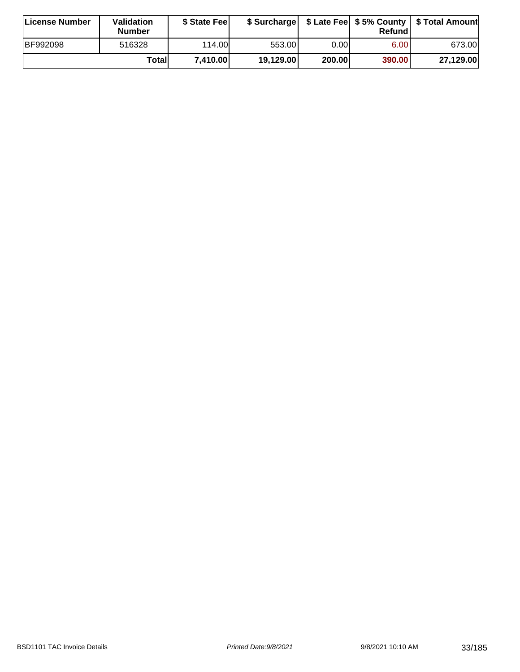| License Number  | <b>Validation</b><br><b>Number</b> | \$ State Fee |           |        | Refundl           | \$ Surcharge   \$ Late Fee   \$5% County   \$ Total Amount |
|-----------------|------------------------------------|--------------|-----------|--------|-------------------|------------------------------------------------------------|
| <b>BF992098</b> | 516328                             | 114.00       | 553.001   | 0.001  | 6.00 <sub>1</sub> | 673.00                                                     |
|                 | Totall                             | 7.410.00     | 19,129.00 | 200.00 | 390.00            | 27,129.00                                                  |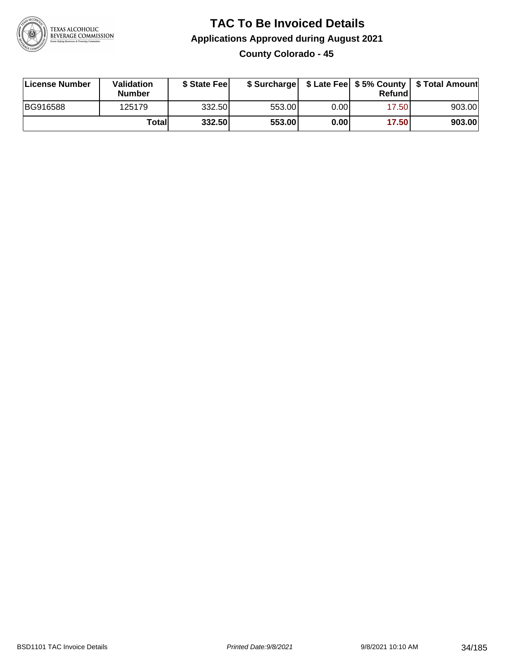

### **TAC To Be Invoiced Details Applications Approved during August 2021 County Colorado - 45**

| License Number  | Validation<br><b>Number</b> | \$ State Fee |        |      | Refund | \$ Surcharge   \$ Late Fee   \$5% County   \$ Total Amount |
|-----------------|-----------------------------|--------------|--------|------|--------|------------------------------------------------------------|
| <b>BG916588</b> | 125179                      | 332.50       | 553.00 | 0.00 | 17.50  | 903.00                                                     |
|                 | Totall                      | 332.50       | 553.00 | 0.00 | 17.50  | 903.00                                                     |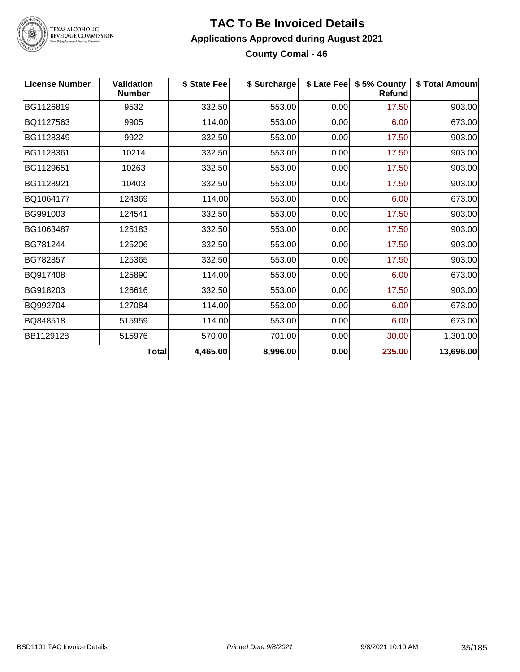

#### **TAC To Be Invoiced Details Applications Approved during August 2021 County Comal - 46**

| <b>License Number</b> | <b>Validation</b><br><b>Number</b> | \$ State Fee | \$ Surcharge |      | \$ Late Fee   \$5% County<br><b>Refund</b> | \$ Total Amount |
|-----------------------|------------------------------------|--------------|--------------|------|--------------------------------------------|-----------------|
| BG1126819             | 9532                               | 332.50       | 553.00       | 0.00 | 17.50                                      | 903.00          |
| BQ1127563             | 9905                               | 114.00       | 553.00       | 0.00 | 6.00                                       | 673.00          |
| BG1128349             | 9922                               | 332.50       | 553.00       | 0.00 | 17.50                                      | 903.00          |
| BG1128361             | 10214                              | 332.50       | 553.00       | 0.00 | 17.50                                      | 903.00          |
| BG1129651             | 10263                              | 332.50       | 553.00       | 0.00 | 17.50                                      | 903.00          |
| BG1128921             | 10403                              | 332.50       | 553.00       | 0.00 | 17.50                                      | 903.00          |
| BQ1064177             | 124369                             | 114.00       | 553.00       | 0.00 | 6.00                                       | 673.00          |
| BG991003              | 124541                             | 332.50       | 553.00       | 0.00 | 17.50                                      | 903.00          |
| BG1063487             | 125183                             | 332.50       | 553.00       | 0.00 | 17.50                                      | 903.00          |
| BG781244              | 125206                             | 332.50       | 553.00       | 0.00 | 17.50                                      | 903.00          |
| BG782857              | 125365                             | 332.50       | 553.00       | 0.00 | 17.50                                      | 903.00          |
| BQ917408              | 125890                             | 114.00       | 553.00       | 0.00 | 6.00                                       | 673.00          |
| BG918203              | 126616                             | 332.50       | 553.00       | 0.00 | 17.50                                      | 903.00          |
| BQ992704              | 127084                             | 114.00       | 553.00       | 0.00 | 6.00                                       | 673.00          |
| BQ848518              | 515959                             | 114.00       | 553.00       | 0.00 | 6.00                                       | 673.00          |
| BB1129128             | 515976                             | 570.00       | 701.00       | 0.00 | 30.00                                      | 1,301.00        |
|                       | <b>Total</b>                       | 4,465.00     | 8,996.00     | 0.00 | 235.00                                     | 13,696.00       |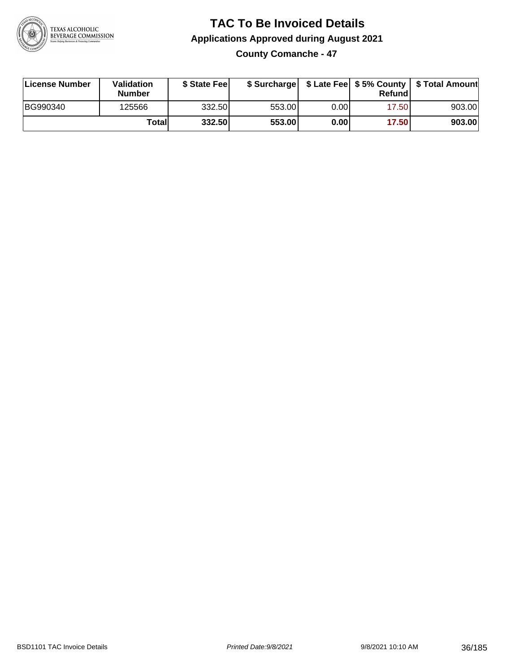

**County Comanche - 47**

| License Number | <b>Validation</b><br><b>Number</b> | \$ State Feel |        |      | Refundl | \$ Surcharge   \$ Late Fee   \$5% County   \$ Total Amount |
|----------------|------------------------------------|---------------|--------|------|---------|------------------------------------------------------------|
| BG990340       | 125566                             | 332.50        | 553.00 | 0.00 | 17.50   | 903.00                                                     |
|                | Totall                             | 332.50        | 553.00 | 0.00 | 17.50   | 903.00                                                     |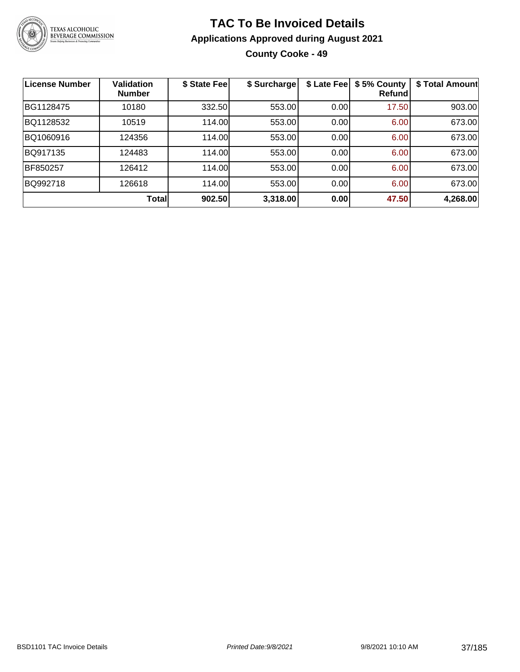

### **TAC To Be Invoiced Details Applications Approved during August 2021 County Cooke - 49**

| <b>License Number</b> | <b>Validation</b><br><b>Number</b> | \$ State Fee | \$ Surcharge | \$ Late Fee | \$5% County<br>Refund | \$ Total Amount |
|-----------------------|------------------------------------|--------------|--------------|-------------|-----------------------|-----------------|
| BG1128475             | 10180                              | 332.50       | 553.00       | 0.00        | 17.50                 | 903.00          |
| BQ1128532             | 10519                              | 114.00       | 553.00       | 0.00        | 6.00                  | 673.00          |
| BQ1060916             | 124356                             | 114.00       | 553.00       | 0.00        | 6.00                  | 673.00          |
| BQ917135              | 124483                             | 114.00       | 553.00       | 0.00        | 6.00                  | 673.00          |
| BF850257              | 126412                             | 114.00       | 553.00       | 0.00        | 6.00                  | 673.00          |
| BQ992718              | 126618                             | 114.00       | 553.00       | 0.00        | 6.00                  | 673.00          |
|                       | <b>Total</b>                       | 902.50       | 3,318.00     | 0.00        | 47.50                 | 4,268.00        |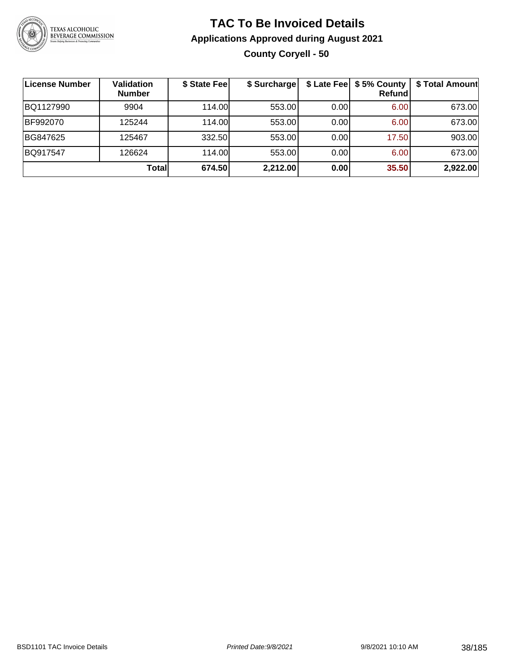

### **TAC To Be Invoiced Details Applications Approved during August 2021 County Coryell - 50**

| <b>License Number</b> | <b>Validation</b><br><b>Number</b> | \$ State Fee | \$ Surcharge |      | \$ Late Fee   \$5% County<br><b>Refund</b> | \$ Total Amount |
|-----------------------|------------------------------------|--------------|--------------|------|--------------------------------------------|-----------------|
| BQ1127990             | 9904                               | 114.00       | 553.00       | 0.00 | 6.00                                       | 673.00          |
| BF992070              | 125244                             | 114.00       | 553.00       | 0.00 | 6.00                                       | 673.00          |
| BG847625              | 125467                             | 332.50       | 553.00       | 0.00 | 17.50                                      | 903.00          |
| BQ917547              | 126624                             | 114.00L      | 553.00       | 0.00 | 6.00                                       | 673.00          |
|                       | Totall                             | 674.50       | 2,212.00     | 0.00 | 35.50                                      | 2,922.00        |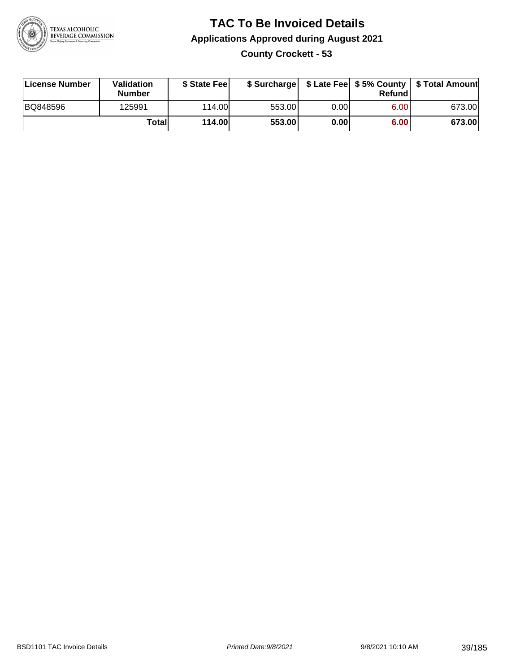

### **TAC To Be Invoiced Details Applications Approved during August 2021 County Crockett - 53**

| License Number | <b>Validation</b><br><b>Number</b> | \$ State Feel |        |       | Refundl | \$ Surcharge   \$ Late Fee   \$5% County   \$ Total Amount |
|----------------|------------------------------------|---------------|--------|-------|---------|------------------------------------------------------------|
| BQ848596       | 125991                             | 114.00L       | 553.00 | 0.00  | 6.00    | 673.00                                                     |
|                | Totall                             | 114.00        | 553.00 | 0.001 | 6.00    | 673.00                                                     |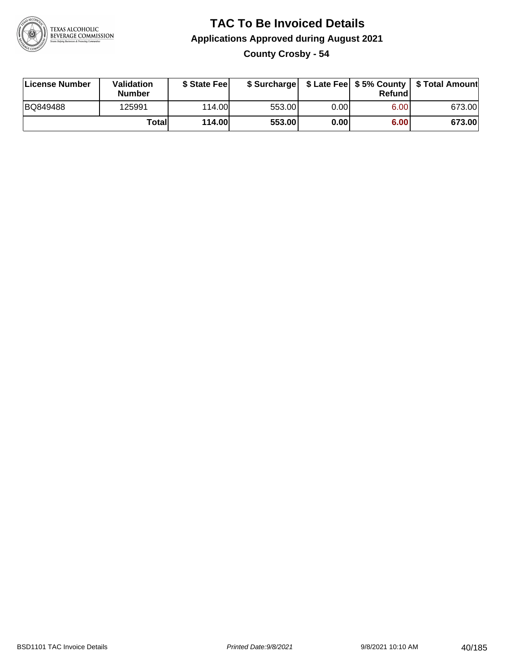

### **TAC To Be Invoiced Details Applications Approved during August 2021 County Crosby - 54**

| License Number | Validation<br><b>Number</b> | \$ State Feel |        |      | Refund | \$ Surcharge   \$ Late Fee   \$5% County   \$ Total Amount |
|----------------|-----------------------------|---------------|--------|------|--------|------------------------------------------------------------|
| BQ849488       | 125991                      | 114.00        | 553.00 | 0.00 | 6.00   | 673.00                                                     |
|                | Totall                      | <b>114.00</b> | 553.00 | 0.00 | 6.00   | 673.00                                                     |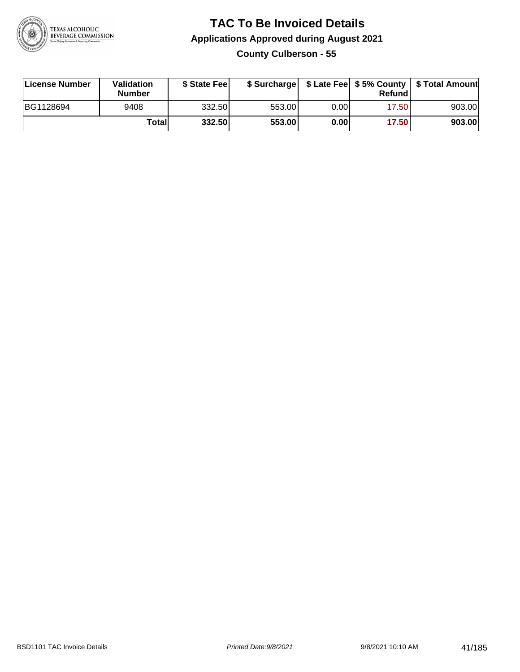

### **TAC To Be Invoiced Details Applications Approved during August 2021 County Culberson - 55**

| License Number | Validation<br><b>Number</b> | \$ State Feel |        |      | Refund | \$ Surcharge   \$ Late Fee   \$5% County   \$ Total Amount |
|----------------|-----------------------------|---------------|--------|------|--------|------------------------------------------------------------|
| BG1128694      | 9408                        | 332.50        | 553.00 | 0.00 | 17.50  | 903.00                                                     |
|                | Totall                      | 332.50        | 553.00 | 0.00 | 17.50  | 903.00                                                     |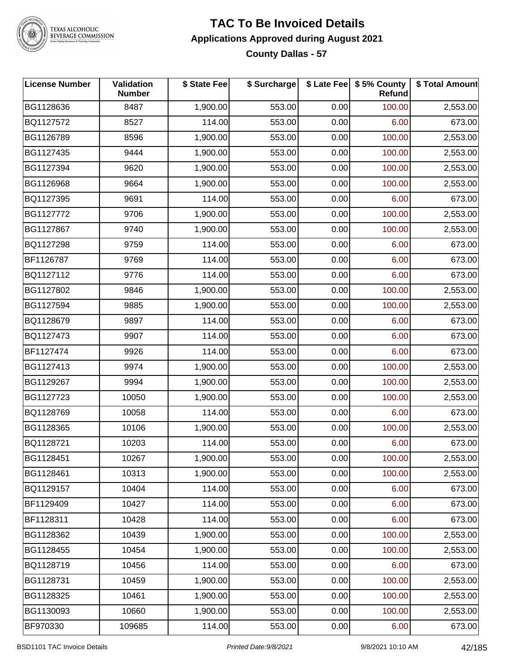

TEXAS ALCOHOLIC<br>BEVERAGE COMMISSION

### **TAC To Be Invoiced Details Applications Approved during August 2021 County Dallas - 57**

| <b>License Number</b> | Validation<br><b>Number</b> | \$ State Fee | \$ Surcharge |      | \$ Late Fee   \$5% County<br>Refund | \$ Total Amount |
|-----------------------|-----------------------------|--------------|--------------|------|-------------------------------------|-----------------|
| BG1128636             | 8487                        | 1,900.00     | 553.00       | 0.00 | 100.00                              | 2,553.00        |
| BQ1127572             | 8527                        | 114.00       | 553.00       | 0.00 | 6.00                                | 673.00          |
| BG1126789             | 8596                        | 1,900.00     | 553.00       | 0.00 | 100.00                              | 2,553.00        |
| BG1127435             | 9444                        | 1,900.00     | 553.00       | 0.00 | 100.00                              | 2,553.00        |
| BG1127394             | 9620                        | 1,900.00     | 553.00       | 0.00 | 100.00                              | 2,553.00        |
| BG1126968             | 9664                        | 1,900.00     | 553.00       | 0.00 | 100.00                              | 2,553.00        |
| BQ1127395             | 9691                        | 114.00       | 553.00       | 0.00 | 6.00                                | 673.00          |
| BG1127772             | 9706                        | 1,900.00     | 553.00       | 0.00 | 100.00                              | 2,553.00        |
| BG1127867             | 9740                        | 1,900.00     | 553.00       | 0.00 | 100.00                              | 2,553.00        |
| BQ1127298             | 9759                        | 114.00       | 553.00       | 0.00 | 6.00                                | 673.00          |
| BF1126787             | 9769                        | 114.00       | 553.00       | 0.00 | 6.00                                | 673.00          |
| BQ1127112             | 9776                        | 114.00       | 553.00       | 0.00 | 6.00                                | 673.00          |
| BG1127802             | 9846                        | 1,900.00     | 553.00       | 0.00 | 100.00                              | 2,553.00        |
| BG1127594             | 9885                        | 1,900.00     | 553.00       | 0.00 | 100.00                              | 2,553.00        |
| BQ1128679             | 9897                        | 114.00       | 553.00       | 0.00 | 6.00                                | 673.00          |
| BQ1127473             | 9907                        | 114.00       | 553.00       | 0.00 | 6.00                                | 673.00          |
| BF1127474             | 9926                        | 114.00       | 553.00       | 0.00 | 6.00                                | 673.00          |
| BG1127413             | 9974                        | 1,900.00     | 553.00       | 0.00 | 100.00                              | 2,553.00        |
| BG1129267             | 9994                        | 1,900.00     | 553.00       | 0.00 | 100.00                              | 2,553.00        |
| BG1127723             | 10050                       | 1,900.00     | 553.00       | 0.00 | 100.00                              | 2,553.00        |
| BQ1128769             | 10058                       | 114.00       | 553.00       | 0.00 | 6.00                                | 673.00          |
| BG1128365             | 10106                       | 1,900.00     | 553.00       | 0.00 | 100.00                              | 2,553.00        |
| BQ1128721             | 10203                       | 114.00       | 553.00       | 0.00 | 6.00                                | 673.00          |
| BG1128451             | 10267                       | 1,900.00     | 553.00       | 0.00 | 100.00                              | 2,553.00        |
| BG1128461             | 10313                       | 1,900.00     | 553.00       | 0.00 | 100.00                              | 2,553.00        |
| BQ1129157             | 10404                       | 114.00       | 553.00       | 0.00 | 6.00                                | 673.00          |
| BF1129409             | 10427                       | 114.00       | 553.00       | 0.00 | 6.00                                | 673.00          |
| BF1128311             | 10428                       | 114.00       | 553.00       | 0.00 | 6.00                                | 673.00          |
| BG1128362             | 10439                       | 1,900.00     | 553.00       | 0.00 | 100.00                              | 2,553.00        |
| BG1128455             | 10454                       | 1,900.00     | 553.00       | 0.00 | 100.00                              | 2,553.00        |
| BQ1128719             | 10456                       | 114.00       | 553.00       | 0.00 | 6.00                                | 673.00          |
| BG1128731             | 10459                       | 1,900.00     | 553.00       | 0.00 | 100.00                              | 2,553.00        |
| BG1128325             | 10461                       | 1,900.00     | 553.00       | 0.00 | 100.00                              | 2,553.00        |
| BG1130093             | 10660                       | 1,900.00     | 553.00       | 0.00 | 100.00                              | 2,553.00        |
| BF970330              | 109685                      | 114.00       | 553.00       | 0.00 | 6.00                                | 673.00          |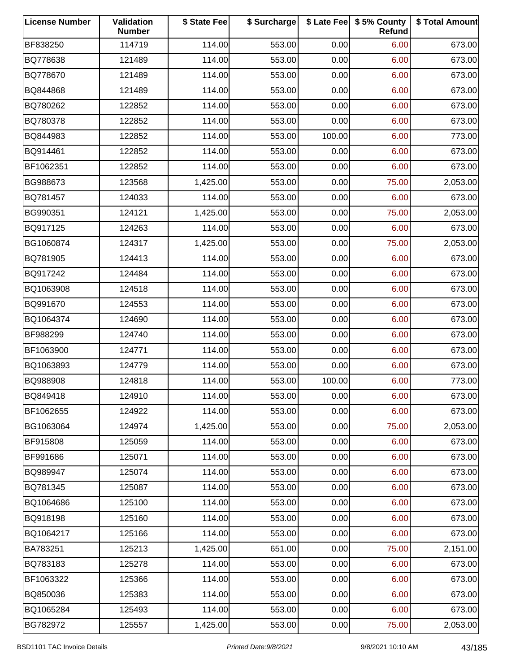| <b>License Number</b> | Validation<br><b>Number</b> | \$ State Fee | \$ Surcharge |        | \$ Late Fee   \$5% County<br>Refund | \$ Total Amount |
|-----------------------|-----------------------------|--------------|--------------|--------|-------------------------------------|-----------------|
| BF838250              | 114719                      | 114.00       | 553.00       | 0.00   | 6.00                                | 673.00          |
| BQ778638              | 121489                      | 114.00       | 553.00       | 0.00   | 6.00                                | 673.00          |
| BQ778670              | 121489                      | 114.00       | 553.00       | 0.00   | 6.00                                | 673.00          |
| BQ844868              | 121489                      | 114.00       | 553.00       | 0.00   | 6.00                                | 673.00          |
| BQ780262              | 122852                      | 114.00       | 553.00       | 0.00   | 6.00                                | 673.00          |
| BQ780378              | 122852                      | 114.00       | 553.00       | 0.00   | 6.00                                | 673.00          |
| BQ844983              | 122852                      | 114.00       | 553.00       | 100.00 | 6.00                                | 773.00          |
| BQ914461              | 122852                      | 114.00       | 553.00       | 0.00   | 6.00                                | 673.00          |
| BF1062351             | 122852                      | 114.00       | 553.00       | 0.00   | 6.00                                | 673.00          |
| BG988673              | 123568                      | 1,425.00     | 553.00       | 0.00   | 75.00                               | 2,053.00        |
| BQ781457              | 124033                      | 114.00       | 553.00       | 0.00   | 6.00                                | 673.00          |
| BG990351              | 124121                      | 1,425.00     | 553.00       | 0.00   | 75.00                               | 2,053.00        |
| BQ917125              | 124263                      | 114.00       | 553.00       | 0.00   | 6.00                                | 673.00          |
| BG1060874             | 124317                      | 1,425.00     | 553.00       | 0.00   | 75.00                               | 2,053.00        |
| BQ781905              | 124413                      | 114.00       | 553.00       | 0.00   | 6.00                                | 673.00          |
| BQ917242              | 124484                      | 114.00       | 553.00       | 0.00   | 6.00                                | 673.00          |
| BQ1063908             | 124518                      | 114.00       | 553.00       | 0.00   | 6.00                                | 673.00          |
| BQ991670              | 124553                      | 114.00       | 553.00       | 0.00   | 6.00                                | 673.00          |
| BQ1064374             | 124690                      | 114.00       | 553.00       | 0.00   | 6.00                                | 673.00          |
| BF988299              | 124740                      | 114.00       | 553.00       | 0.00   | 6.00                                | 673.00          |
| BF1063900             | 124771                      | 114.00       | 553.00       | 0.00   | 6.00                                | 673.00          |
| BQ1063893             | 124779                      | 114.00       | 553.00       | 0.00   | 6.00                                | 673.00          |
| BQ988908              | 124818                      | 114.00       | 553.00       | 100.00 | 6.00                                | 773.00          |
| BQ849418              | 124910                      | 114.00       | 553.00       | 0.00   | 6.00                                | 673.00          |
| BF1062655             | 124922                      | 114.00       | 553.00       | 0.00   | 6.00                                | 673.00          |
| BG1063064             | 124974                      | 1,425.00     | 553.00       | 0.00   | 75.00                               | 2,053.00        |
| BF915808              | 125059                      | 114.00       | 553.00       | 0.00   | 6.00                                | 673.00          |
| BF991686              | 125071                      | 114.00       | 553.00       | 0.00   | 6.00                                | 673.00          |
| BQ989947              | 125074                      | 114.00       | 553.00       | 0.00   | 6.00                                | 673.00          |
| BQ781345              | 125087                      | 114.00       | 553.00       | 0.00   | 6.00                                | 673.00          |
| BQ1064686             | 125100                      | 114.00       | 553.00       | 0.00   | 6.00                                | 673.00          |
| BQ918198              | 125160                      | 114.00       | 553.00       | 0.00   | 6.00                                | 673.00          |
| BQ1064217             | 125166                      | 114.00       | 553.00       | 0.00   | 6.00                                | 673.00          |
| BA783251              | 125213                      | 1,425.00     | 651.00       | 0.00   | 75.00                               | 2,151.00        |
| BQ783183              | 125278                      | 114.00       | 553.00       | 0.00   | 6.00                                | 673.00          |
| BF1063322             | 125366                      | 114.00       | 553.00       | 0.00   | 6.00                                | 673.00          |
| BQ850036              | 125383                      | 114.00       | 553.00       | 0.00   | 6.00                                | 673.00          |
| BQ1065284             | 125493                      | 114.00       | 553.00       | 0.00   | 6.00                                | 673.00          |
| BG782972              | 125557                      | 1,425.00     | 553.00       | 0.00   | 75.00                               | 2,053.00        |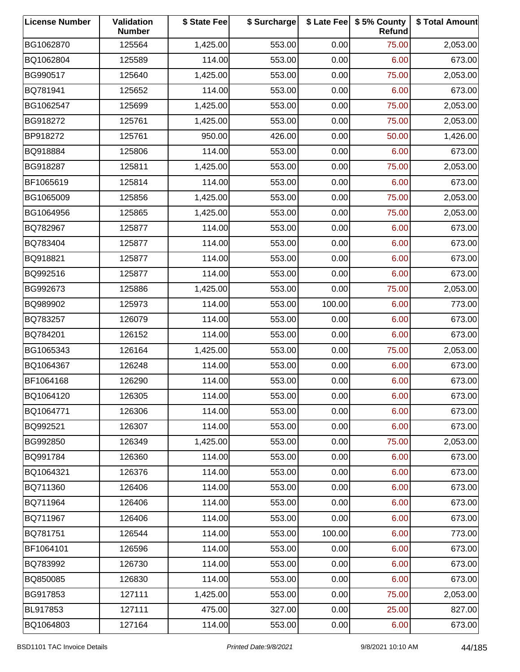| <b>License Number</b> | Validation<br><b>Number</b> | \$ State Fee | \$ Surcharge |        | \$ Late Fee   \$5% County<br>Refund | \$ Total Amount |
|-----------------------|-----------------------------|--------------|--------------|--------|-------------------------------------|-----------------|
| BG1062870             | 125564                      | 1,425.00     | 553.00       | 0.00   | 75.00                               | 2,053.00        |
| BQ1062804             | 125589                      | 114.00       | 553.00       | 0.00   | 6.00                                | 673.00          |
| BG990517              | 125640                      | 1,425.00     | 553.00       | 0.00   | 75.00                               | 2,053.00        |
| BQ781941              | 125652                      | 114.00       | 553.00       | 0.00   | 6.00                                | 673.00          |
| BG1062547             | 125699                      | 1,425.00     | 553.00       | 0.00   | 75.00                               | 2,053.00        |
| BG918272              | 125761                      | 1,425.00     | 553.00       | 0.00   | 75.00                               | 2,053.00        |
| BP918272              | 125761                      | 950.00       | 426.00       | 0.00   | 50.00                               | 1,426.00        |
| BQ918884              | 125806                      | 114.00       | 553.00       | 0.00   | 6.00                                | 673.00          |
| BG918287              | 125811                      | 1,425.00     | 553.00       | 0.00   | 75.00                               | 2,053.00        |
| BF1065619             | 125814                      | 114.00       | 553.00       | 0.00   | 6.00                                | 673.00          |
| BG1065009             | 125856                      | 1,425.00     | 553.00       | 0.00   | 75.00                               | 2,053.00        |
| BG1064956             | 125865                      | 1,425.00     | 553.00       | 0.00   | 75.00                               | 2,053.00        |
| BQ782967              | 125877                      | 114.00       | 553.00       | 0.00   | 6.00                                | 673.00          |
| BQ783404              | 125877                      | 114.00       | 553.00       | 0.00   | 6.00                                | 673.00          |
| BQ918821              | 125877                      | 114.00       | 553.00       | 0.00   | 6.00                                | 673.00          |
| BQ992516              | 125877                      | 114.00       | 553.00       | 0.00   | 6.00                                | 673.00          |
| BG992673              | 125886                      | 1,425.00     | 553.00       | 0.00   | 75.00                               | 2,053.00        |
| BQ989902              | 125973                      | 114.00       | 553.00       | 100.00 | 6.00                                | 773.00          |
| BQ783257              | 126079                      | 114.00       | 553.00       | 0.00   | 6.00                                | 673.00          |
| BQ784201              | 126152                      | 114.00       | 553.00       | 0.00   | 6.00                                | 673.00          |
| BG1065343             | 126164                      | 1,425.00     | 553.00       | 0.00   | 75.00                               | 2,053.00        |
| BQ1064367             | 126248                      | 114.00       | 553.00       | 0.00   | 6.00                                | 673.00          |
| BF1064168             | 126290                      | 114.00       | 553.00       | 0.00   | 6.00                                | 673.00          |
| BQ1064120             | 126305                      | 114.00       | 553.00       | 0.00   | 6.00                                | 673.00          |
| BQ1064771             | 126306                      | 114.00       | 553.00       | 0.00   | 6.00                                | 673.00          |
| BQ992521              | 126307                      | 114.00       | 553.00       | 0.00   | 6.00                                | 673.00          |
| BG992850              | 126349                      | 1,425.00     | 553.00       | 0.00   | 75.00                               | 2,053.00        |
| BQ991784              | 126360                      | 114.00       | 553.00       | 0.00   | 6.00                                | 673.00          |
| BQ1064321             | 126376                      | 114.00       | 553.00       | 0.00   | 6.00                                | 673.00          |
| BQ711360              | 126406                      | 114.00       | 553.00       | 0.00   | 6.00                                | 673.00          |
| BQ711964              | 126406                      | 114.00       | 553.00       | 0.00   | 6.00                                | 673.00          |
| BQ711967              | 126406                      | 114.00       | 553.00       | 0.00   | 6.00                                | 673.00          |
| BQ781751              | 126544                      | 114.00       | 553.00       | 100.00 | 6.00                                | 773.00          |
| BF1064101             | 126596                      | 114.00       | 553.00       | 0.00   | 6.00                                | 673.00          |
| BQ783992              | 126730                      | 114.00       | 553.00       | 0.00   | 6.00                                | 673.00          |
| BQ850085              | 126830                      | 114.00       | 553.00       | 0.00   | 6.00                                | 673.00          |
| BG917853              | 127111                      | 1,425.00     | 553.00       | 0.00   | 75.00                               | 2,053.00        |
| BL917853              | 127111                      | 475.00       | 327.00       | 0.00   | 25.00                               | 827.00          |
| BQ1064803             | 127164                      | 114.00       | 553.00       | 0.00   | 6.00                                | 673.00          |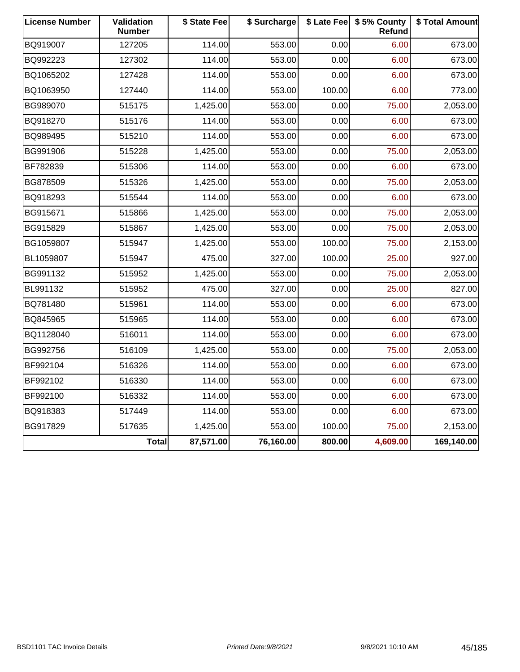| <b>License Number</b> | Validation<br><b>Number</b> | \$ State Fee | \$ Surcharge |        | \$ Late Fee   \$5% County<br>Refund | \$ Total Amount |
|-----------------------|-----------------------------|--------------|--------------|--------|-------------------------------------|-----------------|
| BQ919007              | 127205                      | 114.00       | 553.00       | 0.00   | 6.00                                | 673.00          |
| BQ992223              | 127302                      | 114.00       | 553.00       | 0.00   | 6.00                                | 673.00          |
| BQ1065202             | 127428                      | 114.00       | 553.00       | 0.00   | 6.00                                | 673.00          |
| BQ1063950             | 127440                      | 114.00       | 553.00       | 100.00 | 6.00                                | 773.00          |
| BG989070              | 515175                      | 1,425.00     | 553.00       | 0.00   | 75.00                               | 2,053.00        |
| BQ918270              | 515176                      | 114.00       | 553.00       | 0.00   | 6.00                                | 673.00          |
| BQ989495              | 515210                      | 114.00       | 553.00       | 0.00   | 6.00                                | 673.00          |
| BG991906              | 515228                      | 1,425.00     | 553.00       | 0.00   | 75.00                               | 2,053.00        |
| BF782839              | 515306                      | 114.00       | 553.00       | 0.00   | 6.00                                | 673.00          |
| BG878509              | 515326                      | 1,425.00     | 553.00       | 0.00   | 75.00                               | 2,053.00        |
| BQ918293              | 515544                      | 114.00       | 553.00       | 0.00   | 6.00                                | 673.00          |
| BG915671              | 515866                      | 1,425.00     | 553.00       | 0.00   | 75.00                               | 2,053.00        |
| BG915829              | 515867                      | 1,425.00     | 553.00       | 0.00   | 75.00                               | 2,053.00        |
| BG1059807             | 515947                      | 1,425.00     | 553.00       | 100.00 | 75.00                               | 2,153.00        |
| BL1059807             | 515947                      | 475.00       | 327.00       | 100.00 | 25.00                               | 927.00          |
| BG991132              | 515952                      | 1,425.00     | 553.00       | 0.00   | 75.00                               | 2,053.00        |
| BL991132              | 515952                      | 475.00       | 327.00       | 0.00   | 25.00                               | 827.00          |
| BQ781480              | 515961                      | 114.00       | 553.00       | 0.00   | 6.00                                | 673.00          |
| BQ845965              | 515965                      | 114.00       | 553.00       | 0.00   | 6.00                                | 673.00          |
| BQ1128040             | 516011                      | 114.00       | 553.00       | 0.00   | 6.00                                | 673.00          |
| BG992756              | 516109                      | 1,425.00     | 553.00       | 0.00   | 75.00                               | 2,053.00        |
| BF992104              | 516326                      | 114.00       | 553.00       | 0.00   | 6.00                                | 673.00          |
| BF992102              | 516330                      | 114.00       | 553.00       | 0.00   | 6.00                                | 673.00          |
| BF992100              | 516332                      | 114.00       | 553.00       | 0.00   | 6.00                                | 673.00          |
| BQ918383              | 517449                      | 114.00       | 553.00       | 0.00   | 6.00                                | 673.00          |
| BG917829              | 517635                      | 1,425.00     | 553.00       | 100.00 | 75.00                               | 2,153.00        |
|                       | <b>Total</b>                | 87,571.00    | 76,160.00    | 800.00 | 4,609.00                            | 169,140.00      |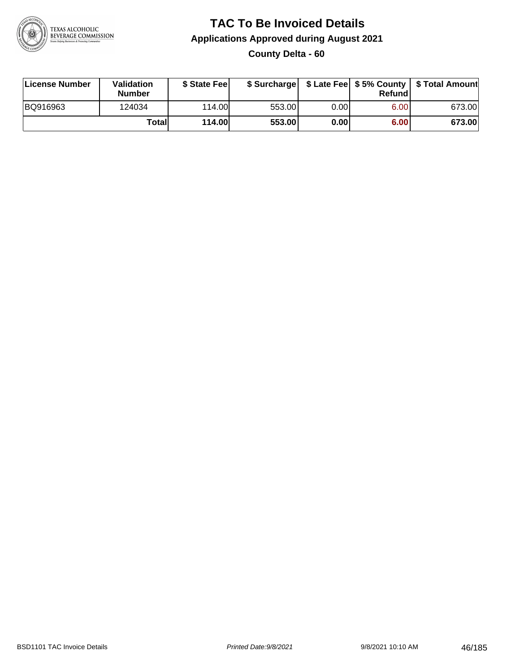

### **TAC To Be Invoiced Details Applications Approved during August 2021 County Delta - 60**

| License Number | <b>Validation</b><br><b>Number</b> | \$ State Feel |        |       | Refundl | \$ Surcharge   \$ Late Fee   \$5% County   \$ Total Amount |
|----------------|------------------------------------|---------------|--------|-------|---------|------------------------------------------------------------|
| BQ916963       | 124034                             | 114.00L       | 553.00 | 0.00  | 6.00    | 673.00                                                     |
|                | Totall                             | <b>114.00</b> | 553.00 | 0.001 | 6.00    | 673.00                                                     |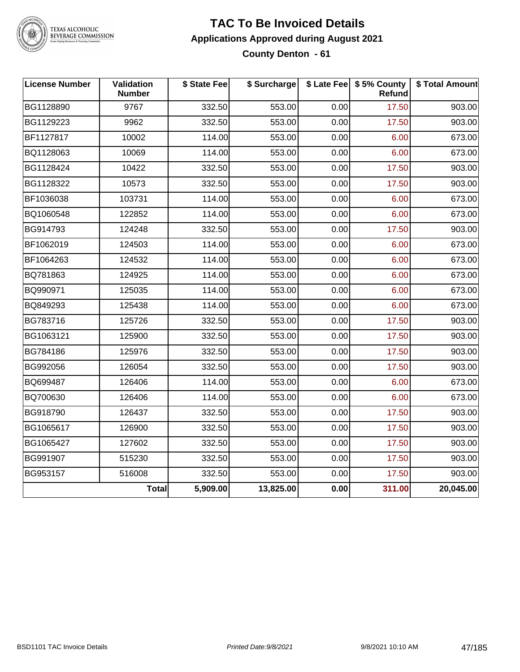

TEXAS ALCOHOLIC<br>BEVERAGE COMMISSION

#### **TAC To Be Invoiced Details Applications Approved during August 2021 County Denton - 61**

| <b>License Number</b> | Validation<br><b>Number</b> | \$ State Fee | \$ Surcharge |      | \$ Late Fee   \$5% County<br>Refund | \$ Total Amount |
|-----------------------|-----------------------------|--------------|--------------|------|-------------------------------------|-----------------|
| BG1128890             | 9767                        | 332.50       | 553.00       | 0.00 | 17.50                               | 903.00          |
| BG1129223             | 9962                        | 332.50       | 553.00       | 0.00 | 17.50                               | 903.00          |
| BF1127817             | 10002                       | 114.00       | 553.00       | 0.00 | 6.00                                | 673.00          |
| BQ1128063             | 10069                       | 114.00       | 553.00       | 0.00 | 6.00                                | 673.00          |
| BG1128424             | 10422                       | 332.50       | 553.00       | 0.00 | 17.50                               | 903.00          |
| BG1128322             | 10573                       | 332.50       | 553.00       | 0.00 | 17.50                               | 903.00          |
| BF1036038             | 103731                      | 114.00       | 553.00       | 0.00 | 6.00                                | 673.00          |
| BQ1060548             | 122852                      | 114.00       | 553.00       | 0.00 | 6.00                                | 673.00          |
| BG914793              | 124248                      | 332.50       | 553.00       | 0.00 | 17.50                               | 903.00          |
| BF1062019             | 124503                      | 114.00       | 553.00       | 0.00 | 6.00                                | 673.00          |
| BF1064263             | 124532                      | 114.00       | 553.00       | 0.00 | 6.00                                | 673.00          |
| BQ781863              | 124925                      | 114.00       | 553.00       | 0.00 | 6.00                                | 673.00          |
| BQ990971              | 125035                      | 114.00       | 553.00       | 0.00 | 6.00                                | 673.00          |
| BQ849293              | 125438                      | 114.00       | 553.00       | 0.00 | 6.00                                | 673.00          |
| BG783716              | 125726                      | 332.50       | 553.00       | 0.00 | 17.50                               | 903.00          |
| BG1063121             | 125900                      | 332.50       | 553.00       | 0.00 | 17.50                               | 903.00          |
| BG784186              | 125976                      | 332.50       | 553.00       | 0.00 | 17.50                               | 903.00          |
| BG992056              | 126054                      | 332.50       | 553.00       | 0.00 | 17.50                               | 903.00          |
| BQ699487              | 126406                      | 114.00       | 553.00       | 0.00 | 6.00                                | 673.00          |
| BQ700630              | 126406                      | 114.00       | 553.00       | 0.00 | 6.00                                | 673.00          |
| BG918790              | 126437                      | 332.50       | 553.00       | 0.00 | 17.50                               | 903.00          |
| BG1065617             | 126900                      | 332.50       | 553.00       | 0.00 | 17.50                               | 903.00          |
| BG1065427             | 127602                      | 332.50       | 553.00       | 0.00 | 17.50                               | 903.00          |
| BG991907              | 515230                      | 332.50       | 553.00       | 0.00 | 17.50                               | 903.00          |
| BG953157              | 516008                      | 332.50       | 553.00       | 0.00 | 17.50                               | 903.00          |
|                       | Total                       | 5,909.00     | 13,825.00    | 0.00 | 311.00                              | 20,045.00       |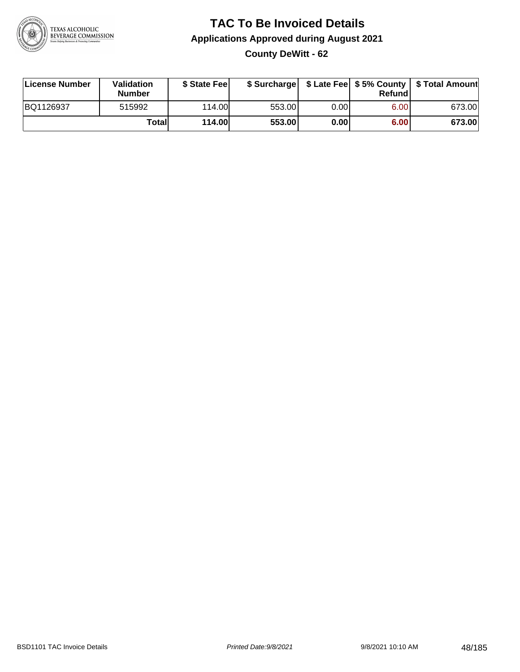

### **TAC To Be Invoiced Details Applications Approved during August 2021 County DeWitt - 62**

| License Number | Validation<br><b>Number</b> | \$ State Feel |        |       | Refundl | \$ Surcharge   \$ Late Fee   \$5% County   \$ Total Amount |
|----------------|-----------------------------|---------------|--------|-------|---------|------------------------------------------------------------|
| BQ1126937      | 515992                      | 114.00L       | 553.00 | 0.001 | 6.00    | 673.00                                                     |
|                | Totall                      | <b>114.00</b> | 553.00 | 0.00  | 6.00    | 673.00                                                     |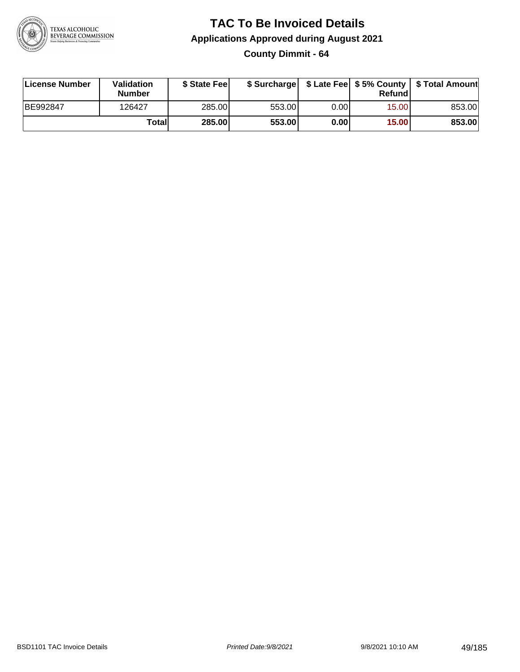

# **TAC To Be Invoiced Details Applications Approved during August 2021**

**County Dimmit - 64**

| License Number | <b>Validation</b><br><b>Number</b> | \$ State Feel | \$ Surcharge |       | Refundl | \$ Late Fee   \$5% County   \$ Total Amount |
|----------------|------------------------------------|---------------|--------------|-------|---------|---------------------------------------------|
| BE992847       | 126427                             | 285.00        | 553.00       | 0.001 | 15.00   | 853.00                                      |
|                | Totall                             | 285.00        | 553.00       | 0.00  | 15.00   | 853.00                                      |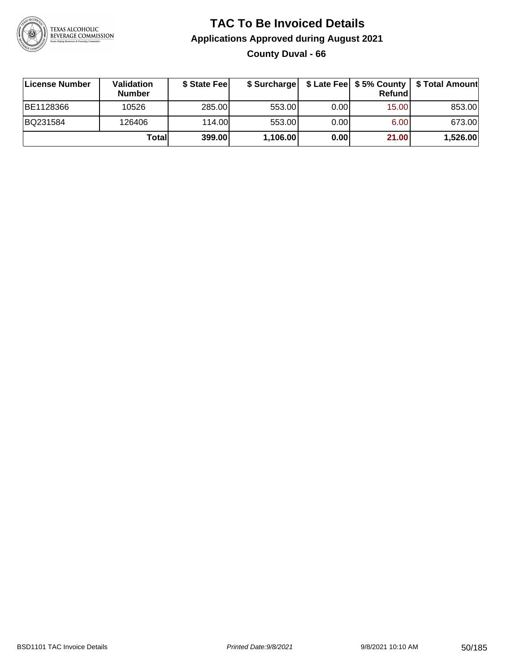

### **TAC To Be Invoiced Details Applications Approved during August 2021 County Duval - 66**

| License Number | <b>Validation</b><br><b>Number</b> | \$ State Feel |          |       | Refund | \$ Surcharge   \$ Late Fee   \$5% County   \$ Total Amount |
|----------------|------------------------------------|---------------|----------|-------|--------|------------------------------------------------------------|
| BE1128366      | 10526                              | 285.00        | 553.00   | 0.001 | 15.00  | 853.00                                                     |
| BQ231584       | 126406                             | 114.00L       | 553.00   | 0.001 | 6.00   | 673.00                                                     |
|                | Totall                             | 399.00        | 1,106.00 | 0.00  | 21.00  | 1,526.00                                                   |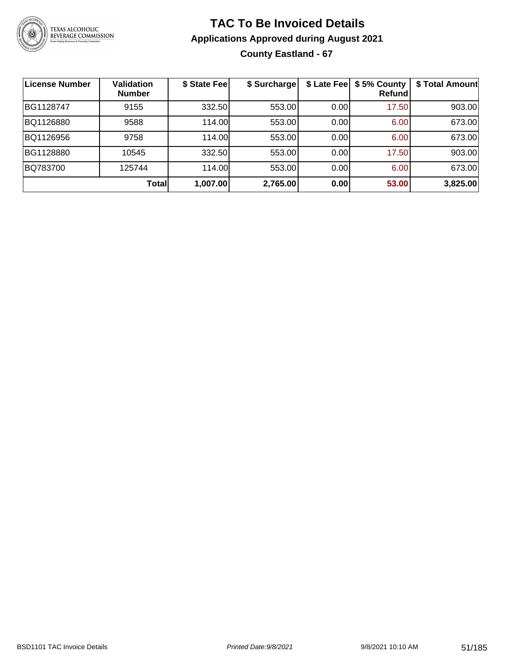

### **TAC To Be Invoiced Details Applications Approved during August 2021 County Eastland - 67**

| License Number | <b>Validation</b><br><b>Number</b> | \$ State Fee | \$ Surcharge |      | \$ Late Fee   \$5% County<br>Refundl | \$ Total Amount |
|----------------|------------------------------------|--------------|--------------|------|--------------------------------------|-----------------|
| BG1128747      | 9155                               | 332.50       | 553.00       | 0.00 | 17.50                                | 903.00          |
| BQ1126880      | 9588                               | 114.00       | 553.00       | 0.00 | 6.00                                 | 673.00          |
| BQ1126956      | 9758                               | 114.00       | 553.00       | 0.00 | 6.00                                 | 673.00          |
| BG1128880      | 10545                              | 332.50       | 553.00       | 0.00 | 17.50                                | 903.00          |
| BQ783700       | 125744                             | 114.00       | 553.00       | 0.00 | 6.00                                 | 673.00          |
|                | Total                              | 1,007.00     | 2,765.00     | 0.00 | 53.00                                | 3,825.00        |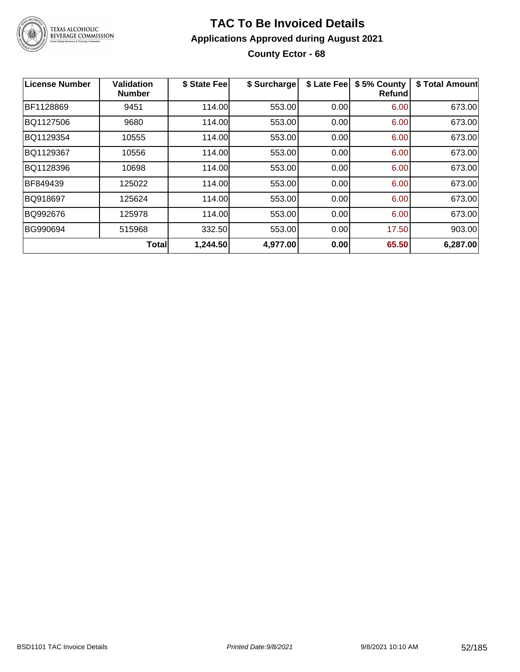

### **TAC To Be Invoiced Details Applications Approved during August 2021 County Ector - 68**

| <b>License Number</b> | <b>Validation</b><br><b>Number</b> | \$ State Fee | \$ Surcharge | \$ Late Fee | \$5% County<br>Refundl | \$ Total Amount |
|-----------------------|------------------------------------|--------------|--------------|-------------|------------------------|-----------------|
| BF1128869             | 9451                               | 114.00       | 553.00       | 0.00        | 6.00                   | 673.00          |
| BQ1127506             | 9680                               | 114.00       | 553.00       | 0.00        | 6.00                   | 673.00          |
| BQ1129354             | 10555                              | 114.00       | 553.00       | 0.00        | 6.00                   | 673.00          |
| BQ1129367             | 10556                              | 114.00       | 553.00       | 0.00        | 6.00                   | 673.00          |
| BQ1128396             | 10698                              | 114.00       | 553.00       | 0.00        | 6.00                   | 673.00          |
| BF849439              | 125022                             | 114.00       | 553.00       | 0.00        | 6.00                   | 673.00          |
| BQ918697              | 125624                             | 114.00       | 553.00       | 0.00        | 6.00                   | 673.00          |
| BQ992676              | 125978                             | 114.00       | 553.00       | 0.00        | 6.00                   | 673.00          |
| BG990694              | 515968                             | 332.50       | 553.00       | 0.00        | 17.50                  | 903.00          |
|                       | <b>Total</b>                       | 1,244.50     | 4,977.00     | 0.00        | 65.50                  | 6,287.00        |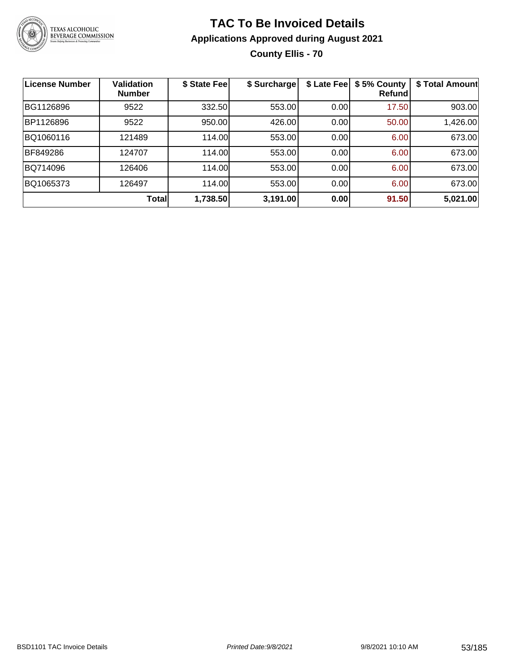

### **TAC To Be Invoiced Details Applications Approved during August 2021 County Ellis - 70**

| <b>License Number</b> | <b>Validation</b><br><b>Number</b> | \$ State Fee | \$ Surcharge | \$ Late Fee | \$5% County<br>Refund | \$ Total Amount |
|-----------------------|------------------------------------|--------------|--------------|-------------|-----------------------|-----------------|
| BG1126896             | 9522                               | 332.50       | 553.00       | 0.00        | 17.50                 | 903.00          |
| BP1126896             | 9522                               | 950.00       | 426.00       | 0.00        | 50.00                 | 1,426.00        |
| BQ1060116             | 121489                             | 114.00       | 553.00       | 0.00        | 6.00                  | 673.00          |
| BF849286              | 124707                             | 114.00       | 553.00       | 0.00        | 6.00                  | 673.00          |
| BQ714096              | 126406                             | 114.00       | 553.00       | 0.00        | 6.00                  | 673.00          |
| BQ1065373             | 126497                             | 114.00       | 553.00       | 0.00        | 6.00                  | 673.00          |
|                       | <b>Total</b>                       | 1,738.50     | 3,191.00     | 0.00        | 91.50                 | 5,021.00        |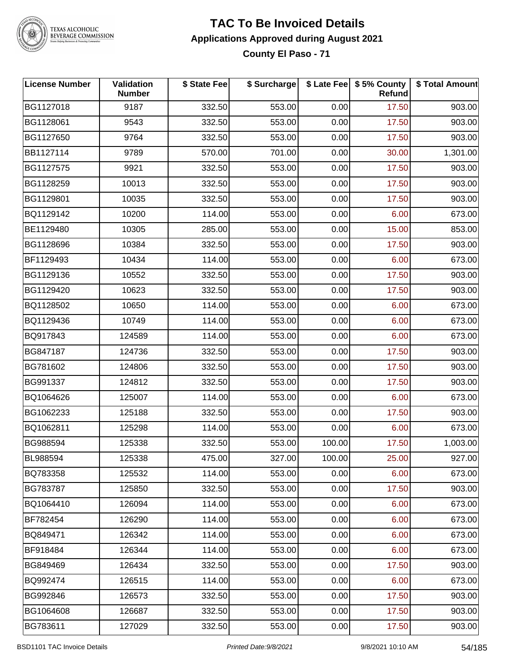

TEXAS ALCOHOLIC<br>BEVERAGE COMMISSION

## **TAC To Be Invoiced Details Applications Approved during August 2021**

**County El Paso - 71**

| <b>License Number</b> | Validation<br><b>Number</b> | \$ State Fee | \$ Surcharge |        | \$ Late Fee   \$5% County<br><b>Refund</b> | \$ Total Amount |
|-----------------------|-----------------------------|--------------|--------------|--------|--------------------------------------------|-----------------|
| BG1127018             | 9187                        | 332.50       | 553.00       | 0.00   | 17.50                                      | 903.00          |
| BG1128061             | 9543                        | 332.50       | 553.00       | 0.00   | 17.50                                      | 903.00          |
| BG1127650             | 9764                        | 332.50       | 553.00       | 0.00   | 17.50                                      | 903.00          |
| BB1127114             | 9789                        | 570.00       | 701.00       | 0.00   | 30.00                                      | 1,301.00        |
| BG1127575             | 9921                        | 332.50       | 553.00       | 0.00   | 17.50                                      | 903.00          |
| BG1128259             | 10013                       | 332.50       | 553.00       | 0.00   | 17.50                                      | 903.00          |
| BG1129801             | 10035                       | 332.50       | 553.00       | 0.00   | 17.50                                      | 903.00          |
| BQ1129142             | 10200                       | 114.00       | 553.00       | 0.00   | 6.00                                       | 673.00          |
| BE1129480             | 10305                       | 285.00       | 553.00       | 0.00   | 15.00                                      | 853.00          |
| BG1128696             | 10384                       | 332.50       | 553.00       | 0.00   | 17.50                                      | 903.00          |
| BF1129493             | 10434                       | 114.00       | 553.00       | 0.00   | 6.00                                       | 673.00          |
| BG1129136             | 10552                       | 332.50       | 553.00       | 0.00   | 17.50                                      | 903.00          |
| BG1129420             | 10623                       | 332.50       | 553.00       | 0.00   | 17.50                                      | 903.00          |
| BQ1128502             | 10650                       | 114.00       | 553.00       | 0.00   | 6.00                                       | 673.00          |
| BQ1129436             | 10749                       | 114.00       | 553.00       | 0.00   | 6.00                                       | 673.00          |
| BQ917843              | 124589                      | 114.00       | 553.00       | 0.00   | 6.00                                       | 673.00          |
| BG847187              | 124736                      | 332.50       | 553.00       | 0.00   | 17.50                                      | 903.00          |
| BG781602              | 124806                      | 332.50       | 553.00       | 0.00   | 17.50                                      | 903.00          |
| BG991337              | 124812                      | 332.50       | 553.00       | 0.00   | 17.50                                      | 903.00          |
| BQ1064626             | 125007                      | 114.00       | 553.00       | 0.00   | 6.00                                       | 673.00          |
| BG1062233             | 125188                      | 332.50       | 553.00       | 0.00   | 17.50                                      | 903.00          |
| BQ1062811             | 125298                      | 114.00       | 553.00       | 0.00   | 6.00                                       | 673.00          |
| BG988594              | 125338                      | 332.50       | 553.00       | 100.00 | 17.50                                      | 1,003.00        |
| BL988594              | 125338                      | 475.00       | 327.00       | 100.00 | 25.00                                      | 927.00          |
| BQ783358              | 125532                      | 114.00       | 553.00       | 0.00   | 6.00                                       | 673.00          |
| BG783787              | 125850                      | 332.50       | 553.00       | 0.00   | 17.50                                      | 903.00          |
| BQ1064410             | 126094                      | 114.00       | 553.00       | 0.00   | 6.00                                       | 673.00          |
| BF782454              | 126290                      | 114.00       | 553.00       | 0.00   | 6.00                                       | 673.00          |
| BQ849471              | 126342                      | 114.00       | 553.00       | 0.00   | 6.00                                       | 673.00          |
| BF918484              | 126344                      | 114.00       | 553.00       | 0.00   | 6.00                                       | 673.00          |
| BG849469              | 126434                      | 332.50       | 553.00       | 0.00   | 17.50                                      | 903.00          |
| BQ992474              | 126515                      | 114.00       | 553.00       | 0.00   | 6.00                                       | 673.00          |
| BG992846              | 126573                      | 332.50       | 553.00       | 0.00   | 17.50                                      | 903.00          |
| BG1064608             | 126687                      | 332.50       | 553.00       | 0.00   | 17.50                                      | 903.00          |
| BG783611              | 127029                      | 332.50       | 553.00       | 0.00   | 17.50                                      | 903.00          |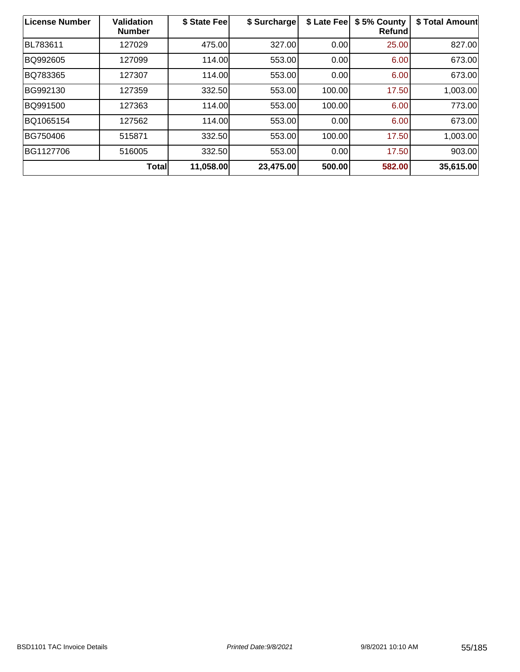| License Number | <b>Validation</b><br><b>Number</b> | \$ State Fee | \$ Surcharge | \$ Late Fee | \$5% County<br>Refund | \$ Total Amount |
|----------------|------------------------------------|--------------|--------------|-------------|-----------------------|-----------------|
| BL783611       | 127029                             | 475.00       | 327.00       | 0.00        | 25.00                 | 827.00          |
| BQ992605       | 127099                             | 114.00       | 553.00       | 0.00        | 6.00                  | 673.00          |
| BQ783365       | 127307                             | 114.00       | 553.00       | 0.00        | 6.00                  | 673.00          |
| BG992130       | 127359                             | 332.50       | 553.00       | 100.00      | 17.50                 | 1,003.00        |
| BQ991500       | 127363                             | 114.00       | 553.00       | 100.00      | 6.00                  | 773.00          |
| BQ1065154      | 127562                             | 114.00       | 553.00       | 0.00        | 6.00                  | 673.00          |
| BG750406       | 515871                             | 332.50       | 553.00       | 100.00      | 17.50                 | 1,003.00        |
| BG1127706      | 516005                             | 332.50       | 553.00       | 0.00        | 17.50                 | 903.00          |
|                | <b>Total</b>                       | 11,058.00    | 23,475.00    | 500.00      | 582.00                | 35,615.00       |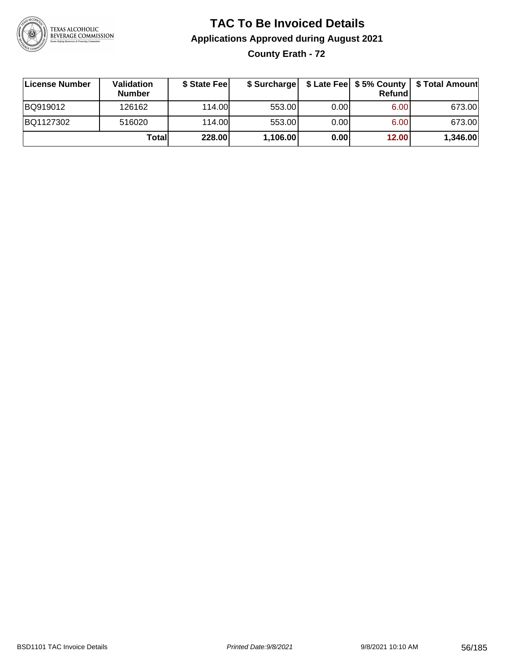

### **TAC To Be Invoiced Details Applications Approved during August 2021 County Erath - 72**

| License Number | <b>Validation</b><br><b>Number</b> | \$ State Feel |          |       | Refundl | \$ Surcharge   \$ Late Fee   \$5% County   \$ Total Amount |
|----------------|------------------------------------|---------------|----------|-------|---------|------------------------------------------------------------|
| BQ919012       | 126162                             | 114.00        | 553.00   | 0.001 | 6.00    | 673.00                                                     |
| BQ1127302      | 516020                             | 114.00        | 553.00   | 0.00  | 6.00    | 673.00                                                     |
|                | Totall                             | 228.00        | 1,106.00 | 0.00  | 12.00   | 1,346.00                                                   |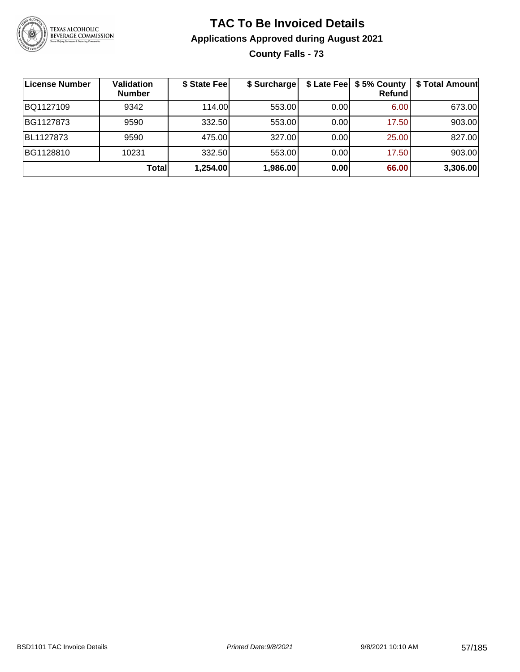

### **TAC To Be Invoiced Details Applications Approved during August 2021 County Falls - 73**

| <b>License Number</b> | <b>Validation</b><br><b>Number</b> | \$ State Fee | \$ Surcharge |      | \$ Late Fee   \$5% County<br><b>Refund</b> | \$ Total Amount |
|-----------------------|------------------------------------|--------------|--------------|------|--------------------------------------------|-----------------|
| BQ1127109             | 9342                               | 114.00       | 553.00       | 0.00 | 6.00                                       | 673.00          |
| BG1127873             | 9590                               | 332.50       | 553.00       | 0.00 | 17.50                                      | 903.00          |
| BL1127873             | 9590                               | 475.00       | 327.00       | 0.00 | 25.00                                      | 827.00          |
| BG1128810             | 10231                              | 332.50       | 553.00       | 0.00 | 17.50                                      | 903.00          |
|                       | Total                              | 1,254.00     | 1,986.00     | 0.00 | 66.00                                      | 3,306.00        |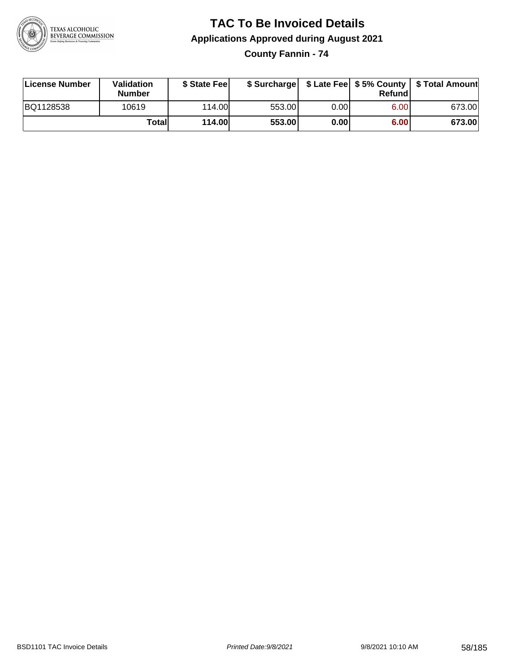

## **TAC To Be Invoiced Details Applications Approved during August 2021**

**County Fannin - 74**

| License Number | Validation<br><b>Number</b> | \$ State Feel |        |       | Refundl | \$ Surcharge   \$ Late Fee   \$5% County   \$ Total Amount |
|----------------|-----------------------------|---------------|--------|-------|---------|------------------------------------------------------------|
| BQ1128538      | 10619                       | 114.00        | 553.00 | 0.001 | 6.00    | 673.00                                                     |
|                | Totall                      | <b>114.00</b> | 553.00 | 0.00  | 6.00    | 673.00                                                     |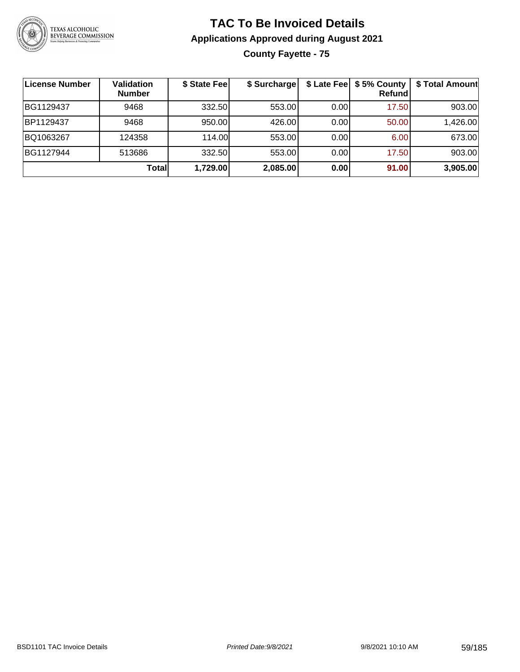

### **TAC To Be Invoiced Details Applications Approved during August 2021 County Fayette - 75**

| License Number | <b>Validation</b><br><b>Number</b> | \$ State Fee | \$ Surcharge |      | \$ Late Fee   \$5% County<br><b>Refund</b> | \$ Total Amount |
|----------------|------------------------------------|--------------|--------------|------|--------------------------------------------|-----------------|
| BG1129437      | 9468                               | 332.50       | 553.00       | 0.00 | 17.50                                      | 903.00          |
| BP1129437      | 9468                               | 950.00       | 426.00       | 0.00 | 50.00                                      | 1,426.00        |
| BQ1063267      | 124358                             | 114.00       | 553.00       | 0.00 | 6.00                                       | 673.00          |
| BG1127944      | 513686                             | 332.50       | 553.00       | 0.00 | 17.50                                      | 903.00          |
|                | Total                              | 1,729.00     | 2,085.00     | 0.00 | 91.00                                      | 3,905.00        |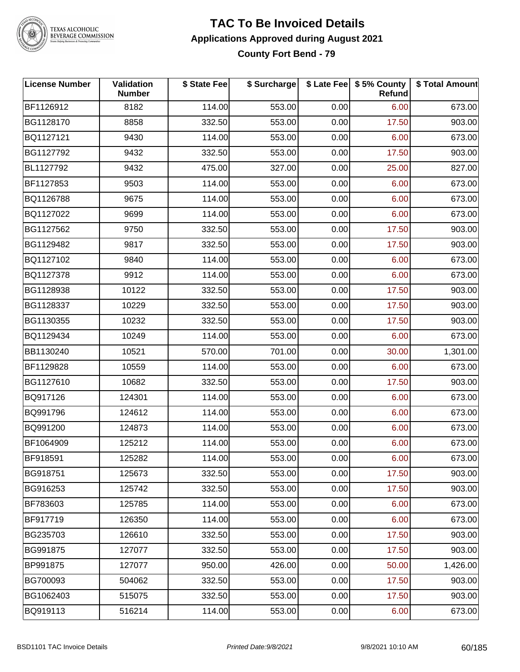

TEXAS ALCOHOLIC<br>BEVERAGE COMMISSION

#### **TAC To Be Invoiced Details Applications Approved during August 2021 County Fort Bend - 79**

| <b>License Number</b> | Validation<br><b>Number</b> | \$ State Fee | \$ Surcharge |      | \$ Late Fee   \$5% County<br><b>Refund</b> | \$ Total Amount |
|-----------------------|-----------------------------|--------------|--------------|------|--------------------------------------------|-----------------|
| BF1126912             | 8182                        | 114.00       | 553.00       | 0.00 | 6.00                                       | 673.00          |
| BG1128170             | 8858                        | 332.50       | 553.00       | 0.00 | 17.50                                      | 903.00          |
| BQ1127121             | 9430                        | 114.00       | 553.00       | 0.00 | 6.00                                       | 673.00          |
| BG1127792             | 9432                        | 332.50       | 553.00       | 0.00 | 17.50                                      | 903.00          |
| BL1127792             | 9432                        | 475.00       | 327.00       | 0.00 | 25.00                                      | 827.00          |
| BF1127853             | 9503                        | 114.00       | 553.00       | 0.00 | 6.00                                       | 673.00          |
| BQ1126788             | 9675                        | 114.00       | 553.00       | 0.00 | 6.00                                       | 673.00          |
| BQ1127022             | 9699                        | 114.00       | 553.00       | 0.00 | 6.00                                       | 673.00          |
| BG1127562             | 9750                        | 332.50       | 553.00       | 0.00 | 17.50                                      | 903.00          |
| BG1129482             | 9817                        | 332.50       | 553.00       | 0.00 | 17.50                                      | 903.00          |
| BQ1127102             | 9840                        | 114.00       | 553.00       | 0.00 | 6.00                                       | 673.00          |
| BQ1127378             | 9912                        | 114.00       | 553.00       | 0.00 | 6.00                                       | 673.00          |
| BG1128938             | 10122                       | 332.50       | 553.00       | 0.00 | 17.50                                      | 903.00          |
| BG1128337             | 10229                       | 332.50       | 553.00       | 0.00 | 17.50                                      | 903.00          |
| BG1130355             | 10232                       | 332.50       | 553.00       | 0.00 | 17.50                                      | 903.00          |
| BQ1129434             | 10249                       | 114.00       | 553.00       | 0.00 | 6.00                                       | 673.00          |
| BB1130240             | 10521                       | 570.00       | 701.00       | 0.00 | 30.00                                      | 1,301.00        |
| BF1129828             | 10559                       | 114.00       | 553.00       | 0.00 | 6.00                                       | 673.00          |
| BG1127610             | 10682                       | 332.50       | 553.00       | 0.00 | 17.50                                      | 903.00          |
| BQ917126              | 124301                      | 114.00       | 553.00       | 0.00 | 6.00                                       | 673.00          |
| BQ991796              | 124612                      | 114.00       | 553.00       | 0.00 | 6.00                                       | 673.00          |
| BQ991200              | 124873                      | 114.00       | 553.00       | 0.00 | 6.00                                       | 673.00          |
| BF1064909             | 125212                      | 114.00       | 553.00       | 0.00 | 6.00                                       | 673.00          |
| BF918591              | 125282                      | 114.00       | 553.00       | 0.00 | 6.00                                       | 673.00          |
| BG918751              | 125673                      | 332.50       | 553.00       | 0.00 | 17.50                                      | 903.00          |
| BG916253              | 125742                      | 332.50       | 553.00       | 0.00 | 17.50                                      | 903.00          |
| BF783603              | 125785                      | 114.00       | 553.00       | 0.00 | 6.00                                       | 673.00          |
| BF917719              | 126350                      | 114.00       | 553.00       | 0.00 | 6.00                                       | 673.00          |
| BG235703              | 126610                      | 332.50       | 553.00       | 0.00 | 17.50                                      | 903.00          |
| BG991875              | 127077                      | 332.50       | 553.00       | 0.00 | 17.50                                      | 903.00          |
| BP991875              | 127077                      | 950.00       | 426.00       | 0.00 | 50.00                                      | 1,426.00        |
| BG700093              | 504062                      | 332.50       | 553.00       | 0.00 | 17.50                                      | 903.00          |
| BG1062403             | 515075                      | 332.50       | 553.00       | 0.00 | 17.50                                      | 903.00          |
| BQ919113              | 516214                      | 114.00       | 553.00       | 0.00 | 6.00                                       | 673.00          |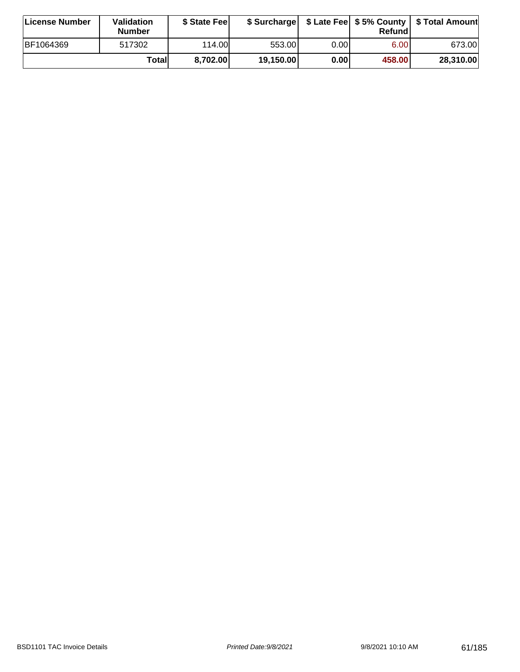| License Number | <b>Validation</b><br><b>Number</b> | \$ State Fee |           |       | Refundl           | \$ Surcharge   \$ Late Fee   \$5% County   \$ Total Amount |
|----------------|------------------------------------|--------------|-----------|-------|-------------------|------------------------------------------------------------|
| BF1064369      | 517302                             | 114.00L      | 553.001   | 0.001 | 6.00 <sub>1</sub> | 673.00                                                     |
|                | Totall                             | 8,702.00     | 19,150.00 | 0.00  | 458.00            | 28,310.00                                                  |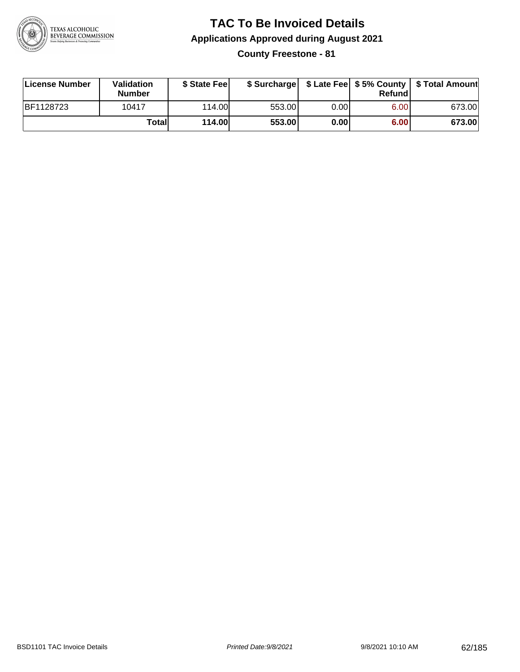

## **TAC To Be Invoiced Details Applications Approved during August 2021**

**County Freestone - 81**

| License Number | Validation<br><b>Number</b> | \$ State Fee  | \$ Surcharge |      | Refund |        |
|----------------|-----------------------------|---------------|--------------|------|--------|--------|
| BF1128723      | 10417                       | 114.00        | 553.00       | 0.00 | 6.00   | 673.00 |
|                | Totall                      | <b>114.00</b> | 553.00       | 0.00 | 6.00   | 673.00 |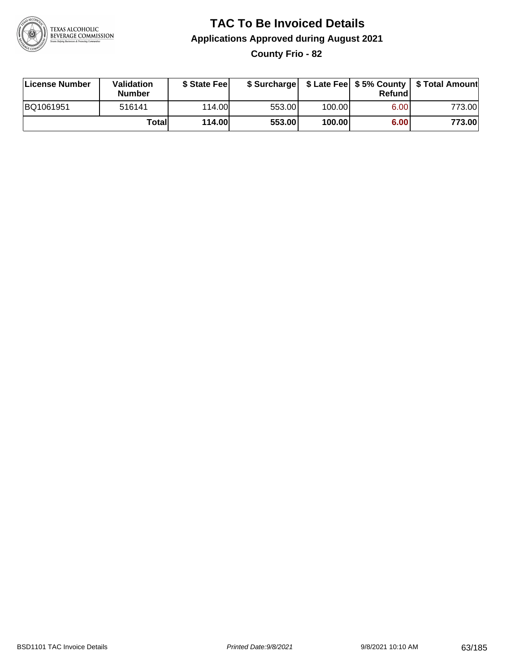

# **TAC To Be Invoiced Details Applications Approved during August 2021**

**County Frio - 82**

| License Number | Validation<br><b>Number</b> | \$ State Fee  | \$ Surcharge |        | Refundl | \$ Late Fee   \$5% County   \$ Total Amount |
|----------------|-----------------------------|---------------|--------------|--------|---------|---------------------------------------------|
| BQ1061951      | 516141                      | 114.00L       | 553.00       | 100.00 | 6.00    | 773.00                                      |
|                | Totall                      | <b>114.00</b> | 553.00       | 100.00 | 6.00    | 773.00                                      |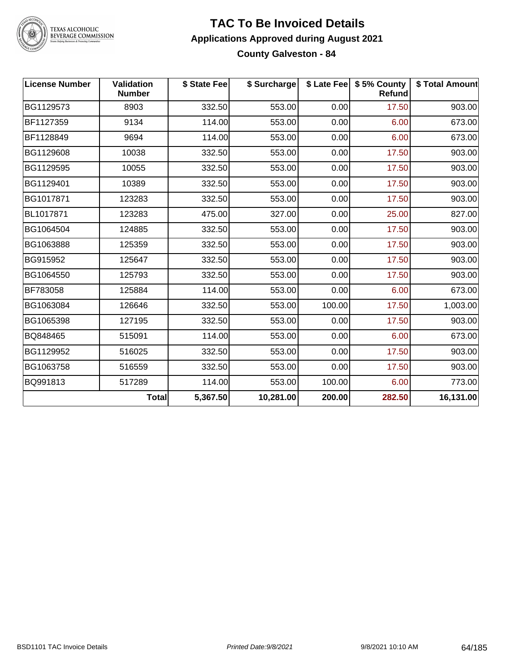

TEXAS ALCOHOLIC<br>BEVERAGE COMMISSION

#### **TAC To Be Invoiced Details Applications Approved during August 2021 County Galveston - 84**

| <b>License Number</b> | Validation<br><b>Number</b> | \$ State Fee | \$ Surcharge |        | \$ Late Fee   \$5% County<br><b>Refund</b> | \$ Total Amount |
|-----------------------|-----------------------------|--------------|--------------|--------|--------------------------------------------|-----------------|
| BG1129573             | 8903                        | 332.50       | 553.00       | 0.00   | 17.50                                      | 903.00          |
| BF1127359             | 9134                        | 114.00       | 553.00       | 0.00   | 6.00                                       | 673.00          |
| BF1128849             | 9694                        | 114.00       | 553.00       | 0.00   | 6.00                                       | 673.00          |
| BG1129608             | 10038                       | 332.50       | 553.00       | 0.00   | 17.50                                      | 903.00          |
| BG1129595             | 10055                       | 332.50       | 553.00       | 0.00   | 17.50                                      | 903.00          |
| BG1129401             | 10389                       | 332.50       | 553.00       | 0.00   | 17.50                                      | 903.00          |
| BG1017871             | 123283                      | 332.50       | 553.00       | 0.00   | 17.50                                      | 903.00          |
| BL1017871             | 123283                      | 475.00       | 327.00       | 0.00   | 25.00                                      | 827.00          |
| BG1064504             | 124885                      | 332.50       | 553.00       | 0.00   | 17.50                                      | 903.00          |
| BG1063888             | 125359                      | 332.50       | 553.00       | 0.00   | 17.50                                      | 903.00          |
| BG915952              | 125647                      | 332.50       | 553.00       | 0.00   | 17.50                                      | 903.00          |
| BG1064550             | 125793                      | 332.50       | 553.00       | 0.00   | 17.50                                      | 903.00          |
| BF783058              | 125884                      | 114.00       | 553.00       | 0.00   | 6.00                                       | 673.00          |
| BG1063084             | 126646                      | 332.50       | 553.00       | 100.00 | 17.50                                      | 1,003.00        |
| BG1065398             | 127195                      | 332.50       | 553.00       | 0.00   | 17.50                                      | 903.00          |
| BQ848465              | 515091                      | 114.00       | 553.00       | 0.00   | 6.00                                       | 673.00          |
| BG1129952             | 516025                      | 332.50       | 553.00       | 0.00   | 17.50                                      | 903.00          |
| BG1063758             | 516559                      | 332.50       | 553.00       | 0.00   | 17.50                                      | 903.00          |
| BQ991813              | 517289                      | 114.00       | 553.00       | 100.00 | 6.00                                       | 773.00          |
|                       | <b>Total</b>                | 5,367.50     | 10,281.00    | 200.00 | 282.50                                     | 16,131.00       |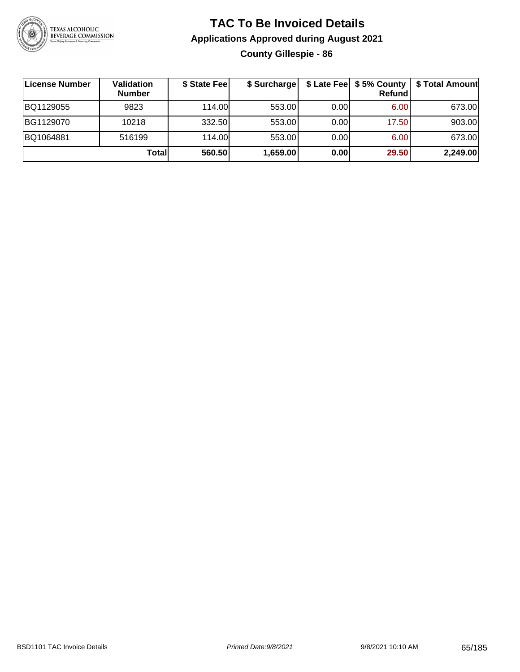

### **TAC To Be Invoiced Details Applications Approved during August 2021 County Gillespie - 86**

| ∣License Number | <b>Validation</b><br><b>Number</b> | \$ State Fee | \$ Surcharge |       | <b>Refund</b> | \$ Late Fee   \$5% County   \$ Total Amount |
|-----------------|------------------------------------|--------------|--------------|-------|---------------|---------------------------------------------|
| BQ1129055       | 9823                               | 114.00       | 553.00       | 0.001 | 6.00          | 673.00                                      |
| BG1129070       | 10218                              | 332.50       | 553.00       | 0.001 | 17.50         | 903.00                                      |
| BQ1064881       | 516199                             | 114.00       | 553.00       | 0.001 | 6.00          | 673.00                                      |
|                 | Totall                             | 560.50       | 1,659.00     | 0.00  | 29.50         | 2,249.00                                    |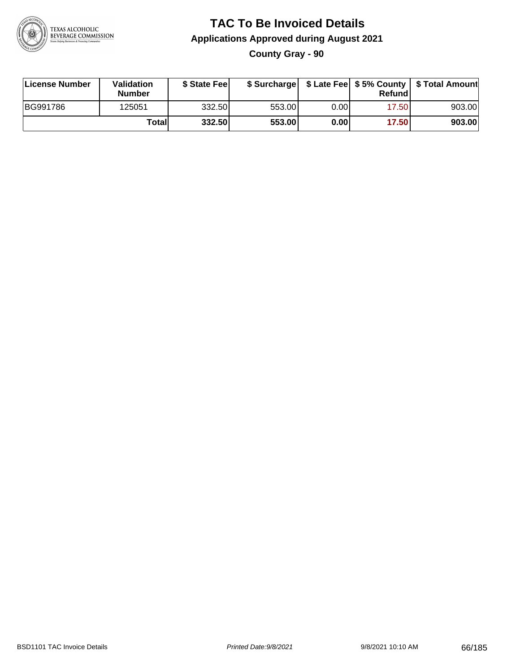

### **TAC To Be Invoiced Details Applications Approved during August 2021 County Gray - 90**

| License Number | Validation<br><b>Number</b> | \$ State Feel |        |       | Refundl | \$ Surcharge   \$ Late Fee   \$5% County   \$ Total Amount |
|----------------|-----------------------------|---------------|--------|-------|---------|------------------------------------------------------------|
| BG991786       | 125051                      | 332.50        | 553.00 | 0.00  | 17.50   | 903.00                                                     |
|                | Total                       | 332.50        | 553.00 | 0.001 | 17.50   | 903.00                                                     |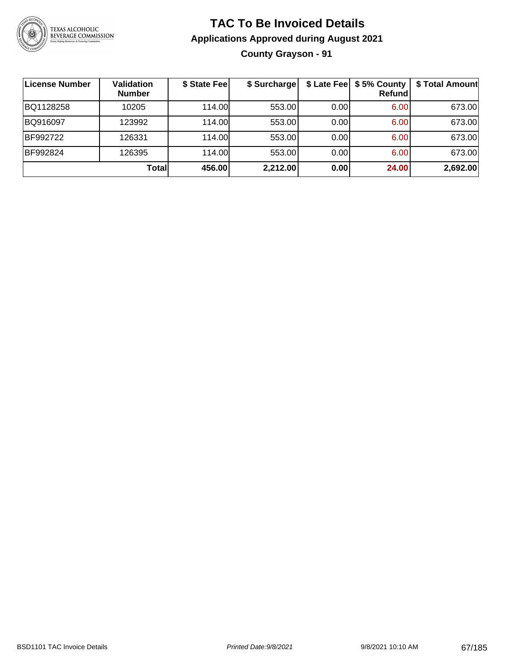

### **TAC To Be Invoiced Details Applications Approved during August 2021 County Grayson - 91**

| <b>License Number</b> | Validation<br><b>Number</b> | \$ State Fee | \$ Surcharge |      | \$ Late Fee   \$5% County  <br><b>Refund</b> | \$ Total Amount |
|-----------------------|-----------------------------|--------------|--------------|------|----------------------------------------------|-----------------|
| BQ1128258             | 10205                       | 114.00L      | 553.00       | 0.00 | 6.00                                         | 673.00          |
| BQ916097              | 123992                      | 114.00L      | 553.00       | 0.00 | 6.00                                         | 673.00          |
| BF992722              | 126331                      | 114.00       | 553.00       | 0.00 | 6.00                                         | 673.00          |
| BF992824              | 126395                      | 114.00L      | 553.00       | 0.00 | 6.00                                         | 673.00          |
|                       | Totall                      | 456.00       | 2,212.00     | 0.00 | 24.00                                        | 2,692.00        |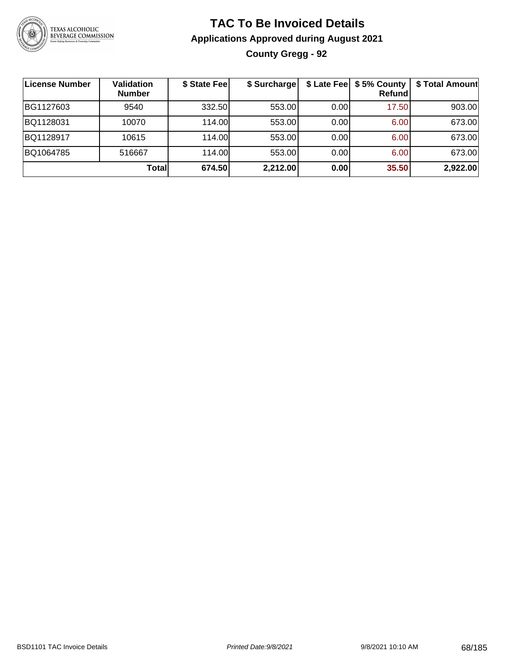

### **TAC To Be Invoiced Details Applications Approved during August 2021 County Gregg - 92**

| License Number | Validation<br><b>Number</b> | \$ State Fee | \$ Surcharge |      | \$ Late Fee   \$5% County<br><b>Refund</b> | \$ Total Amount |
|----------------|-----------------------------|--------------|--------------|------|--------------------------------------------|-----------------|
| BG1127603      | 9540                        | 332.50       | 553.00       | 0.00 | 17.50                                      | 903.00          |
| BQ1128031      | 10070                       | 114.00       | 553.00       | 0.00 | 6.00                                       | 673.00          |
| BQ1128917      | 10615                       | 114.00L      | 553.00       | 0.00 | 6.00                                       | 673.00          |
| BQ1064785      | 516667                      | 114.00       | 553.00       | 0.00 | 6.00                                       | 673.00          |
|                | Totall                      | 674.50       | 2,212.00     | 0.00 | 35.50                                      | 2,922.00        |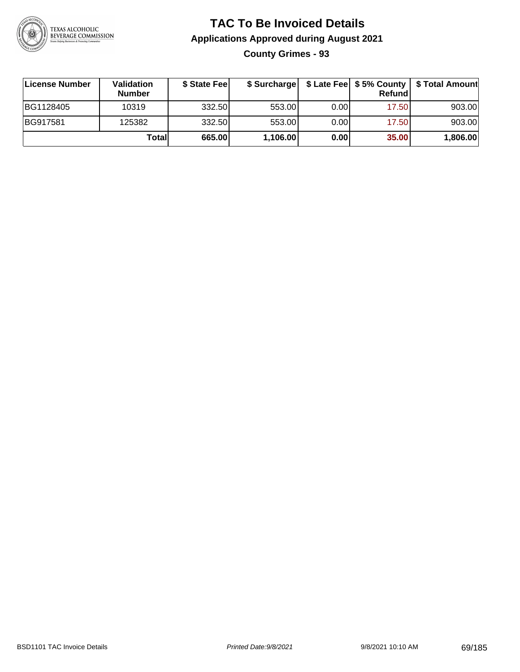

### **TAC To Be Invoiced Details Applications Approved during August 2021 County Grimes - 93**

| License Number  | Validation<br><b>Number</b> | \$ State Feel |          |       | Refund | \$ Surcharge   \$ Late Fee   \$5% County   \$ Total Amount |
|-----------------|-----------------------------|---------------|----------|-------|--------|------------------------------------------------------------|
| BG1128405       | 10319                       | 332.50        | 553.00   | 0.001 | 17.50  | 903.00                                                     |
| <b>BG917581</b> | 125382                      | 332.50        | 553.00   | 0.00  | 17.50  | 903.00                                                     |
|                 | Totall                      | 665.00        | 1,106.00 | 0.00  | 35.00  | 1,806.00                                                   |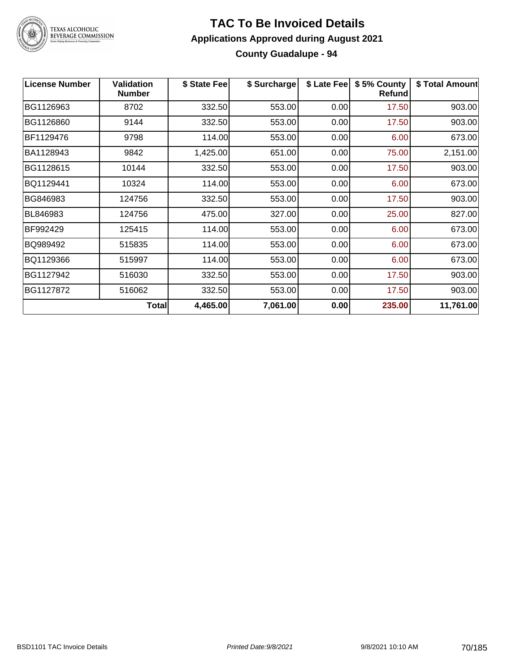

# TEXAS ALCOHOLIC<br>BEVERAGE COMMISSION

#### **TAC To Be Invoiced Details Applications Approved during August 2021 County Guadalupe - 94**

| <b>License Number</b> | Validation<br><b>Number</b> | \$ State Fee | \$ Surcharge | \$ Late Fee | \$5% County<br><b>Refund</b> | \$ Total Amount |
|-----------------------|-----------------------------|--------------|--------------|-------------|------------------------------|-----------------|
| BG1126963             | 8702                        | 332.50       | 553.00       | 0.00        | 17.50                        | 903.00          |
| BG1126860             | 9144                        | 332.50       | 553.00       | 0.00        | 17.50                        | 903.00          |
| BF1129476             | 9798                        | 114.00       | 553.00       | 0.00        | 6.00                         | 673.00          |
| BA1128943             | 9842                        | 1,425.00     | 651.00       | 0.00        | 75.00                        | 2,151.00        |
| BG1128615             | 10144                       | 332.50       | 553.00       | 0.00        | 17.50                        | 903.00          |
| BQ1129441             | 10324                       | 114.00       | 553.00       | 0.00        | 6.00                         | 673.00          |
| BG846983              | 124756                      | 332.50       | 553.00       | 0.00        | 17.50                        | 903.00          |
| BL846983              | 124756                      | 475.00       | 327.00       | 0.00        | 25.00                        | 827.00          |
| BF992429              | 125415                      | 114.00       | 553.00       | 0.00        | 6.00                         | 673.00          |
| BQ989492              | 515835                      | 114.00       | 553.00       | 0.00        | 6.00                         | 673.00          |
| BQ1129366             | 515997                      | 114.00       | 553.00       | 0.00        | 6.00                         | 673.00          |
| BG1127942             | 516030                      | 332.50       | 553.00       | 0.00        | 17.50                        | 903.00          |
| BG1127872             | 516062                      | 332.50       | 553.00       | 0.00        | 17.50                        | 903.00          |
|                       | <b>Total</b>                | 4,465.00     | 7,061.00     | 0.00        | 235.00                       | 11,761.00       |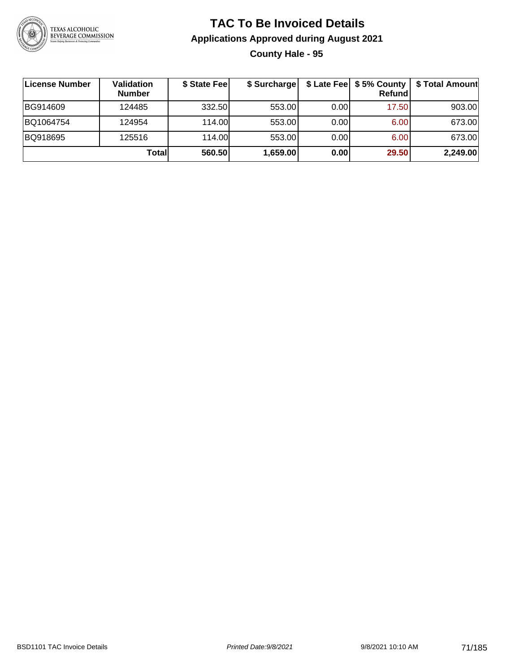

### **TAC To Be Invoiced Details Applications Approved during August 2021 County Hale - 95**

| License Number | Validation<br><b>Number</b> | \$ State Fee | \$ Surcharge |      | \$ Late Fee   \$5% County<br>Refundl | \$ Total Amount |
|----------------|-----------------------------|--------------|--------------|------|--------------------------------------|-----------------|
| BG914609       | 124485                      | 332.50       | 553.00       | 0.00 | 17.50                                | 903.00          |
| BQ1064754      | 124954                      | 114.00       | 553.00       | 0.00 | 6.00                                 | 673.00          |
| BQ918695       | 125516                      | 114.00       | 553.00       | 0.00 | 6.00                                 | 673.00          |
|                | Totall                      | 560.50       | 1,659.00     | 0.00 | 29.50                                | 2,249.00        |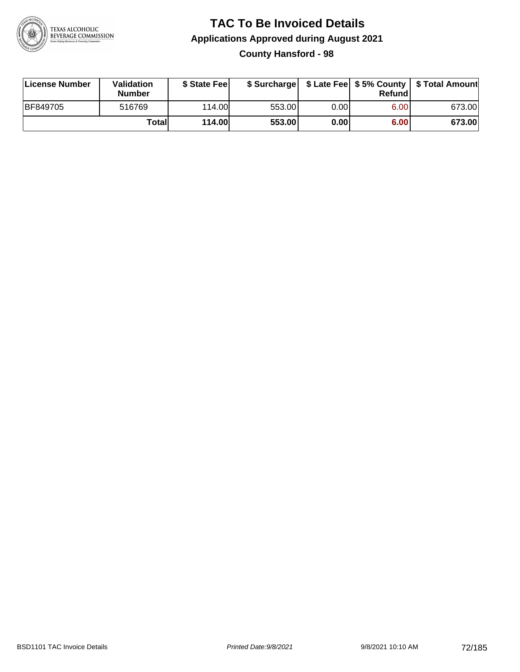

# **TAC To Be Invoiced Details Applications Approved during August 2021**

**County Hansford - 98**

| License Number | Validation<br><b>Number</b> | \$ State Fee  | \$ Surcharge |      | Refundl | \$ Late Fee   \$5% County   \$ Total Amount |
|----------------|-----------------------------|---------------|--------------|------|---------|---------------------------------------------|
| BF849705       | 516769                      | 114.00        | 553.00       | 0.00 | 6.00    | 673.00                                      |
|                | Totall                      | <b>114.00</b> | 553.00       | 0.00 | 6.00    | 673.00                                      |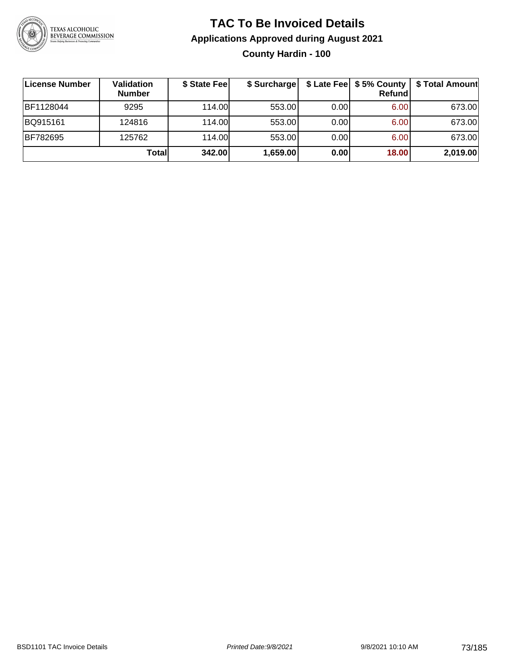

### **TAC To Be Invoiced Details Applications Approved during August 2021 County Hardin - 100**

| License Number | Validation<br><b>Number</b> | \$ State Fee | \$ Surcharge |      | <b>Refund</b> | \$ Late Fee   \$5% County   \$ Total Amount |
|----------------|-----------------------------|--------------|--------------|------|---------------|---------------------------------------------|
| BF1128044      | 9295                        | 114.00       | 553.00       | 0.00 | 6.00          | 673.00                                      |
| BQ915161       | 124816                      | 114.00       | 553.00       | 0.00 | 6.00          | 673.00                                      |
| BF782695       | 125762                      | 114.00L      | 553.00       | 0.00 | 6.00          | 673.00                                      |
|                | Totall                      | 342.00       | 1,659.00     | 0.00 | 18.00         | 2,019.00                                    |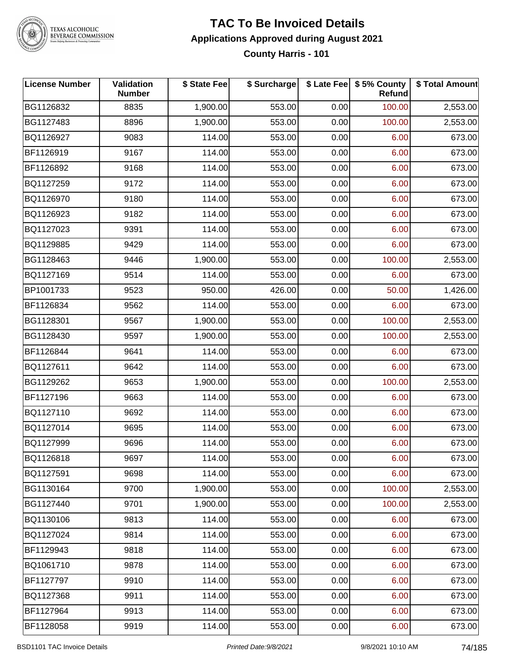

# TEXAS ALCOHOLIC<br>BEVERAGE COMMISSION

#### **TAC To Be Invoiced Details Applications Approved during August 2021 County Harris - 101**

| <b>License Number</b> | <b>Validation</b><br><b>Number</b> | \$ State Fee | \$ Surcharge |      | \$ Late Fee   \$5% County<br>Refund | \$ Total Amount |
|-----------------------|------------------------------------|--------------|--------------|------|-------------------------------------|-----------------|
| BG1126832             | 8835                               | 1,900.00     | 553.00       | 0.00 | 100.00                              | 2,553.00        |
| BG1127483             | 8896                               | 1,900.00     | 553.00       | 0.00 | 100.00                              | 2,553.00        |
| BQ1126927             | 9083                               | 114.00       | 553.00       | 0.00 | 6.00                                | 673.00          |
| BF1126919             | 9167                               | 114.00       | 553.00       | 0.00 | 6.00                                | 673.00          |
| BF1126892             | 9168                               | 114.00       | 553.00       | 0.00 | 6.00                                | 673.00          |
| BQ1127259             | 9172                               | 114.00       | 553.00       | 0.00 | 6.00                                | 673.00          |
| BQ1126970             | 9180                               | 114.00       | 553.00       | 0.00 | 6.00                                | 673.00          |
| BQ1126923             | 9182                               | 114.00       | 553.00       | 0.00 | 6.00                                | 673.00          |
| BQ1127023             | 9391                               | 114.00       | 553.00       | 0.00 | 6.00                                | 673.00          |
| BQ1129885             | 9429                               | 114.00       | 553.00       | 0.00 | 6.00                                | 673.00          |
| BG1128463             | 9446                               | 1,900.00     | 553.00       | 0.00 | 100.00                              | 2,553.00        |
| BQ1127169             | 9514                               | 114.00       | 553.00       | 0.00 | 6.00                                | 673.00          |
| BP1001733             | 9523                               | 950.00       | 426.00       | 0.00 | 50.00                               | 1,426.00        |
| BF1126834             | 9562                               | 114.00       | 553.00       | 0.00 | 6.00                                | 673.00          |
| BG1128301             | 9567                               | 1,900.00     | 553.00       | 0.00 | 100.00                              | 2,553.00        |
| BG1128430             | 9597                               | 1,900.00     | 553.00       | 0.00 | 100.00                              | 2,553.00        |
| BF1126844             | 9641                               | 114.00       | 553.00       | 0.00 | 6.00                                | 673.00          |
| BQ1127611             | 9642                               | 114.00       | 553.00       | 0.00 | 6.00                                | 673.00          |
| BG1129262             | 9653                               | 1,900.00     | 553.00       | 0.00 | 100.00                              | 2,553.00        |
| BF1127196             | 9663                               | 114.00       | 553.00       | 0.00 | 6.00                                | 673.00          |
| BQ1127110             | 9692                               | 114.00       | 553.00       | 0.00 | 6.00                                | 673.00          |
| BQ1127014             | 9695                               | 114.00       | 553.00       | 0.00 | 6.00                                | 673.00          |
| BQ1127999             | 9696                               | 114.00       | 553.00       | 0.00 | 6.00                                | 673.00          |
| BQ1126818             | 9697                               | 114.00       | 553.00       | 0.00 | 6.00                                | 673.00          |
| BQ1127591             | 9698                               | 114.00       | 553.00       | 0.00 | 6.00                                | 673.00          |
| BG1130164             | 9700                               | 1,900.00     | 553.00       | 0.00 | 100.00                              | 2,553.00        |
| BG1127440             | 9701                               | 1,900.00     | 553.00       | 0.00 | 100.00                              | 2,553.00        |
| BQ1130106             | 9813                               | 114.00       | 553.00       | 0.00 | 6.00                                | 673.00          |
| BQ1127024             | 9814                               | 114.00       | 553.00       | 0.00 | 6.00                                | 673.00          |
| BF1129943             | 9818                               | 114.00       | 553.00       | 0.00 | 6.00                                | 673.00          |
| BQ1061710             | 9878                               | 114.00       | 553.00       | 0.00 | 6.00                                | 673.00          |
| BF1127797             | 9910                               | 114.00       | 553.00       | 0.00 | 6.00                                | 673.00          |
| BQ1127368             | 9911                               | 114.00       | 553.00       | 0.00 | 6.00                                | 673.00          |
| BF1127964             | 9913                               | 114.00       | 553.00       | 0.00 | 6.00                                | 673.00          |
| BF1128058             | 9919                               | 114.00       | 553.00       | 0.00 | 6.00                                | 673.00          |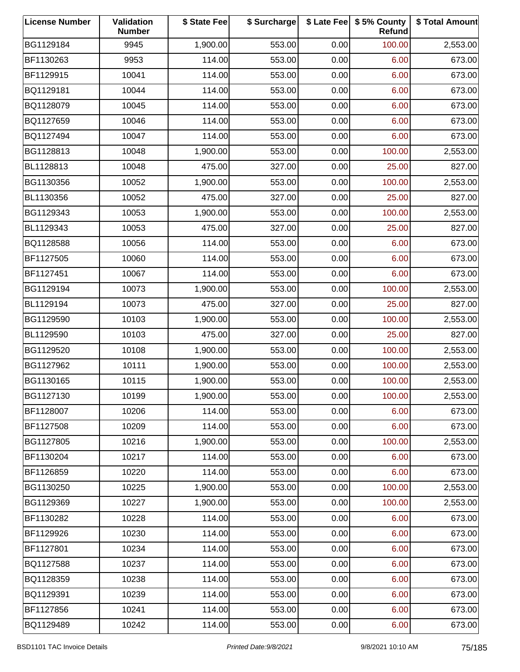| <b>License Number</b> | Validation<br><b>Number</b> | \$ State Fee | \$ Surcharge |      | \$ Late Fee   \$5% County<br>Refund | \$ Total Amount |
|-----------------------|-----------------------------|--------------|--------------|------|-------------------------------------|-----------------|
| BG1129184             | 9945                        | 1,900.00     | 553.00       | 0.00 | 100.00                              | 2,553.00        |
| BF1130263             | 9953                        | 114.00       | 553.00       | 0.00 | 6.00                                | 673.00          |
| BF1129915             | 10041                       | 114.00       | 553.00       | 0.00 | 6.00                                | 673.00          |
| BQ1129181             | 10044                       | 114.00       | 553.00       | 0.00 | 6.00                                | 673.00          |
| BQ1128079             | 10045                       | 114.00       | 553.00       | 0.00 | 6.00                                | 673.00          |
| BQ1127659             | 10046                       | 114.00       | 553.00       | 0.00 | 6.00                                | 673.00          |
| BQ1127494             | 10047                       | 114.00       | 553.00       | 0.00 | 6.00                                | 673.00          |
| BG1128813             | 10048                       | 1,900.00     | 553.00       | 0.00 | 100.00                              | 2,553.00        |
| BL1128813             | 10048                       | 475.00       | 327.00       | 0.00 | 25.00                               | 827.00          |
| BG1130356             | 10052                       | 1,900.00     | 553.00       | 0.00 | 100.00                              | 2,553.00        |
| BL1130356             | 10052                       | 475.00       | 327.00       | 0.00 | 25.00                               | 827.00          |
| BG1129343             | 10053                       | 1,900.00     | 553.00       | 0.00 | 100.00                              | 2,553.00        |
| BL1129343             | 10053                       | 475.00       | 327.00       | 0.00 | 25.00                               | 827.00          |
| BQ1128588             | 10056                       | 114.00       | 553.00       | 0.00 | 6.00                                | 673.00          |
| BF1127505             | 10060                       | 114.00       | 553.00       | 0.00 | 6.00                                | 673.00          |
| BF1127451             | 10067                       | 114.00       | 553.00       | 0.00 | 6.00                                | 673.00          |
| BG1129194             | 10073                       | 1,900.00     | 553.00       | 0.00 | 100.00                              | 2,553.00        |
| BL1129194             | 10073                       | 475.00       | 327.00       | 0.00 | 25.00                               | 827.00          |
| BG1129590             | 10103                       | 1,900.00     | 553.00       | 0.00 | 100.00                              | 2,553.00        |
| BL1129590             | 10103                       | 475.00       | 327.00       | 0.00 | 25.00                               | 827.00          |
| BG1129520             | 10108                       | 1,900.00     | 553.00       | 0.00 | 100.00                              | 2,553.00        |
| BG1127962             | 10111                       | 1,900.00     | 553.00       | 0.00 | 100.00                              | 2,553.00        |
| BG1130165             | 10115                       | 1,900.00     | 553.00       | 0.00 | 100.00                              | 2,553.00        |
| BG1127130             | 10199                       | 1,900.00     | 553.00       | 0.00 | 100.00                              | 2,553.00        |
| BF1128007             | 10206                       | 114.00       | 553.00       | 0.00 | 6.00                                | 673.00          |
| BF1127508             | 10209                       | 114.00       | 553.00       | 0.00 | 6.00                                | 673.00          |
| BG1127805             | 10216                       | 1,900.00     | 553.00       | 0.00 | 100.00                              | 2,553.00        |
| BF1130204             | 10217                       | 114.00       | 553.00       | 0.00 | 6.00                                | 673.00          |
| BF1126859             | 10220                       | 114.00       | 553.00       | 0.00 | 6.00                                | 673.00          |
| BG1130250             | 10225                       | 1,900.00     | 553.00       | 0.00 | 100.00                              | 2,553.00        |
| BG1129369             | 10227                       | 1,900.00     | 553.00       | 0.00 | 100.00                              | 2,553.00        |
| BF1130282             | 10228                       | 114.00       | 553.00       | 0.00 | 6.00                                | 673.00          |
| BF1129926             | 10230                       | 114.00       | 553.00       | 0.00 | 6.00                                | 673.00          |
| BF1127801             | 10234                       | 114.00       | 553.00       | 0.00 | 6.00                                | 673.00          |
| BQ1127588             | 10237                       | 114.00       | 553.00       | 0.00 | 6.00                                | 673.00          |
| BQ1128359             | 10238                       | 114.00       | 553.00       | 0.00 | 6.00                                | 673.00          |
| BQ1129391             | 10239                       | 114.00       | 553.00       | 0.00 | 6.00                                | 673.00          |
| BF1127856             | 10241                       | 114.00       | 553.00       | 0.00 | 6.00                                | 673.00          |
| BQ1129489             | 10242                       | 114.00       | 553.00       | 0.00 | 6.00                                | 673.00          |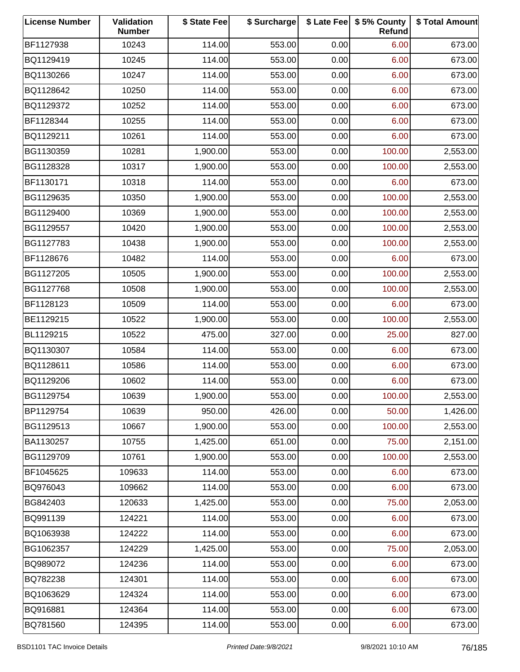| <b>License Number</b> | Validation<br><b>Number</b> | \$ State Fee | \$ Surcharge |      | \$ Late Fee   \$5% County<br>Refund | \$ Total Amount |
|-----------------------|-----------------------------|--------------|--------------|------|-------------------------------------|-----------------|
| BF1127938             | 10243                       | 114.00       | 553.00       | 0.00 | 6.00                                | 673.00          |
| BQ1129419             | 10245                       | 114.00       | 553.00       | 0.00 | 6.00                                | 673.00          |
| BQ1130266             | 10247                       | 114.00       | 553.00       | 0.00 | 6.00                                | 673.00          |
| BQ1128642             | 10250                       | 114.00       | 553.00       | 0.00 | 6.00                                | 673.00          |
| BQ1129372             | 10252                       | 114.00       | 553.00       | 0.00 | 6.00                                | 673.00          |
| BF1128344             | 10255                       | 114.00       | 553.00       | 0.00 | 6.00                                | 673.00          |
| BQ1129211             | 10261                       | 114.00       | 553.00       | 0.00 | 6.00                                | 673.00          |
| BG1130359             | 10281                       | 1,900.00     | 553.00       | 0.00 | 100.00                              | 2,553.00        |
| BG1128328             | 10317                       | 1,900.00     | 553.00       | 0.00 | 100.00                              | 2,553.00        |
| BF1130171             | 10318                       | 114.00       | 553.00       | 0.00 | 6.00                                | 673.00          |
| BG1129635             | 10350                       | 1,900.00     | 553.00       | 0.00 | 100.00                              | 2,553.00        |
| BG1129400             | 10369                       | 1,900.00     | 553.00       | 0.00 | 100.00                              | 2,553.00        |
| BG1129557             | 10420                       | 1,900.00     | 553.00       | 0.00 | 100.00                              | 2,553.00        |
| BG1127783             | 10438                       | 1,900.00     | 553.00       | 0.00 | 100.00                              | 2,553.00        |
| BF1128676             | 10482                       | 114.00       | 553.00       | 0.00 | 6.00                                | 673.00          |
| BG1127205             | 10505                       | 1,900.00     | 553.00       | 0.00 | 100.00                              | 2,553.00        |
| BG1127768             | 10508                       | 1,900.00     | 553.00       | 0.00 | 100.00                              | 2,553.00        |
| BF1128123             | 10509                       | 114.00       | 553.00       | 0.00 | 6.00                                | 673.00          |
| BE1129215             | 10522                       | 1,900.00     | 553.00       | 0.00 | 100.00                              | 2,553.00        |
| BL1129215             | 10522                       | 475.00       | 327.00       | 0.00 | 25.00                               | 827.00          |
| BQ1130307             | 10584                       | 114.00       | 553.00       | 0.00 | 6.00                                | 673.00          |
| BQ1128611             | 10586                       | 114.00       | 553.00       | 0.00 | 6.00                                | 673.00          |
| BQ1129206             | 10602                       | 114.00       | 553.00       | 0.00 | 6.00                                | 673.00          |
| BG1129754             | 10639                       | 1,900.00     | 553.00       | 0.00 | 100.00                              | 2,553.00        |
| BP1129754             | 10639                       | 950.00       | 426.00       | 0.00 | 50.00                               | 1,426.00        |
| BG1129513             | 10667                       | 1,900.00     | 553.00       | 0.00 | 100.00                              | 2,553.00        |
| BA1130257             | 10755                       | 1,425.00     | 651.00       | 0.00 | 75.00                               | 2,151.00        |
| BG1129709             | 10761                       | 1,900.00     | 553.00       | 0.00 | 100.00                              | 2,553.00        |
| BF1045625             | 109633                      | 114.00       | 553.00       | 0.00 | 6.00                                | 673.00          |
| BQ976043              | 109662                      | 114.00       | 553.00       | 0.00 | 6.00                                | 673.00          |
| BG842403              | 120633                      | 1,425.00     | 553.00       | 0.00 | 75.00                               | 2,053.00        |
| BQ991139              | 124221                      | 114.00       | 553.00       | 0.00 | 6.00                                | 673.00          |
| BQ1063938             | 124222                      | 114.00       | 553.00       | 0.00 | 6.00                                | 673.00          |
| BG1062357             | 124229                      | 1,425.00     | 553.00       | 0.00 | 75.00                               | 2,053.00        |
| BQ989072              | 124236                      | 114.00       | 553.00       | 0.00 | 6.00                                | 673.00          |
| BQ782238              | 124301                      | 114.00       | 553.00       | 0.00 | 6.00                                | 673.00          |
| BQ1063629             | 124324                      | 114.00       | 553.00       | 0.00 | 6.00                                | 673.00          |
| BQ916881              | 124364                      | 114.00       | 553.00       | 0.00 | 6.00                                | 673.00          |
| BQ781560              | 124395                      | 114.00       | 553.00       | 0.00 | 6.00                                | 673.00          |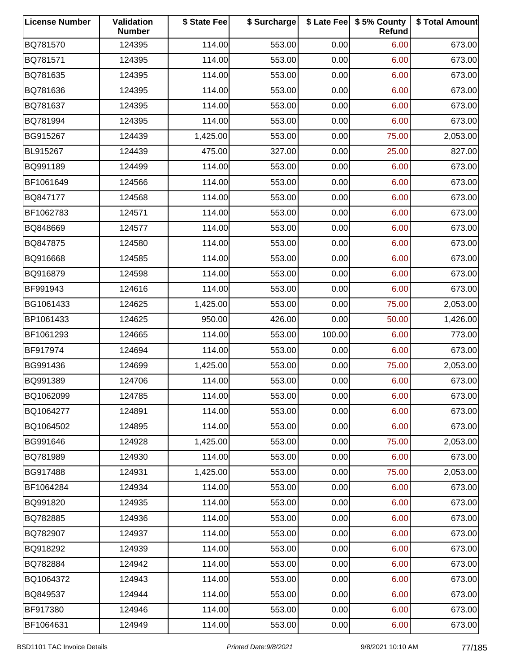| <b>License Number</b> | Validation<br><b>Number</b> | \$ State Fee | \$ Surcharge |        | \$ Late Fee   \$5% County<br>Refund | \$ Total Amount |
|-----------------------|-----------------------------|--------------|--------------|--------|-------------------------------------|-----------------|
| BQ781570              | 124395                      | 114.00       | 553.00       | 0.00   | 6.00                                | 673.00          |
| BQ781571              | 124395                      | 114.00       | 553.00       | 0.00   | 6.00                                | 673.00          |
| BQ781635              | 124395                      | 114.00       | 553.00       | 0.00   | 6.00                                | 673.00          |
| BQ781636              | 124395                      | 114.00       | 553.00       | 0.00   | 6.00                                | 673.00          |
| BQ781637              | 124395                      | 114.00       | 553.00       | 0.00   | 6.00                                | 673.00          |
| BQ781994              | 124395                      | 114.00       | 553.00       | 0.00   | 6.00                                | 673.00          |
| BG915267              | 124439                      | 1,425.00     | 553.00       | 0.00   | 75.00                               | 2,053.00        |
| BL915267              | 124439                      | 475.00       | 327.00       | 0.00   | 25.00                               | 827.00          |
| BQ991189              | 124499                      | 114.00       | 553.00       | 0.00   | 6.00                                | 673.00          |
| BF1061649             | 124566                      | 114.00       | 553.00       | 0.00   | 6.00                                | 673.00          |
| BQ847177              | 124568                      | 114.00       | 553.00       | 0.00   | 6.00                                | 673.00          |
| BF1062783             | 124571                      | 114.00       | 553.00       | 0.00   | 6.00                                | 673.00          |
| BQ848669              | 124577                      | 114.00       | 553.00       | 0.00   | 6.00                                | 673.00          |
| BQ847875              | 124580                      | 114.00       | 553.00       | 0.00   | 6.00                                | 673.00          |
| BQ916668              | 124585                      | 114.00       | 553.00       | 0.00   | 6.00                                | 673.00          |
| BQ916879              | 124598                      | 114.00       | 553.00       | 0.00   | 6.00                                | 673.00          |
| BF991943              | 124616                      | 114.00       | 553.00       | 0.00   | 6.00                                | 673.00          |
| BG1061433             | 124625                      | 1,425.00     | 553.00       | 0.00   | 75.00                               | 2,053.00        |
| BP1061433             | 124625                      | 950.00       | 426.00       | 0.00   | 50.00                               | 1,426.00        |
| BF1061293             | 124665                      | 114.00       | 553.00       | 100.00 | 6.00                                | 773.00          |
| BF917974              | 124694                      | 114.00       | 553.00       | 0.00   | 6.00                                | 673.00          |
| BG991436              | 124699                      | 1,425.00     | 553.00       | 0.00   | 75.00                               | 2,053.00        |
| BQ991389              | 124706                      | 114.00       | 553.00       | 0.00   | 6.00                                | 673.00          |
| BQ1062099             | 124785                      | 114.00       | 553.00       | 0.00   | 6.00                                | 673.00          |
| BQ1064277             | 124891                      | 114.00       | 553.00       | 0.00   | 6.00                                | 673.00          |
| BQ1064502             | 124895                      | 114.00       | 553.00       | 0.00   | 6.00                                | 673.00          |
| BG991646              | 124928                      | 1,425.00     | 553.00       | 0.00   | 75.00                               | 2,053.00        |
| BQ781989              | 124930                      | 114.00       | 553.00       | 0.00   | 6.00                                | 673.00          |
| BG917488              | 124931                      | 1,425.00     | 553.00       | 0.00   | 75.00                               | 2,053.00        |
| BF1064284             | 124934                      | 114.00       | 553.00       | 0.00   | 6.00                                | 673.00          |
| BQ991820              | 124935                      | 114.00       | 553.00       | 0.00   | 6.00                                | 673.00          |
| BQ782885              | 124936                      | 114.00       | 553.00       | 0.00   | 6.00                                | 673.00          |
| BQ782907              | 124937                      | 114.00       | 553.00       | 0.00   | 6.00                                | 673.00          |
| BQ918292              | 124939                      | 114.00       | 553.00       | 0.00   | 6.00                                | 673.00          |
| BQ782884              | 124942                      | 114.00       | 553.00       | 0.00   | 6.00                                | 673.00          |
| BQ1064372             | 124943                      | 114.00       | 553.00       | 0.00   | 6.00                                | 673.00          |
| BQ849537              | 124944                      | 114.00       | 553.00       | 0.00   | 6.00                                | 673.00          |
| BF917380              | 124946                      | 114.00       | 553.00       | 0.00   | 6.00                                | 673.00          |
| BF1064631             | 124949                      | 114.00       | 553.00       | 0.00   | 6.00                                | 673.00          |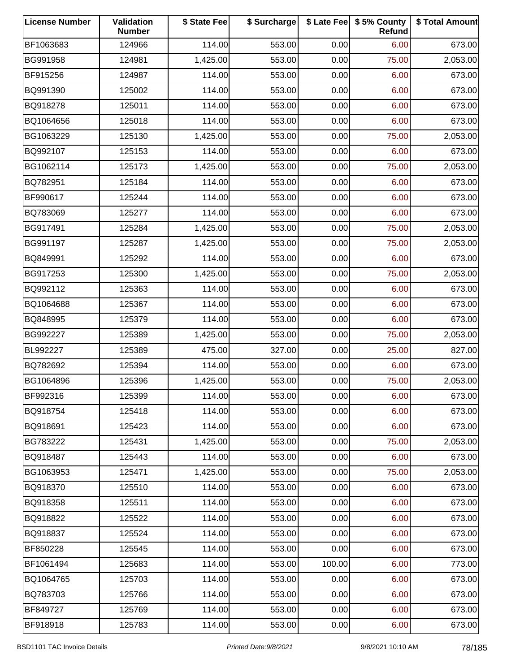| <b>License Number</b> | Validation<br><b>Number</b> | \$ State Fee | \$ Surcharge |        | \$ Late Fee   \$5% County<br>Refund | \$ Total Amount |
|-----------------------|-----------------------------|--------------|--------------|--------|-------------------------------------|-----------------|
| BF1063683             | 124966                      | 114.00       | 553.00       | 0.00   | 6.00                                | 673.00          |
| BG991958              | 124981                      | 1,425.00     | 553.00       | 0.00   | 75.00                               | 2,053.00        |
| BF915256              | 124987                      | 114.00       | 553.00       | 0.00   | 6.00                                | 673.00          |
| BQ991390              | 125002                      | 114.00       | 553.00       | 0.00   | 6.00                                | 673.00          |
| BQ918278              | 125011                      | 114.00       | 553.00       | 0.00   | 6.00                                | 673.00          |
| BQ1064656             | 125018                      | 114.00       | 553.00       | 0.00   | 6.00                                | 673.00          |
| BG1063229             | 125130                      | 1,425.00     | 553.00       | 0.00   | 75.00                               | 2,053.00        |
| BQ992107              | 125153                      | 114.00       | 553.00       | 0.00   | 6.00                                | 673.00          |
| BG1062114             | 125173                      | 1,425.00     | 553.00       | 0.00   | 75.00                               | 2,053.00        |
| BQ782951              | 125184                      | 114.00       | 553.00       | 0.00   | 6.00                                | 673.00          |
| BF990617              | 125244                      | 114.00       | 553.00       | 0.00   | 6.00                                | 673.00          |
| BQ783069              | 125277                      | 114.00       | 553.00       | 0.00   | 6.00                                | 673.00          |
| BG917491              | 125284                      | 1,425.00     | 553.00       | 0.00   | 75.00                               | 2,053.00        |
| BG991197              | 125287                      | 1,425.00     | 553.00       | 0.00   | 75.00                               | 2,053.00        |
| BQ849991              | 125292                      | 114.00       | 553.00       | 0.00   | 6.00                                | 673.00          |
| BG917253              | 125300                      | 1,425.00     | 553.00       | 0.00   | 75.00                               | 2,053.00        |
| BQ992112              | 125363                      | 114.00       | 553.00       | 0.00   | 6.00                                | 673.00          |
| BQ1064688             | 125367                      | 114.00       | 553.00       | 0.00   | 6.00                                | 673.00          |
| BQ848995              | 125379                      | 114.00       | 553.00       | 0.00   | 6.00                                | 673.00          |
| BG992227              | 125389                      | 1,425.00     | 553.00       | 0.00   | 75.00                               | 2,053.00        |
| BL992227              | 125389                      | 475.00       | 327.00       | 0.00   | 25.00                               | 827.00          |
| BQ782692              | 125394                      | 114.00       | 553.00       | 0.00   | 6.00                                | 673.00          |
| BG1064896             | 125396                      | 1,425.00     | 553.00       | 0.00   | 75.00                               | 2,053.00        |
| BF992316              | 125399                      | 114.00       | 553.00       | 0.00   | 6.00                                | 673.00          |
| BQ918754              | 125418                      | 114.00       | 553.00       | 0.00   | 6.00                                | 673.00          |
| BQ918691              | 125423                      | 114.00       | 553.00       | 0.00   | 6.00                                | 673.00          |
| BG783222              | 125431                      | 1,425.00     | 553.00       | 0.00   | 75.00                               | 2,053.00        |
| BQ918487              | 125443                      | 114.00       | 553.00       | 0.00   | 6.00                                | 673.00          |
| BG1063953             | 125471                      | 1,425.00     | 553.00       | 0.00   | 75.00                               | 2,053.00        |
| BQ918370              | 125510                      | 114.00       | 553.00       | 0.00   | 6.00                                | 673.00          |
| BQ918358              | 125511                      | 114.00       | 553.00       | 0.00   | 6.00                                | 673.00          |
| BQ918822              | 125522                      | 114.00       | 553.00       | 0.00   | 6.00                                | 673.00          |
| BQ918837              | 125524                      | 114.00       | 553.00       | 0.00   | 6.00                                | 673.00          |
| BF850228              | 125545                      | 114.00       | 553.00       | 0.00   | 6.00                                | 673.00          |
| BF1061494             | 125683                      | 114.00       | 553.00       | 100.00 | 6.00                                | 773.00          |
| BQ1064765             | 125703                      | 114.00       | 553.00       | 0.00   | 6.00                                | 673.00          |
| BQ783703              | 125766                      | 114.00       | 553.00       | 0.00   | 6.00                                | 673.00          |
| BF849727              | 125769                      | 114.00       | 553.00       | 0.00   | 6.00                                | 673.00          |
| BF918918              | 125783                      | 114.00       | 553.00       | 0.00   | 6.00                                | 673.00          |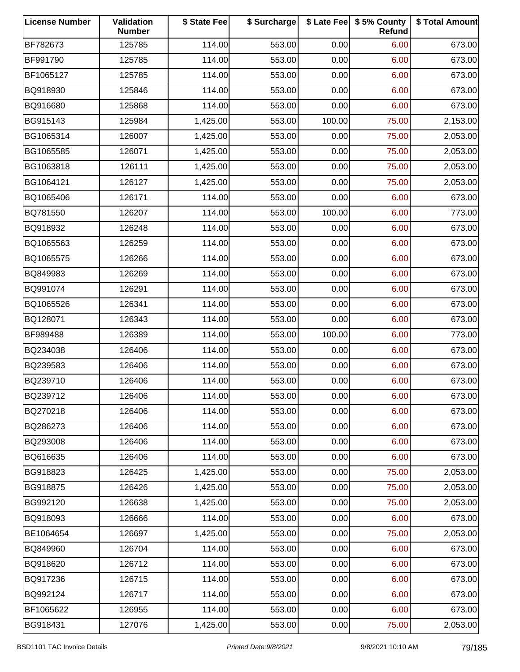| <b>License Number</b> | Validation<br><b>Number</b> | \$ State Fee | \$ Surcharge |        | \$ Late Fee   \$5% County<br>Refund | \$ Total Amount |
|-----------------------|-----------------------------|--------------|--------------|--------|-------------------------------------|-----------------|
| BF782673              | 125785                      | 114.00       | 553.00       | 0.00   | 6.00                                | 673.00          |
| BF991790              | 125785                      | 114.00       | 553.00       | 0.00   | 6.00                                | 673.00          |
| BF1065127             | 125785                      | 114.00       | 553.00       | 0.00   | 6.00                                | 673.00          |
| BQ918930              | 125846                      | 114.00       | 553.00       | 0.00   | 6.00                                | 673.00          |
| BQ916680              | 125868                      | 114.00       | 553.00       | 0.00   | 6.00                                | 673.00          |
| BG915143              | 125984                      | 1,425.00     | 553.00       | 100.00 | 75.00                               | 2,153.00        |
| BG1065314             | 126007                      | 1,425.00     | 553.00       | 0.00   | 75.00                               | 2,053.00        |
| BG1065585             | 126071                      | 1,425.00     | 553.00       | 0.00   | 75.00                               | 2,053.00        |
| BG1063818             | 126111                      | 1,425.00     | 553.00       | 0.00   | 75.00                               | 2,053.00        |
| BG1064121             | 126127                      | 1,425.00     | 553.00       | 0.00   | 75.00                               | 2,053.00        |
| BQ1065406             | 126171                      | 114.00       | 553.00       | 0.00   | 6.00                                | 673.00          |
| BQ781550              | 126207                      | 114.00       | 553.00       | 100.00 | 6.00                                | 773.00          |
| BQ918932              | 126248                      | 114.00       | 553.00       | 0.00   | 6.00                                | 673.00          |
| BQ1065563             | 126259                      | 114.00       | 553.00       | 0.00   | 6.00                                | 673.00          |
| BQ1065575             | 126266                      | 114.00       | 553.00       | 0.00   | 6.00                                | 673.00          |
| BQ849983              | 126269                      | 114.00       | 553.00       | 0.00   | 6.00                                | 673.00          |
| BQ991074              | 126291                      | 114.00       | 553.00       | 0.00   | 6.00                                | 673.00          |
| BQ1065526             | 126341                      | 114.00       | 553.00       | 0.00   | 6.00                                | 673.00          |
| BQ128071              | 126343                      | 114.00       | 553.00       | 0.00   | 6.00                                | 673.00          |
| BF989488              | 126389                      | 114.00       | 553.00       | 100.00 | 6.00                                | 773.00          |
| BQ234038              | 126406                      | 114.00       | 553.00       | 0.00   | 6.00                                | 673.00          |
| BQ239583              | 126406                      | 114.00       | 553.00       | 0.00   | 6.00                                | 673.00          |
| BQ239710              | 126406                      | 114.00       | 553.00       | 0.00   | 6.00                                | 673.00          |
| BQ239712              | 126406                      | 114.00       | 553.00       | 0.00   | 6.00                                | 673.00          |
| BQ270218              | 126406                      | 114.00       | 553.00       | 0.00   | 6.00                                | 673.00          |
| BQ286273              | 126406                      | 114.00       | 553.00       | 0.00   | 6.00                                | 673.00          |
| BQ293008              | 126406                      | 114.00       | 553.00       | 0.00   | 6.00                                | 673.00          |
| BQ616635              | 126406                      | 114.00       | 553.00       | 0.00   | 6.00                                | 673.00          |
| BG918823              | 126425                      | 1,425.00     | 553.00       | 0.00   | 75.00                               | 2,053.00        |
| BG918875              | 126426                      | 1,425.00     | 553.00       | 0.00   | 75.00                               | 2,053.00        |
| BG992120              | 126638                      | 1,425.00     | 553.00       | 0.00   | 75.00                               | 2,053.00        |
| BQ918093              | 126666                      | 114.00       | 553.00       | 0.00   | 6.00                                | 673.00          |
| BE1064654             | 126697                      | 1,425.00     | 553.00       | 0.00   | 75.00                               | 2,053.00        |
| BQ849960              | 126704                      | 114.00       | 553.00       | 0.00   | 6.00                                | 673.00          |
| BQ918620              | 126712                      | 114.00       | 553.00       | 0.00   | 6.00                                | 673.00          |
| BQ917236              | 126715                      | 114.00       | 553.00       | 0.00   | 6.00                                | 673.00          |
| BQ992124              | 126717                      | 114.00       | 553.00       | 0.00   | 6.00                                | 673.00          |
| BF1065622             | 126955                      | 114.00       | 553.00       | 0.00   | 6.00                                | 673.00          |
| BG918431              | 127076                      | 1,425.00     | 553.00       | 0.00   | 75.00                               | 2,053.00        |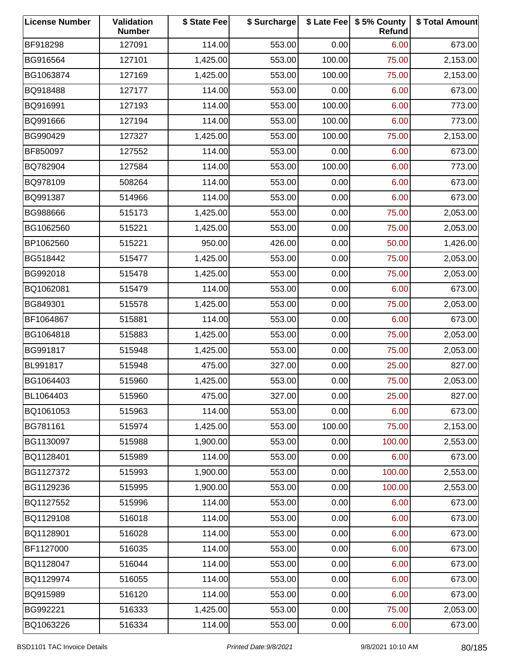| <b>License Number</b> | Validation<br><b>Number</b> | \$ State Fee | \$ Surcharge |        | \$ Late Fee   \$5% County<br>Refund | \$ Total Amount |
|-----------------------|-----------------------------|--------------|--------------|--------|-------------------------------------|-----------------|
| BF918298              | 127091                      | 114.00       | 553.00       | 0.00   | 6.00                                | 673.00          |
| BG916564              | 127101                      | 1,425.00     | 553.00       | 100.00 | 75.00                               | 2,153.00        |
| BG1063874             | 127169                      | 1,425.00     | 553.00       | 100.00 | 75.00                               | 2,153.00        |
| BQ918488              | 127177                      | 114.00       | 553.00       | 0.00   | 6.00                                | 673.00          |
| BQ916991              | 127193                      | 114.00       | 553.00       | 100.00 | 6.00                                | 773.00          |
| BQ991666              | 127194                      | 114.00       | 553.00       | 100.00 | 6.00                                | 773.00          |
| BG990429              | 127327                      | 1,425.00     | 553.00       | 100.00 | 75.00                               | 2,153.00        |
| BF850097              | 127552                      | 114.00       | 553.00       | 0.00   | 6.00                                | 673.00          |
| BQ782904              | 127584                      | 114.00       | 553.00       | 100.00 | 6.00                                | 773.00          |
| BQ978109              | 508264                      | 114.00       | 553.00       | 0.00   | 6.00                                | 673.00          |
| BQ991387              | 514966                      | 114.00       | 553.00       | 0.00   | 6.00                                | 673.00          |
| BG988666              | 515173                      | 1,425.00     | 553.00       | 0.00   | 75.00                               | 2,053.00        |
| BG1062560             | 515221                      | 1,425.00     | 553.00       | 0.00   | 75.00                               | 2,053.00        |
| BP1062560             | 515221                      | 950.00       | 426.00       | 0.00   | 50.00                               | 1,426.00        |
| BG518442              | 515477                      | 1,425.00     | 553.00       | 0.00   | 75.00                               | 2,053.00        |
| BG992018              | 515478                      | 1,425.00     | 553.00       | 0.00   | 75.00                               | 2,053.00        |
| BQ1062081             | 515479                      | 114.00       | 553.00       | 0.00   | 6.00                                | 673.00          |
| BG849301              | 515578                      | 1,425.00     | 553.00       | 0.00   | 75.00                               | 2,053.00        |
| BF1064867             | 515881                      | 114.00       | 553.00       | 0.00   | 6.00                                | 673.00          |
| BG1064818             | 515883                      | 1,425.00     | 553.00       | 0.00   | 75.00                               | 2,053.00        |
| BG991817              | 515948                      | 1,425.00     | 553.00       | 0.00   | 75.00                               | 2,053.00        |
| BL991817              | 515948                      | 475.00       | 327.00       | 0.00   | 25.00                               | 827.00          |
| BG1064403             | 515960                      | 1,425.00     | 553.00       | 0.00   | 75.00                               | 2,053.00        |
| BL1064403             | 515960                      | 475.00       | 327.00       | 0.00   | 25.00                               | 827.00          |
| BQ1061053             | 515963                      | 114.00       | 553.00       | 0.00   | 6.00                                | 673.00          |
| BG781161              | 515974                      | 1,425.00     | 553.00       | 100.00 | 75.00                               | 2,153.00        |
| BG1130097             | 515988                      | 1,900.00     | 553.00       | 0.00   | 100.00                              | 2,553.00        |
| BQ1128401             | 515989                      | 114.00       | 553.00       | 0.00   | 6.00                                | 673.00          |
| BG1127372             | 515993                      | 1,900.00     | 553.00       | 0.00   | 100.00                              | 2,553.00        |
| BG1129236             | 515995                      | 1,900.00     | 553.00       | 0.00   | 100.00                              | 2,553.00        |
| BQ1127552             | 515996                      | 114.00       | 553.00       | 0.00   | 6.00                                | 673.00          |
| BQ1129108             | 516018                      | 114.00       | 553.00       | 0.00   | 6.00                                | 673.00          |
| BQ1128901             | 516028                      | 114.00       | 553.00       | 0.00   | 6.00                                | 673.00          |
| BF1127000             | 516035                      | 114.00       | 553.00       | 0.00   | 6.00                                | 673.00          |
| BQ1128047             | 516044                      | 114.00       | 553.00       | 0.00   | 6.00                                | 673.00          |
| BQ1129974             | 516055                      | 114.00       | 553.00       | 0.00   | 6.00                                | 673.00          |
| BQ915989              | 516120                      | 114.00       | 553.00       | 0.00   | 6.00                                | 673.00          |
| BG992221              | 516333                      | 1,425.00     | 553.00       | 0.00   | 75.00                               | 2,053.00        |
| BQ1063226             | 516334                      | 114.00       | 553.00       | 0.00   | 6.00                                | 673.00          |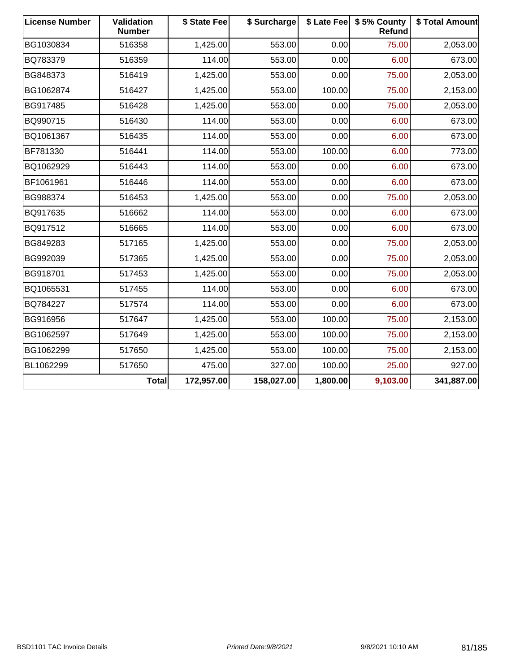| <b>License Number</b> | <b>Validation</b><br><b>Number</b> | \$ State Fee | \$ Surcharge |          | \$ Late Fee   \$5% County<br>Refund | \$ Total Amount |
|-----------------------|------------------------------------|--------------|--------------|----------|-------------------------------------|-----------------|
| BG1030834             | 516358                             | 1,425.00     | 553.00       | 0.00     | 75.00                               | 2,053.00        |
| BQ783379              | 516359                             | 114.00       | 553.00       | 0.00     | 6.00                                | 673.00          |
| BG848373              | 516419                             | 1,425.00     | 553.00       | 0.00     | 75.00                               | 2,053.00        |
| BG1062874             | 516427                             | 1,425.00     | 553.00       | 100.00   | 75.00                               | 2,153.00        |
| BG917485              | 516428                             | 1,425.00     | 553.00       | 0.00     | 75.00                               | 2,053.00        |
| BQ990715              | 516430                             | 114.00       | 553.00       | 0.00     | 6.00                                | 673.00          |
| BQ1061367             | 516435                             | 114.00       | 553.00       | 0.00     | 6.00                                | 673.00          |
| BF781330              | 516441                             | 114.00       | 553.00       | 100.00   | 6.00                                | 773.00          |
| BQ1062929             | 516443                             | 114.00       | 553.00       | 0.00     | 6.00                                | 673.00          |
| BF1061961             | 516446                             | 114.00       | 553.00       | 0.00     | 6.00                                | 673.00          |
| BG988374              | 516453                             | 1,425.00     | 553.00       | 0.00     | 75.00                               | 2,053.00        |
| BQ917635              | 516662                             | 114.00       | 553.00       | 0.00     | 6.00                                | 673.00          |
| BQ917512              | 516665                             | 114.00       | 553.00       | 0.00     | 6.00                                | 673.00          |
| BG849283              | 517165                             | 1,425.00     | 553.00       | 0.00     | 75.00                               | 2,053.00        |
| BG992039              | 517365                             | 1,425.00     | 553.00       | 0.00     | 75.00                               | 2,053.00        |
| BG918701              | 517453                             | 1,425.00     | 553.00       | 0.00     | 75.00                               | 2,053.00        |
| BQ1065531             | 517455                             | 114.00       | 553.00       | 0.00     | 6.00                                | 673.00          |
| BQ784227              | 517574                             | 114.00       | 553.00       | 0.00     | 6.00                                | 673.00          |
| BG916956              | 517647                             | 1,425.00     | 553.00       | 100.00   | 75.00                               | 2,153.00        |
| BG1062597             | 517649                             | 1,425.00     | 553.00       | 100.00   | 75.00                               | 2,153.00        |
| BG1062299             | 517650                             | 1,425.00     | 553.00       | 100.00   | 75.00                               | 2,153.00        |
| BL1062299             | 517650                             | 475.00       | 327.00       | 100.00   | 25.00                               | 927.00          |
|                       | Total                              | 172,957.00   | 158,027.00   | 1,800.00 | 9,103.00                            | 341,887.00      |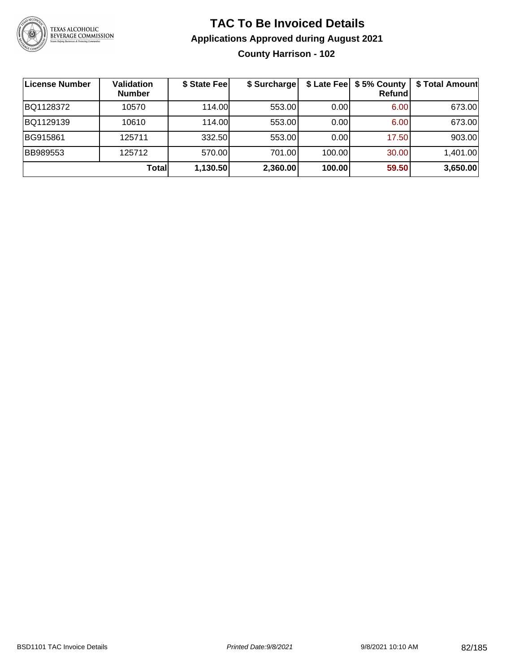

### **TAC To Be Invoiced Details Applications Approved during August 2021 County Harrison - 102**

| License Number  | <b>Validation</b><br><b>Number</b> | \$ State Fee | \$ Surcharge |        | \$ Late Fee   \$5% County<br>Refund | \$ Total Amount |
|-----------------|------------------------------------|--------------|--------------|--------|-------------------------------------|-----------------|
| BQ1128372       | 10570                              | 114.00       | 553.00       | 0.001  | 6.00                                | 673.00          |
| BQ1129139       | 10610                              | 114.00       | 553.00       | 0.00   | 6.00                                | 673.00          |
| BG915861        | 125711                             | 332.50       | 553.00       | 0.00   | 17.50                               | 903.00          |
| <b>BB989553</b> | 125712                             | 570.00       | 701.00       | 100.00 | 30.00                               | 1,401.00        |
|                 | <b>Total</b>                       | 1,130.50     | 2,360.00     | 100.00 | 59.50                               | 3,650.00        |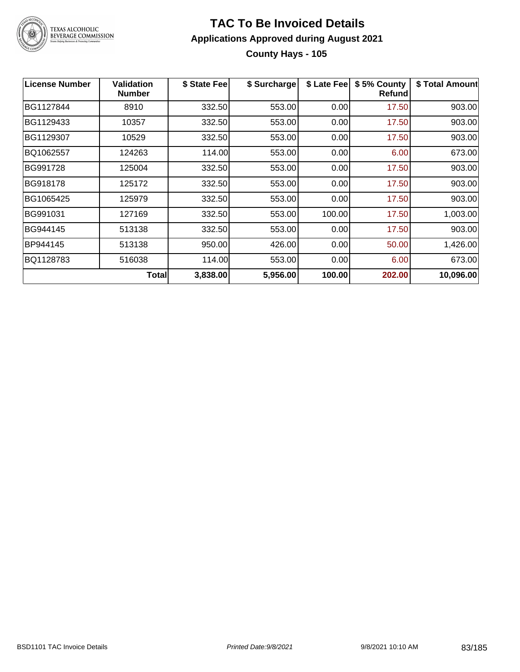

### **TAC To Be Invoiced Details Applications Approved during August 2021 County Hays - 105**

| <b>License Number</b> | <b>Validation</b><br><b>Number</b> | \$ State Fee | \$ Surcharge | \$ Late Fee | \$5% County<br><b>Refund</b> | \$ Total Amount |
|-----------------------|------------------------------------|--------------|--------------|-------------|------------------------------|-----------------|
| BG1127844             | 8910                               | 332.50       | 553.00       | 0.00        | 17.50                        | 903.00          |
| BG1129433             | 10357                              | 332.50       | 553.00       | 0.00        | 17.50                        | 903.00          |
| BG1129307             | 10529                              | 332.50       | 553.00       | 0.00        | 17.50                        | 903.00          |
| BQ1062557             | 124263                             | 114.00       | 553.00       | 0.00        | 6.00                         | 673.00          |
| BG991728              | 125004                             | 332.50       | 553.00       | 0.00        | 17.50                        | 903.00          |
| BG918178              | 125172                             | 332.50       | 553.00       | 0.00        | 17.50                        | 903.00          |
| BG1065425             | 125979                             | 332.50       | 553.00       | 0.00        | 17.50                        | 903.00          |
| BG991031              | 127169                             | 332.50       | 553.00       | 100.00      | 17.50                        | 1,003.00        |
| BG944145              | 513138                             | 332.50       | 553.00       | 0.00        | 17.50                        | 903.00          |
| BP944145              | 513138                             | 950.00       | 426.00       | 0.00        | 50.00                        | 1,426.00        |
| BQ1128783             | 516038                             | 114.00       | 553.00       | 0.00        | 6.00                         | 673.00          |
|                       | <b>Total</b>                       | 3,838.00     | 5,956.00     | 100.00      | 202.00                       | 10,096.00       |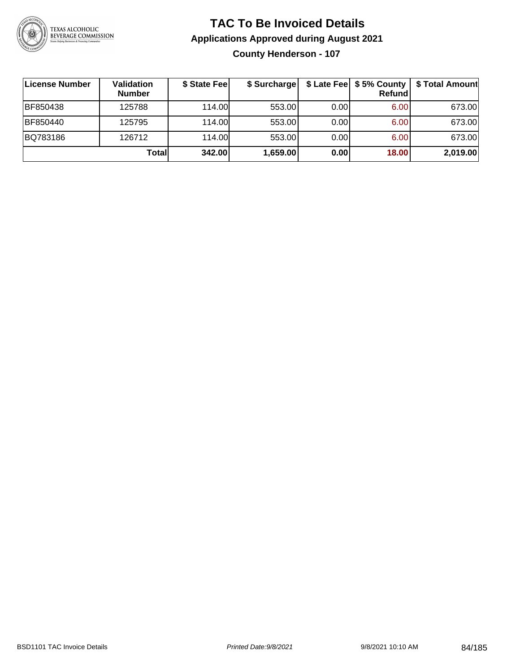

### **TAC To Be Invoiced Details Applications Approved during August 2021 County Henderson - 107**

| License Number | Validation<br><b>Number</b> | \$ State Fee | \$ Surcharge |      | $$$ Late Fee $$$ \$ 5% County  <br>Refundl | \$ Total Amount |
|----------------|-----------------------------|--------------|--------------|------|--------------------------------------------|-----------------|
| BF850438       | 125788                      | 114.00       | 553.00       | 0.00 | 6.00                                       | 673.00          |
| BF850440       | 125795                      | 114.00       | 553.00       | 0.00 | 6.00                                       | 673.00          |
| BQ783186       | 126712                      | 114.00       | 553.00       | 0.00 | 6.00                                       | 673.00          |
|                | Totall                      | 342.00       | 1,659.00     | 0.00 | 18.00                                      | 2,019.00        |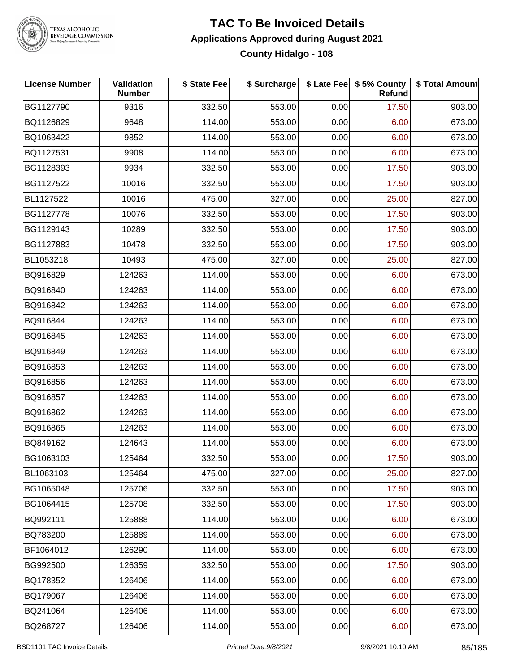

# TEXAS ALCOHOLIC<br>BEVERAGE COMMISSION

### **TAC To Be Invoiced Details Applications Approved during August 2021 County Hidalgo - 108**

| <b>License Number</b> | Validation<br><b>Number</b> | \$ State Fee | \$ Surcharge |      | \$ Late Fee   \$5% County<br>Refund | \$ Total Amount |
|-----------------------|-----------------------------|--------------|--------------|------|-------------------------------------|-----------------|
| BG1127790             | 9316                        | 332.50       | 553.00       | 0.00 | 17.50                               | 903.00          |
| BQ1126829             | 9648                        | 114.00       | 553.00       | 0.00 | 6.00                                | 673.00          |
| BQ1063422             | 9852                        | 114.00       | 553.00       | 0.00 | 6.00                                | 673.00          |
| BQ1127531             | 9908                        | 114.00       | 553.00       | 0.00 | 6.00                                | 673.00          |
| BG1128393             | 9934                        | 332.50       | 553.00       | 0.00 | 17.50                               | 903.00          |
| BG1127522             | 10016                       | 332.50       | 553.00       | 0.00 | 17.50                               | 903.00          |
| BL1127522             | 10016                       | 475.00       | 327.00       | 0.00 | 25.00                               | 827.00          |
| BG1127778             | 10076                       | 332.50       | 553.00       | 0.00 | 17.50                               | 903.00          |
| BG1129143             | 10289                       | 332.50       | 553.00       | 0.00 | 17.50                               | 903.00          |
| BG1127883             | 10478                       | 332.50       | 553.00       | 0.00 | 17.50                               | 903.00          |
| BL1053218             | 10493                       | 475.00       | 327.00       | 0.00 | 25.00                               | 827.00          |
| BQ916829              | 124263                      | 114.00       | 553.00       | 0.00 | 6.00                                | 673.00          |
| BQ916840              | 124263                      | 114.00       | 553.00       | 0.00 | 6.00                                | 673.00          |
| BQ916842              | 124263                      | 114.00       | 553.00       | 0.00 | 6.00                                | 673.00          |
| BQ916844              | 124263                      | 114.00       | 553.00       | 0.00 | 6.00                                | 673.00          |
| BQ916845              | 124263                      | 114.00       | 553.00       | 0.00 | 6.00                                | 673.00          |
| BQ916849              | 124263                      | 114.00       | 553.00       | 0.00 | 6.00                                | 673.00          |
| BQ916853              | 124263                      | 114.00       | 553.00       | 0.00 | 6.00                                | 673.00          |
| BQ916856              | 124263                      | 114.00       | 553.00       | 0.00 | 6.00                                | 673.00          |
| BQ916857              | 124263                      | 114.00       | 553.00       | 0.00 | 6.00                                | 673.00          |
| BQ916862              | 124263                      | 114.00       | 553.00       | 0.00 | 6.00                                | 673.00          |
| BQ916865              | 124263                      | 114.00       | 553.00       | 0.00 | 6.00                                | 673.00          |
| BQ849162              | 124643                      | 114.00       | 553.00       | 0.00 | 6.00                                | 673.00          |
| BG1063103             | 125464                      | 332.50       | 553.00       | 0.00 | 17.50                               | 903.00          |
| BL1063103             | 125464                      | 475.00       | 327.00       | 0.00 | 25.00                               | 827.00          |
| BG1065048             | 125706                      | 332.50       | 553.00       | 0.00 | 17.50                               | 903.00          |
| BG1064415             | 125708                      | 332.50       | 553.00       | 0.00 | 17.50                               | 903.00          |
| BQ992111              | 125888                      | 114.00       | 553.00       | 0.00 | 6.00                                | 673.00          |
| BQ783200              | 125889                      | 114.00       | 553.00       | 0.00 | 6.00                                | 673.00          |
| BF1064012             | 126290                      | 114.00       | 553.00       | 0.00 | 6.00                                | 673.00          |
| BG992500              | 126359                      | 332.50       | 553.00       | 0.00 | 17.50                               | 903.00          |
| BQ178352              | 126406                      | 114.00       | 553.00       | 0.00 | 6.00                                | 673.00          |
| BQ179067              | 126406                      | 114.00       | 553.00       | 0.00 | 6.00                                | 673.00          |
| BQ241064              | 126406                      | 114.00       | 553.00       | 0.00 | 6.00                                | 673.00          |
| BQ268727              | 126406                      | 114.00       | 553.00       | 0.00 | 6.00                                | 673.00          |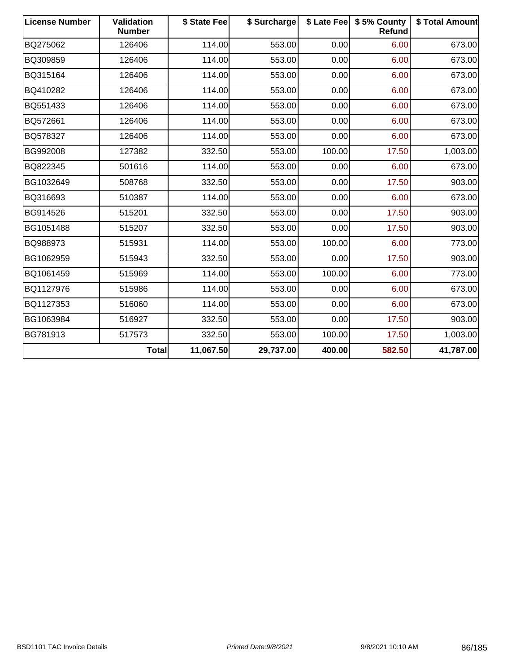| <b>License Number</b> | <b>Validation</b><br><b>Number</b> | \$ State Fee | \$ Surcharge |        | \$ Late Fee   \$5% County<br>Refund | \$ Total Amount |
|-----------------------|------------------------------------|--------------|--------------|--------|-------------------------------------|-----------------|
| BQ275062              | 126406                             | 114.00       | 553.00       | 0.00   | 6.00                                | 673.00          |
| BQ309859              | 126406                             | 114.00       | 553.00       | 0.00   | 6.00                                | 673.00          |
| BQ315164              | 126406                             | 114.00       | 553.00       | 0.00   | 6.00                                | 673.00          |
| BQ410282              | 126406                             | 114.00       | 553.00       | 0.00   | 6.00                                | 673.00          |
| BQ551433              | 126406                             | 114.00       | 553.00       | 0.00   | 6.00                                | 673.00          |
| BQ572661              | 126406                             | 114.00       | 553.00       | 0.00   | 6.00                                | 673.00          |
| BQ578327              | 126406                             | 114.00       | 553.00       | 0.00   | 6.00                                | 673.00          |
| BG992008              | 127382                             | 332.50       | 553.00       | 100.00 | 17.50                               | 1,003.00        |
| BQ822345              | 501616                             | 114.00       | 553.00       | 0.00   | 6.00                                | 673.00          |
| BG1032649             | 508768                             | 332.50       | 553.00       | 0.00   | 17.50                               | 903.00          |
| BQ316693              | 510387                             | 114.00       | 553.00       | 0.00   | 6.00                                | 673.00          |
| BG914526              | 515201                             | 332.50       | 553.00       | 0.00   | 17.50                               | 903.00          |
| BG1051488             | 515207                             | 332.50       | 553.00       | 0.00   | 17.50                               | 903.00          |
| BQ988973              | 515931                             | 114.00       | 553.00       | 100.00 | 6.00                                | 773.00          |
| BG1062959             | 515943                             | 332.50       | 553.00       | 0.00   | 17.50                               | 903.00          |
| BQ1061459             | 515969                             | 114.00       | 553.00       | 100.00 | 6.00                                | 773.00          |
| BQ1127976             | 515986                             | 114.00       | 553.00       | 0.00   | 6.00                                | 673.00          |
| BQ1127353             | 516060                             | 114.00       | 553.00       | 0.00   | 6.00                                | 673.00          |
| BG1063984             | 516927                             | 332.50       | 553.00       | 0.00   | 17.50                               | 903.00          |
| BG781913              | 517573                             | 332.50       | 553.00       | 100.00 | 17.50                               | 1,003.00        |
|                       | Total                              | 11,067.50    | 29,737.00    | 400.00 | 582.50                              | 41,787.00       |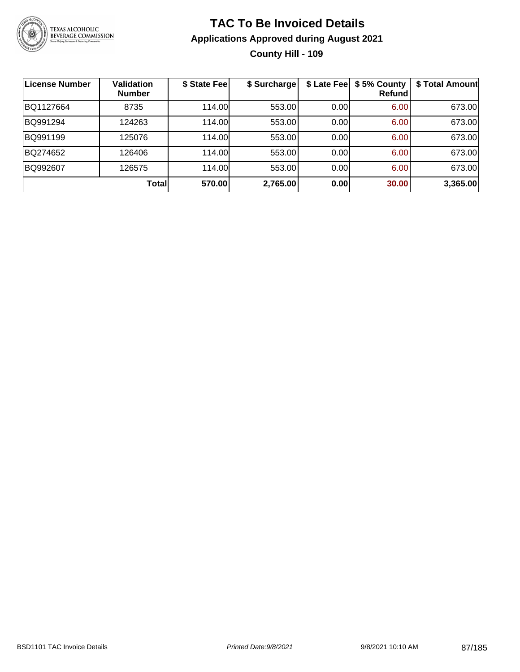

### **TAC To Be Invoiced Details Applications Approved during August 2021 County Hill - 109**

| <b>License Number</b> | <b>Validation</b><br><b>Number</b> | \$ State Fee | \$ Surcharge |      | \$ Late Fee   \$5% County<br>Refundl | \$ Total Amount |
|-----------------------|------------------------------------|--------------|--------------|------|--------------------------------------|-----------------|
| BQ1127664             | 8735                               | 114.00       | 553.00       | 0.00 | 6.00                                 | 673.00          |
| BQ991294              | 124263                             | 114.00       | 553.00       | 0.00 | 6.00                                 | 673.00          |
| BQ991199              | 125076                             | 114.00       | 553.00       | 0.00 | 6.00                                 | 673.00          |
| BQ274652              | 126406                             | 114.00       | 553.00       | 0.00 | 6.00                                 | 673.00          |
| BQ992607              | 126575                             | 114.00       | 553.00       | 0.00 | 6.00                                 | 673.00          |
|                       | Total                              | 570.00       | 2,765.00     | 0.00 | 30.00                                | 3,365.00        |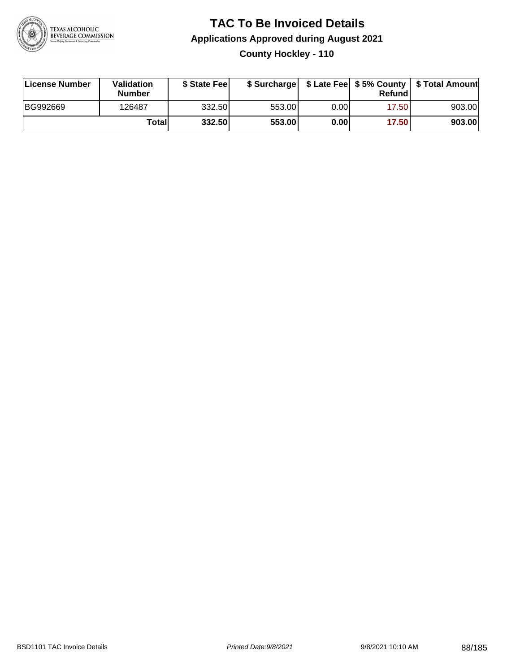

### **TAC To Be Invoiced Details Applications Approved during August 2021 County Hockley - 110**

| License Number | Validation<br><b>Number</b> | \$ State Fee |        |      | Refund | \$ Surcharge   \$ Late Fee   \$5% County   \$ Total Amount |
|----------------|-----------------------------|--------------|--------|------|--------|------------------------------------------------------------|
| BG992669       | 126487                      | 332.50       | 553.00 | 0.00 | 17.50  | 903.00                                                     |
|                | Totall                      | 332.50       | 553.00 | 0.00 | 17.50  | 903.00                                                     |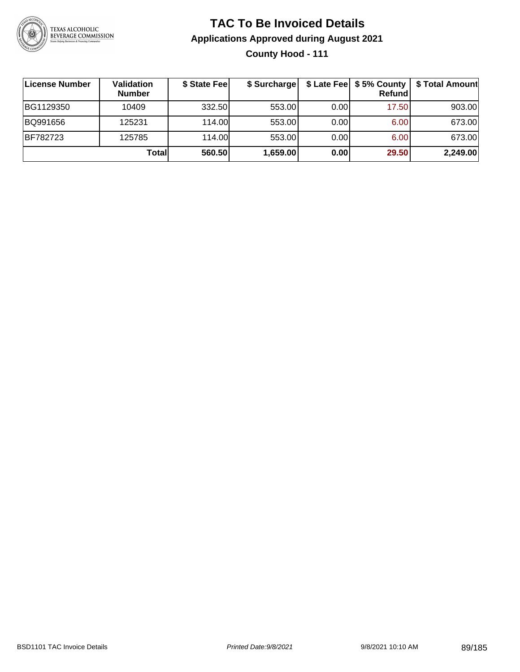

### **TAC To Be Invoiced Details Applications Approved during August 2021 County Hood - 111**

| ∣License Number | Validation<br><b>Number</b> | \$ State Fee | \$ Surcharge |       | <b>Refund</b> | \$ Late Fee   \$5% County   \$ Total Amount |
|-----------------|-----------------------------|--------------|--------------|-------|---------------|---------------------------------------------|
| BG1129350       | 10409                       | 332.50       | 553.00       | 0.001 | 17.50         | 903.00                                      |
| BQ991656        | 125231                      | 114.00       | 553.00       | 0.001 | 6.00          | 673.00                                      |
| BF782723        | 125785                      | 114.00       | 553.00       | 0.00  | 6.00          | 673.00                                      |
|                 | Totall                      | 560.50       | 1,659.00     | 0.00  | 29.50         | 2,249.00                                    |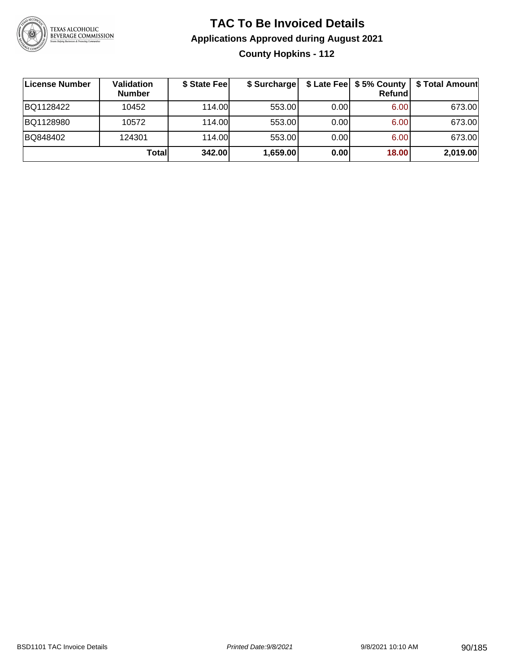

### **TAC To Be Invoiced Details Applications Approved during August 2021 County Hopkins - 112**

| ∣License Number | Validation<br><b>Number</b> | \$ State Feel | \$ Surcharge |      | Refund | \$ Late Fee   \$5% County   \$ Total Amount |
|-----------------|-----------------------------|---------------|--------------|------|--------|---------------------------------------------|
| BQ1128422       | 10452                       | 114.00L       | 553.00       | 0.00 | 6.00   | 673.00                                      |
| BQ1128980       | 10572                       | 114.00L       | 553.00       | 0.00 | 6.00   | 673.00                                      |
| BQ848402        | 124301                      | 114.00L       | 553.00       | 0.00 | 6.00   | 673.00                                      |
|                 | Total                       | 342.00        | 1,659.00     | 0.00 | 18.00  | 2,019.00                                    |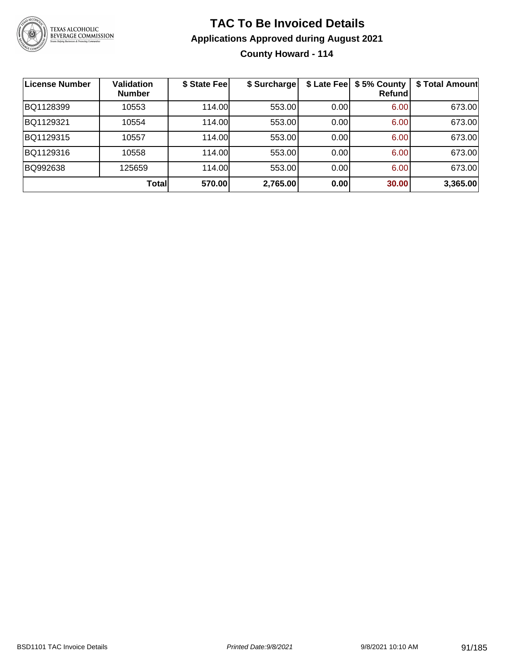

### **TAC To Be Invoiced Details Applications Approved during August 2021 County Howard - 114**

| License Number | Validation<br><b>Number</b> | \$ State Fee | \$ Surcharge | \$ Late Fee | \$5% County<br>Refundl | \$ Total Amount |
|----------------|-----------------------------|--------------|--------------|-------------|------------------------|-----------------|
| BQ1128399      | 10553                       | 114.00       | 553.00       | 0.00        | 6.00                   | 673.00          |
| BQ1129321      | 10554                       | 114.00       | 553.00       | 0.00        | 6.00                   | 673.00          |
| BQ1129315      | 10557                       | 114.00       | 553.00       | 0.00        | 6.00                   | 673.00          |
| BQ1129316      | 10558                       | 114.00       | 553.00       | 0.00        | 6.00                   | 673.00          |
| BQ992638       | 125659                      | 114.00       | 553.00       | 0.00        | 6.00                   | 673.00          |
|                | Totall                      | 570.00       | 2,765.00     | 0.00        | 30.00                  | 3,365.00        |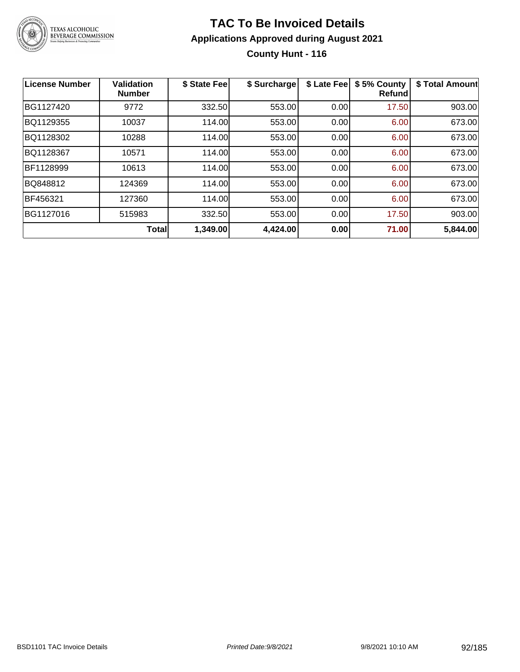

### **TAC To Be Invoiced Details Applications Approved during August 2021 County Hunt - 116**

| <b>License Number</b> | Validation<br><b>Number</b> | \$ State Fee | \$ Surcharge | \$ Late Fee | \$5% County<br><b>Refund</b> | \$ Total Amount |
|-----------------------|-----------------------------|--------------|--------------|-------------|------------------------------|-----------------|
| BG1127420             | 9772                        | 332.50       | 553.00       | 0.00        | 17.50                        | 903.00          |
| BQ1129355             | 10037                       | 114.00       | 553.00       | 0.00        | 6.00                         | 673.00          |
| BQ1128302             | 10288                       | 114.00       | 553.00       | 0.00        | 6.00                         | 673.00          |
| BQ1128367             | 10571                       | 114.00       | 553.00       | 0.00        | 6.00                         | 673.00          |
| BF1128999             | 10613                       | 114.00       | 553.00       | 0.00        | 6.00                         | 673.00          |
| BQ848812              | 124369                      | 114.00       | 553.00       | 0.00        | 6.00                         | 673.00          |
| BF456321              | 127360                      | 114.00       | 553.00       | 0.00        | 6.00                         | 673.00          |
| BG1127016             | 515983                      | 332.50       | 553.00       | 0.00        | 17.50                        | 903.00          |
|                       | <b>Total</b>                | 1,349.00     | 4,424.00     | 0.00        | 71.00                        | 5,844.00        |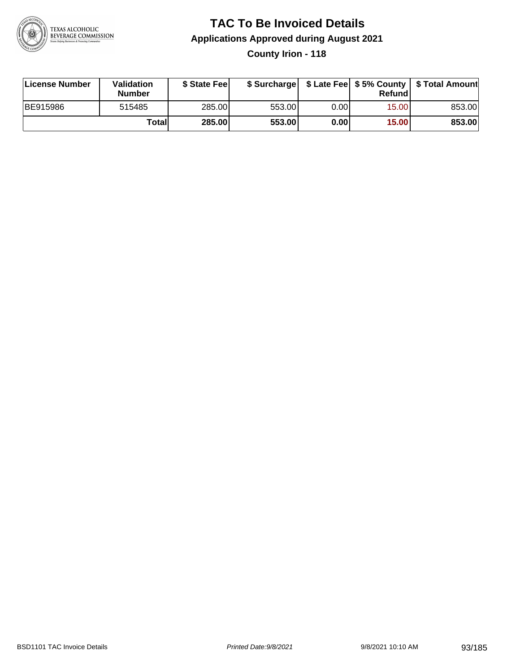

### **TAC To Be Invoiced Details Applications Approved during August 2021 County Irion - 118**

| License Number  | Validation<br><b>Number</b> | \$ State Fee  |        |      | Refund | \$ Surcharge   \$ Late Fee   \$5% County   \$ Total Amount |
|-----------------|-----------------------------|---------------|--------|------|--------|------------------------------------------------------------|
| <b>BE915986</b> | 515485                      | 285.00        | 553.00 | 0.00 | 15.00  | 853.00                                                     |
|                 | Totall                      | <b>285.00</b> | 553.00 | 0.00 | 15.00  | 853.00                                                     |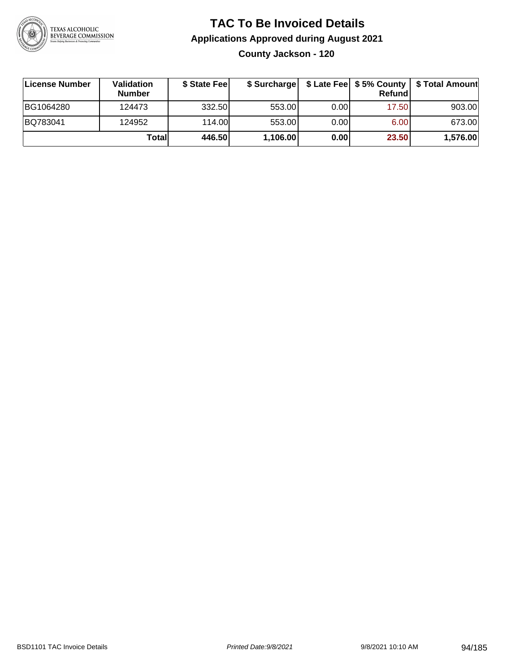

### **TAC To Be Invoiced Details Applications Approved during August 2021 County Jackson - 120**

| License Number | Validation<br><b>Number</b> | \$ State Fee |          |      | Refundl | \$ Surcharge   \$ Late Fee   \$5% County   \$ Total Amount |
|----------------|-----------------------------|--------------|----------|------|---------|------------------------------------------------------------|
| BG1064280      | 124473                      | 332.50       | 553.00   | 0.00 | 17.50   | 903.00                                                     |
| BQ783041       | 124952                      | 114.00       | 553.00   | 0.00 | 6.00    | 673.00                                                     |
|                | Totall                      | 446.50       | 1,106.00 | 0.00 | 23.50   | 1,576.00                                                   |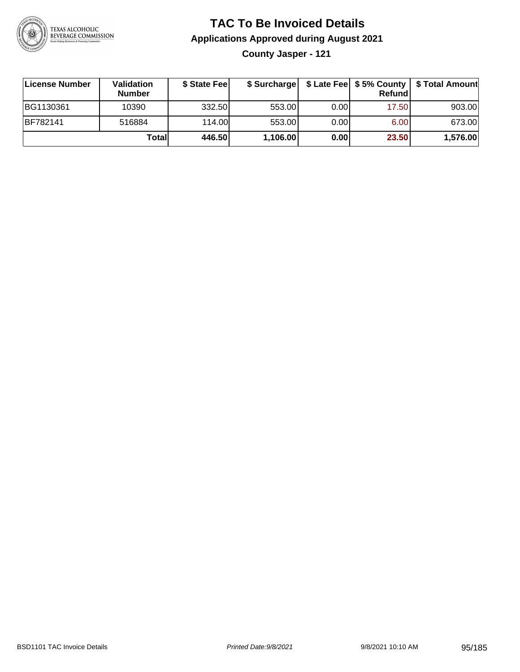

### **TAC To Be Invoiced Details Applications Approved during August 2021**

**County Jasper - 121**

| ∣License Number  | Validation<br><b>Number</b> | \$ State Feel | \$ Surcharge |       | Refundl |          |
|------------------|-----------------------------|---------------|--------------|-------|---------|----------|
| <b>BG1130361</b> | 10390                       | 332.50        | 553.00       | 0.001 | 17.50   | 903.00   |
| <b>BF782141</b>  | 516884                      | 114.00L       | 553.00       | 0.001 | 6.00    | 673.00   |
|                  | Totall                      | 446.50        | 1,106.00     | 0.00  | 23.50   | 1,576.00 |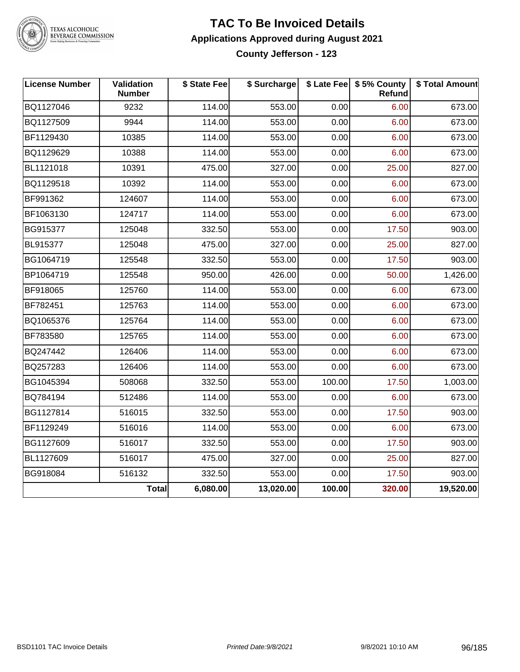

### TEXAS ALCOHOLIC<br>BEVERAGE COMMISSION

#### **TAC To Be Invoiced Details Applications Approved during August 2021 County Jefferson - 123**

| <b>License Number</b> | Validation<br><b>Number</b> | \$ State Fee | \$ Surcharge |        | \$ Late Fee   \$5% County<br>Refund | \$ Total Amount |
|-----------------------|-----------------------------|--------------|--------------|--------|-------------------------------------|-----------------|
| BQ1127046             | 9232                        | 114.00       | 553.00       | 0.00   | 6.00                                | 673.00          |
| BQ1127509             | 9944                        | 114.00       | 553.00       | 0.00   | 6.00                                | 673.00          |
| BF1129430             | 10385                       | 114.00       | 553.00       | 0.00   | 6.00                                | 673.00          |
| BQ1129629             | 10388                       | 114.00       | 553.00       | 0.00   | 6.00                                | 673.00          |
| BL1121018             | 10391                       | 475.00       | 327.00       | 0.00   | 25.00                               | 827.00          |
| BQ1129518             | 10392                       | 114.00       | 553.00       | 0.00   | 6.00                                | 673.00          |
| BF991362              | 124607                      | 114.00       | 553.00       | 0.00   | 6.00                                | 673.00          |
| BF1063130             | 124717                      | 114.00       | 553.00       | 0.00   | 6.00                                | 673.00          |
| BG915377              | 125048                      | 332.50       | 553.00       | 0.00   | 17.50                               | 903.00          |
| BL915377              | 125048                      | 475.00       | 327.00       | 0.00   | 25.00                               | 827.00          |
| BG1064719             | 125548                      | 332.50       | 553.00       | 0.00   | 17.50                               | 903.00          |
| BP1064719             | 125548                      | 950.00       | 426.00       | 0.00   | 50.00                               | 1,426.00        |
| BF918065              | 125760                      | 114.00       | 553.00       | 0.00   | 6.00                                | 673.00          |
| BF782451              | 125763                      | 114.00       | 553.00       | 0.00   | 6.00                                | 673.00          |
| BQ1065376             | 125764                      | 114.00       | 553.00       | 0.00   | 6.00                                | 673.00          |
| BF783580              | 125765                      | 114.00       | 553.00       | 0.00   | 6.00                                | 673.00          |
| BQ247442              | 126406                      | 114.00       | 553.00       | 0.00   | 6.00                                | 673.00          |
| BQ257283              | 126406                      | 114.00       | 553.00       | 0.00   | 6.00                                | 673.00          |
| BG1045394             | 508068                      | 332.50       | 553.00       | 100.00 | 17.50                               | 1,003.00        |
| BQ784194              | 512486                      | 114.00       | 553.00       | 0.00   | 6.00                                | 673.00          |
| BG1127814             | 516015                      | 332.50       | 553.00       | 0.00   | 17.50                               | 903.00          |
| BF1129249             | 516016                      | 114.00       | 553.00       | 0.00   | 6.00                                | 673.00          |
| BG1127609             | 516017                      | 332.50       | 553.00       | 0.00   | 17.50                               | 903.00          |
| BL1127609             | 516017                      | 475.00       | 327.00       | 0.00   | 25.00                               | 827.00          |
| BG918084              | 516132                      | 332.50       | 553.00       | 0.00   | 17.50                               | 903.00          |
|                       | <b>Total</b>                | 6,080.00     | 13,020.00    | 100.00 | 320.00                              | 19,520.00       |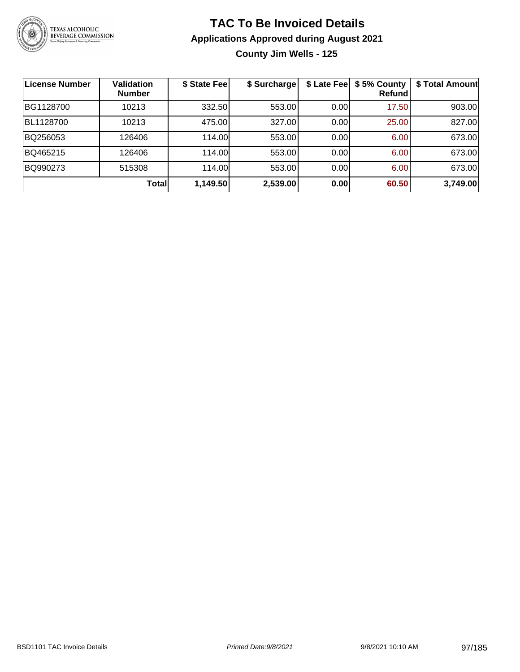

# **TAC To Be Invoiced Details Applications Approved during August 2021**

**County Jim Wells - 125**

| <b>License Number</b> | <b>Validation</b><br><b>Number</b> | \$ State Fee | \$ Surcharge | \$ Late Fee | \$5% County<br>Refundl | \$ Total Amount |
|-----------------------|------------------------------------|--------------|--------------|-------------|------------------------|-----------------|
| BG1128700             | 10213                              | 332.50       | 553.00       | 0.00        | 17.50                  | 903.00          |
| BL1128700             | 10213                              | 475.00       | 327.00       | 0.00        | 25.00                  | 827.00          |
| BQ256053              | 126406                             | 114.00       | 553.00       | 0.00        | 6.00                   | 673.00          |
| BQ465215              | 126406                             | 114.00       | 553.00       | 0.00        | 6.00                   | 673.00          |
| BQ990273              | 515308                             | 114.00       | 553.00       | 0.001       | 6.00                   | 673.00          |
|                       | Totall                             | 1,149.50     | 2,539.00     | 0.00        | 60.50                  | 3,749.00        |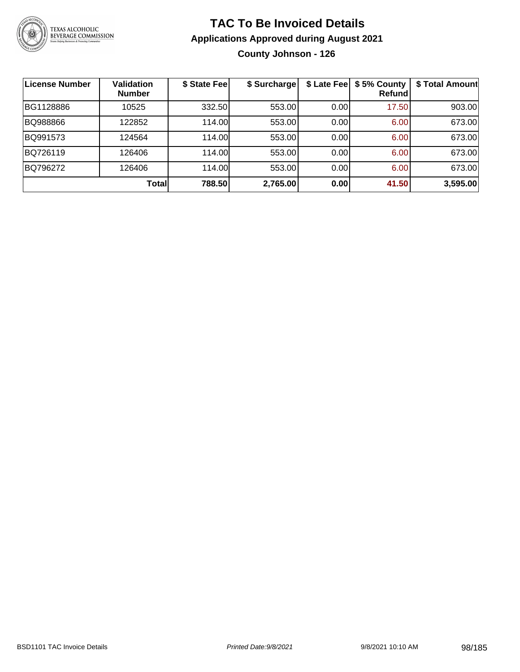

### **TAC To Be Invoiced Details Applications Approved during August 2021 County Johnson - 126**

| <b>License Number</b> | <b>Validation</b><br><b>Number</b> | \$ State Fee | \$ Surcharge |      | \$ Late Fee   \$5% County<br>Refundl | \$ Total Amount |
|-----------------------|------------------------------------|--------------|--------------|------|--------------------------------------|-----------------|
| BG1128886             | 10525                              | 332.50       | 553.00       | 0.00 | 17.50                                | 903.00          |
| BQ988866              | 122852                             | 114.00       | 553.00       | 0.00 | 6.00                                 | 673.00          |
| BQ991573              | 124564                             | 114.00       | 553.00       | 0.00 | 6.00                                 | 673.00          |
| BQ726119              | 126406                             | 114.00       | 553.00       | 0.00 | 6.00                                 | 673.00          |
| BQ796272              | 126406                             | 114.00       | 553.00       | 0.00 | 6.00                                 | 673.00          |
|                       | <b>Total</b>                       | 788.50       | 2,765.00     | 0.00 | 41.50                                | 3,595.00        |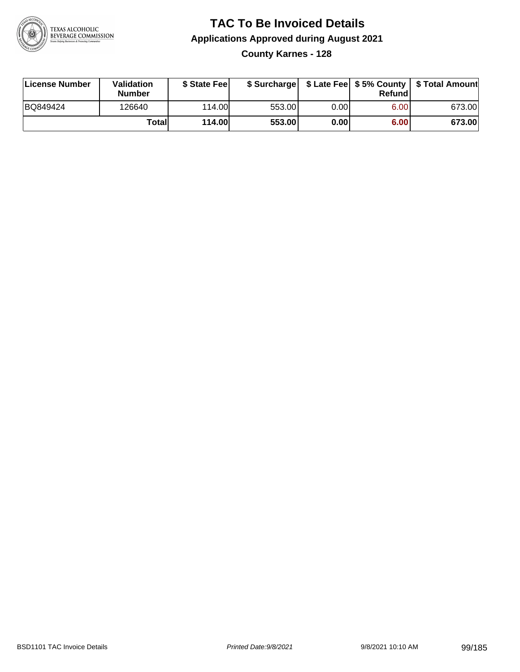

### **TAC To Be Invoiced Details Applications Approved during August 2021 County Karnes - 128**

| License Number | Validation<br><b>Number</b> | \$ State Fee  |        |      | Refundl | \$ Surcharge   \$ Late Fee   \$5% County   \$ Total Amount |
|----------------|-----------------------------|---------------|--------|------|---------|------------------------------------------------------------|
| BQ849424       | 126640                      | 114.00L       | 553.00 | 0.00 | 6.00    | 673.00                                                     |
|                | Total                       | <b>114.00</b> | 553.00 | 0.00 | 6.00    | 673.00                                                     |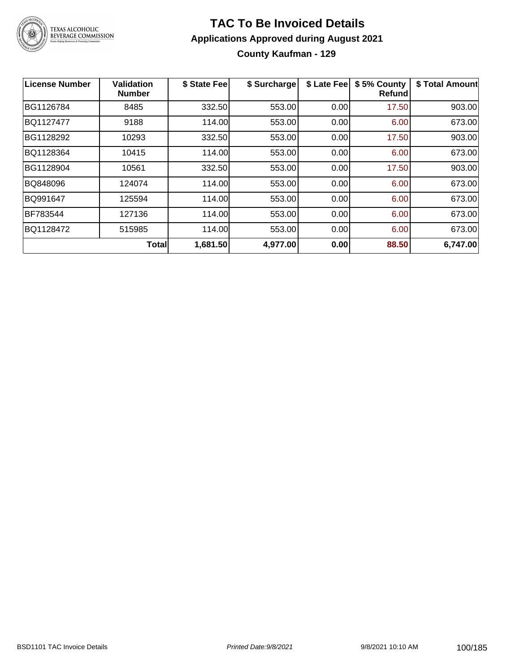

### **TAC To Be Invoiced Details Applications Approved during August 2021 County Kaufman - 129**

| License Number | <b>Validation</b><br><b>Number</b> | \$ State Fee | \$ Surcharge | \$ Late Fee | \$5% County<br>Refundl | \$ Total Amount |
|----------------|------------------------------------|--------------|--------------|-------------|------------------------|-----------------|
| BG1126784      | 8485                               | 332.50       | 553.00       | 0.00        | 17.50                  | 903.00          |
| BQ1127477      | 9188                               | 114.00       | 553.00       | 0.00        | 6.00                   | 673.00          |
| BG1128292      | 10293                              | 332.50       | 553.00       | 0.00        | 17.50                  | 903.00          |
| BQ1128364      | 10415                              | 114.00       | 553.00       | 0.00        | 6.00                   | 673.00          |
| BG1128904      | 10561                              | 332.50       | 553.00       | 0.00        | 17.50                  | 903.00          |
| BQ848096       | 124074                             | 114.00       | 553.00       | 0.00        | 6.00                   | 673.00          |
| BQ991647       | 125594                             | 114.00       | 553.00       | 0.00        | 6.00                   | 673.00          |
| BF783544       | 127136                             | 114.00       | 553.00       | 0.00        | 6.00                   | 673.00          |
| BQ1128472      | 515985                             | 114.00       | 553.00       | 0.00        | 6.00                   | 673.00          |
|                | <b>Total</b>                       | 1,681.50     | 4,977.00     | 0.00        | 88.50                  | 6,747.00        |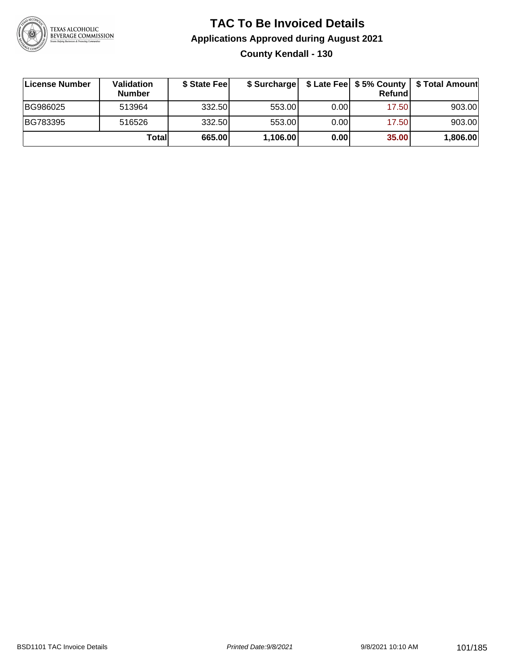

### **TAC To Be Invoiced Details Applications Approved during August 2021 County Kendall - 130**

| License Number | <b>Validation</b><br><b>Number</b> | \$ State Feel |          |       | Refund | \$ Surcharge   \$ Late Fee   \$5% County   \$ Total Amount |
|----------------|------------------------------------|---------------|----------|-------|--------|------------------------------------------------------------|
| BG986025       | 513964                             | 332.50        | 553.00   | 0.001 | 17.50  | 903.00                                                     |
| BG783395       | 516526                             | 332.50        | 553.00   | 0.001 | 17.50  | 903.00                                                     |
|                | Totall                             | 665.00        | 1,106.00 | 0.00  | 35.00  | 1,806.00                                                   |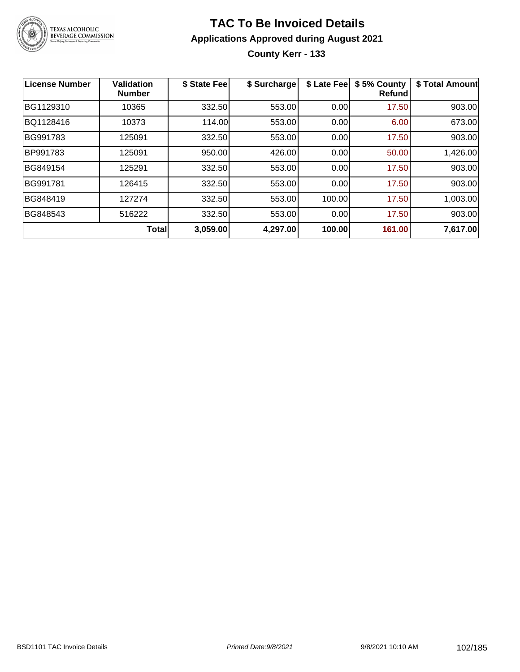

### **TAC To Be Invoiced Details Applications Approved during August 2021 County Kerr - 133**

| <b>License Number</b> | <b>Validation</b><br><b>Number</b> | \$ State Fee | \$ Surcharge | \$ Late Fee | \$5% County<br><b>Refund</b> | \$ Total Amount |
|-----------------------|------------------------------------|--------------|--------------|-------------|------------------------------|-----------------|
| BG1129310             | 10365                              | 332.50       | 553.00       | 0.00        | 17.50                        | 903.00          |
| BQ1128416             | 10373                              | 114.00       | 553.00       | 0.00        | 6.00                         | 673.00          |
| BG991783              | 125091                             | 332.50       | 553.00       | 0.00        | 17.50                        | 903.00          |
| BP991783              | 125091                             | 950.00       | 426.00       | 0.00        | 50.00                        | 1,426.00        |
| BG849154              | 125291                             | 332.50       | 553.00       | 0.00        | 17.50                        | 903.00          |
| BG991781              | 126415                             | 332.50       | 553.00       | 0.00        | 17.50                        | 903.00          |
| BG848419              | 127274                             | 332.50       | 553.00       | 100.00      | 17.50                        | 1,003.00        |
| BG848543              | 516222                             | 332.50       | 553.00       | 0.00        | 17.50                        | 903.00          |
|                       | <b>Total</b>                       | 3,059.00     | 4,297.00     | 100.00      | 161.00                       | 7,617.00        |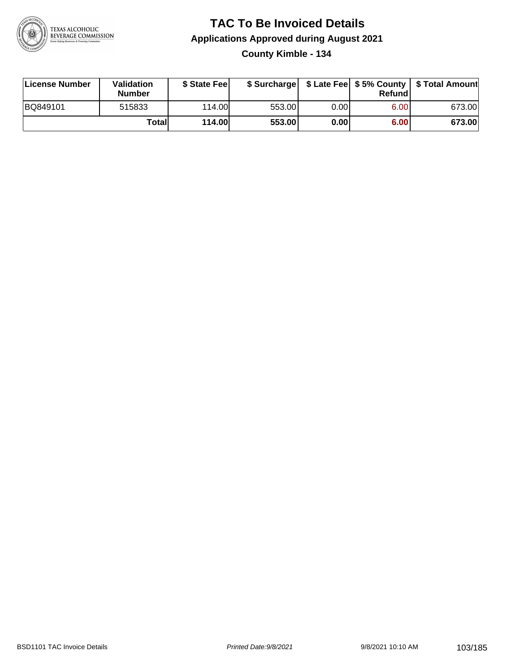

### **TAC To Be Invoiced Details Applications Approved during August 2021 County Kimble - 134**

| License Number | Validation<br><b>Number</b> | \$ State Fee  |        |      | Refund | \$ Surcharge   \$ Late Fee   \$5% County   \$ Total Amount |
|----------------|-----------------------------|---------------|--------|------|--------|------------------------------------------------------------|
| BQ849101       | 515833                      | 114.00L       | 553.00 | 0.00 | 6.00   | 673.00                                                     |
|                | <b>Total</b>                | <b>114.00</b> | 553.00 | 0.00 | 6.00   | 673.00                                                     |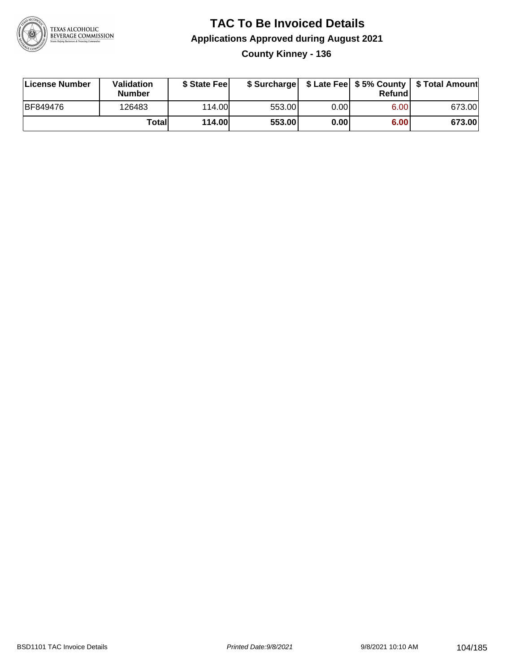

### **TAC To Be Invoiced Details Applications Approved during August 2021 County Kinney - 136**

| <b>License Number</b> | Validation<br><b>Number</b> | \$ State Fee | \$ Surcharge |      | Refundl | \$ Late Fee   \$5% County   \$ Total Amount |
|-----------------------|-----------------------------|--------------|--------------|------|---------|---------------------------------------------|
| BF849476              | 126483                      | 114.00L      | 553.00       | 0.00 | 6.00    | 673.00                                      |
|                       | Totall                      | 114.00       | 553.00       | 0.00 | 6.00    | 673.00                                      |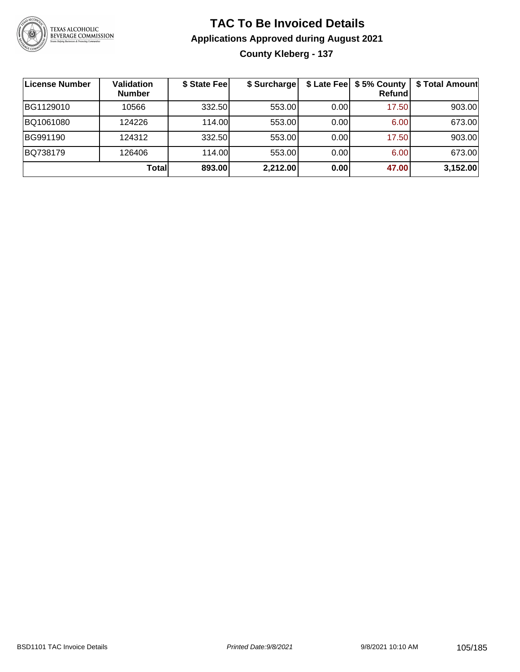

### **TAC To Be Invoiced Details Applications Approved during August 2021 County Kleberg - 137**

| License Number | Validation<br><b>Number</b> | \$ State Fee | \$ Surcharge |      | \$ Late Fee   \$5% County<br><b>Refund</b> | \$ Total Amount |
|----------------|-----------------------------|--------------|--------------|------|--------------------------------------------|-----------------|
| BG1129010      | 10566                       | 332.50       | 553.00       | 0.00 | 17.50                                      | 903.00          |
| BQ1061080      | 124226                      | 114.00       | 553.00       | 0.00 | 6.00                                       | 673.00          |
| BG991190       | 124312                      | 332.50       | 553.00       | 0.00 | 17.50                                      | 903.00          |
| BQ738179       | 126406                      | 114.00       | 553.00       | 0.00 | 6.00                                       | 673.00          |
|                | Totall                      | 893.00       | 2,212.00     | 0.00 | 47.00                                      | 3,152.00        |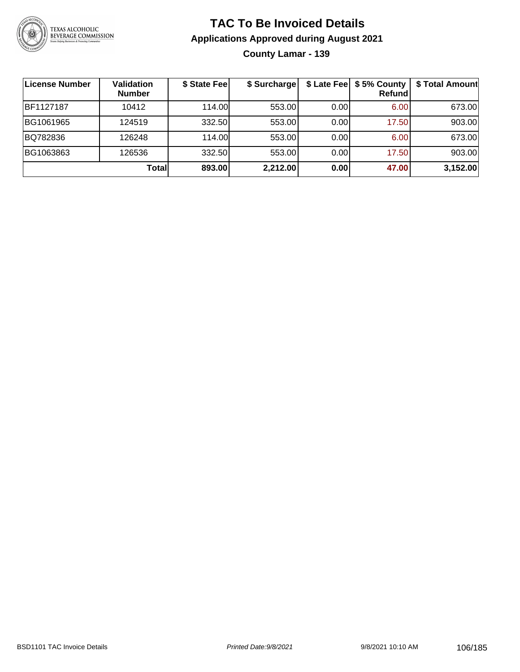

# **TAC To Be Invoiced Details Applications Approved during August 2021**

**County Lamar - 139**

| ∣License Number | Validation<br><b>Number</b> | \$ State Fee | \$ Surcharge |      | \$ Late Fee   \$5% County<br>Refundl | \$ Total Amount |
|-----------------|-----------------------------|--------------|--------------|------|--------------------------------------|-----------------|
| BF1127187       | 10412                       | 114.00       | 553.00       | 0.00 | 6.00                                 | 673.00          |
| BG1061965       | 124519                      | 332.50       | 553.00       | 0.00 | 17.50                                | 903.00          |
| BQ782836        | 126248                      | 114.00L      | 553.00       | 0.00 | 6.00                                 | 673.00          |
| BG1063863       | 126536                      | 332.50       | 553.00       | 0.00 | 17.50                                | 903.00          |
|                 | Totall                      | 893.00       | 2,212.00     | 0.00 | 47.00                                | 3,152.00        |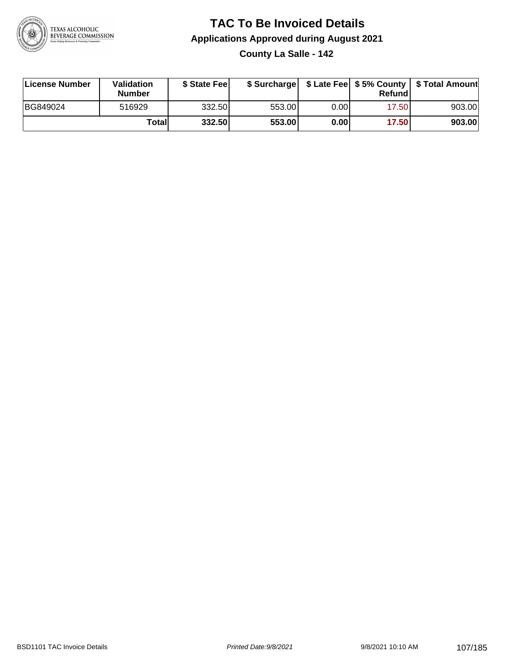

# **TAC To Be Invoiced Details Applications Approved during August 2021**

**County La Salle - 142**

| License Number | <b>Validation</b><br><b>Number</b> | \$ State Feel |        |       | Refundl | \$ Surcharge   \$ Late Fee   \$5% County   \$ Total Amount |
|----------------|------------------------------------|---------------|--------|-------|---------|------------------------------------------------------------|
| BG849024       | 516929                             | 332.50        | 553.00 | 0.001 | 17.50   | 903.00                                                     |
|                | Totall                             | 332.50        | 553.00 | 0.00  | 17.50   | 903.00                                                     |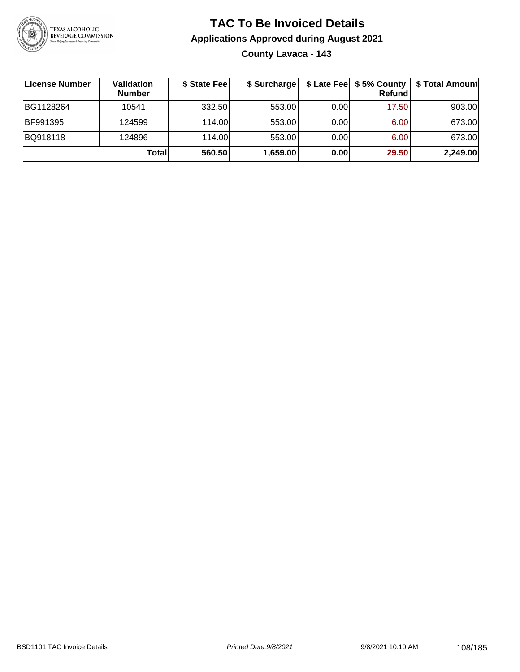

### **TAC To Be Invoiced Details Applications Approved during August 2021 County Lavaca - 143**

| License Number | Validation<br><b>Number</b> | \$ State Fee | \$ Surcharge |       | Refund | \$ Late Fee   \$5% County   \$ Total Amount |
|----------------|-----------------------------|--------------|--------------|-------|--------|---------------------------------------------|
| BG1128264      | 10541                       | 332.50       | 553.00       | 0.001 | 17.50  | 903.00                                      |
| BF991395       | 124599                      | 114.00       | 553.00       | 0.001 | 6.00   | 673.00                                      |
| BQ918118       | 124896                      | 114.00       | 553.00       | 0.001 | 6.00   | 673.00                                      |
|                | Totall                      | 560.50       | 1,659.00     | 0.00  | 29.50  | 2,249.00                                    |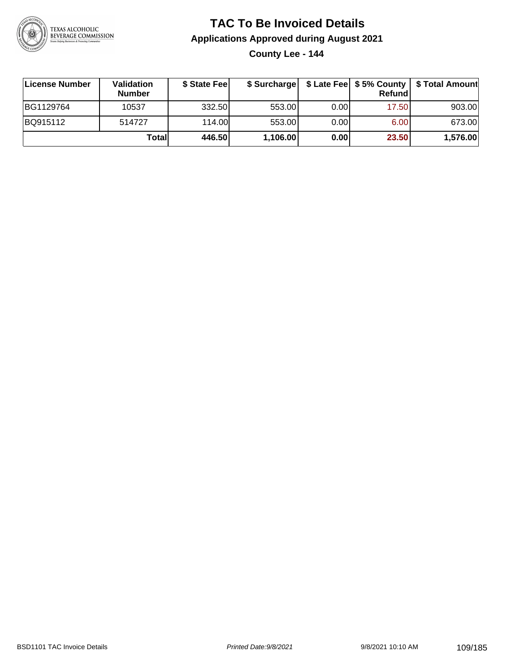

### **TAC To Be Invoiced Details Applications Approved during August 2021**

**County Lee - 144**

| License Number | Validation<br><b>Number</b> | \$ State Feel |          |       | Refundl | \$ Surcharge   \$ Late Fee   \$5% County   \$ Total Amount |
|----------------|-----------------------------|---------------|----------|-------|---------|------------------------------------------------------------|
| BG1129764      | 10537                       | 332.50        | 553.00   | 0.001 | 17.50   | 903.00                                                     |
| BQ915112       | 514727                      | 114.00        | 553.00   | 0.00  | 6.00    | 673.00                                                     |
|                | Totall                      | 446.50        | 1,106.00 | 0.00  | 23.50   | 1,576.00                                                   |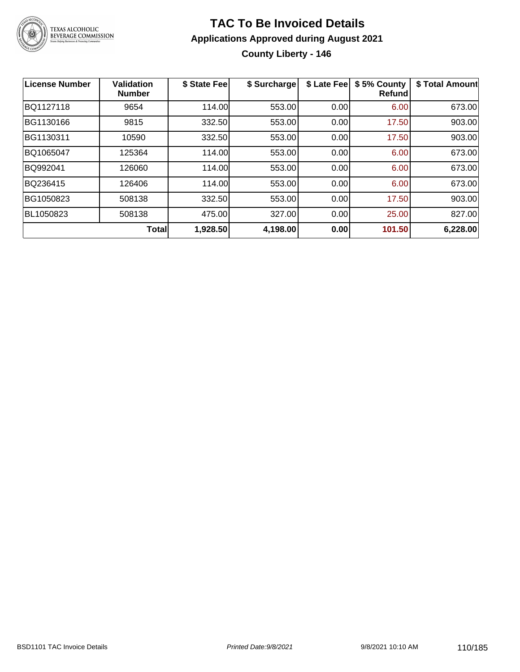

#### **TAC To Be Invoiced Details Applications Approved during August 2021 County Liberty - 146**

| License Number | <b>Validation</b><br><b>Number</b> | \$ State Fee | \$ Surcharge | \$ Late Fee | \$5% County<br><b>Refund</b> | \$ Total Amount |
|----------------|------------------------------------|--------------|--------------|-------------|------------------------------|-----------------|
| BQ1127118      | 9654                               | 114.00       | 553.00       | 0.00        | 6.00                         | 673.00          |
| BG1130166      | 9815                               | 332.50       | 553.00       | 0.00        | 17.50                        | 903.00          |
| BG1130311      | 10590                              | 332.50       | 553.00       | 0.00        | 17.50                        | 903.00          |
| BQ1065047      | 125364                             | 114.00       | 553.00       | 0.00        | 6.00                         | 673.00          |
| BQ992041       | 126060                             | 114.00       | 553.00       | 0.00        | 6.00                         | 673.00          |
| BQ236415       | 126406                             | 114.00       | 553.00       | 0.00        | 6.00                         | 673.00          |
| BG1050823      | 508138                             | 332.50       | 553.00       | 0.00        | 17.50                        | 903.00          |
| BL1050823      | 508138                             | 475.00       | 327.00       | 0.00        | 25.00                        | 827.00          |
|                | <b>Total</b>                       | 1,928.50     | 4,198.00     | 0.00        | 101.50                       | 6,228.00        |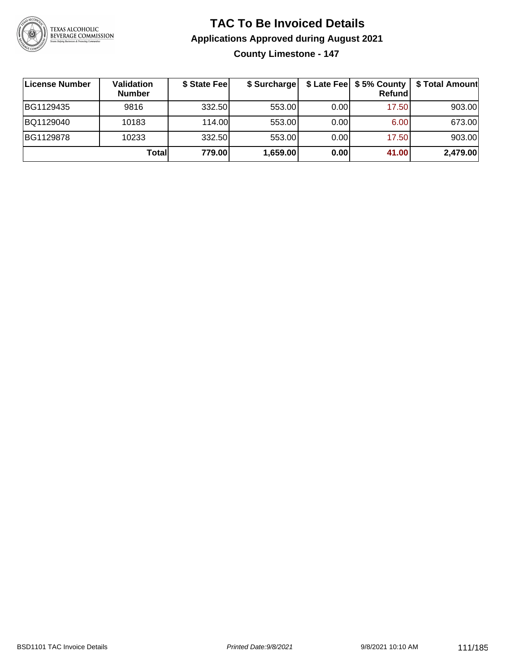

### **TAC To Be Invoiced Details Applications Approved during August 2021**

**County Limestone - 147**

| ∣License Number | Validation<br><b>Number</b> | \$ State Fee | \$ Surcharge |       | Refundl | \$ Late Fee   \$5% County   \$ Total Amount |
|-----------------|-----------------------------|--------------|--------------|-------|---------|---------------------------------------------|
| BG1129435       | 9816                        | 332.50       | 553.00       | 0.00  | 17.50   | 903.00                                      |
| BQ1129040       | 10183                       | 114.00       | 553.00       | 0.001 | 6.00    | 673.00                                      |
| BG1129878       | 10233                       | 332.50       | 553.00       | 0.001 | 17.50   | 903.00                                      |
|                 | Totall                      | 779.00       | 1,659.00     | 0.00  | 41.00   | 2,479.00                                    |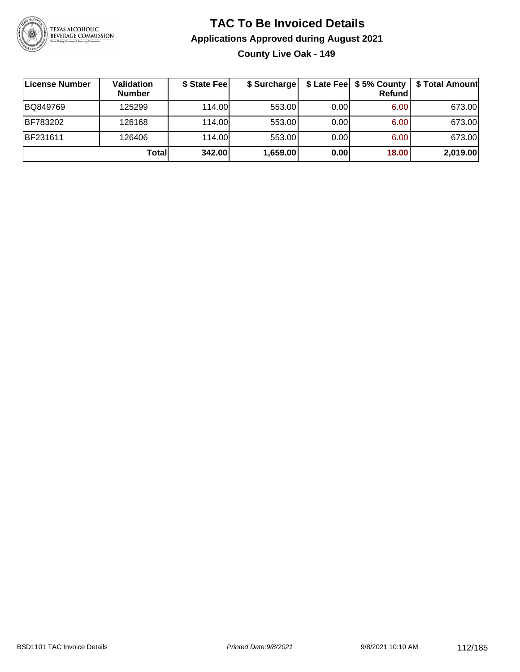

#### **TAC To Be Invoiced Details Applications Approved during August 2021 County Live Oak - 149**

| License Number | Validation<br><b>Number</b> | \$ State Fee | \$ Surcharge |       | \$ Late Fee   \$5% County  <br>Refund | \$ Total Amount |
|----------------|-----------------------------|--------------|--------------|-------|---------------------------------------|-----------------|
| BQ849769       | 125299                      | 114.00       | 553.00       | 0.001 | 6.00                                  | 673.00          |
| BF783202       | 126168                      | 114.00       | 553.00       | 0.00  | 6.00                                  | 673.00          |
| BF231611       | 126406                      | 114.00       | 553.00       | 0.00  | 6.00                                  | 673.00          |
|                | Totall                      | 342.00       | 1,659.00     | 0.00  | 18.00                                 | 2,019.00        |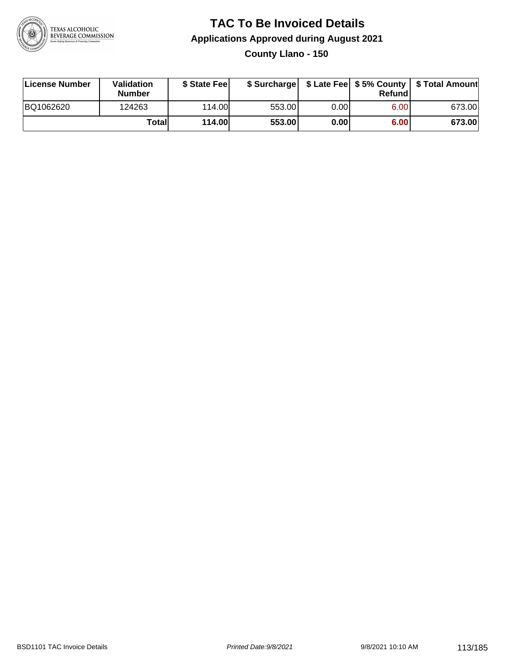

## **TAC To Be Invoiced Details Applications Approved during August 2021**

**County Llano - 150**

| License Number | Validation<br><b>Number</b> | \$ State Fee  | \$ Surcharge |      | Refundl           | \$ Late Fee   \$5% County   \$ Total Amount |
|----------------|-----------------------------|---------------|--------------|------|-------------------|---------------------------------------------|
| BQ1062620      | 124263                      | 114.00        | 553.00       | 0.00 | 6.00 <sub>1</sub> | 673.00                                      |
|                | Totall                      | <b>114.00</b> | 553.00       | 0.00 | 6.00              | 673.00                                      |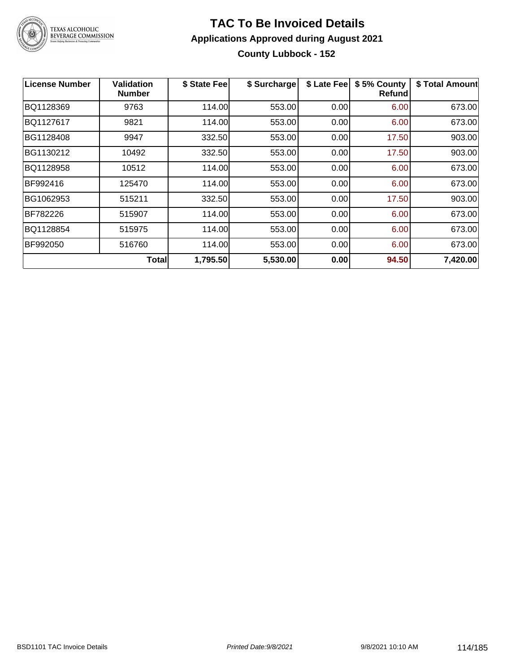

#### **TAC To Be Invoiced Details Applications Approved during August 2021 County Lubbock - 152**

| License Number | Validation<br><b>Number</b> | \$ State Fee | \$ Surcharge | \$ Late Fee | \$5% County<br>Refundl | \$ Total Amount |
|----------------|-----------------------------|--------------|--------------|-------------|------------------------|-----------------|
| BQ1128369      | 9763                        | 114.00       | 553.00       | 0.00        | 6.00                   | 673.00          |
| BQ1127617      | 9821                        | 114.00       | 553.00       | 0.00        | 6.00                   | 673.00          |
| BG1128408      | 9947                        | 332.50       | 553.00       | 0.00        | 17.50                  | 903.00          |
| BG1130212      | 10492                       | 332.50       | 553.00       | 0.00        | 17.50                  | 903.00          |
| BQ1128958      | 10512                       | 114.00       | 553.00       | 0.00        | 6.00                   | 673.00          |
| BF992416       | 125470                      | 114.00       | 553.00       | 0.00        | 6.00                   | 673.00          |
| BG1062953      | 515211                      | 332.50       | 553.00       | 0.00        | 17.50                  | 903.00          |
| BF782226       | 515907                      | 114.00       | 553.00       | 0.00        | 6.00                   | 673.00          |
| BQ1128854      | 515975                      | 114.00       | 553.00       | 0.00        | 6.00                   | 673.00          |
| BF992050       | 516760                      | 114.00       | 553.00       | 0.00        | 6.00                   | 673.00          |
|                | <b>Total</b>                | 1,795.50     | 5,530.00     | 0.00        | 94.50                  | 7,420.00        |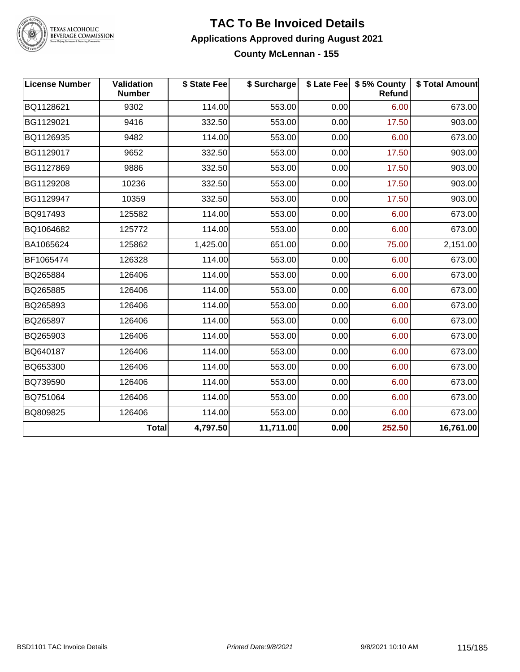

TEXAS ALCOHOLIC<br>BEVERAGE COMMISSION

#### **TAC To Be Invoiced Details Applications Approved during August 2021 County McLennan - 155**

| <b>License Number</b> | <b>Validation</b><br><b>Number</b> | \$ State Fee | \$ Surcharge |      | \$ Late Fee   \$5% County<br>Refund | \$ Total Amount |
|-----------------------|------------------------------------|--------------|--------------|------|-------------------------------------|-----------------|
| BQ1128621             | 9302                               | 114.00       | 553.00       | 0.00 | 6.00                                | 673.00          |
| BG1129021             | 9416                               | 332.50       | 553.00       | 0.00 | 17.50                               | 903.00          |
| BQ1126935             | 9482                               | 114.00       | 553.00       | 0.00 | 6.00                                | 673.00          |
| BG1129017             | 9652                               | 332.50       | 553.00       | 0.00 | 17.50                               | 903.00          |
| BG1127869             | 9886                               | 332.50       | 553.00       | 0.00 | 17.50                               | 903.00          |
| BG1129208             | 10236                              | 332.50       | 553.00       | 0.00 | 17.50                               | 903.00          |
| BG1129947             | 10359                              | 332.50       | 553.00       | 0.00 | 17.50                               | 903.00          |
| BQ917493              | 125582                             | 114.00       | 553.00       | 0.00 | 6.00                                | 673.00          |
| BQ1064682             | 125772                             | 114.00       | 553.00       | 0.00 | 6.00                                | 673.00          |
| BA1065624             | 125862                             | 1,425.00     | 651.00       | 0.00 | 75.00                               | 2,151.00        |
| BF1065474             | 126328                             | 114.00       | 553.00       | 0.00 | 6.00                                | 673.00          |
| BQ265884              | 126406                             | 114.00       | 553.00       | 0.00 | 6.00                                | 673.00          |
| BQ265885              | 126406                             | 114.00       | 553.00       | 0.00 | 6.00                                | 673.00          |
| BQ265893              | 126406                             | 114.00       | 553.00       | 0.00 | 6.00                                | 673.00          |
| BQ265897              | 126406                             | 114.00       | 553.00       | 0.00 | 6.00                                | 673.00          |
| BQ265903              | 126406                             | 114.00       | 553.00       | 0.00 | 6.00                                | 673.00          |
| BQ640187              | 126406                             | 114.00       | 553.00       | 0.00 | 6.00                                | 673.00          |
| BQ653300              | 126406                             | 114.00       | 553.00       | 0.00 | 6.00                                | 673.00          |
| BQ739590              | 126406                             | 114.00       | 553.00       | 0.00 | 6.00                                | 673.00          |
| BQ751064              | 126406                             | 114.00       | 553.00       | 0.00 | 6.00                                | 673.00          |
| BQ809825              | 126406                             | 114.00       | 553.00       | 0.00 | 6.00                                | 673.00          |
|                       | Total                              | 4,797.50     | 11,711.00    | 0.00 | 252.50                              | 16,761.00       |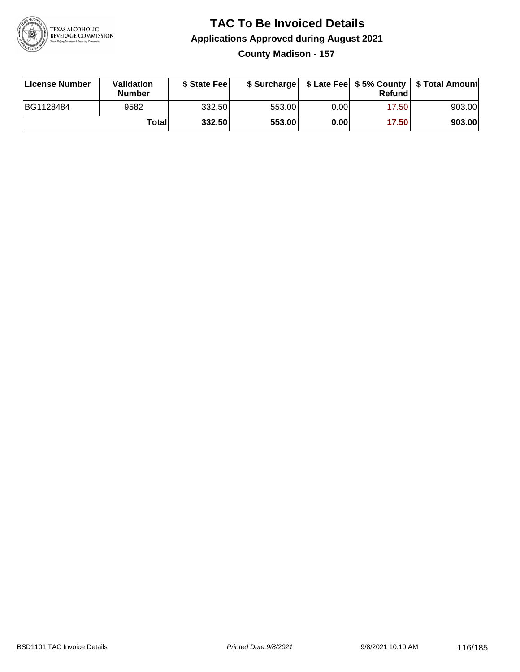

#### **TAC To Be Invoiced Details Applications Approved during August 2021 County Madison - 157**

| License Number | Validation<br><b>Number</b> | \$ State Fee |        |      | Refund | \$ Surcharge   \$ Late Fee   \$5% County   \$ Total Amount |
|----------------|-----------------------------|--------------|--------|------|--------|------------------------------------------------------------|
| BG1128484      | 9582                        | 332.50       | 553.00 | 0.00 | 17.50  | 903.00                                                     |
|                | Totall                      | 332.50       | 553.00 | 0.00 | 17.50  | 903.00                                                     |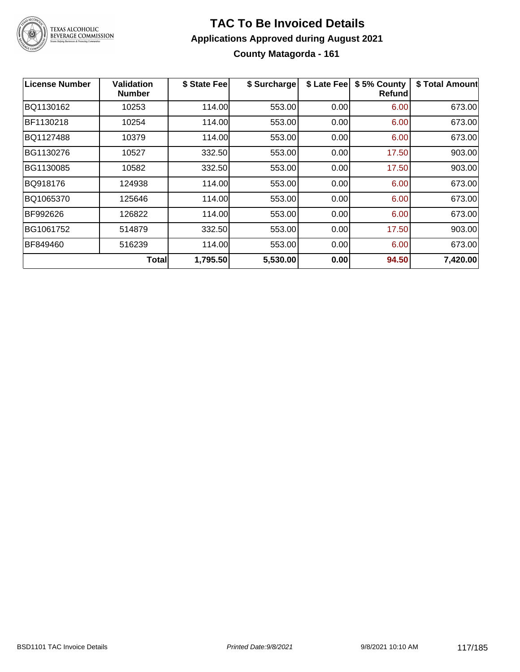

#### **TAC To Be Invoiced Details Applications Approved during August 2021 County Matagorda - 161**

| <b>License Number</b> | Validation<br><b>Number</b> | \$ State Fee | \$ Surcharge | \$ Late Fee | \$5% County<br>Refundl | \$ Total Amount |
|-----------------------|-----------------------------|--------------|--------------|-------------|------------------------|-----------------|
| BQ1130162             | 10253                       | 114.00       | 553.00       | 0.00        | 6.00                   | 673.00          |
| BF1130218             | 10254                       | 114.00       | 553.00       | 0.00        | 6.00                   | 673.00          |
| BQ1127488             | 10379                       | 114.00       | 553.00       | 0.00        | 6.00                   | 673.00          |
| BG1130276             | 10527                       | 332.50       | 553.00       | 0.00        | 17.50                  | 903.00          |
| BG1130085             | 10582                       | 332.50       | 553.00       | 0.00        | 17.50                  | 903.00          |
| BQ918176              | 124938                      | 114.00       | 553.00       | 0.00        | 6.00                   | 673.00          |
| BQ1065370             | 125646                      | 114.00       | 553.00       | 0.00        | 6.00                   | 673.00          |
| BF992626              | 126822                      | 114.00       | 553.00       | 0.00        | 6.00                   | 673.00          |
| BG1061752             | 514879                      | 332.50       | 553.00       | 0.00        | 17.50                  | 903.00          |
| BF849460              | 516239                      | 114.00       | 553.00       | 0.00        | 6.00                   | 673.00          |
|                       | <b>Total</b>                | 1,795.50     | 5,530.00     | 0.00        | 94.50                  | 7,420.00        |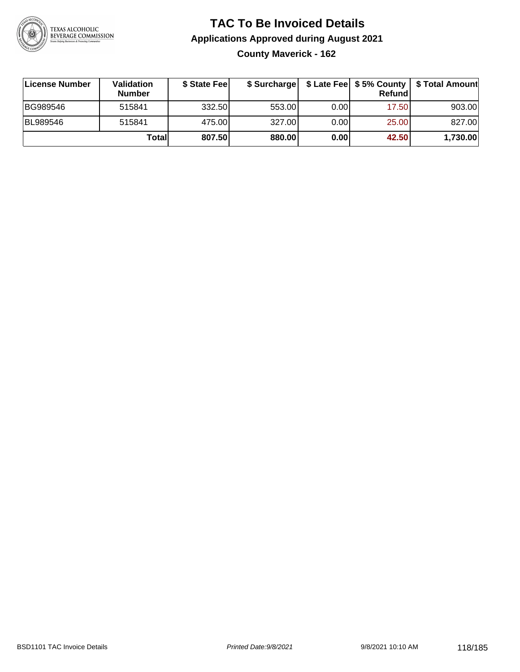

#### **TAC To Be Invoiced Details Applications Approved during August 2021 County Maverick - 162**

| License Number  | Validation<br><b>Number</b> | \$ State Feel |        |       | <b>Refund</b> | \$ Surcharge   \$ Late Fee   \$5% County   \$ Total Amount |
|-----------------|-----------------------------|---------------|--------|-------|---------------|------------------------------------------------------------|
| BG989546        | 515841                      | 332.50        | 553.00 | 0.001 | 17.50         | 903.00                                                     |
| <b>BL989546</b> | 515841                      | 475.00        | 327.00 | 0.00  | 25.00         | 827.00                                                     |
|                 | Totall                      | 807.50        | 880.00 | 0.00  | 42.50         | 1,730.00                                                   |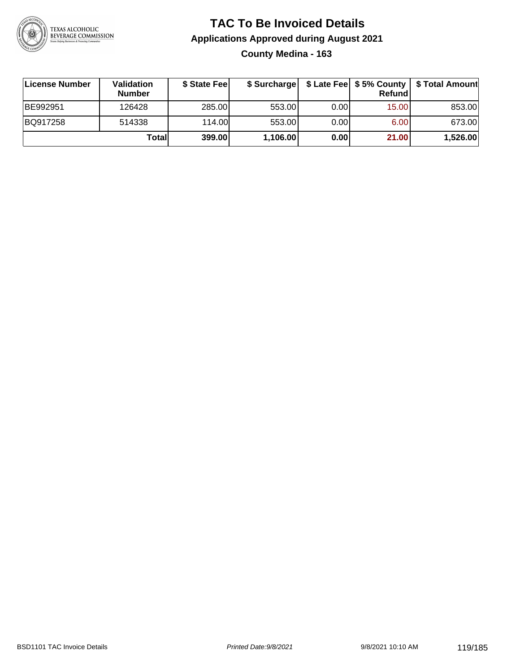

#### **TAC To Be Invoiced Details Applications Approved during August 2021 County Medina - 163**

| ∣License Number | <b>Validation</b><br><b>Number</b> | \$ State Fee | \$ Surcharge |       | <b>Refund</b> |          |
|-----------------|------------------------------------|--------------|--------------|-------|---------------|----------|
| BE992951        | 126428                             | 285.00       | 553.00       | 0.001 | 15.00         | 853.00   |
| BQ917258        | 514338                             | 114.00L      | 553.00       | 0.001 | 6.00          | 673.00   |
|                 | Totall                             | 399.00       | 1,106.00     | 0.00  | 21.00         | 1,526.00 |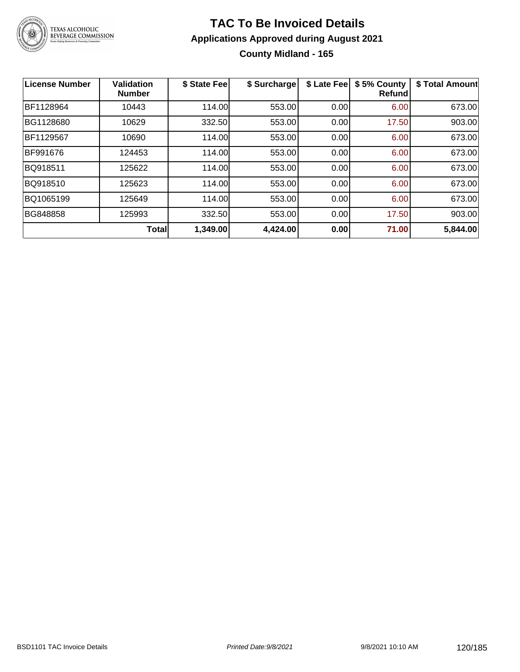

#### **TAC To Be Invoiced Details Applications Approved during August 2021 County Midland - 165**

| <b>License Number</b> | <b>Validation</b><br><b>Number</b> | \$ State Fee | \$ Surcharge | \$ Late Fee | \$5% County<br><b>Refund</b> | \$ Total Amount |
|-----------------------|------------------------------------|--------------|--------------|-------------|------------------------------|-----------------|
| BF1128964             | 10443                              | 114.00       | 553.00       | 0.00        | 6.00                         | 673.00          |
| BG1128680             | 10629                              | 332.50       | 553.00       | 0.00        | 17.50                        | 903.00          |
| BF1129567             | 10690                              | 114.00       | 553.00       | 0.00        | 6.00                         | 673.00          |
| BF991676              | 124453                             | 114.00       | 553.00       | 0.00        | 6.00                         | 673.00          |
| BQ918511              | 125622                             | 114.00       | 553.00       | 0.00        | 6.00                         | 673.00          |
| BQ918510              | 125623                             | 114.00       | 553.00       | 0.00        | 6.00                         | 673.00          |
| BQ1065199             | 125649                             | 114.00       | 553.00       | 0.00        | 6.00                         | 673.00          |
| BG848858              | 125993                             | 332.50       | 553.00       | 0.00        | 17.50                        | 903.00          |
|                       | <b>Total</b>                       | 1,349.00     | 4,424.00     | 0.00        | 71.00                        | 5,844.00        |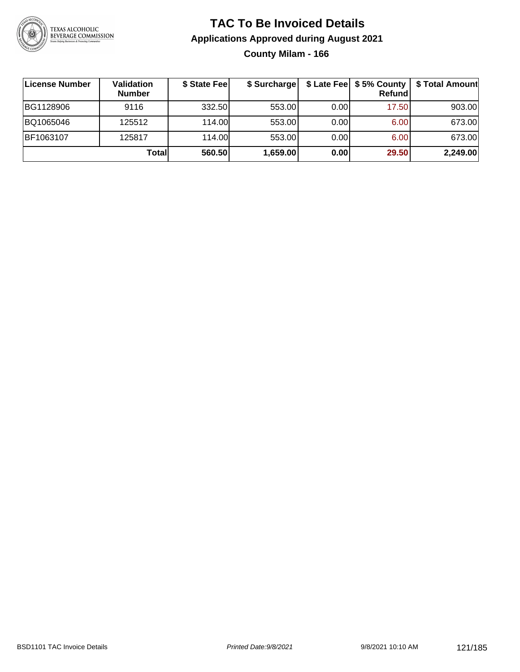

#### **TAC To Be Invoiced Details Applications Approved during August 2021 County Milam - 166**

| License Number | Validation<br><b>Number</b> | \$ State Fee | \$ Surcharge |      | $$$ Late Fee $$5%$ County<br><b>Refund</b> | \$ Total Amount |
|----------------|-----------------------------|--------------|--------------|------|--------------------------------------------|-----------------|
| BG1128906      | 9116                        | 332.50       | 553.00       | 0.00 | 17.50                                      | 903.00          |
| BQ1065046      | 125512                      | 114.00L      | 553.00       | 0.00 | 6.00                                       | 673.00          |
| BF1063107      | 125817                      | 114.00L      | 553.00       | 0.00 | 6.00                                       | 673.00          |
|                | Totall                      | 560.50       | 1,659.00     | 0.00 | 29.50                                      | 2,249.00        |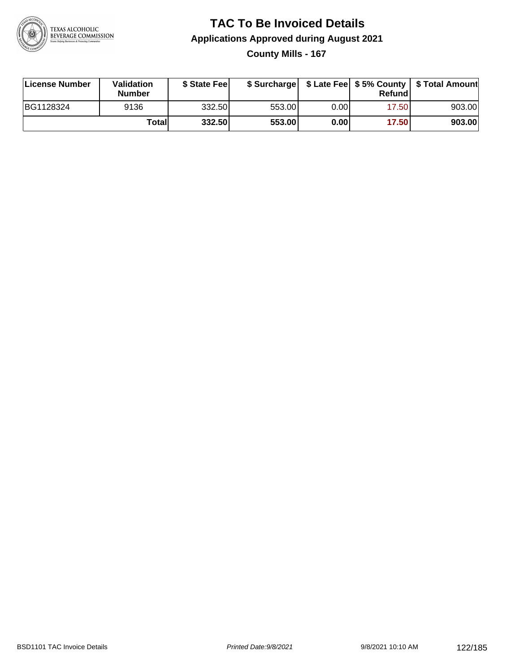

#### **TAC To Be Invoiced Details Applications Approved during August 2021 County Mills - 167**

| License Number | Validation<br><b>Number</b> | \$ State Fee |        |       | Refund | \$ Surcharge   \$ Late Fee   \$5% County   \$ Total Amount |
|----------------|-----------------------------|--------------|--------|-------|--------|------------------------------------------------------------|
| BG1128324      | 9136                        | 332.50       | 553.00 | 0.00I | 17.50  | 903.00                                                     |
|                | Totall                      | 332.50       | 553.00 | 0.00  | 17.50  | 903.00                                                     |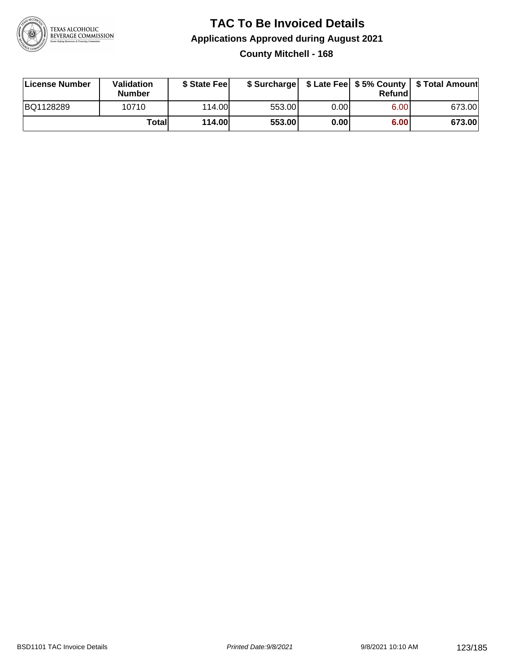

#### **TAC To Be Invoiced Details Applications Approved during August 2021 County Mitchell - 168**

| License Number | <b>Validation</b><br><b>Number</b> | \$ State Fee |        |       | Refundl | \$ Surcharge   \$ Late Fee   \$5% County   \$ Total Amount |
|----------------|------------------------------------|--------------|--------|-------|---------|------------------------------------------------------------|
| BQ1128289      | 10710                              | 114.00L      | 553.00 | 0.00I | 6.00    | 673.00                                                     |
|                | Totall                             | 114.00       | 553.00 | 0.00  | 6.00    | 673.00                                                     |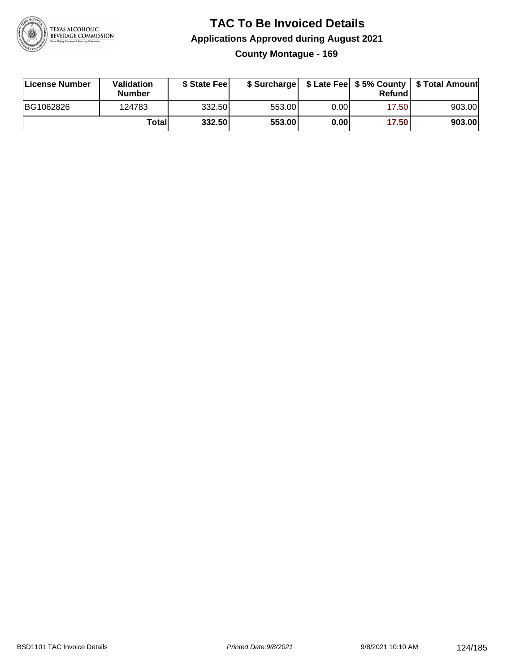

#### **TAC To Be Invoiced Details Applications Approved during August 2021 County Montague - 169**

| License Number | Validation<br><b>Number</b> | \$ State Feel |        |      | Refund | \$ Surcharge   \$ Late Fee   \$5% County   \$ Total Amount |
|----------------|-----------------------------|---------------|--------|------|--------|------------------------------------------------------------|
| BG1062826      | 124783                      | 332.50        | 553.00 | 0.00 | 17.50  | 903.00                                                     |
|                | Totall                      | 332.50        | 553.00 | 0.00 | 17.50  | 903.00                                                     |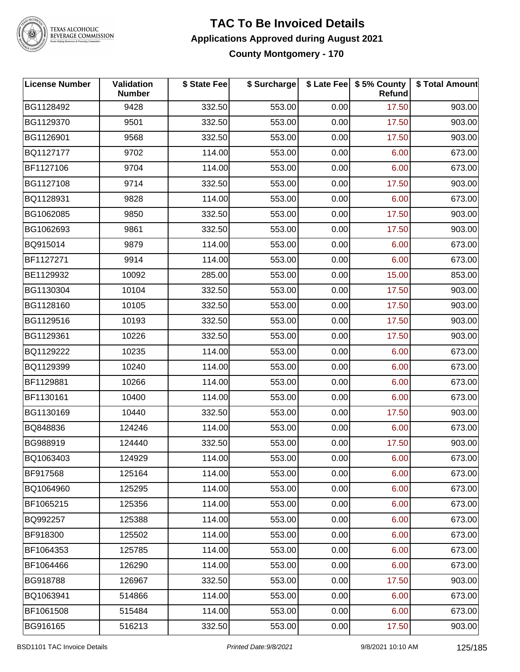

### TEXAS ALCOHOLIC<br>BEVERAGE COMMISSION

#### **TAC To Be Invoiced Details Applications Approved during August 2021 County Montgomery - 170**

| <b>License Number</b> | Validation<br><b>Number</b> | \$ State Fee | \$ Surcharge |      | \$ Late Fee   \$5% County<br>Refund | \$ Total Amount |
|-----------------------|-----------------------------|--------------|--------------|------|-------------------------------------|-----------------|
| BG1128492             | 9428                        | 332.50       | 553.00       | 0.00 | 17.50                               | 903.00          |
| BG1129370             | 9501                        | 332.50       | 553.00       | 0.00 | 17.50                               | 903.00          |
| BG1126901             | 9568                        | 332.50       | 553.00       | 0.00 | 17.50                               | 903.00          |
| BQ1127177             | 9702                        | 114.00       | 553.00       | 0.00 | 6.00                                | 673.00          |
| BF1127106             | 9704                        | 114.00       | 553.00       | 0.00 | 6.00                                | 673.00          |
| BG1127108             | 9714                        | 332.50       | 553.00       | 0.00 | 17.50                               | 903.00          |
| BQ1128931             | 9828                        | 114.00       | 553.00       | 0.00 | 6.00                                | 673.00          |
| BG1062085             | 9850                        | 332.50       | 553.00       | 0.00 | 17.50                               | 903.00          |
| BG1062693             | 9861                        | 332.50       | 553.00       | 0.00 | 17.50                               | 903.00          |
| BQ915014              | 9879                        | 114.00       | 553.00       | 0.00 | 6.00                                | 673.00          |
| BF1127271             | 9914                        | 114.00       | 553.00       | 0.00 | 6.00                                | 673.00          |
| BE1129932             | 10092                       | 285.00       | 553.00       | 0.00 | 15.00                               | 853.00          |
| BG1130304             | 10104                       | 332.50       | 553.00       | 0.00 | 17.50                               | 903.00          |
| BG1128160             | 10105                       | 332.50       | 553.00       | 0.00 | 17.50                               | 903.00          |
| BG1129516             | 10193                       | 332.50       | 553.00       | 0.00 | 17.50                               | 903.00          |
| BG1129361             | 10226                       | 332.50       | 553.00       | 0.00 | 17.50                               | 903.00          |
| BQ1129222             | 10235                       | 114.00       | 553.00       | 0.00 | 6.00                                | 673.00          |
| BQ1129399             | 10240                       | 114.00       | 553.00       | 0.00 | 6.00                                | 673.00          |
| BF1129881             | 10266                       | 114.00       | 553.00       | 0.00 | 6.00                                | 673.00          |
| BF1130161             | 10400                       | 114.00       | 553.00       | 0.00 | 6.00                                | 673.00          |
| BG1130169             | 10440                       | 332.50       | 553.00       | 0.00 | 17.50                               | 903.00          |
| BQ848836              | 124246                      | 114.00       | 553.00       | 0.00 | 6.00                                | 673.00          |
| BG988919              | 124440                      | 332.50       | 553.00       | 0.00 | 17.50                               | 903.00          |
| BQ1063403             | 124929                      | 114.00       | 553.00       | 0.00 | 6.00                                | 673.00          |
| <b>BF917568</b>       | 125164                      | 114.00       | 553.00       | 0.00 | 6.00                                | 673.00          |
| BQ1064960             | 125295                      | 114.00       | 553.00       | 0.00 | 6.00                                | 673.00          |
| BF1065215             | 125356                      | 114.00       | 553.00       | 0.00 | 6.00                                | 673.00          |
| BQ992257              | 125388                      | 114.00       | 553.00       | 0.00 | 6.00                                | 673.00          |
| BF918300              | 125502                      | 114.00       | 553.00       | 0.00 | 6.00                                | 673.00          |
| BF1064353             | 125785                      | 114.00       | 553.00       | 0.00 | 6.00                                | 673.00          |
| BF1064466             | 126290                      | 114.00       | 553.00       | 0.00 | 6.00                                | 673.00          |
| BG918788              | 126967                      | 332.50       | 553.00       | 0.00 | 17.50                               | 903.00          |
| BQ1063941             | 514866                      | 114.00       | 553.00       | 0.00 | 6.00                                | 673.00          |
| BF1061508             | 515484                      | 114.00       | 553.00       | 0.00 | 6.00                                | 673.00          |
| BG916165              | 516213                      | 332.50       | 553.00       | 0.00 | 17.50                               | 903.00          |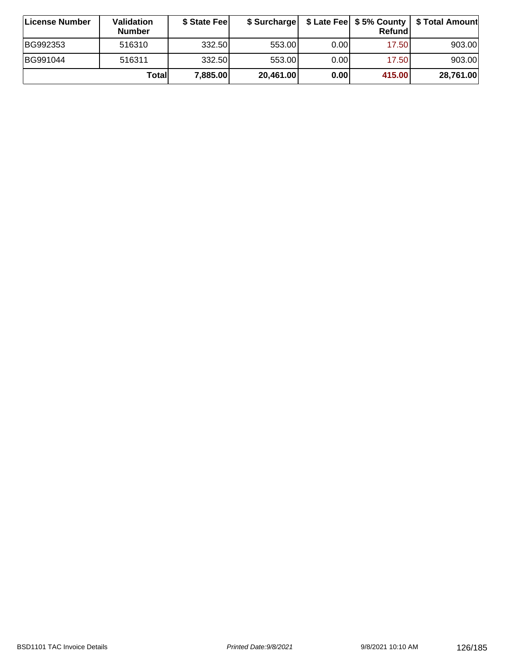| License Number | Validation<br><b>Number</b> | \$ State Fee | \$ Surcharge |       | Refundl |           |
|----------------|-----------------------------|--------------|--------------|-------|---------|-----------|
| BG992353       | 516310                      | 332.50       | 553.00       | 0.001 | 17.50   | 903.00    |
| BG991044       | 516311                      | 332.50       | 553.00       | 0.001 | 17.50   | 903.00    |
|                | Totall                      | 7,885.00     | 20,461.00    | 0.00  | 415.00  | 28,761.00 |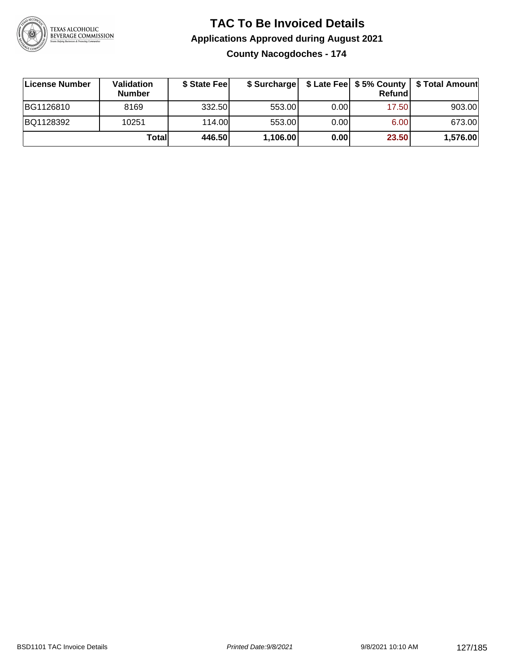

#### **TAC To Be Invoiced Details Applications Approved during August 2021 County Nacogdoches - 174**

| <b>∣License Number</b> | <b>Validation</b><br><b>Number</b> | \$ State Fee | \$ Surcharge |      | Refund |          |
|------------------------|------------------------------------|--------------|--------------|------|--------|----------|
| BG1126810              | 8169                               | 332.50       | 553.00       | 0.00 | 17.50  | 903.00   |
| BQ1128392              | 10251                              | 114.00L      | 553.00       | 0.00 | 6.00   | 673.00   |
|                        | Totall                             | 446.50       | 1,106.00     | 0.00 | 23.50  | 1,576.00 |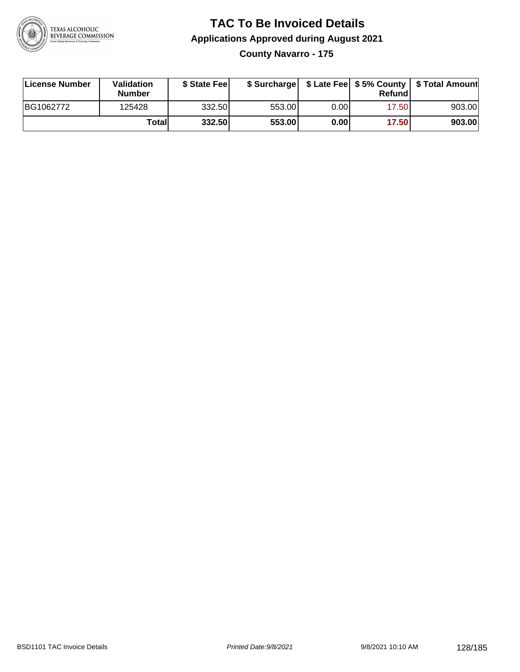

#### **TAC To Be Invoiced Details Applications Approved during August 2021 County Navarro - 175**

| License Number | <b>Validation</b><br><b>Number</b> | \$ State Feel |        |      | Refund | \$ Surcharge   \$ Late Fee   \$5% County   \$ Total Amount |
|----------------|------------------------------------|---------------|--------|------|--------|------------------------------------------------------------|
| BG1062772      | 125428                             | 332.50        | 553.00 | 0.00 | 17.50  | 903.00                                                     |
|                | Totall                             | 332.50        | 553.00 | 0.00 | 17.50  | 903.00                                                     |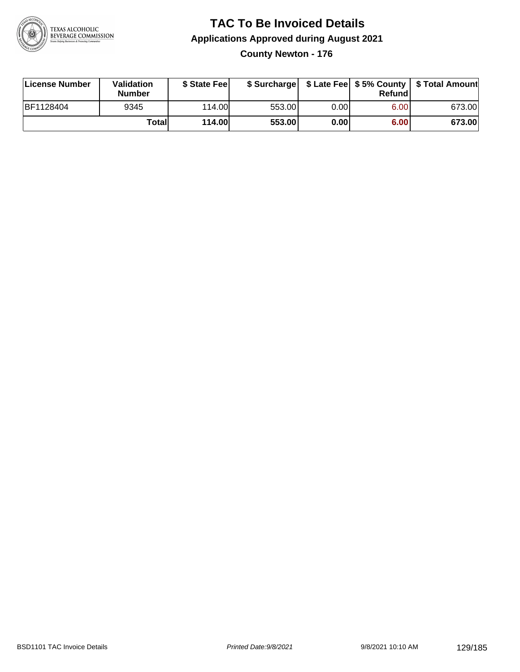

#### **TAC To Be Invoiced Details Applications Approved during August 2021 County Newton - 176**

| License Number | <b>Validation</b><br><b>Number</b> | \$ State Feel |        |      | Refund | \$ Surcharge   \$ Late Fee   \$5% County   \$ Total Amount |
|----------------|------------------------------------|---------------|--------|------|--------|------------------------------------------------------------|
| BF1128404      | 9345                               | 114.00L       | 553.00 | 0.00 | 6.00   | 673.00                                                     |
|                | Totall                             | <b>114.00</b> | 553.00 | 0.00 | 6.00   | 673.00                                                     |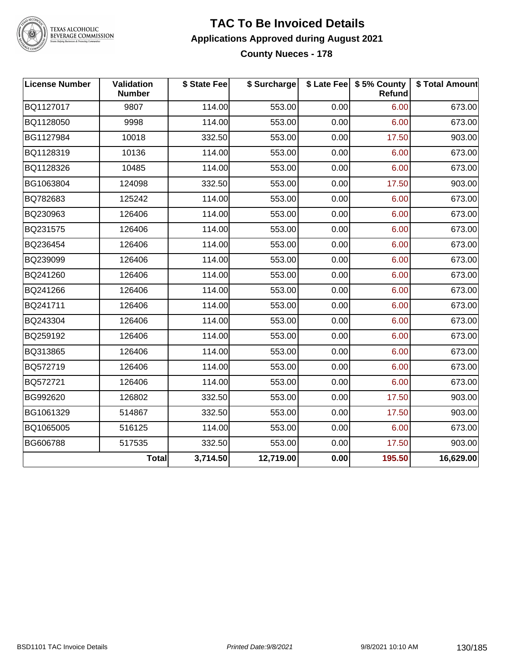

### TEXAS ALCOHOLIC<br>BEVERAGE COMMISSION

#### **TAC To Be Invoiced Details Applications Approved during August 2021 County Nueces - 178**

| <b>License Number</b> | Validation<br><b>Number</b> | \$ State Fee | \$ Surcharge |      | \$ Late Fee   \$5% County  <br>Refund | \$ Total Amount |
|-----------------------|-----------------------------|--------------|--------------|------|---------------------------------------|-----------------|
| BQ1127017             | 9807                        | 114.00       | 553.00       | 0.00 | 6.00                                  | 673.00          |
| BQ1128050             | 9998                        | 114.00       | 553.00       | 0.00 | 6.00                                  | 673.00          |
| BG1127984             | 10018                       | 332.50       | 553.00       | 0.00 | 17.50                                 | 903.00          |
| BQ1128319             | 10136                       | 114.00       | 553.00       | 0.00 | 6.00                                  | 673.00          |
| BQ1128326             | 10485                       | 114.00       | 553.00       | 0.00 | 6.00                                  | 673.00          |
| BG1063804             | 124098                      | 332.50       | 553.00       | 0.00 | 17.50                                 | 903.00          |
| BQ782683              | 125242                      | 114.00       | 553.00       | 0.00 | 6.00                                  | 673.00          |
| BQ230963              | 126406                      | 114.00       | 553.00       | 0.00 | 6.00                                  | 673.00          |
| BQ231575              | 126406                      | 114.00       | 553.00       | 0.00 | 6.00                                  | 673.00          |
| BQ236454              | 126406                      | 114.00       | 553.00       | 0.00 | 6.00                                  | 673.00          |
| BQ239099              | 126406                      | 114.00       | 553.00       | 0.00 | 6.00                                  | 673.00          |
| BQ241260              | 126406                      | 114.00       | 553.00       | 0.00 | 6.00                                  | 673.00          |
| BQ241266              | 126406                      | 114.00       | 553.00       | 0.00 | 6.00                                  | 673.00          |
| BQ241711              | 126406                      | 114.00       | 553.00       | 0.00 | 6.00                                  | 673.00          |
| BQ243304              | 126406                      | 114.00       | 553.00       | 0.00 | 6.00                                  | 673.00          |
| BQ259192              | 126406                      | 114.00       | 553.00       | 0.00 | 6.00                                  | 673.00          |
| BQ313865              | 126406                      | 114.00       | 553.00       | 0.00 | 6.00                                  | 673.00          |
| BQ572719              | 126406                      | 114.00       | 553.00       | 0.00 | 6.00                                  | 673.00          |
| BQ572721              | 126406                      | 114.00       | 553.00       | 0.00 | 6.00                                  | 673.00          |
| BG992620              | 126802                      | 332.50       | 553.00       | 0.00 | 17.50                                 | 903.00          |
| BG1061329             | 514867                      | 332.50       | 553.00       | 0.00 | 17.50                                 | 903.00          |
| BQ1065005             | 516125                      | 114.00       | 553.00       | 0.00 | 6.00                                  | 673.00          |
| BG606788              | 517535                      | 332.50       | 553.00       | 0.00 | 17.50                                 | 903.00          |
|                       | <b>Total</b>                | 3,714.50     | 12,719.00    | 0.00 | 195.50                                | 16,629.00       |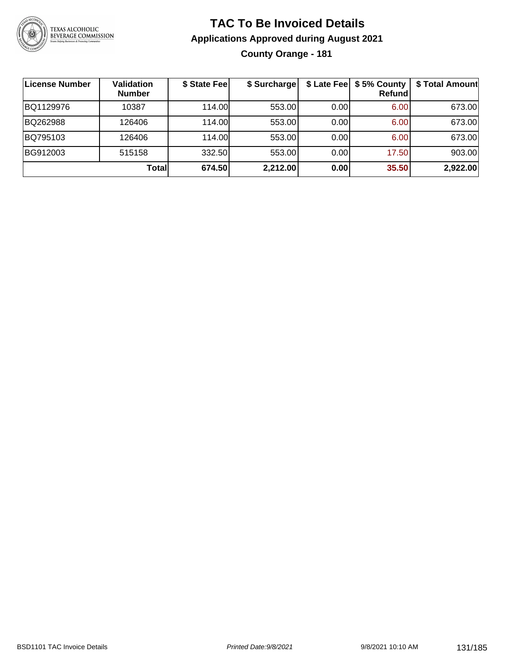

#### **TAC To Be Invoiced Details Applications Approved during August 2021 County Orange - 181**

| License Number | <b>Validation</b><br><b>Number</b> | \$ State Fee | \$ Surcharge |       | \$ Late Fee   \$5% County  <br><b>Refund</b> | \$ Total Amount |
|----------------|------------------------------------|--------------|--------------|-------|----------------------------------------------|-----------------|
| BQ1129976      | 10387                              | 114.00       | 553.00       | 0.00  | 6.00                                         | 673.00          |
| BQ262988       | 126406                             | 114.00L      | 553.00       | 0.001 | 6.00                                         | 673.00          |
| BQ795103       | 126406                             | 114.00       | 553.00       | 0.00  | 6.00                                         | 673.00          |
| BG912003       | 515158                             | 332.50       | 553.00       | 0.00  | 17.50                                        | 903.00          |
|                | <b>Total</b>                       | 674.50       | 2,212.00     | 0.00  | 35.50                                        | 2,922.00        |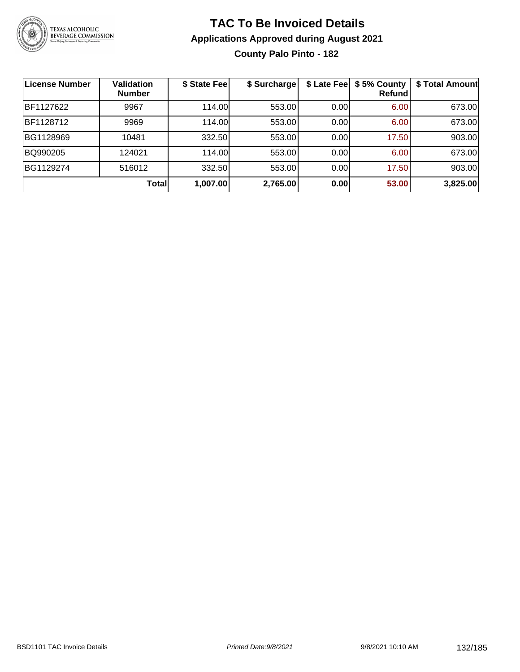

#### **TAC To Be Invoiced Details Applications Approved during August 2021 County Palo Pinto - 182**

| License Number | <b>Validation</b><br><b>Number</b> | \$ State Fee | \$ Surcharge |      | \$ Late Fee   \$5% County<br>Refund | \$ Total Amount |
|----------------|------------------------------------|--------------|--------------|------|-------------------------------------|-----------------|
| BF1127622      | 9967                               | 114.00       | 553.00       | 0.00 | 6.00                                | 673.00          |
| BF1128712      | 9969                               | 114.00       | 553.00       | 0.00 | 6.00                                | 673.00          |
| BG1128969      | 10481                              | 332.50       | 553.00       | 0.00 | 17.50                               | 903.00          |
| BQ990205       | 124021                             | 114.00       | 553.00       | 0.00 | 6.00                                | 673.00          |
| BG1129274      | 516012                             | 332.50       | 553.00       | 0.00 | 17.50                               | 903.00          |
|                | Total                              | 1,007.00     | 2,765.00     | 0.00 | 53.00                               | 3,825.00        |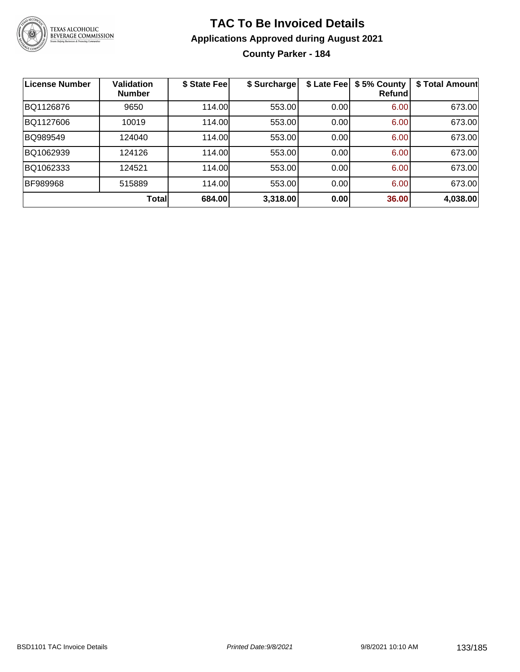

#### **TAC To Be Invoiced Details Applications Approved during August 2021 County Parker - 184**

| <b>License Number</b> | <b>Validation</b><br><b>Number</b> | \$ State Fee | \$ Surcharge | \$ Late Fee | \$5% County<br>Refundl | \$ Total Amount |
|-----------------------|------------------------------------|--------------|--------------|-------------|------------------------|-----------------|
| BQ1126876             | 9650                               | 114.00       | 553.00       | 0.00        | 6.00                   | 673.00          |
| BQ1127606             | 10019                              | 114.00       | 553.00       | 0.00        | 6.00                   | 673.00          |
| BQ989549              | 124040                             | 114.00       | 553.00       | 0.00        | 6.00                   | 673.00          |
| BQ1062939             | 124126                             | 114.00       | 553.00       | 0.00        | 6.00                   | 673.00          |
| BQ1062333             | 124521                             | 114.00       | 553.00       | 0.00        | 6.00                   | 673.00          |
| <b>BF989968</b>       | 515889                             | 114.00       | 553.00       | 0.00        | 6.00                   | 673.00          |
|                       | Total                              | 684.00       | 3,318.00     | 0.00        | 36.00                  | 4,038.00        |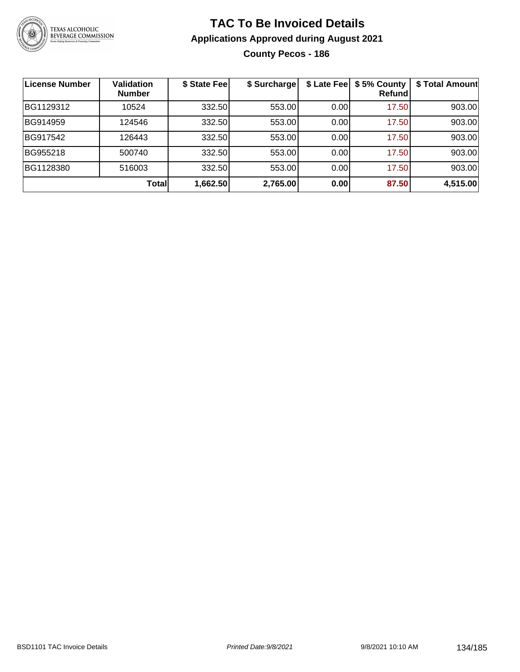

#### **TAC To Be Invoiced Details Applications Approved during August 2021 County Pecos - 186**

| License Number | <b>Validation</b><br><b>Number</b> | \$ State Fee | \$ Surcharge |      | \$ Late Fee   \$5% County<br>Refundl | \$ Total Amount |
|----------------|------------------------------------|--------------|--------------|------|--------------------------------------|-----------------|
| BG1129312      | 10524                              | 332.50       | 553.00       | 0.00 | 17.50                                | 903.00          |
| BG914959       | 124546                             | 332.50       | 553.00       | 0.00 | 17.50                                | 903.00          |
| BG917542       | 126443                             | 332.50       | 553.00       | 0.00 | 17.50                                | 903.00          |
| BG955218       | 500740                             | 332.50       | 553.00       | 0.00 | 17.50                                | 903.00          |
| BG1128380      | 516003                             | 332.50       | 553.00       | 0.00 | 17.50                                | 903.00          |
|                | <b>Total</b>                       | 1,662.50     | 2,765.00     | 0.00 | 87.50                                | 4,515.00        |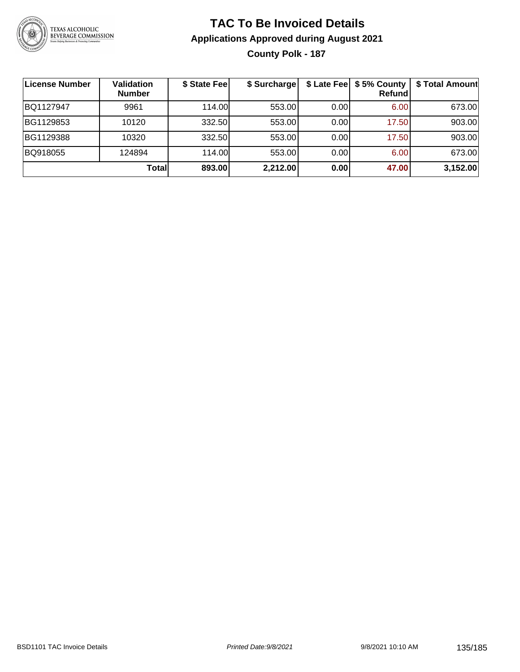

#### **TAC To Be Invoiced Details Applications Approved during August 2021 County Polk - 187**

| <b>License Number</b> | <b>Validation</b><br><b>Number</b> | \$ State Fee | \$ Surcharge |      | \$ Late Fee   \$5% County<br><b>Refund</b> | \$ Total Amount |
|-----------------------|------------------------------------|--------------|--------------|------|--------------------------------------------|-----------------|
| BQ1127947             | 9961                               | 114.00       | 553.00       | 0.00 | 6.00                                       | 673.00          |
| BG1129853             | 10120                              | 332.50       | 553.00       | 0.00 | 17.50                                      | 903.00          |
| BG1129388             | 10320                              | 332.50       | 553.00       | 0.00 | 17.50                                      | 903.00          |
| BQ918055              | 124894                             | 114.00L      | 553.00       | 0.00 | 6.00                                       | 673.00          |
|                       | Totall                             | 893.00       | 2,212.00     | 0.00 | 47.00                                      | 3,152.00        |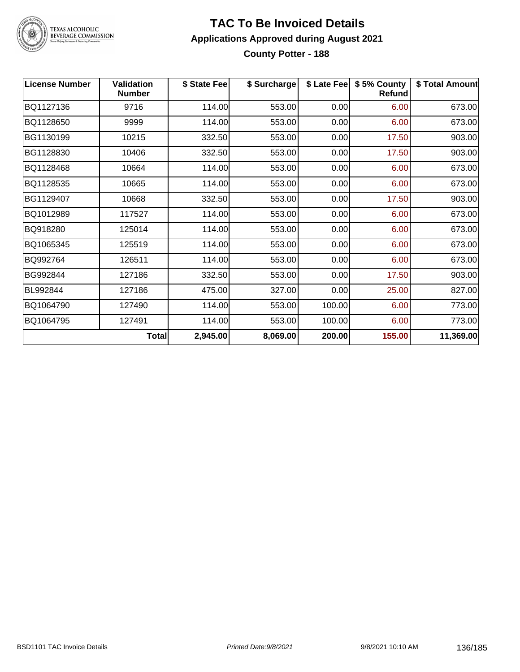

### TEXAS ALCOHOLIC<br>BEVERAGE COMMISSION

#### **TAC To Be Invoiced Details Applications Approved during August 2021 County Potter - 188**

| <b>License Number</b> | <b>Validation</b><br><b>Number</b> | \$ State Fee | \$ Surcharge | \$ Late Fee | \$5% County<br>Refund | \$ Total Amount |
|-----------------------|------------------------------------|--------------|--------------|-------------|-----------------------|-----------------|
| BQ1127136             | 9716                               | 114.00       | 553.00       | 0.00        | 6.00                  | 673.00          |
| BQ1128650             | 9999                               | 114.00       | 553.00       | 0.00        | 6.00                  | 673.00          |
| BG1130199             | 10215                              | 332.50       | 553.00       | 0.00        | 17.50                 | 903.00          |
| BG1128830             | 10406                              | 332.50       | 553.00       | 0.00        | 17.50                 | 903.00          |
| BQ1128468             | 10664                              | 114.00       | 553.00       | 0.00        | 6.00                  | 673.00          |
| BQ1128535             | 10665                              | 114.00       | 553.00       | 0.00        | 6.00                  | 673.00          |
| BG1129407             | 10668                              | 332.50       | 553.00       | 0.00        | 17.50                 | 903.00          |
| BQ1012989             | 117527                             | 114.00       | 553.00       | 0.00        | 6.00                  | 673.00          |
| BQ918280              | 125014                             | 114.00       | 553.00       | 0.00        | 6.00                  | 673.00          |
| BQ1065345             | 125519                             | 114.00       | 553.00       | 0.00        | 6.00                  | 673.00          |
| BQ992764              | 126511                             | 114.00       | 553.00       | 0.00        | 6.00                  | 673.00          |
| BG992844              | 127186                             | 332.50       | 553.00       | 0.00        | 17.50                 | 903.00          |
| BL992844              | 127186                             | 475.00       | 327.00       | 0.00        | 25.00                 | 827.00          |
| BQ1064790             | 127490                             | 114.00       | 553.00       | 100.00      | 6.00                  | 773.00          |
| BQ1064795             | 127491                             | 114.00       | 553.00       | 100.00      | 6.00                  | 773.00          |
|                       | Total                              | 2,945.00     | 8,069.00     | 200.00      | 155.00                | 11,369.00       |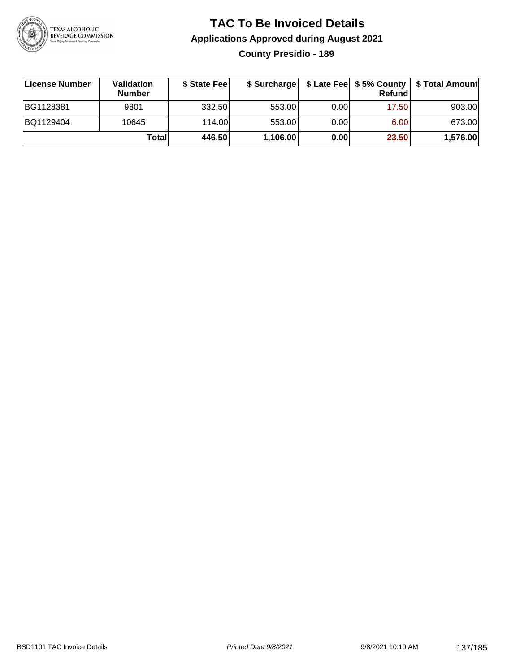

#### **TAC To Be Invoiced Details Applications Approved during August 2021 County Presidio - 189**

| License Number | <b>Validation</b><br><b>Number</b> | \$ State Feel |          |       | Refundl | \$ Surcharge   \$ Late Fee   \$5% County   \$ Total Amount |
|----------------|------------------------------------|---------------|----------|-------|---------|------------------------------------------------------------|
| BG1128381      | 9801                               | 332.50        | 553.00   | 0.001 | 17.50   | 903.00                                                     |
| BQ1129404      | 10645                              | 114.00        | 553.00   | 0.00  | 6.00    | 673.00                                                     |
|                | Totall                             | 446.50        | 1,106.00 | 0.00  | 23.50   | 1,576.00                                                   |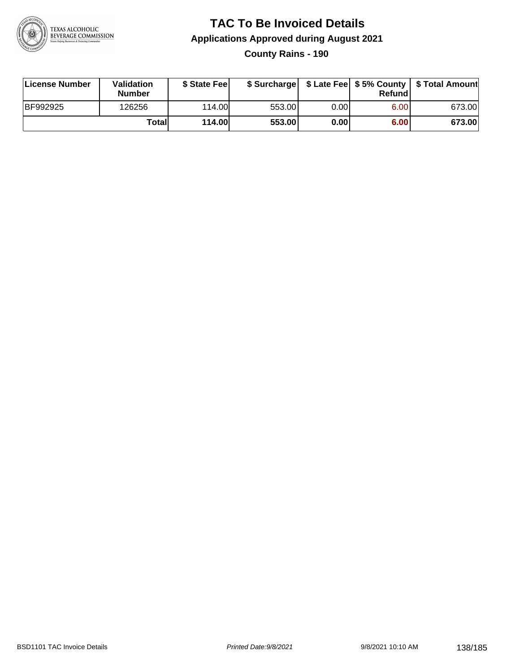

# **TAC To Be Invoiced Details Applications Approved during August 2021**

**County Rains - 190**

| License Number | <b>Validation</b><br><b>Number</b> | \$ State Feel | \$ Surcharge |       | Refundl | \$ Late Fee   \$5% County   \$ Total Amount |
|----------------|------------------------------------|---------------|--------------|-------|---------|---------------------------------------------|
| BF992925       | 126256                             | 114.00L       | 553.00       | 0.001 | 6.00    | 673.00                                      |
|                | Totall                             | <b>114.00</b> | 553.00       | 0.00  | 6.00    | 673.00                                      |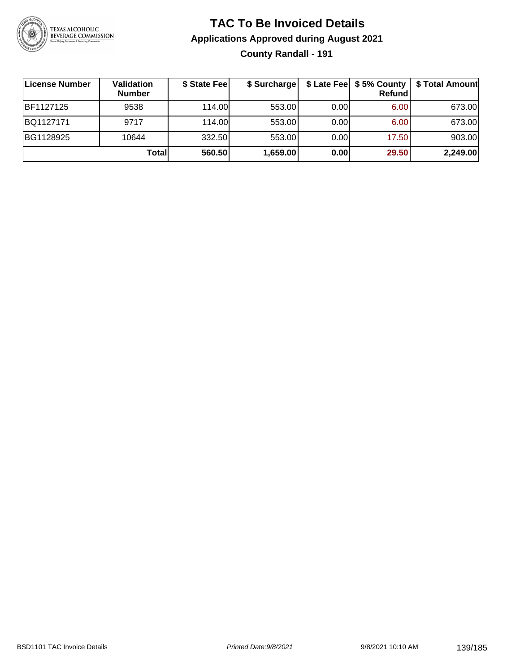

#### **TAC To Be Invoiced Details Applications Approved during August 2021 County Randall - 191**

| License Number   | Validation<br><b>Number</b> | \$ State Fee | \$ Surcharge |      | <b>Refund</b> | \$ Late Fee   \$5% County   \$ Total Amount |
|------------------|-----------------------------|--------------|--------------|------|---------------|---------------------------------------------|
| <b>BF1127125</b> | 9538                        | 114.00       | 553.00       | 0.00 | 6.00          | 673.00                                      |
| BQ1127171        | 9717                        | 114.00       | 553.00       | 0.00 | 6.00          | 673.00                                      |
| BG1128925        | 10644                       | 332.50       | 553.00       | 0.00 | 17.50         | 903.00                                      |
|                  | Total                       | 560.50       | 1,659.00     | 0.00 | 29.50         | 2,249.00                                    |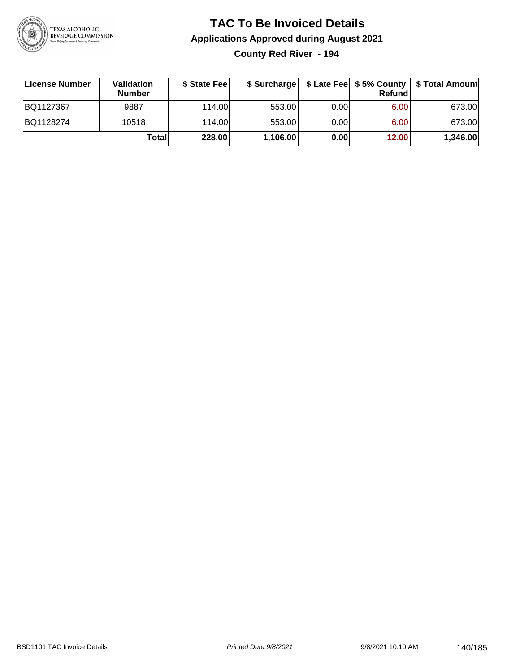

## **TAC To Be Invoiced Details Applications Approved during August 2021**

**County Red River - 194**

| ∣License Number | <b>Validation</b><br><b>Number</b> | \$ State Fee | \$ Surcharge |       | Refundl | \$ Late Fee   \$5% County   \$ Total Amount |
|-----------------|------------------------------------|--------------|--------------|-------|---------|---------------------------------------------|
| BQ1127367       | 9887                               | 114.00       | 553.00       | 0.001 | 6.00    | 673.00                                      |
| BQ1128274       | 10518                              | 114.00       | 553.00       | 0.001 | 6.00    | 673.00                                      |
|                 | Totall                             | 228.00       | 1,106.00     | 0.00  | 12.00   | 1,346.00                                    |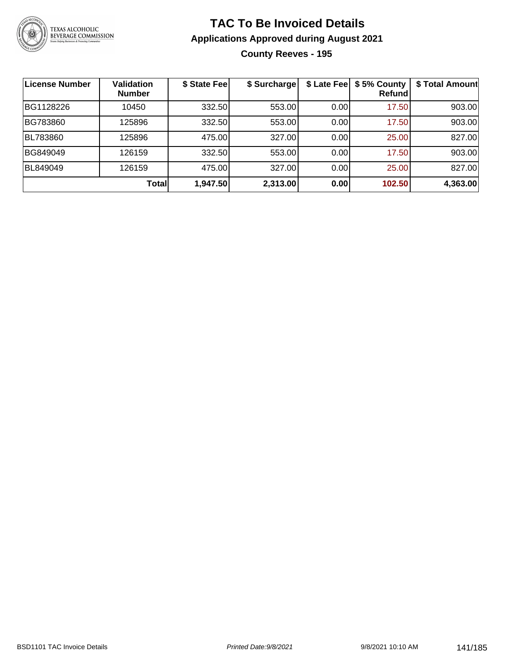

#### **TAC To Be Invoiced Details Applications Approved during August 2021 County Reeves - 195**

| License Number | <b>Validation</b><br><b>Number</b> | \$ State Fee | \$ Surcharge |      | \$ Late Fee   \$5% County<br>Refundl | \$ Total Amount |
|----------------|------------------------------------|--------------|--------------|------|--------------------------------------|-----------------|
| BG1128226      | 10450                              | 332.50       | 553.00       | 0.00 | 17.50                                | 903.00          |
| BG783860       | 125896                             | 332.50       | 553.00       | 0.00 | 17.50                                | 903.00          |
| BL783860       | 125896                             | 475.00       | 327.00       | 0.00 | 25.00                                | 827.00          |
| BG849049       | 126159                             | 332.50       | 553.00       | 0.00 | 17.50                                | 903.00          |
| BL849049       | 126159                             | 475.00       | 327.00       | 0.00 | 25.00                                | 827.00          |
|                | Total                              | 1,947.50     | 2,313.00     | 0.00 | 102.50                               | 4,363.00        |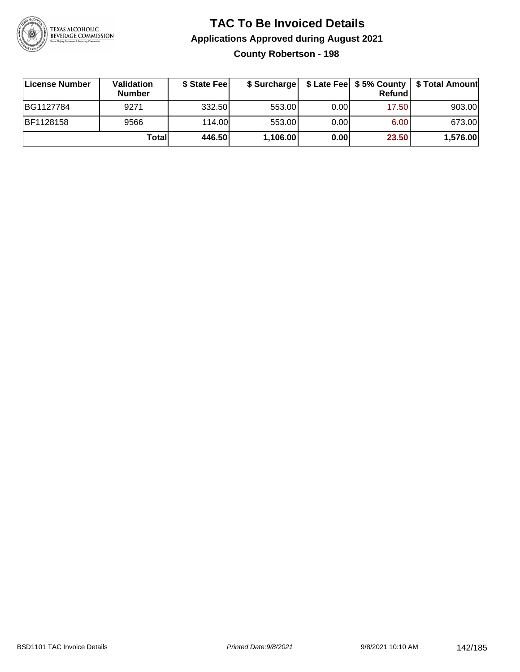

#### **TAC To Be Invoiced Details Applications Approved during August 2021 County Robertson - 198**

| License Number | Validation<br><b>Number</b> | \$ State Fee |          |      | Refund            | \$ Surcharge   \$ Late Fee   \$5% County   \$ Total Amount |
|----------------|-----------------------------|--------------|----------|------|-------------------|------------------------------------------------------------|
| BG1127784      | 9271                        | 332.50       | 553.00   | 0.00 | 17.50             | 903.00                                                     |
| BF1128158      | 9566                        | 114.00L      | 553.00   | 0.00 | 6.00 <sub>1</sub> | 673.00                                                     |
|                | Totall                      | 446.50       | 1,106.00 | 0.00 | 23.50             | 1,576.00                                                   |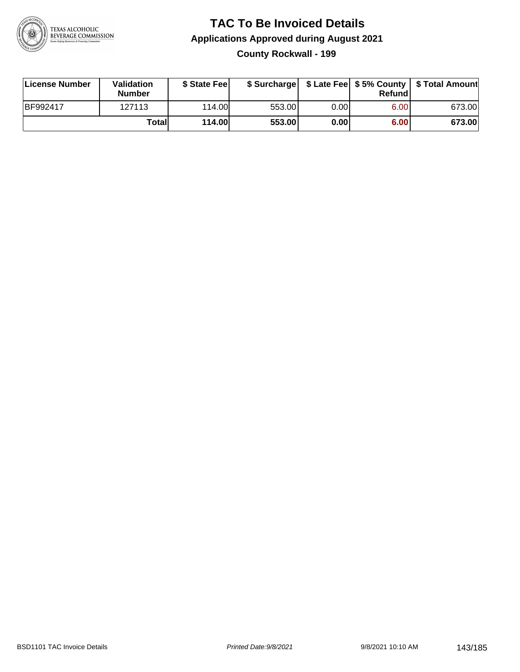

#### **TAC To Be Invoiced Details Applications Approved during August 2021 County Rockwall - 199**

| License Number | <b>Validation</b><br><b>Number</b> | \$ State Fee |        |       | Refundl | \$ Surcharge   \$ Late Fee   \$5% County   \$ Total Amount |
|----------------|------------------------------------|--------------|--------|-------|---------|------------------------------------------------------------|
| BF992417       | 127113                             | 114.00       | 553.00 | 0.00I | 6.00    | 673.00                                                     |
|                | Totall                             | 114.00       | 553.00 | 0.00  | 6.00    | 673.00                                                     |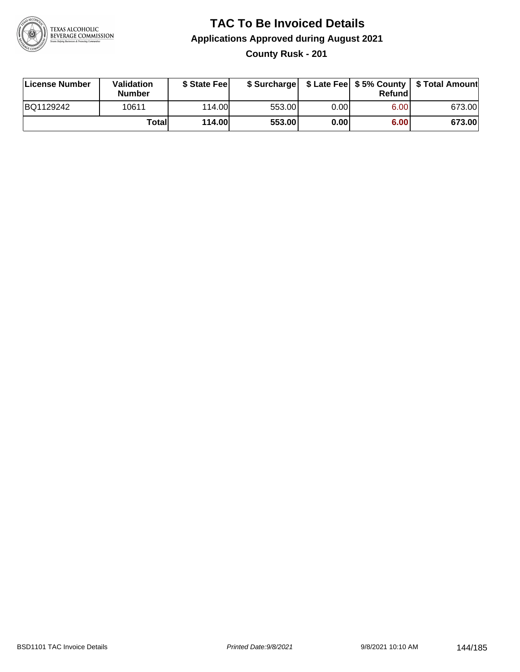

# **TAC To Be Invoiced Details Applications Approved during August 2021**

**County Rusk - 201**

| License Number | Validation<br><b>Number</b> | \$ State Fee  | \$ Surcharge |      | Refundl |        |
|----------------|-----------------------------|---------------|--------------|------|---------|--------|
| BQ1129242      | 10611                       | 114.00        | 553.00       | 0.00 | 6.00    | 673.00 |
|                | Totall                      | <b>114.00</b> | 553.00       | 0.00 | 6.00    | 673.00 |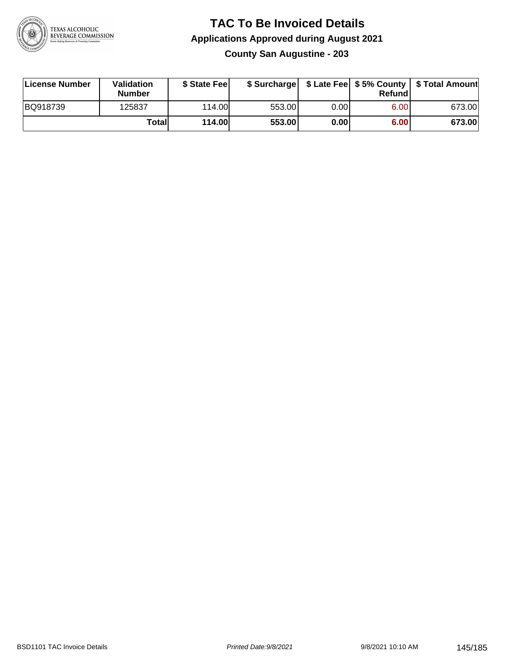

#### **TAC To Be Invoiced Details Applications Approved during August 2021 County San Augustine - 203**

| License Number | Validation<br><b>Number</b> | \$ State Fee |        |      | Refundl | \$ Surcharge   \$ Late Fee   \$5% County   \$ Total Amount |
|----------------|-----------------------------|--------------|--------|------|---------|------------------------------------------------------------|
| BQ918739       | 125837                      | 114.00       | 553.00 | 0.00 | 6.00    | 673.00                                                     |
|                | Totall                      | 114.00       | 553.00 | 0.00 | 6.00    | 673.00                                                     |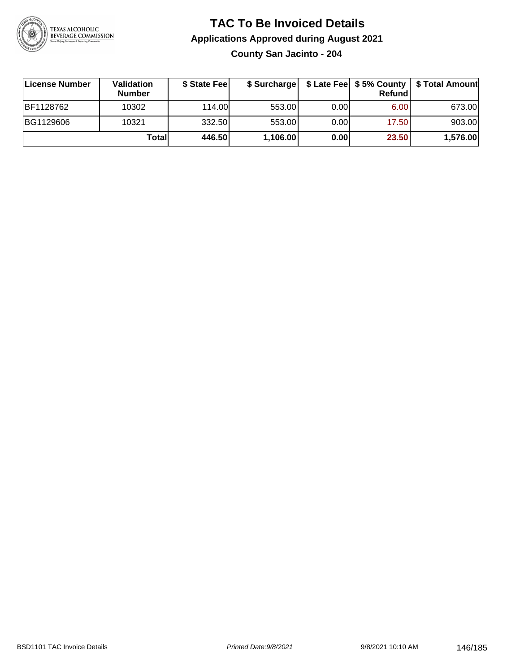

# **TAC To Be Invoiced Details Applications Approved during August 2021**

**County San Jacinto - 204**

| ∣License Number | <b>Validation</b><br><b>Number</b> | \$ State Feel | \$ Surcharge |       | <b>Refund</b> | \$ Late Fee   \$5% County   \$ Total Amount |
|-----------------|------------------------------------|---------------|--------------|-------|---------------|---------------------------------------------|
| BF1128762       | 10302                              | 114.00        | 553.00       | 0.001 | 6.00          | 673.00                                      |
| BG1129606       | 10321                              | 332.50        | 553.00       | 0.001 | 17.50         | 903.00                                      |
|                 | Totall                             | 446.50        | 1,106.00     | 0.00  | 23.50         | 1,576.00                                    |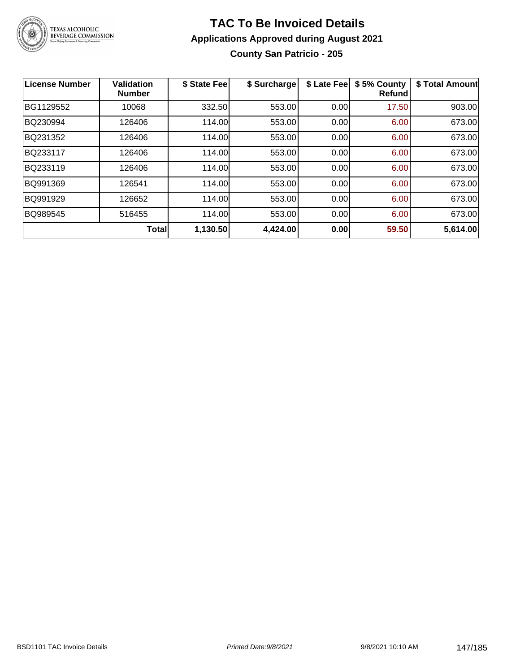

#### **TAC To Be Invoiced Details Applications Approved during August 2021 County San Patricio - 205**

| <b>License Number</b> | <b>Validation</b><br><b>Number</b> | \$ State Fee | \$ Surcharge | \$ Late Fee | \$5% County<br><b>Refund</b> | \$ Total Amount |
|-----------------------|------------------------------------|--------------|--------------|-------------|------------------------------|-----------------|
| BG1129552             | 10068                              | 332.50       | 553.00       | 0.00        | 17.50                        | 903.00          |
| BQ230994              | 126406                             | 114.00       | 553.00       | 0.00        | 6.00                         | 673.00          |
| BQ231352              | 126406                             | 114.00       | 553.00       | 0.00        | 6.00                         | 673.00          |
| BQ233117              | 126406                             | 114.00       | 553.00       | 0.00        | 6.00                         | 673.00          |
| BQ233119              | 126406                             | 114.00       | 553.00       | 0.00        | 6.00                         | 673.00          |
| BQ991369              | 126541                             | 114.00       | 553.00       | 0.00        | 6.00                         | 673.00          |
| BQ991929              | 126652                             | 114.00       | 553.00       | 0.00        | 6.00                         | 673.00          |
| BQ989545              | 516455                             | 114.00       | 553.00       | 0.00        | 6.00                         | 673.00          |
|                       | <b>Total</b>                       | 1,130.50     | 4,424.00     | 0.00        | 59.50                        | 5,614.00        |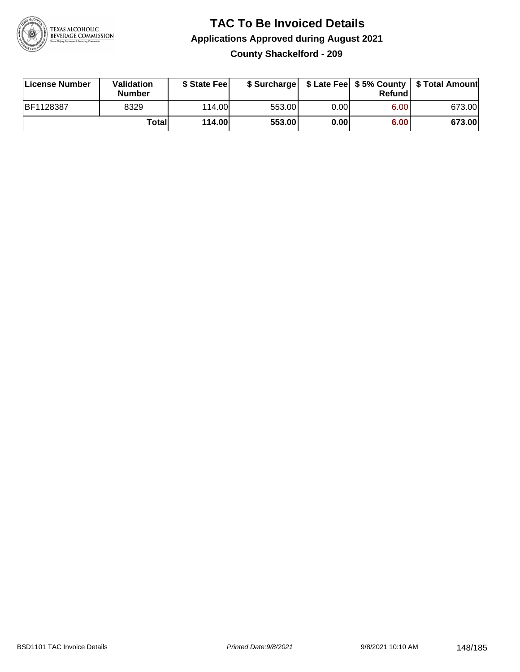

#### **TAC To Be Invoiced Details Applications Approved during August 2021 County Shackelford - 209**

| License Number   | Validation<br><b>Number</b> | \$ State Fee |        |       | Refundl | \$ Surcharge   \$ Late Fee   \$5% County   \$ Total Amount |
|------------------|-----------------------------|--------------|--------|-------|---------|------------------------------------------------------------|
| <b>BF1128387</b> | 8329                        | 114.00       | 553.00 | 0.00I | 6.00    | 673.00                                                     |
|                  | Totall                      | 114.00       | 553.00 | 0.00  | 6.00    | 673.00                                                     |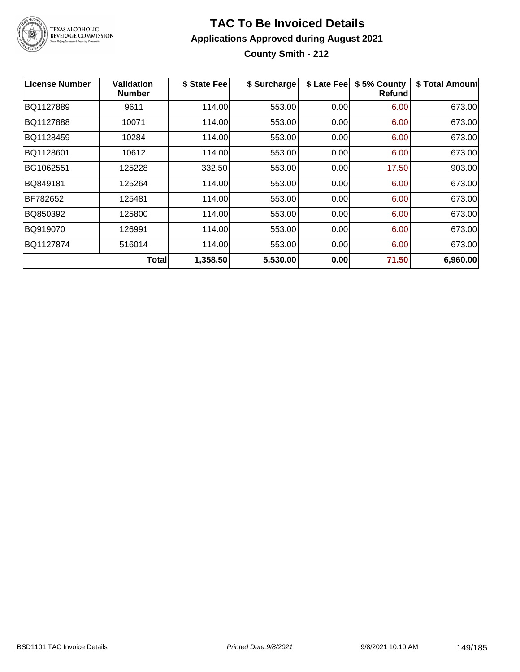

# **TAC To Be Invoiced Details Applications Approved during August 2021**

**County Smith - 212**

| <b>License Number</b> | Validation<br><b>Number</b> | \$ State Fee | \$ Surcharge |      | \$ Late Fee   \$5% County<br>Refundl | \$ Total Amount |
|-----------------------|-----------------------------|--------------|--------------|------|--------------------------------------|-----------------|
| BQ1127889             | 9611                        | 114.00       | 553.00       | 0.00 | 6.00                                 | 673.00          |
| BQ1127888             | 10071                       | 114.00       | 553.00       | 0.00 | 6.00                                 | 673.00          |
| BQ1128459             | 10284                       | 114.00       | 553.00       | 0.00 | 6.00                                 | 673.00          |
| BQ1128601             | 10612                       | 114.00       | 553.00       | 0.00 | 6.00                                 | 673.00          |
| BG1062551             | 125228                      | 332.50       | 553.00       | 0.00 | 17.50                                | 903.00          |
| BQ849181              | 125264                      | 114.00       | 553.00       | 0.00 | 6.00                                 | 673.00          |
| BF782652              | 125481                      | 114.00       | 553.00       | 0.00 | 6.00                                 | 673.00          |
| BQ850392              | 125800                      | 114.00       | 553.00       | 0.00 | 6.00                                 | 673.00          |
| BQ919070              | 126991                      | 114.00       | 553.00       | 0.00 | 6.00                                 | 673.00          |
| BQ1127874             | 516014                      | 114.00       | 553.00       | 0.00 | 6.00                                 | 673.00          |
|                       | <b>Total</b>                | 1,358.50     | 5,530.00     | 0.00 | 71.50                                | 6,960.00        |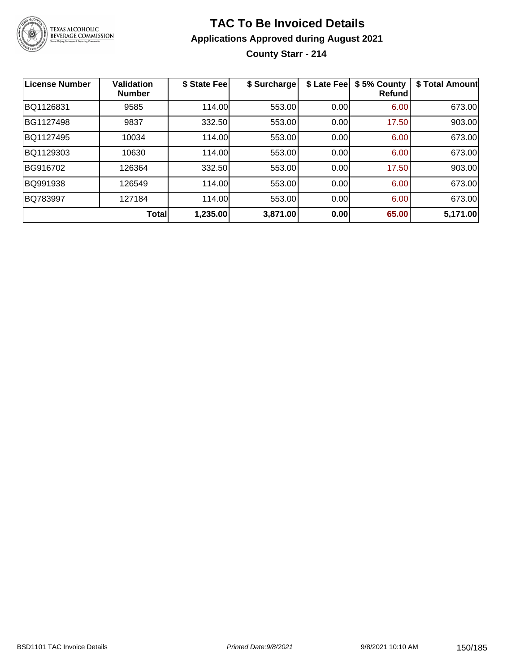

## **TAC To Be Invoiced Details Applications Approved during August 2021 County Starr - 214**

| <b>License Number</b> | <b>Validation</b><br><b>Number</b> | \$ State Fee | \$ Surcharge | \$ Late Fee | \$5% County<br><b>Refund</b> | \$ Total Amount |
|-----------------------|------------------------------------|--------------|--------------|-------------|------------------------------|-----------------|
| BQ1126831             | 9585                               | 114.00       | 553.00       | 0.00        | 6.00                         | 673.00          |
| BG1127498             | 9837                               | 332.50       | 553.00       | 0.00        | 17.50                        | 903.00          |
| BQ1127495             | 10034                              | 114.00       | 553.00       | 0.00        | 6.00                         | 673.00          |
| BQ1129303             | 10630                              | 114.00       | 553.00       | 0.00        | 6.00                         | 673.00          |
| BG916702              | 126364                             | 332.50       | 553.00       | 0.00        | 17.50                        | 903.00          |
| BQ991938              | 126549                             | 114.00       | 553.00       | 0.00        | 6.00                         | 673.00          |
| BQ783997              | 127184                             | 114.00       | 553.00       | 0.00        | 6.00                         | 673.00          |
|                       | <b>Total</b>                       | 1,235.00     | 3,871.00     | 0.00        | 65.00                        | 5,171.00        |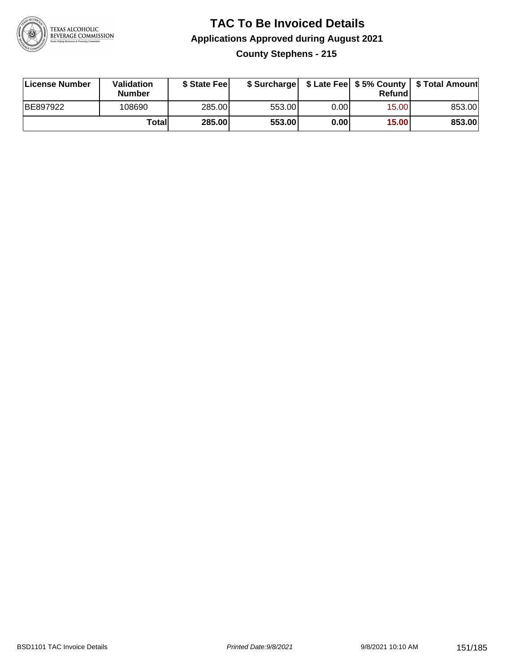

## **TAC To Be Invoiced Details Applications Approved during August 2021 County Stephens - 215**

| License Number | <b>Validation</b><br><b>Number</b> | \$ State Feel |        |       | Refund | \$ Surcharge   \$ Late Fee   \$5% County   \$ Total Amount |
|----------------|------------------------------------|---------------|--------|-------|--------|------------------------------------------------------------|
| BE897922       | 108690                             | 285.00        | 553.00 | 0.001 | 15.00  | 853.00                                                     |
|                | Totall                             | 285.00        | 553.00 | 0.00  | 15.00  | 853.00                                                     |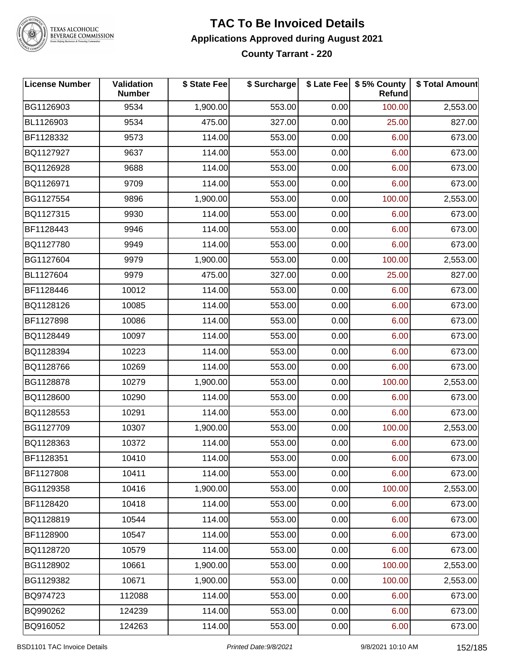

# TEXAS ALCOHOLIC<br>BEVERAGE COMMISSION

#### **TAC To Be Invoiced Details Applications Approved during August 2021 County Tarrant - 220**

| <b>License Number</b> | Validation<br><b>Number</b> | \$ State Fee | \$ Surcharge |      | \$ Late Fee \$ 5% County<br>Refund | \$ Total Amount |
|-----------------------|-----------------------------|--------------|--------------|------|------------------------------------|-----------------|
| BG1126903             | 9534                        | 1,900.00     | 553.00       | 0.00 | 100.00                             | 2,553.00        |
| BL1126903             | 9534                        | 475.00       | 327.00       | 0.00 | 25.00                              | 827.00          |
| BF1128332             | 9573                        | 114.00       | 553.00       | 0.00 | 6.00                               | 673.00          |
| BQ1127927             | 9637                        | 114.00       | 553.00       | 0.00 | 6.00                               | 673.00          |
| BQ1126928             | 9688                        | 114.00       | 553.00       | 0.00 | 6.00                               | 673.00          |
| BQ1126971             | 9709                        | 114.00       | 553.00       | 0.00 | 6.00                               | 673.00          |
| BG1127554             | 9896                        | 1,900.00     | 553.00       | 0.00 | 100.00                             | 2,553.00        |
| BQ1127315             | 9930                        | 114.00       | 553.00       | 0.00 | 6.00                               | 673.00          |
| BF1128443             | 9946                        | 114.00       | 553.00       | 0.00 | 6.00                               | 673.00          |
| BQ1127780             | 9949                        | 114.00       | 553.00       | 0.00 | 6.00                               | 673.00          |
| BG1127604             | 9979                        | 1,900.00     | 553.00       | 0.00 | 100.00                             | 2,553.00        |
| BL1127604             | 9979                        | 475.00       | 327.00       | 0.00 | 25.00                              | 827.00          |
| BF1128446             | 10012                       | 114.00       | 553.00       | 0.00 | 6.00                               | 673.00          |
| BQ1128126             | 10085                       | 114.00       | 553.00       | 0.00 | 6.00                               | 673.00          |
| BF1127898             | 10086                       | 114.00       | 553.00       | 0.00 | 6.00                               | 673.00          |
| BQ1128449             | 10097                       | 114.00       | 553.00       | 0.00 | 6.00                               | 673.00          |
| BQ1128394             | 10223                       | 114.00       | 553.00       | 0.00 | 6.00                               | 673.00          |
| BQ1128766             | 10269                       | 114.00       | 553.00       | 0.00 | 6.00                               | 673.00          |
| BG1128878             | 10279                       | 1,900.00     | 553.00       | 0.00 | 100.00                             | 2,553.00        |
| BQ1128600             | 10290                       | 114.00       | 553.00       | 0.00 | 6.00                               | 673.00          |
| BQ1128553             | 10291                       | 114.00       | 553.00       | 0.00 | 6.00                               | 673.00          |
| BG1127709             | 10307                       | 1,900.00     | 553.00       | 0.00 | 100.00                             | 2,553.00        |
| BQ1128363             | 10372                       | 114.00       | 553.00       | 0.00 | 6.00                               | 673.00          |
| BF1128351             | 10410                       | 114.00       | 553.00       | 0.00 | 6.00                               | 673.00          |
| BF1127808             | 10411                       | 114.00       | 553.00       | 0.00 | 6.00                               | 673.00          |
| BG1129358             | 10416                       | 1,900.00     | 553.00       | 0.00 | 100.00                             | 2,553.00        |
| BF1128420             | 10418                       | 114.00       | 553.00       | 0.00 | 6.00                               | 673.00          |
| BQ1128819             | 10544                       | 114.00       | 553.00       | 0.00 | 6.00                               | 673.00          |
| BF1128900             | 10547                       | 114.00       | 553.00       | 0.00 | 6.00                               | 673.00          |
| BQ1128720             | 10579                       | 114.00       | 553.00       | 0.00 | 6.00                               | 673.00          |
| BG1128902             | 10661                       | 1,900.00     | 553.00       | 0.00 | 100.00                             | 2,553.00        |
| BG1129382             | 10671                       | 1,900.00     | 553.00       | 0.00 | 100.00                             | 2,553.00        |
| BQ974723              | 112088                      | 114.00       | 553.00       | 0.00 | 6.00                               | 673.00          |
| BQ990262              | 124239                      | 114.00       | 553.00       | 0.00 | 6.00                               | 673.00          |
| BQ916052              | 124263                      | 114.00       | 553.00       | 0.00 | 6.00                               | 673.00          |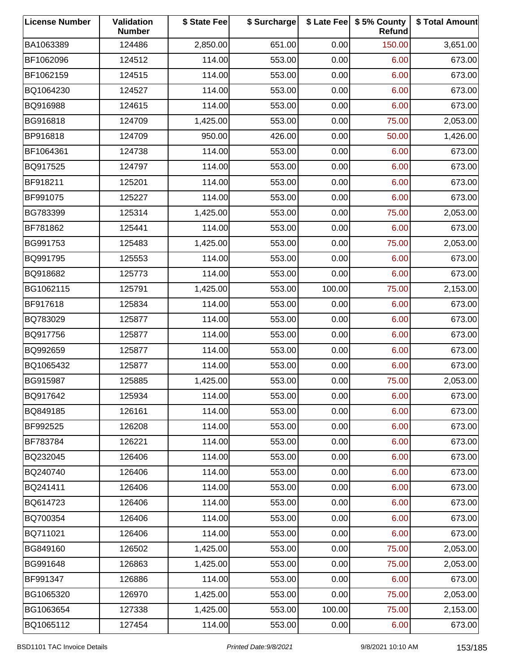| <b>License Number</b> | Validation<br><b>Number</b> | \$ State Fee | \$ Surcharge |        | \$ Late Fee   \$5% County<br>Refund | \$ Total Amount |
|-----------------------|-----------------------------|--------------|--------------|--------|-------------------------------------|-----------------|
| BA1063389             | 124486                      | 2,850.00     | 651.00       | 0.00   | 150.00                              | 3,651.00        |
| BF1062096             | 124512                      | 114.00       | 553.00       | 0.00   | 6.00                                | 673.00          |
| BF1062159             | 124515                      | 114.00       | 553.00       | 0.00   | 6.00                                | 673.00          |
| BQ1064230             | 124527                      | 114.00       | 553.00       | 0.00   | 6.00                                | 673.00          |
| BQ916988              | 124615                      | 114.00       | 553.00       | 0.00   | 6.00                                | 673.00          |
| BG916818              | 124709                      | 1,425.00     | 553.00       | 0.00   | 75.00                               | 2,053.00        |
| BP916818              | 124709                      | 950.00       | 426.00       | 0.00   | 50.00                               | 1,426.00        |
| BF1064361             | 124738                      | 114.00       | 553.00       | 0.00   | 6.00                                | 673.00          |
| BQ917525              | 124797                      | 114.00       | 553.00       | 0.00   | 6.00                                | 673.00          |
| BF918211              | 125201                      | 114.00       | 553.00       | 0.00   | 6.00                                | 673.00          |
| BF991075              | 125227                      | 114.00       | 553.00       | 0.00   | 6.00                                | 673.00          |
| BG783399              | 125314                      | 1,425.00     | 553.00       | 0.00   | 75.00                               | 2,053.00        |
| BF781862              | 125441                      | 114.00       | 553.00       | 0.00   | 6.00                                | 673.00          |
| BG991753              | 125483                      | 1,425.00     | 553.00       | 0.00   | 75.00                               | 2,053.00        |
| BQ991795              | 125553                      | 114.00       | 553.00       | 0.00   | 6.00                                | 673.00          |
| BQ918682              | 125773                      | 114.00       | 553.00       | 0.00   | 6.00                                | 673.00          |
| BG1062115             | 125791                      | 1,425.00     | 553.00       | 100.00 | 75.00                               | 2,153.00        |
| BF917618              | 125834                      | 114.00       | 553.00       | 0.00   | 6.00                                | 673.00          |
| BQ783029              | 125877                      | 114.00       | 553.00       | 0.00   | 6.00                                | 673.00          |
| BQ917756              | 125877                      | 114.00       | 553.00       | 0.00   | 6.00                                | 673.00          |
| BQ992659              | 125877                      | 114.00       | 553.00       | 0.00   | 6.00                                | 673.00          |
| BQ1065432             | 125877                      | 114.00       | 553.00       | 0.00   | 6.00                                | 673.00          |
| BG915987              | 125885                      | 1,425.00     | 553.00       | 0.00   | 75.00                               | 2,053.00        |
| BQ917642              | 125934                      | 114.00       | 553.00       | 0.00   | 6.00                                | 673.00          |
| BQ849185              | 126161                      | 114.00       | 553.00       | 0.00   | 6.00                                | 673.00          |
| BF992525              | 126208                      | 114.00       | 553.00       | 0.00   | 6.00                                | 673.00          |
| BF783784              | 126221                      | 114.00       | 553.00       | 0.00   | 6.00                                | 673.00          |
| BQ232045              | 126406                      | 114.00       | 553.00       | 0.00   | 6.00                                | 673.00          |
| BQ240740              | 126406                      | 114.00       | 553.00       | 0.00   | 6.00                                | 673.00          |
| BQ241411              | 126406                      | 114.00       | 553.00       | 0.00   | 6.00                                | 673.00          |
| BQ614723              | 126406                      | 114.00       | 553.00       | 0.00   | 6.00                                | 673.00          |
| BQ700354              | 126406                      | 114.00       | 553.00       | 0.00   | 6.00                                | 673.00          |
| BQ711021              | 126406                      | 114.00       | 553.00       | 0.00   | 6.00                                | 673.00          |
| BG849160              | 126502                      | 1,425.00     | 553.00       | 0.00   | 75.00                               | 2,053.00        |
| BG991648              | 126863                      | 1,425.00     | 553.00       | 0.00   | 75.00                               | 2,053.00        |
| BF991347              | 126886                      | 114.00       | 553.00       | 0.00   | 6.00                                | 673.00          |
| BG1065320             | 126970                      | 1,425.00     | 553.00       | 0.00   | 75.00                               | 2,053.00        |
| BG1063654             | 127338                      | 1,425.00     | 553.00       | 100.00 | 75.00                               | 2,153.00        |
| BQ1065112             | 127454                      | 114.00       | 553.00       | 0.00   | 6.00                                | 673.00          |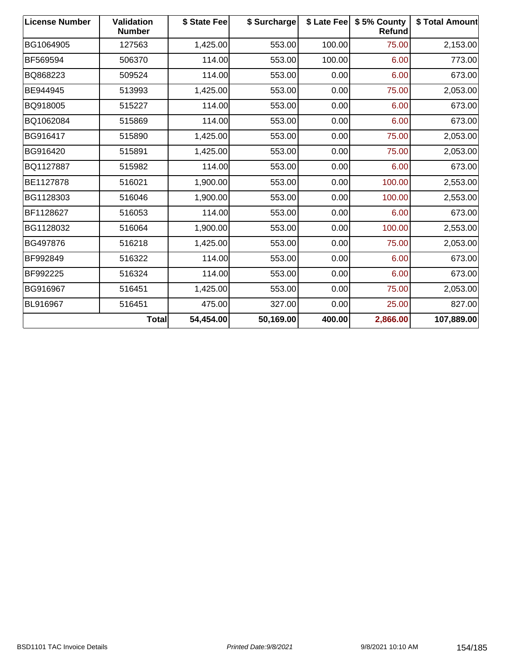| <b>License Number</b> | <b>Validation</b><br><b>Number</b> | \$ State Fee | \$ Surcharge |        | \$ Late Fee   \$5% County<br>Refund | \$ Total Amount |
|-----------------------|------------------------------------|--------------|--------------|--------|-------------------------------------|-----------------|
| BG1064905             | 127563                             | 1,425.00     | 553.00       | 100.00 | 75.00                               | 2,153.00        |
| BF569594              | 506370                             | 114.00       | 553.00       | 100.00 | 6.00                                | 773.00          |
| BQ868223              | 509524                             | 114.00       | 553.00       | 0.00   | 6.00                                | 673.00          |
| BE944945              | 513993                             | 1,425.00     | 553.00       | 0.00   | 75.00                               | 2,053.00        |
| BQ918005              | 515227                             | 114.00       | 553.00       | 0.00   | 6.00                                | 673.00          |
| BQ1062084             | 515869                             | 114.00       | 553.00       | 0.00   | 6.00                                | 673.00          |
| BG916417              | 515890                             | 1,425.00     | 553.00       | 0.00   | 75.00                               | 2,053.00        |
| BG916420              | 515891                             | 1,425.00     | 553.00       | 0.00   | 75.00                               | 2,053.00        |
| BQ1127887             | 515982                             | 114.00       | 553.00       | 0.00   | 6.00                                | 673.00          |
| BE1127878             | 516021                             | 1,900.00     | 553.00       | 0.00   | 100.00                              | 2,553.00        |
| BG1128303             | 516046                             | 1,900.00     | 553.00       | 0.00   | 100.00                              | 2,553.00        |
| BF1128627             | 516053                             | 114.00       | 553.00       | 0.00   | 6.00                                | 673.00          |
| BG1128032             | 516064                             | 1,900.00     | 553.00       | 0.00   | 100.00                              | 2,553.00        |
| BG497876              | 516218                             | 1,425.00     | 553.00       | 0.00   | 75.00                               | 2,053.00        |
| BF992849              | 516322                             | 114.00       | 553.00       | 0.00   | 6.00                                | 673.00          |
| BF992225              | 516324                             | 114.00       | 553.00       | 0.00   | 6.00                                | 673.00          |
| BG916967              | 516451                             | 1,425.00     | 553.00       | 0.00   | 75.00                               | 2,053.00        |
| BL916967              | 516451                             | 475.00       | 327.00       | 0.00   | 25.00                               | 827.00          |
|                       | <b>Total</b>                       | 54,454.00    | 50,169.00    | 400.00 | 2,866.00                            | 107,889.00      |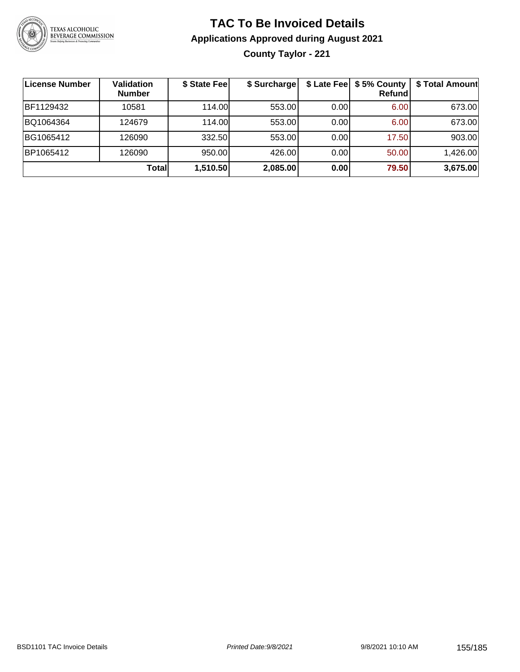

# **TAC To Be Invoiced Details Applications Approved during August 2021 County Taylor - 221**

| License Number | <b>Validation</b><br><b>Number</b> | \$ State Fee | \$ Surcharge |      | \$ Late Fee   \$5% County<br>Refund | \$ Total Amount |
|----------------|------------------------------------|--------------|--------------|------|-------------------------------------|-----------------|
| BF1129432      | 10581                              | 114.00L      | 553.00       | 0.00 | 6.00                                | 673.00          |
| BQ1064364      | 124679                             | 114.00L      | 553.00       | 0.00 | 6.00                                | 673.00          |
| BG1065412      | 126090                             | 332.50       | 553.00       | 0.00 | 17.50                               | 903.00          |
| BP1065412      | 126090                             | 950.00       | 426.00       | 0.00 | 50.00                               | 1,426.00        |
|                | Total                              | 1,510.50     | 2,085.00     | 0.00 | 79.50                               | 3,675.00        |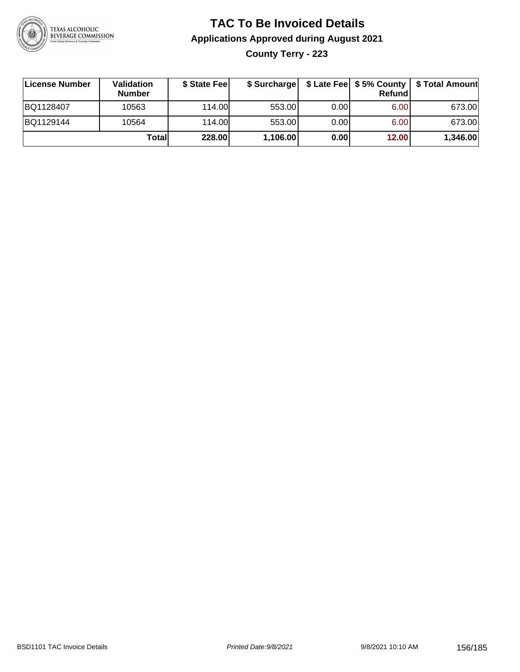

# **TAC To Be Invoiced Details Applications Approved during August 2021 County Terry - 223**

| License Number | Validation<br><b>Number</b> | \$ State Feel |          |       | Refundl | \$ Surcharge   \$ Late Fee   \$5% County   \$ Total Amount |
|----------------|-----------------------------|---------------|----------|-------|---------|------------------------------------------------------------|
| BQ1128407      | 10563                       | 114.00        | 553.00   | 0.001 | 6.00    | 673.00                                                     |
| BQ1129144      | 10564                       | 114.00        | 553.00   | 0.00  | 6.00    | 673.00                                                     |
|                | Totall                      | 228.00        | 1,106.00 | 0.00  | 12.00   | 1,346.00                                                   |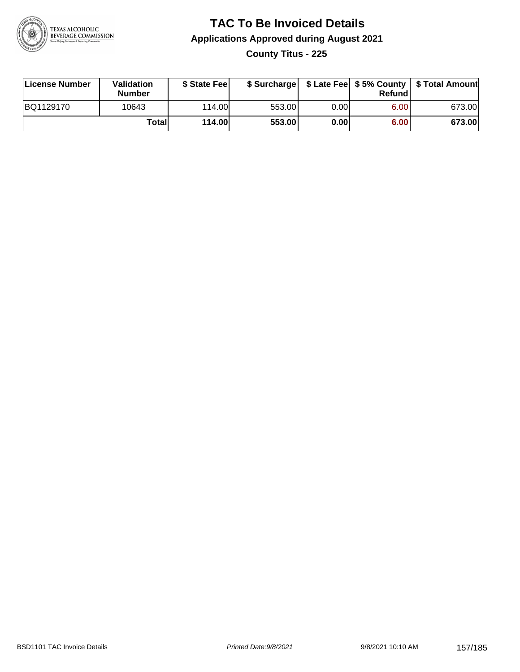

## **TAC To Be Invoiced Details Applications Approved during August 2021 County Titus - 225**

| License Number | Validation<br><b>Number</b> | \$ State Feel |        |       | Refundl | \$ Surcharge   \$ Late Fee   \$5% County   \$ Total Amount |
|----------------|-----------------------------|---------------|--------|-------|---------|------------------------------------------------------------|
| BQ1129170      | 10643                       | 114.00        | 553.00 | 0.001 | 6.00    | 673.00                                                     |
|                | Totall                      | 114.00        | 553.00 | 0.00  | 6.00    | 673.00                                                     |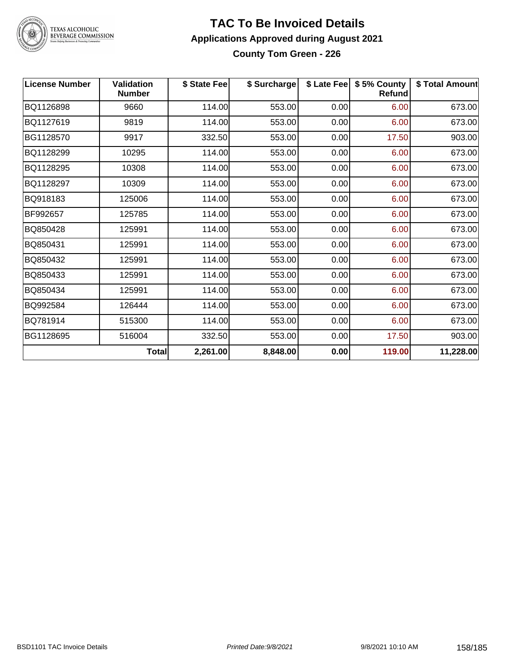

# TEXAS ALCOHOLIC<br>BEVERAGE COMMISSION

#### **TAC To Be Invoiced Details Applications Approved during August 2021 County Tom Green - 226**

| <b>License Number</b> | <b>Validation</b><br><b>Number</b> | \$ State Fee | \$ Surcharge |      | \$ Late Fee   \$5% County<br>Refund | \$ Total Amount |
|-----------------------|------------------------------------|--------------|--------------|------|-------------------------------------|-----------------|
| BQ1126898             | 9660                               | 114.00       | 553.00       | 0.00 | 6.00                                | 673.00          |
| BQ1127619             | 9819                               | 114.00       | 553.00       | 0.00 | 6.00                                | 673.00          |
| BG1128570             | 9917                               | 332.50       | 553.00       | 0.00 | 17.50                               | 903.00          |
| BQ1128299             | 10295                              | 114.00       | 553.00       | 0.00 | 6.00                                | 673.00          |
| BQ1128295             | 10308                              | 114.00       | 553.00       | 0.00 | 6.00                                | 673.00          |
| BQ1128297             | 10309                              | 114.00       | 553.00       | 0.00 | 6.00                                | 673.00          |
| BQ918183              | 125006                             | 114.00       | 553.00       | 0.00 | 6.00                                | 673.00          |
| BF992657              | 125785                             | 114.00       | 553.00       | 0.00 | 6.00                                | 673.00          |
| BQ850428              | 125991                             | 114.00       | 553.00       | 0.00 | 6.00                                | 673.00          |
| BQ850431              | 125991                             | 114.00       | 553.00       | 0.00 | 6.00                                | 673.00          |
| BQ850432              | 125991                             | 114.00       | 553.00       | 0.00 | 6.00                                | 673.00          |
| BQ850433              | 125991                             | 114.00       | 553.00       | 0.00 | 6.00                                | 673.00          |
| BQ850434              | 125991                             | 114.00       | 553.00       | 0.00 | 6.00                                | 673.00          |
| BQ992584              | 126444                             | 114.00       | 553.00       | 0.00 | 6.00                                | 673.00          |
| BQ781914              | 515300                             | 114.00       | 553.00       | 0.00 | 6.00                                | 673.00          |
| BG1128695             | 516004                             | 332.50       | 553.00       | 0.00 | 17.50                               | 903.00          |
|                       | <b>Total</b>                       | 2,261.00     | 8,848.00     | 0.00 | 119.00                              | 11,228.00       |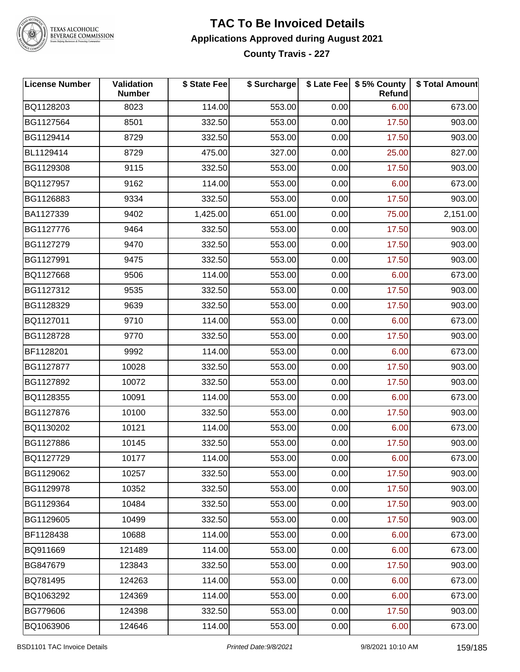

TEXAS ALCOHOLIC<br>BEVERAGE COMMISSION

#### **TAC To Be Invoiced Details Applications Approved during August 2021 County Travis - 227**

| <b>License Number</b> | <b>Validation</b><br><b>Number</b> | \$ State Fee | \$ Surcharge |      | \$ Late Fee   \$5% County  <br>Refund | \$ Total Amount |
|-----------------------|------------------------------------|--------------|--------------|------|---------------------------------------|-----------------|
| BQ1128203             | 8023                               | 114.00       | 553.00       | 0.00 | 6.00                                  | 673.00          |
| BG1127564             | 8501                               | 332.50       | 553.00       | 0.00 | 17.50                                 | 903.00          |
| BG1129414             | 8729                               | 332.50       | 553.00       | 0.00 | 17.50                                 | 903.00          |
| BL1129414             | 8729                               | 475.00       | 327.00       | 0.00 | 25.00                                 | 827.00          |
| BG1129308             | 9115                               | 332.50       | 553.00       | 0.00 | 17.50                                 | 903.00          |
| BQ1127957             | 9162                               | 114.00       | 553.00       | 0.00 | 6.00                                  | 673.00          |
| BG1126883             | 9334                               | 332.50       | 553.00       | 0.00 | 17.50                                 | 903.00          |
| BA1127339             | 9402                               | 1,425.00     | 651.00       | 0.00 | 75.00                                 | 2,151.00        |
| BG1127776             | 9464                               | 332.50       | 553.00       | 0.00 | 17.50                                 | 903.00          |
| BG1127279             | 9470                               | 332.50       | 553.00       | 0.00 | 17.50                                 | 903.00          |
| BG1127991             | 9475                               | 332.50       | 553.00       | 0.00 | 17.50                                 | 903.00          |
| BQ1127668             | 9506                               | 114.00       | 553.00       | 0.00 | 6.00                                  | 673.00          |
| BG1127312             | 9535                               | 332.50       | 553.00       | 0.00 | 17.50                                 | 903.00          |
| BG1128329             | 9639                               | 332.50       | 553.00       | 0.00 | 17.50                                 | 903.00          |
| BQ1127011             | 9710                               | 114.00       | 553.00       | 0.00 | 6.00                                  | 673.00          |
| BG1128728             | 9770                               | 332.50       | 553.00       | 0.00 | 17.50                                 | 903.00          |
| BF1128201             | 9992                               | 114.00       | 553.00       | 0.00 | 6.00                                  | 673.00          |
| BG1127877             | 10028                              | 332.50       | 553.00       | 0.00 | 17.50                                 | 903.00          |
| BG1127892             | 10072                              | 332.50       | 553.00       | 0.00 | 17.50                                 | 903.00          |
| BQ1128355             | 10091                              | 114.00       | 553.00       | 0.00 | 6.00                                  | 673.00          |
| BG1127876             | 10100                              | 332.50       | 553.00       | 0.00 | 17.50                                 | 903.00          |
| BQ1130202             | 10121                              | 114.00       | 553.00       | 0.00 | 6.00                                  | 673.00          |
| BG1127886             | 10145                              | 332.50       | 553.00       | 0.00 | 17.50                                 | 903.00          |
| BQ1127729             | 10177                              | 114.00       | 553.00       | 0.00 | 6.00                                  | 673.00          |
| BG1129062             | 10257                              | 332.50       | 553.00       | 0.00 | 17.50                                 | 903.00          |
| BG1129978             | 10352                              | 332.50       | 553.00       | 0.00 | 17.50                                 | 903.00          |
| BG1129364             | 10484                              | 332.50       | 553.00       | 0.00 | 17.50                                 | 903.00          |
| BG1129605             | 10499                              | 332.50       | 553.00       | 0.00 | 17.50                                 | 903.00          |
| BF1128438             | 10688                              | 114.00       | 553.00       | 0.00 | 6.00                                  | 673.00          |
| BQ911669              | 121489                             | 114.00       | 553.00       | 0.00 | 6.00                                  | 673.00          |
| BG847679              | 123843                             | 332.50       | 553.00       | 0.00 | 17.50                                 | 903.00          |
| BQ781495              | 124263                             | 114.00       | 553.00       | 0.00 | 6.00                                  | 673.00          |
| BQ1063292             | 124369                             | 114.00       | 553.00       | 0.00 | 6.00                                  | 673.00          |
| BG779606              | 124398                             | 332.50       | 553.00       | 0.00 | 17.50                                 | 903.00          |
| BQ1063906             | 124646                             | 114.00       | 553.00       | 0.00 | 6.00                                  | 673.00          |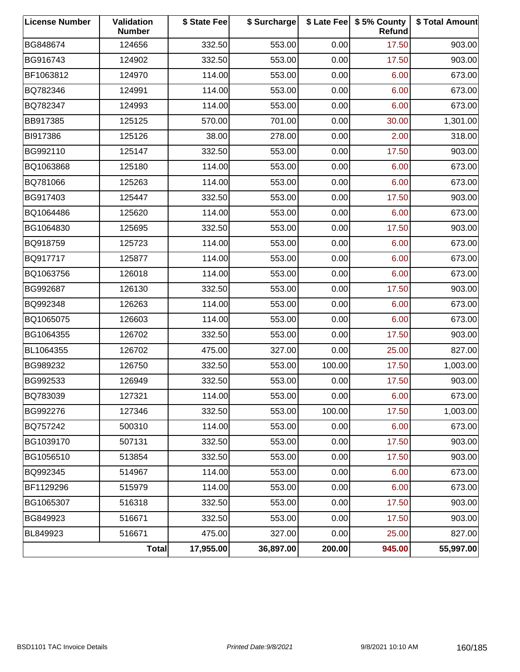| <b>License Number</b> | <b>Validation</b><br><b>Number</b> | \$ State Fee | \$ Surcharge |        | \$ Late Fee   \$5% County<br>Refund | \$ Total Amount |
|-----------------------|------------------------------------|--------------|--------------|--------|-------------------------------------|-----------------|
| BG848674              | 124656                             | 332.50       | 553.00       | 0.00   | 17.50                               | 903.00          |
| BG916743              | 124902                             | 332.50       | 553.00       | 0.00   | 17.50                               | 903.00          |
| BF1063812             | 124970                             | 114.00       | 553.00       | 0.00   | 6.00                                | 673.00          |
| BQ782346              | 124991                             | 114.00       | 553.00       | 0.00   | 6.00                                | 673.00          |
| BQ782347              | 124993                             | 114.00       | 553.00       | 0.00   | 6.00                                | 673.00          |
| BB917385              | 125125                             | 570.00       | 701.00       | 0.00   | 30.00                               | 1,301.00        |
| BI917386              | 125126                             | 38.00        | 278.00       | 0.00   | 2.00                                | 318.00          |
| BG992110              | 125147                             | 332.50       | 553.00       | 0.00   | 17.50                               | 903.00          |
| BQ1063868             | 125180                             | 114.00       | 553.00       | 0.00   | 6.00                                | 673.00          |
| BQ781066              | 125263                             | 114.00       | 553.00       | 0.00   | 6.00                                | 673.00          |
| BG917403              | 125447                             | 332.50       | 553.00       | 0.00   | 17.50                               | 903.00          |
| BQ1064486             | 125620                             | 114.00       | 553.00       | 0.00   | 6.00                                | 673.00          |
| BG1064830             | 125695                             | 332.50       | 553.00       | 0.00   | 17.50                               | 903.00          |
| BQ918759              | 125723                             | 114.00       | 553.00       | 0.00   | 6.00                                | 673.00          |
| BQ917717              | 125877                             | 114.00       | 553.00       | 0.00   | 6.00                                | 673.00          |
| BQ1063756             | 126018                             | 114.00       | 553.00       | 0.00   | 6.00                                | 673.00          |
| BG992687              | 126130                             | 332.50       | 553.00       | 0.00   | 17.50                               | 903.00          |
| BQ992348              | 126263                             | 114.00       | 553.00       | 0.00   | 6.00                                | 673.00          |
| BQ1065075             | 126603                             | 114.00       | 553.00       | 0.00   | 6.00                                | 673.00          |
| BG1064355             | 126702                             | 332.50       | 553.00       | 0.00   | 17.50                               | 903.00          |
| BL1064355             | 126702                             | 475.00       | 327.00       | 0.00   | 25.00                               | 827.00          |
| BG989232              | 126750                             | 332.50       | 553.00       | 100.00 | 17.50                               | 1,003.00        |
| BG992533              | 126949                             | 332.50       | 553.00       | 0.00   | 17.50                               | 903.00          |
| BQ783039              | 127321                             | 114.00       | 553.00       | 0.00   | 6.00                                | 673.00          |
| BG992276              | 127346                             | 332.50       | 553.00       | 100.00 | 17.50                               | 1,003.00        |
| BQ757242              | 500310                             | 114.00       | 553.00       | 0.00   | 6.00                                | 673.00          |
| BG1039170             | 507131                             | 332.50       | 553.00       | 0.00   | 17.50                               | 903.00          |
| BG1056510             | 513854                             | 332.50       | 553.00       | 0.00   | 17.50                               | 903.00          |
| BQ992345              | 514967                             | 114.00       | 553.00       | 0.00   | 6.00                                | 673.00          |
| BF1129296             | 515979                             | 114.00       | 553.00       | 0.00   | 6.00                                | 673.00          |
| BG1065307             | 516318                             | 332.50       | 553.00       | 0.00   | 17.50                               | 903.00          |
| BG849923              | 516671                             | 332.50       | 553.00       | 0.00   | 17.50                               | 903.00          |
| BL849923              | 516671                             | 475.00       | 327.00       | 0.00   | 25.00                               | 827.00          |
|                       | Total                              | 17,955.00    | 36,897.00    | 200.00 | 945.00                              | 55,997.00       |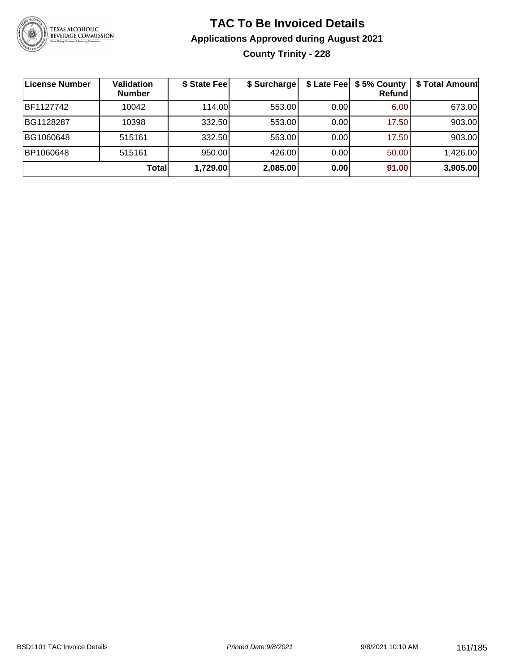

# **TAC To Be Invoiced Details Applications Approved during August 2021 County Trinity - 228**

| <b>License Number</b> | Validation<br><b>Number</b> | \$ State Fee | \$ Surcharge |      | \$ Late Fee   \$5% County<br><b>Refund</b> | \$ Total Amount |
|-----------------------|-----------------------------|--------------|--------------|------|--------------------------------------------|-----------------|
| BF1127742             | 10042                       | 114.00L      | 553.00       | 0.00 | 6.00                                       | 673.00          |
| BG1128287             | 10398                       | 332.50       | 553.00       | 0.00 | 17.50                                      | 903.00          |
| BG1060648             | 515161                      | 332.50       | 553.00       | 0.00 | 17.50                                      | 903.00          |
| BP1060648             | 515161                      | 950.00       | 426.00       | 0.00 | 50.00                                      | 1,426.00        |
|                       | Total                       | 1,729.00     | 2,085.00     | 0.00 | 91.00                                      | 3,905.00        |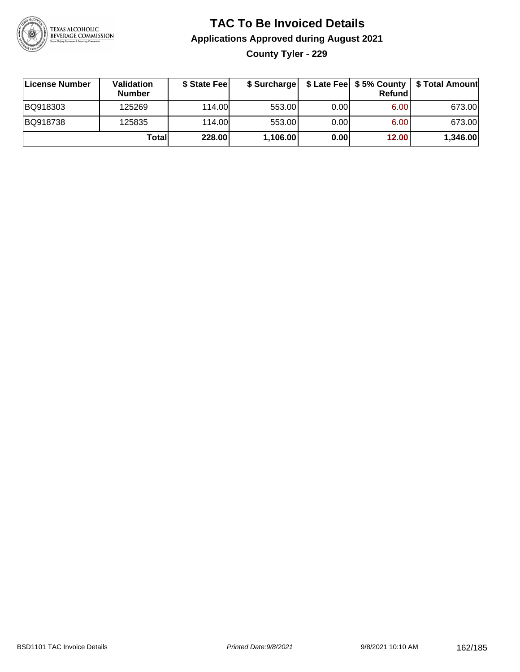

## **TAC To Be Invoiced Details Applications Approved during August 2021 County Tyler - 229**

| License Number | Validation<br><b>Number</b> | \$ State Feel | \$ Surcharge |      | Refundl |          |
|----------------|-----------------------------|---------------|--------------|------|---------|----------|
| BQ918303       | 125269                      | 114.00        | 553.00       | 0.00 | 6.00    | 673.00   |
| BQ918738       | 125835                      | 114.00        | 553.00       | 0.00 | 6.00    | 673.00   |
|                | Totall                      | 228.00        | 1,106.00     | 0.00 | 12.00   | 1,346.00 |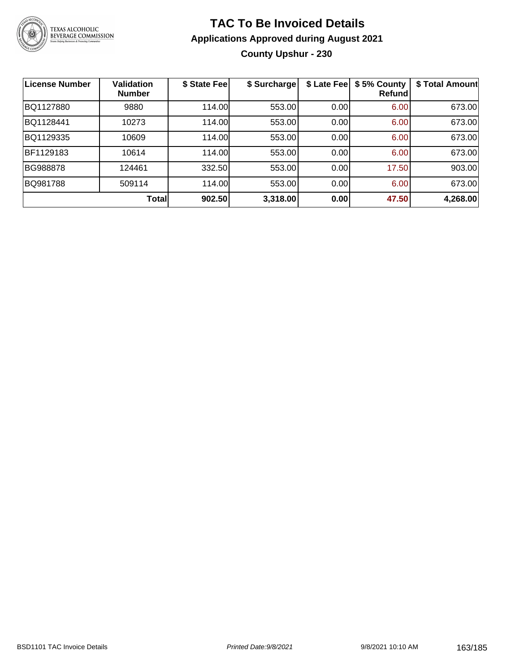

## **TAC To Be Invoiced Details Applications Approved during August 2021 County Upshur - 230**

| <b>License Number</b> | <b>Validation</b><br><b>Number</b> | \$ State Fee | \$ Surcharge | \$ Late Fee | \$5% County<br>Refund | \$ Total Amount |
|-----------------------|------------------------------------|--------------|--------------|-------------|-----------------------|-----------------|
| BQ1127880             | 9880                               | 114.00       | 553.00       | 0.00        | 6.00                  | 673.00          |
| BQ1128441             | 10273                              | 114.00       | 553.00       | 0.00        | 6.00                  | 673.00          |
| BQ1129335             | 10609                              | 114.00       | 553.00       | 0.00        | 6.00                  | 673.00          |
| BF1129183             | 10614                              | 114.00       | 553.00       | 0.00        | 6.00                  | 673.00          |
| BG988878              | 124461                             | 332.50       | 553.00       | 0.00        | 17.50                 | 903.00          |
| BQ981788              | 509114                             | 114.00       | 553.00       | 0.00        | 6.00                  | 673.00          |
|                       | <b>Total</b>                       | 902.50       | 3,318.00     | 0.00        | 47.50                 | 4,268.00        |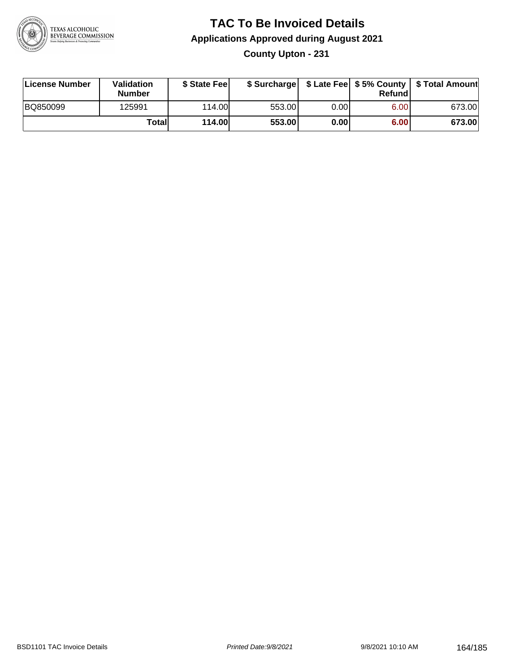

## **TAC To Be Invoiced Details Applications Approved during August 2021 County Upton - 231**

| License Number | <b>Validation</b><br><b>Number</b> | \$ State Fee  |        |       | Refundl | \$ Surcharge   \$ Late Fee   \$5% County   \$ Total Amount |
|----------------|------------------------------------|---------------|--------|-------|---------|------------------------------------------------------------|
| BQ850099       | 125991                             | 114.00        | 553.00 | 0.00I | 6.00    | 673.00                                                     |
|                | Totall                             | <b>114.00</b> | 553.00 | 0.00  | 6.00    | 673.00                                                     |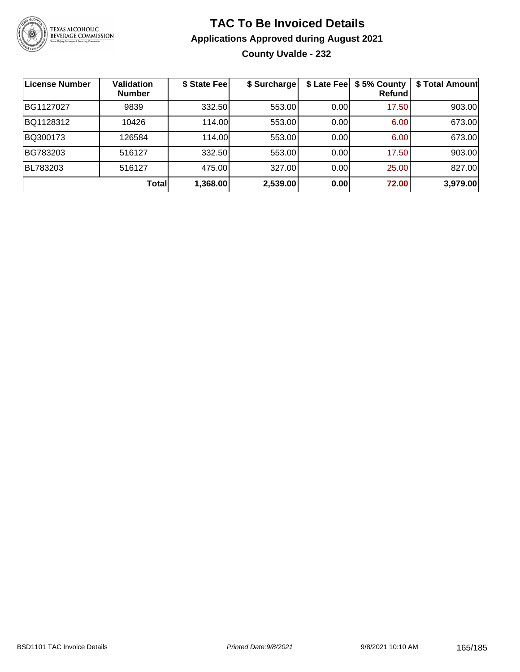

## **TAC To Be Invoiced Details Applications Approved during August 2021 County Uvalde - 232**

| <b>License Number</b> | <b>Validation</b><br><b>Number</b> | \$ State Fee | \$ Surcharge |      | \$ Late Fee   \$5% County<br><b>Refund</b> | \$ Total Amount |
|-----------------------|------------------------------------|--------------|--------------|------|--------------------------------------------|-----------------|
| BG1127027             | 9839                               | 332.50       | 553.00       | 0.00 | 17.50                                      | 903.00          |
| BQ1128312             | 10426                              | 114.00       | 553.00       | 0.00 | 6.00                                       | 673.00          |
| BQ300173              | 126584                             | 114.00       | 553.00       | 0.00 | 6.00                                       | 673.00          |
| BG783203              | 516127                             | 332.50       | 553.00       | 0.00 | 17.50                                      | 903.00          |
| BL783203              | 516127                             | 475.00       | 327.00       | 0.00 | 25.00                                      | 827.00          |
|                       | Total                              | 1,368.00     | 2,539.00     | 0.00 | 72.00                                      | 3,979.00        |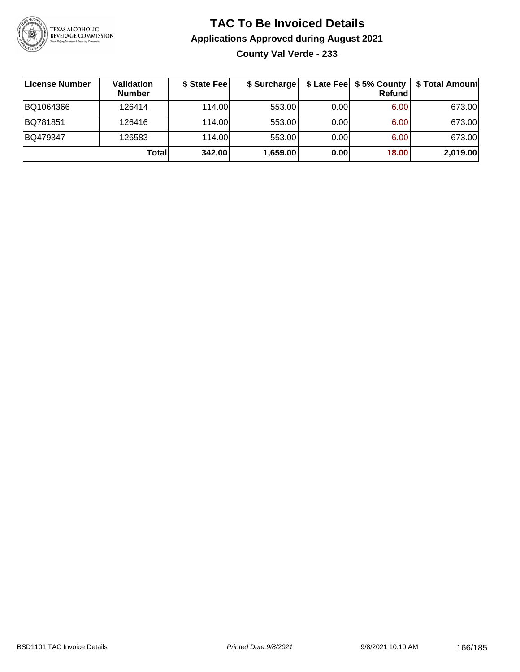

## **TAC To Be Invoiced Details Applications Approved during August 2021 County Val Verde - 233**

| ∣License Number | <b>Validation</b><br><b>Number</b> | \$ State Fee | \$ Surcharge |       | Refund | \$ Late Fee   \$5% County   \$ Total Amount |
|-----------------|------------------------------------|--------------|--------------|-------|--------|---------------------------------------------|
| BQ1064366       | 126414                             | 114.00       | 553.00       | 0.001 | 6.00   | 673.00                                      |
| BQ781851        | 126416                             | 114.00       | 553.00       | 0.001 | 6.00   | 673.00                                      |
| BQ479347        | 126583                             | 114.00       | 553.00       | 0.001 | 6.00   | 673.00                                      |
|                 | Totall                             | 342.00       | 1,659.00     | 0.00  | 18.00  | 2,019.00                                    |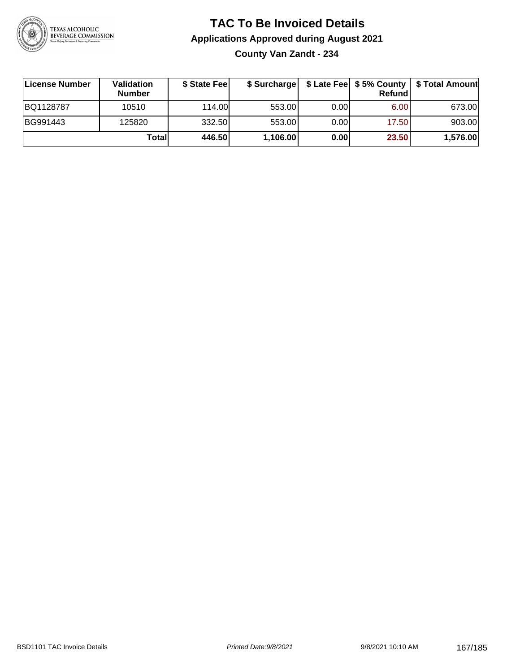

# **TAC To Be Invoiced Details Applications Approved during August 2021**

**County Van Zandt - 234**

| License Number | <b>Validation</b><br><b>Number</b> | \$ State Fee | \$ Surcharge |       | Refundl | \$ Late Fee   \$5% County   \$ Total Amount |
|----------------|------------------------------------|--------------|--------------|-------|---------|---------------------------------------------|
| BQ1128787      | 10510                              | 114.00       | 553.00       | 0.001 | 6.00    | 673.00                                      |
| BG991443       | 125820                             | 332.50       | 553.00       | 0.001 | 17.50   | 903.00                                      |
|                | Totall                             | 446.50       | 1,106.00     | 0.00  | 23.50   | 1,576.00                                    |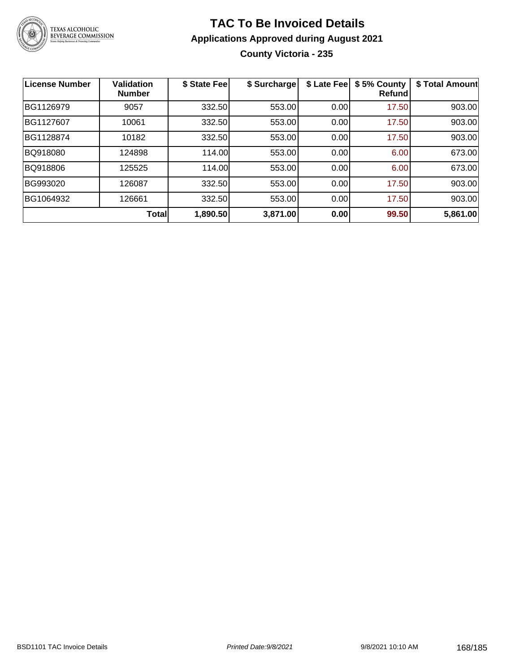

## **TAC To Be Invoiced Details Applications Approved during August 2021 County Victoria - 235**

| <b>License Number</b> | <b>Validation</b><br><b>Number</b> | \$ State Fee | \$ Surcharge | \$ Late Fee | \$5% County<br>Refund | \$ Total Amount |
|-----------------------|------------------------------------|--------------|--------------|-------------|-----------------------|-----------------|
| BG1126979             | 9057                               | 332.50       | 553.00       | 0.00        | 17.50                 | 903.00          |
| BG1127607             | 10061                              | 332.50       | 553.00       | 0.00        | 17.50                 | 903.00          |
| BG1128874             | 10182                              | 332.50       | 553.00       | 0.00        | 17.50                 | 903.00          |
| BQ918080              | 124898                             | 114.00       | 553.00       | 0.00        | 6.00                  | 673.00          |
| BQ918806              | 125525                             | 114.00       | 553.00       | 0.00        | 6.00                  | 673.00          |
| BG993020              | 126087                             | 332.50       | 553.00       | 0.00        | 17.50                 | 903.00          |
| BG1064932             | 126661                             | 332.50       | 553.00       | 0.00        | 17.50                 | 903.00          |
|                       | <b>Total</b>                       | 1,890.50     | 3,871.00     | 0.00        | 99.50                 | 5,861.00        |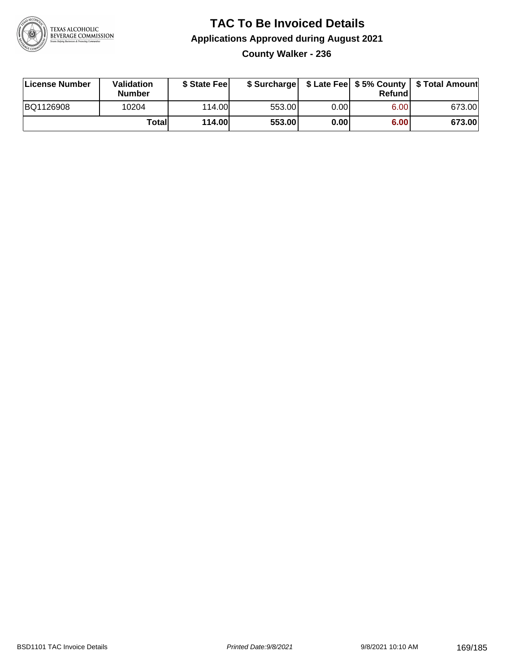

## **TAC To Be Invoiced Details Applications Approved during August 2021 County Walker - 236**

| License Number | Validation<br><b>Number</b> | \$ State Feel |        |      | Refund | \$ Surcharge   \$ Late Fee   \$5% County   \$ Total Amount |
|----------------|-----------------------------|---------------|--------|------|--------|------------------------------------------------------------|
| BQ1126908      | 10204                       | 114.00L       | 553.00 | 0.00 | 6.00   | 673.00                                                     |
|                | <b>Totall</b>               | <b>114.00</b> | 553.00 | 0.00 | 6.00   | 673.00                                                     |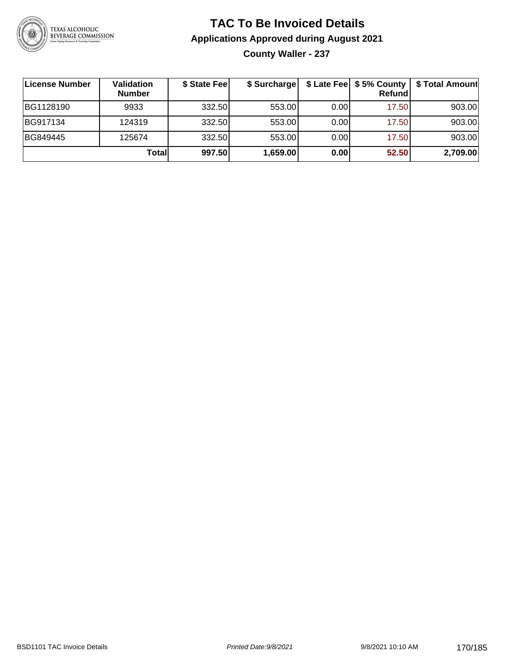

## **TAC To Be Invoiced Details Applications Approved during August 2021 County Waller - 237**

| ∣License Number | Validation<br><b>Number</b> | \$ State Fee | \$ Surcharge |      | \$ Late Fee   \$5% County<br>Refundl | \$ Total Amount |
|-----------------|-----------------------------|--------------|--------------|------|--------------------------------------|-----------------|
| BG1128190       | 9933                        | 332.50       | 553.00       | 0.00 | 17.50                                | 903.00          |
| BG917134        | 124319                      | 332.50       | 553.00       | 0.00 | 17.50                                | 903.00          |
| BG849445        | 125674                      | 332.50       | 553.00       | 0.00 | 17.50                                | 903.00          |
|                 | Total                       | 997.50       | 1,659.00     | 0.00 | 52.50                                | 2,709.00        |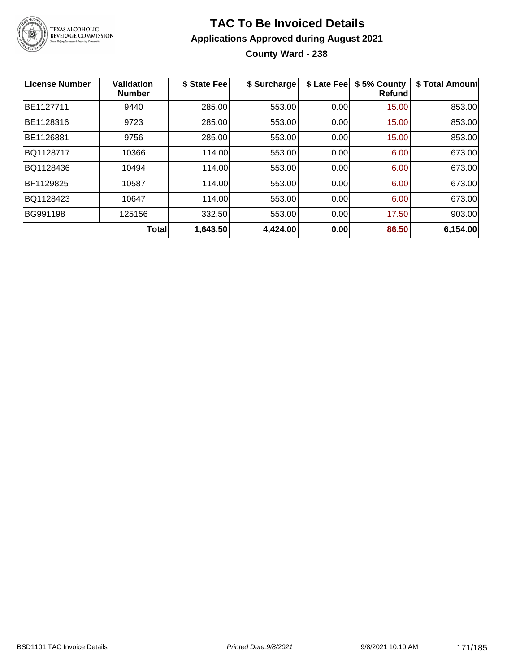

## **TAC To Be Invoiced Details Applications Approved during August 2021 County Ward - 238**

| ∣License Number | <b>Validation</b><br><b>Number</b> | \$ State Fee | \$ Surcharge | \$ Late Fee | \$5% County<br><b>Refund</b> | \$ Total Amount |
|-----------------|------------------------------------|--------------|--------------|-------------|------------------------------|-----------------|
| BE1127711       | 9440                               | 285.00       | 553.00       | 0.00        | 15.00                        | 853.00          |
| BE1128316       | 9723                               | 285.00       | 553.00       | 0.00        | 15.00                        | 853.00          |
| BE1126881       | 9756                               | 285.00       | 553.00       | 0.00        | 15.00                        | 853.00          |
| BQ1128717       | 10366                              | 114.00       | 553.00       | 0.00        | 6.00                         | 673.00          |
| BQ1128436       | 10494                              | 114.00       | 553.00       | 0.00        | 6.00                         | 673.00          |
| BF1129825       | 10587                              | 114.00       | 553.00       | 0.00        | 6.00                         | 673.00          |
| BQ1128423       | 10647                              | 114.00       | 553.00       | 0.00        | 6.00                         | 673.00          |
| BG991198        | 125156                             | 332.50       | 553.00       | 0.00        | 17.50                        | 903.00          |
|                 | Total                              | 1,643.50     | 4,424.00     | 0.00        | 86.50                        | 6,154.00        |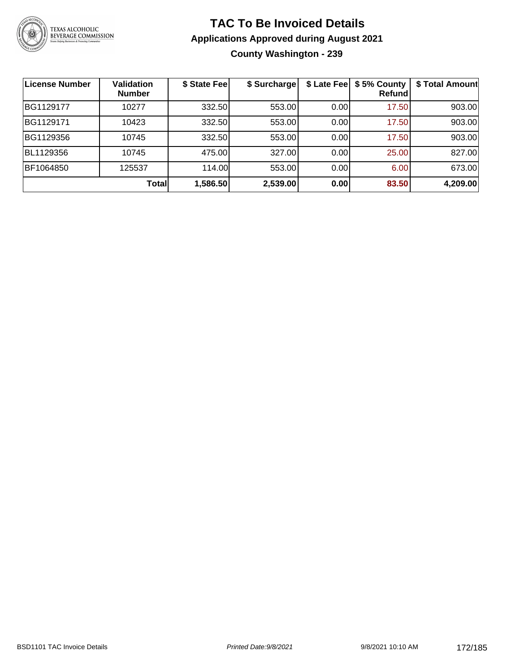

#### **TAC To Be Invoiced Details Applications Approved during August 2021 County Washington - 239**

| License Number | <b>Validation</b><br><b>Number</b> | \$ State Fee | \$ Surcharge | \$ Late Fee | \$5% County<br>Refundl | \$ Total Amount |
|----------------|------------------------------------|--------------|--------------|-------------|------------------------|-----------------|
| BG1129177      | 10277                              | 332.50       | 553.00       | 0.00        | 17.50                  | 903.00          |
| BG1129171      | 10423                              | 332.50       | 553.00       | 0.00        | 17.50                  | 903.00          |
| BG1129356      | 10745                              | 332.50       | 553.00       | 0.00        | 17.50                  | 903.00          |
| BL1129356      | 10745                              | 475.00       | 327.00       | 0.00        | 25.00                  | 827.00          |
| BF1064850      | 125537                             | 114.00       | 553.00       | 0.00        | 6.00                   | 673.00          |
|                | Total                              | 1,586.50     | 2,539.00     | 0.00        | 83.50                  | 4,209.00        |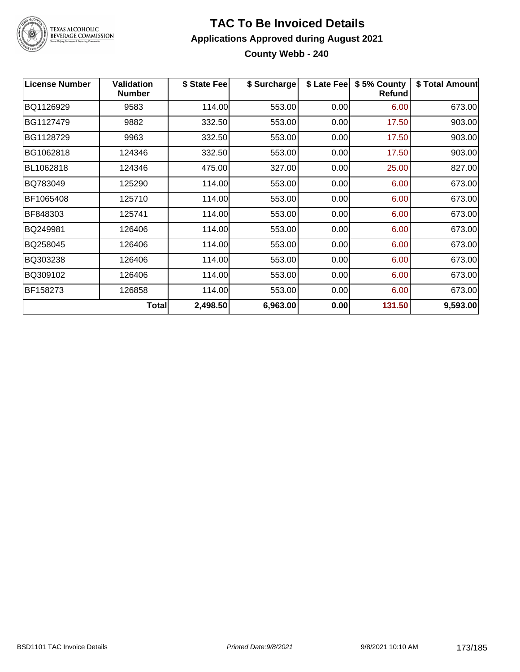

# TEXAS ALCOHOLIC<br>BEVERAGE COMMISSION

#### **TAC To Be Invoiced Details Applications Approved during August 2021 County Webb - 240**

| <b>License Number</b> | <b>Validation</b><br><b>Number</b> | \$ State Fee | \$ Surcharge | \$ Late Fee | \$5% County<br>Refund | \$ Total Amount |
|-----------------------|------------------------------------|--------------|--------------|-------------|-----------------------|-----------------|
| BQ1126929             | 9583                               | 114.00       | 553.00       | 0.00        | 6.00                  | 673.00          |
| BG1127479             | 9882                               | 332.50       | 553.00       | 0.00        | 17.50                 | 903.00          |
| BG1128729             | 9963                               | 332.50       | 553.00       | 0.00        | 17.50                 | 903.00          |
| BG1062818             | 124346                             | 332.50       | 553.00       | 0.00        | 17.50                 | 903.00          |
| BL1062818             | 124346                             | 475.00       | 327.00       | 0.00        | 25.00                 | 827.00          |
| BQ783049              | 125290                             | 114.00       | 553.00       | 0.00        | 6.00                  | 673.00          |
| BF1065408             | 125710                             | 114.00       | 553.00       | 0.00        | 6.00                  | 673.00          |
| BF848303              | 125741                             | 114.00       | 553.00       | 0.00        | 6.00                  | 673.00          |
| BQ249981              | 126406                             | 114.00       | 553.00       | 0.00        | 6.00                  | 673.00          |
| BQ258045              | 126406                             | 114.00       | 553.00       | 0.00        | 6.00                  | 673.00          |
| BQ303238              | 126406                             | 114.00       | 553.00       | 0.00        | 6.00                  | 673.00          |
| BQ309102              | 126406                             | 114.00       | 553.00       | 0.00        | 6.00                  | 673.00          |
| BF158273              | 126858                             | 114.00       | 553.00       | 0.00        | 6.00                  | 673.00          |
|                       | Total                              | 2,498.50     | 6,963.00     | 0.00        | 131.50                | 9,593.00        |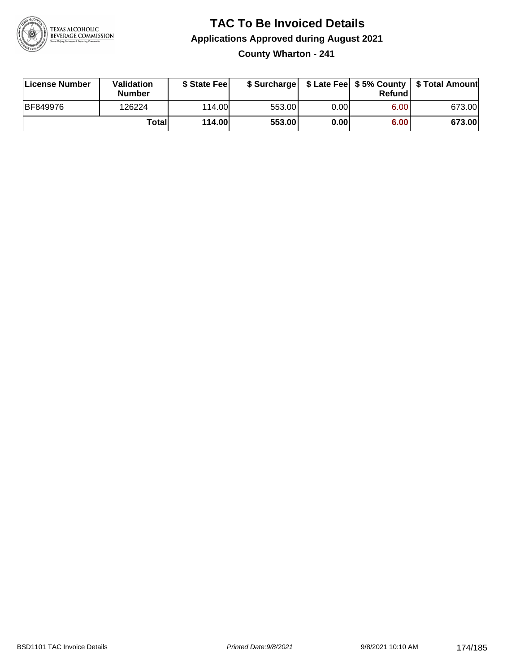

## **TAC To Be Invoiced Details Applications Approved during August 2021 County Wharton - 241**

| License Number  | Validation<br><b>Number</b> | \$ State Feel |        |       | Refundl | \$ Surcharge   \$ Late Fee   \$5% County   \$ Total Amount |
|-----------------|-----------------------------|---------------|--------|-------|---------|------------------------------------------------------------|
| <b>BF849976</b> | 126224                      | 114.00L       | 553.00 | 0.001 | 6.00    | 673.00                                                     |
|                 | Total                       | <b>114.00</b> | 553.00 | 0.00  | 6.00    | 673.00                                                     |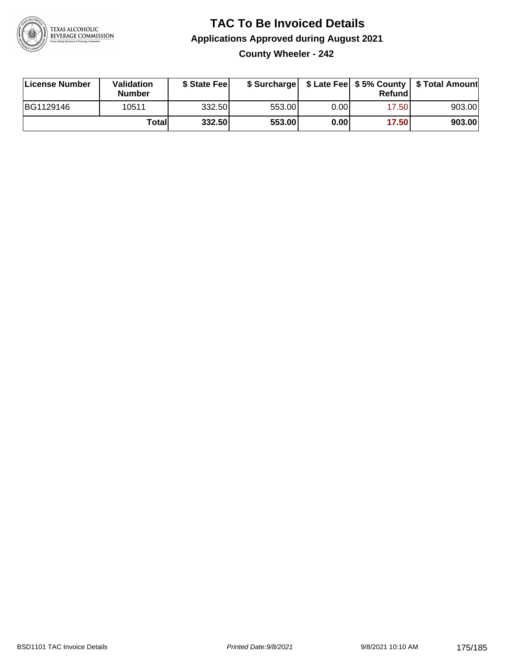

## **TAC To Be Invoiced Details Applications Approved during August 2021 County Wheeler - 242**

| License Number | Validation<br><b>Number</b> | \$ State Fee |        |      | Refund | \$ Surcharge   \$ Late Fee   \$5% County   \$ Total Amount |
|----------------|-----------------------------|--------------|--------|------|--------|------------------------------------------------------------|
| BG1129146      | 10511                       | 332.50       | 553.00 | 0.00 | 17.50  | 903.00                                                     |
|                | Totall                      | 332.50       | 553.00 | 0.00 | 17.50  | 903.00                                                     |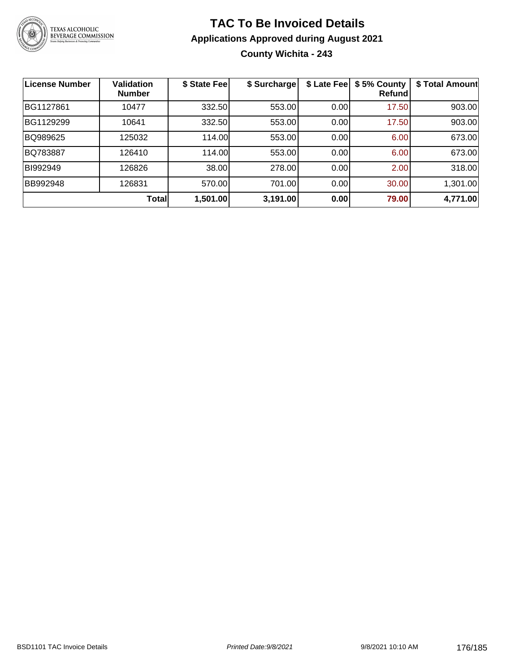

## **TAC To Be Invoiced Details Applications Approved during August 2021 County Wichita - 243**

| <b>License Number</b> | <b>Validation</b><br><b>Number</b> | \$ State Fee | \$ Surcharge | \$ Late Fee | \$5% County<br>Refund | \$ Total Amount |
|-----------------------|------------------------------------|--------------|--------------|-------------|-----------------------|-----------------|
| BG1127861             | 10477                              | 332.50       | 553.00       | 0.00        | 17.50                 | 903.00          |
| BG1129299             | 10641                              | 332.50       | 553.00       | 0.00        | 17.50                 | 903.00          |
| BQ989625              | 125032                             | 114.00       | 553.00       | 0.00        | 6.00                  | 673.00          |
| BQ783887              | 126410                             | 114.00       | 553.00       | 0.00        | 6.00                  | 673.00          |
| BI992949              | 126826                             | 38.00        | 278.00       | 0.00        | 2.00                  | 318.00          |
| <b>BB992948</b>       | 126831                             | 570.00       | 701.00       | 0.00        | 30.00                 | 1,301.00        |
|                       | <b>Total</b>                       | 1,501.00     | 3,191.00     | 0.00        | 79.00                 | 4,771.00        |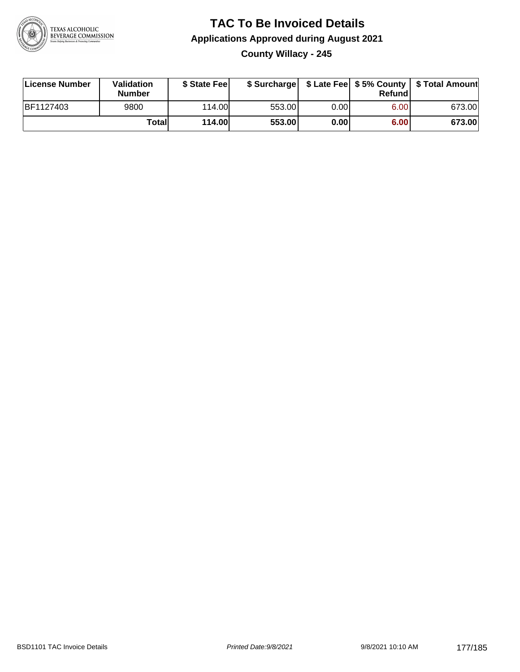

## **TAC To Be Invoiced Details Applications Approved during August 2021 County Willacy - 245**

| License Number | <b>Validation</b><br><b>Number</b> | \$ State Fee |        |       | Refundl | \$ Surcharge   \$ Late Fee   \$5% County   \$ Total Amount |
|----------------|------------------------------------|--------------|--------|-------|---------|------------------------------------------------------------|
| BF1127403      | 9800                               | 114.00L      | 553.00 | 0.00I | 6.00    | 673.00                                                     |
|                | Totall                             | 114.00       | 553.00 | 0.001 | 6.00    | 673.00                                                     |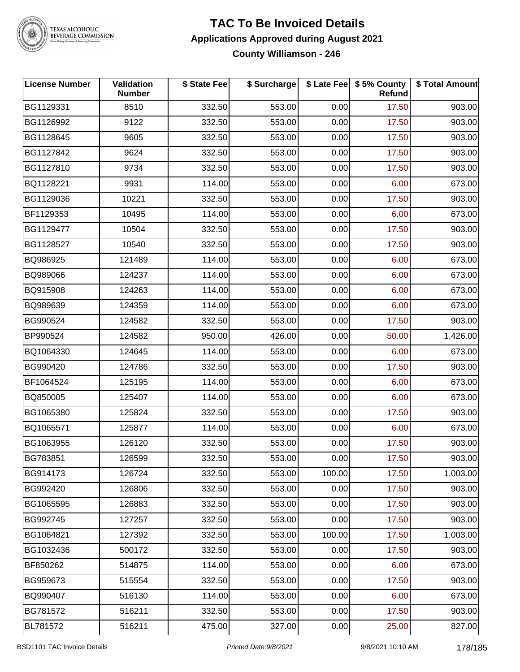

# TEXAS ALCOHOLIC<br>BEVERAGE COMMISSION

#### **TAC To Be Invoiced Details Applications Approved during August 2021 County Williamson - 246**

| <b>License Number</b> | Validation<br><b>Number</b> | \$ State Fee | \$ Surcharge |        | \$ Late Fee   \$5% County<br>Refund | \$ Total Amount |
|-----------------------|-----------------------------|--------------|--------------|--------|-------------------------------------|-----------------|
| BG1129331             | 8510                        | 332.50       | 553.00       | 0.00   | 17.50                               | 903.00          |
| BG1126992             | 9122                        | 332.50       | 553.00       | 0.00   | 17.50                               | 903.00          |
| BG1128645             | 9605                        | 332.50       | 553.00       | 0.00   | 17.50                               | 903.00          |
| BG1127842             | 9624                        | 332.50       | 553.00       | 0.00   | 17.50                               | 903.00          |
| BG1127810             | 9734                        | 332.50       | 553.00       | 0.00   | 17.50                               | 903.00          |
| BQ1128221             | 9931                        | 114.00       | 553.00       | 0.00   | 6.00                                | 673.00          |
| BG1129036             | 10221                       | 332.50       | 553.00       | 0.00   | 17.50                               | 903.00          |
| BF1129353             | 10495                       | 114.00       | 553.00       | 0.00   | 6.00                                | 673.00          |
| BG1129477             | 10504                       | 332.50       | 553.00       | 0.00   | 17.50                               | 903.00          |
| BG1128527             | 10540                       | 332.50       | 553.00       | 0.00   | 17.50                               | 903.00          |
| BQ986925              | 121489                      | 114.00       | 553.00       | 0.00   | 6.00                                | 673.00          |
| BQ989066              | 124237                      | 114.00       | 553.00       | 0.00   | 6.00                                | 673.00          |
| BQ915908              | 124263                      | 114.00       | 553.00       | 0.00   | 6.00                                | 673.00          |
| BQ989639              | 124359                      | 114.00       | 553.00       | 0.00   | 6.00                                | 673.00          |
| BG990524              | 124582                      | 332.50       | 553.00       | 0.00   | 17.50                               | 903.00          |
| BP990524              | 124582                      | 950.00       | 426.00       | 0.00   | 50.00                               | 1,426.00        |
| BQ1064330             | 124645                      | 114.00       | 553.00       | 0.00   | 6.00                                | 673.00          |
| BG990420              | 124786                      | 332.50       | 553.00       | 0.00   | 17.50                               | 903.00          |
| BF1064524             | 125195                      | 114.00       | 553.00       | 0.00   | 6.00                                | 673.00          |
| BQ850005              | 125407                      | 114.00       | 553.00       | 0.00   | 6.00                                | 673.00          |
| BG1065380             | 125824                      | 332.50       | 553.00       | 0.00   | 17.50                               | 903.00          |
| BQ1065571             | 125877                      | 114.00       | 553.00       | 0.00   | 6.00                                | 673.00          |
| BG1063955             | 126120                      | 332.50       | 553.00       | 0.00   | 17.50                               | 903.00          |
| BG783851              | 126599                      | 332.50       | 553.00       | 0.00   | 17.50                               | 903.00          |
| BG914173              | 126724                      | 332.50       | 553.00       | 100.00 | 17.50                               | 1,003.00        |
| BG992420              | 126806                      | 332.50       | 553.00       | 0.00   | 17.50                               | 903.00          |
| BG1065595             | 126883                      | 332.50       | 553.00       | 0.00   | 17.50                               | 903.00          |
| BG992745              | 127257                      | 332.50       | 553.00       | 0.00   | 17.50                               | 903.00          |
| BG1064821             | 127392                      | 332.50       | 553.00       | 100.00 | 17.50                               | 1,003.00        |
| BG1032436             | 500172                      | 332.50       | 553.00       | 0.00   | 17.50                               | 903.00          |
| BF850262              | 514875                      | 114.00       | 553.00       | 0.00   | 6.00                                | 673.00          |
| BG959673              | 515554                      | 332.50       | 553.00       | 0.00   | 17.50                               | 903.00          |
| BQ990407              | 516130                      | 114.00       | 553.00       | 0.00   | 6.00                                | 673.00          |
| BG781572              | 516211                      | 332.50       | 553.00       | 0.00   | 17.50                               | 903.00          |
| BL781572              | 516211                      | 475.00       | 327.00       | 0.00   | 25.00                               | 827.00          |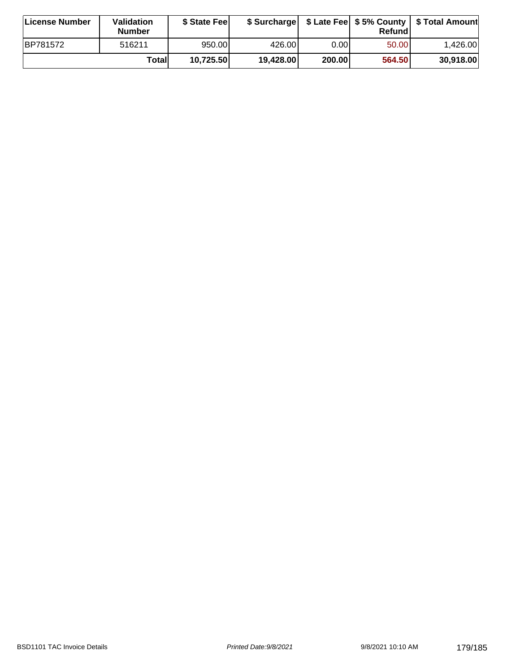| License Number   | Validation<br><b>Number</b> | \$ State Fee |           |        | Refundl | \$ Surcharge   \$ Late Fee   \$5% County   \$ Total Amount |
|------------------|-----------------------------|--------------|-----------|--------|---------|------------------------------------------------------------|
| <b>IBP781572</b> | 516211                      | 950.00       | 426.00    | 0.001  | 50.00   | 1.426.00                                                   |
|                  | Totall                      | 10,725.50    | 19,428.00 | 200.00 | 564.50  | 30,918.00                                                  |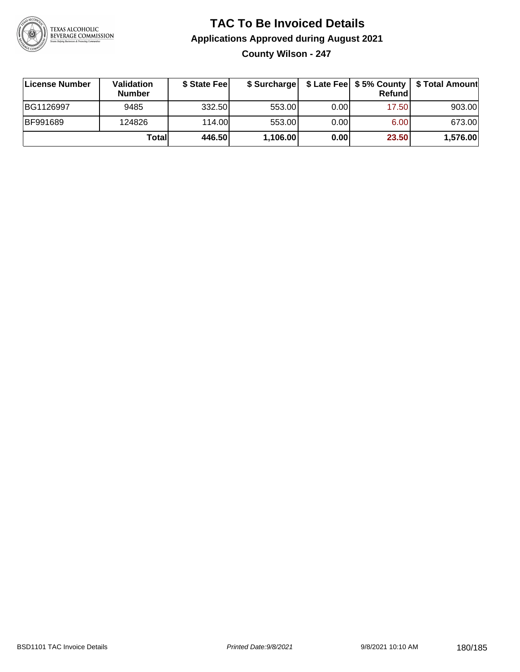

## **TAC To Be Invoiced Details Applications Approved during August 2021 County Wilson - 247**

| License Number  | <b>Validation</b><br><b>Number</b> | \$ State Fee |          |       | Refundl | \$ Surcharge   \$ Late Fee   \$5% County   \$ Total Amount |
|-----------------|------------------------------------|--------------|----------|-------|---------|------------------------------------------------------------|
| BG1126997       | 9485                               | 332.50       | 553.00   | 0.001 | 17.50   | 903.00                                                     |
| <b>BF991689</b> | 124826                             | 114.00       | 553.00   | 0.00  | 6.00    | 673.00                                                     |
|                 | Totall                             | 446.50       | 1,106.00 | 0.00  | 23.50   | 1,576.00                                                   |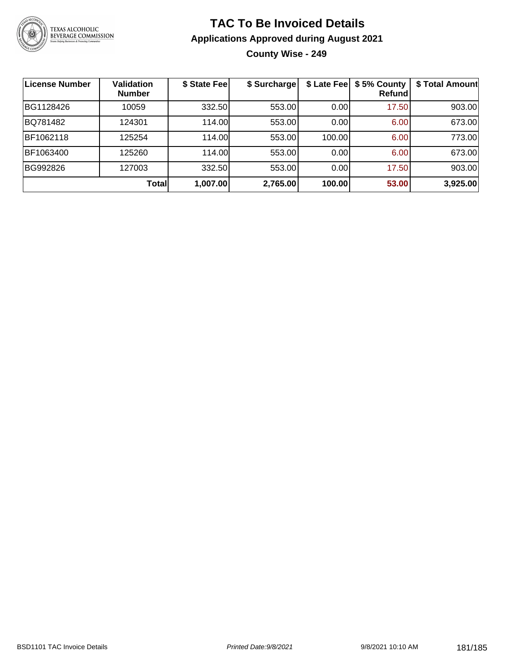

# **TAC To Be Invoiced Details Applications Approved during August 2021 County Wise - 249**

| <b>License Number</b> | <b>Validation</b><br><b>Number</b> | \$ State Fee | \$ Surcharge |        | \$ Late Fee   \$5% County<br>Refundl | \$ Total Amount |
|-----------------------|------------------------------------|--------------|--------------|--------|--------------------------------------|-----------------|
| BG1128426             | 10059                              | 332.50       | 553.00       | 0.00   | 17.50                                | 903.00          |
| BQ781482              | 124301                             | 114.00       | 553.00       | 0.00   | 6.00                                 | 673.00          |
| BF1062118             | 125254                             | 114.00       | 553.00       | 100.00 | 6.00                                 | 773.00          |
| BF1063400             | 125260                             | 114.00       | 553.00       | 0.00   | 6.00                                 | 673.00          |
| BG992826              | 127003                             | 332.50       | 553.00       | 0.00   | 17.50                                | 903.00          |
|                       | Total                              | 1,007.00     | 2,765.00     | 100.00 | 53.00                                | 3,925.00        |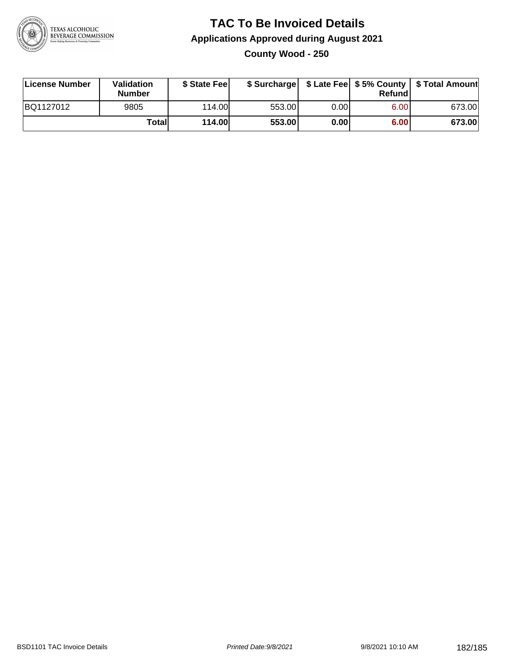

# **TAC To Be Invoiced Details Applications Approved during August 2021 County Wood - 250**

| License Number | <b>Validation</b><br><b>Number</b> | \$ State Fee |        |       | Refundl | \$ Surcharge   \$ Late Fee   \$5% County   \$ Total Amount |
|----------------|------------------------------------|--------------|--------|-------|---------|------------------------------------------------------------|
| BQ1127012      | 9805                               | 114.00L      | 553.00 | 0.00I | 6.00    | 673.00                                                     |
|                | Total                              | 114.00       | 553.00 | 0.00  | 6.00    | 673.00                                                     |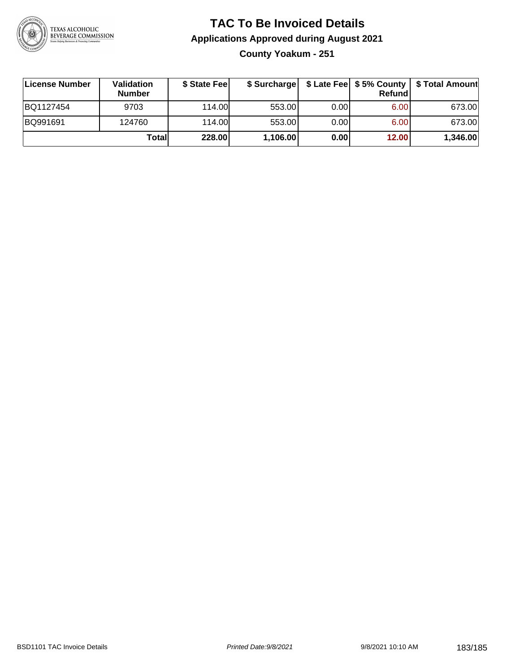

# **TAC To Be Invoiced Details Applications Approved during August 2021**

**County Yoakum - 251**

| ∣License Number | <b>Validation</b><br><b>Number</b> | \$ State Fee | \$ Surcharge |       | <b>Refund</b> | \$ Late Fee   \$5% County   \$ Total Amount |
|-----------------|------------------------------------|--------------|--------------|-------|---------------|---------------------------------------------|
| BQ1127454       | 9703                               | 114.00       | 553.00       | 0.001 | 6.00          | 673.00                                      |
| BQ991691        | 124760                             | 114.00       | 553.00       | 0.001 | 6.00          | 673.00                                      |
|                 | Totall                             | 228.00       | 1,106.00     | 0.00  | 12.00         | 1,346.00                                    |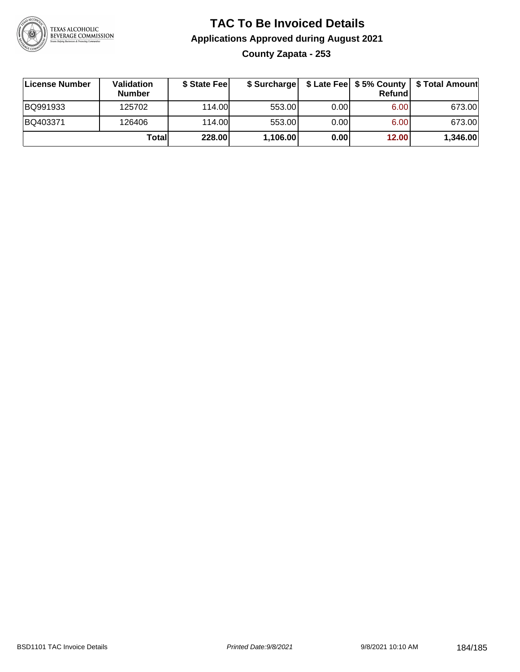

# **TAC To Be Invoiced Details Applications Approved during August 2021 County Zapata - 253**

| License Number | Validation<br><b>Number</b> | \$ State Feel |          |      | Refundl | \$ Surcharge   \$ Late Fee   \$5% County   \$ Total Amount |
|----------------|-----------------------------|---------------|----------|------|---------|------------------------------------------------------------|
| BQ991933       | 125702                      | 114.00L       | 553.00   | 0.00 | 6.00    | 673.00                                                     |
| BQ403371       | 126406                      | 114.00L       | 553.00   | 0.00 | 6.00    | 673.00                                                     |
|                | Totall                      | 228.00        | 1,106.00 | 0.00 | 12.00   | 1,346.00                                                   |